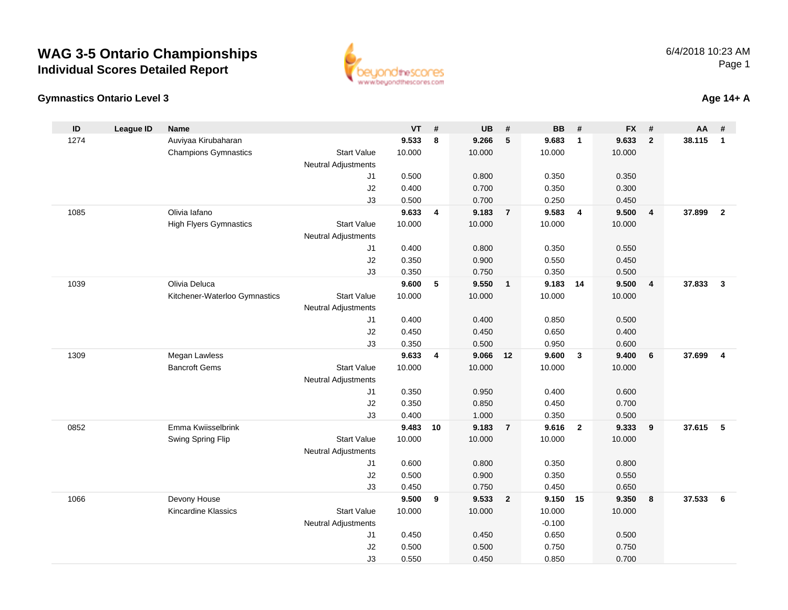



#### **Age 14+ A**

| ID   | <b>League ID</b> | <b>Name</b>                   |                            | <b>VT</b>      | #  | <b>UB</b>      | #                       | <b>BB</b>         | #              | <b>FX</b>      | #                       | AA     | #                       |
|------|------------------|-------------------------------|----------------------------|----------------|----|----------------|-------------------------|-------------------|----------------|----------------|-------------------------|--------|-------------------------|
| 1274 |                  | Auviyaa Kirubaharan           |                            | 9.533          | 8  | 9.266          | 5                       | 9.683             | $\overline{1}$ | 9.633          | $\overline{2}$          | 38.115 | $\mathbf{1}$            |
|      |                  | <b>Champions Gymnastics</b>   | <b>Start Value</b>         | 10.000         |    | 10.000         |                         | 10.000            |                | 10.000         |                         |        |                         |
|      |                  |                               | Neutral Adjustments        |                |    |                |                         |                   |                |                |                         |        |                         |
|      |                  |                               | J1                         | 0.500          |    | 0.800          |                         | 0.350             |                | 0.350          |                         |        |                         |
|      |                  |                               | J2                         | 0.400          |    | 0.700          |                         | 0.350             |                | 0.300          |                         |        |                         |
|      |                  |                               | J3                         | 0.500          |    | 0.700          |                         | 0.250             |                | 0.450          |                         |        |                         |
| 1085 |                  | Olivia lafano                 |                            | 9.633          | 4  | 9.183          | $\overline{7}$          | 9.583             | $\overline{4}$ | 9.500          | $\overline{4}$          | 37.899 | $\overline{2}$          |
|      |                  | <b>High Flyers Gymnastics</b> | <b>Start Value</b>         | 10.000         |    | 10.000         |                         | 10.000            |                | 10.000         |                         |        |                         |
|      |                  |                               | Neutral Adjustments        |                |    |                |                         |                   |                |                |                         |        |                         |
|      |                  |                               | J1                         | 0.400          |    | 0.800          |                         | 0.350             |                | 0.550          |                         |        |                         |
|      |                  |                               | J2                         | 0.350          |    | 0.900          |                         | 0.550             |                | 0.450          |                         |        |                         |
| 1039 |                  | Olivia Deluca                 | J3                         | 0.350<br>9.600 | 5  | 0.750<br>9.550 | $\overline{\mathbf{1}}$ | 0.350<br>9.183 14 |                | 0.500<br>9.500 |                         | 37.833 | $\mathbf{3}$            |
|      |                  | Kitchener-Waterloo Gymnastics | <b>Start Value</b>         | 10.000         |    | 10.000         |                         | 10.000            |                | 10.000         | $\overline{\mathbf{4}}$ |        |                         |
|      |                  |                               | <b>Neutral Adjustments</b> |                |    |                |                         |                   |                |                |                         |        |                         |
|      |                  |                               | J1                         | 0.400          |    | 0.400          |                         | 0.850             |                | 0.500          |                         |        |                         |
|      |                  |                               | J2                         | 0.450          |    | 0.450          |                         | 0.650             |                | 0.400          |                         |        |                         |
|      |                  |                               | J3                         | 0.350          |    | 0.500          |                         | 0.950             |                | 0.600          |                         |        |                         |
| 1309 |                  | Megan Lawless                 |                            | 9.633          | 4  | 9.066          | 12                      | 9.600             | $\mathbf{3}$   | 9.400          | 6                       | 37.699 | $\overline{\mathbf{4}}$ |
|      |                  | <b>Bancroft Gems</b>          | <b>Start Value</b>         | 10.000         |    | 10.000         |                         | 10.000            |                | 10.000         |                         |        |                         |
|      |                  |                               | Neutral Adjustments        |                |    |                |                         |                   |                |                |                         |        |                         |
|      |                  |                               | J1                         | 0.350          |    | 0.950          |                         | 0.400             |                | 0.600          |                         |        |                         |
|      |                  |                               | J2                         | 0.350          |    | 0.850          |                         | 0.450             |                | 0.700          |                         |        |                         |
|      |                  |                               | J3                         | 0.400          |    | 1.000          |                         | 0.350             |                | 0.500          |                         |        |                         |
| 0852 |                  | Emma Kwiisselbrink            |                            | 9.483          | 10 | 9.183          | $\overline{7}$          | 9.616             | $\overline{2}$ | 9.333          | 9                       | 37.615 | 5                       |
|      |                  | Swing Spring Flip             | <b>Start Value</b>         | 10.000         |    | 10.000         |                         | 10.000            |                | 10.000         |                         |        |                         |
|      |                  |                               | <b>Neutral Adjustments</b> |                |    |                |                         |                   |                |                |                         |        |                         |
|      |                  |                               | J1                         | 0.600          |    | 0.800          |                         | 0.350             |                | 0.800          |                         |        |                         |
|      |                  |                               | J2                         | 0.500          |    | 0.900          |                         | 0.350             |                | 0.550          |                         |        |                         |
|      |                  |                               | J3                         | 0.450          |    | 0.750          |                         | 0.450             |                | 0.650          |                         |        |                         |
| 1066 |                  | Devony House                  |                            | 9.500          | 9  | 9.533          | $\overline{2}$          | 9.150             | 15             | 9.350          | 8                       | 37.533 | 6                       |
|      |                  | Kincardine Klassics           | <b>Start Value</b>         | 10.000         |    | 10.000         |                         | 10.000            |                | 10.000         |                         |        |                         |
|      |                  |                               | <b>Neutral Adjustments</b> |                |    |                |                         | $-0.100$          |                |                |                         |        |                         |
|      |                  |                               | J1                         | 0.450          |    | 0.450          |                         | 0.650             |                | 0.500          |                         |        |                         |
|      |                  |                               | J2<br>J3                   | 0.500          |    | 0.500          |                         | 0.750             |                | 0.750          |                         |        |                         |
|      |                  |                               |                            | 0.550          |    | 0.450          |                         | 0.850             |                | 0.700          |                         |        |                         |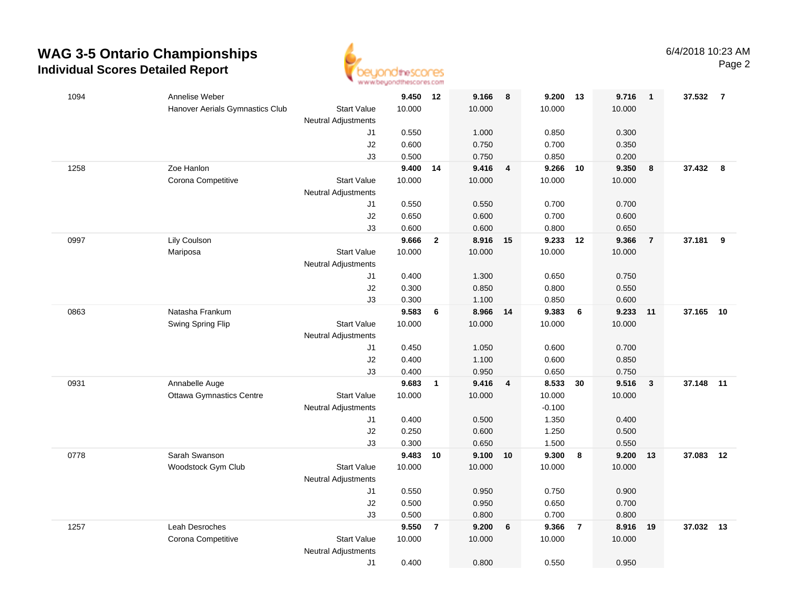

| 1094 | Annelise Weber                                                | 9.450 12       |                | 9.166          | 8                       | 9.200          | 13             | 9.716  | $\overline{1}$ | 37.532 7  |    |
|------|---------------------------------------------------------------|----------------|----------------|----------------|-------------------------|----------------|----------------|--------|----------------|-----------|----|
|      | Hanover Aerials Gymnastics Club<br><b>Start Value</b>         | 10.000         |                | 10.000         |                         | 10.000         |                | 10.000 |                |           |    |
|      | <b>Neutral Adjustments</b>                                    |                |                |                |                         |                |                |        |                |           |    |
|      | J1                                                            | 0.550          |                | 1.000          |                         | 0.850          |                | 0.300  |                |           |    |
|      | J2                                                            | 0.600          |                | 0.750          |                         | 0.700          |                | 0.350  |                |           |    |
|      | J3                                                            | 0.500          |                | 0.750          |                         | 0.850          |                | 0.200  |                |           |    |
| 1258 | Zoe Hanlon                                                    | 9.400 14       |                | 9.416          | $\overline{\mathbf{4}}$ | 9.266          | 10             | 9.350  | 8              | 37.432 8  |    |
|      | Corona Competitive<br><b>Start Value</b>                      | 10.000         |                | 10.000         |                         | 10.000         |                | 10.000 |                |           |    |
|      | <b>Neutral Adjustments</b>                                    |                |                |                |                         |                |                |        |                |           |    |
|      | J1                                                            | 0.550          |                | 0.550          |                         | 0.700          |                | 0.700  |                |           |    |
|      | J2                                                            | 0.650          |                | 0.600          |                         | 0.700          |                | 0.600  |                |           |    |
|      | J3                                                            | 0.600          |                | 0.600          |                         | 0.800          |                | 0.650  |                |           |    |
| 0997 | Lily Coulson                                                  | 9.666          | $\overline{2}$ | 8.916          | 15                      | 9.233          | 12             | 9.366  | $\overline{7}$ | 37.181    | 9  |
|      | <b>Start Value</b><br>Mariposa                                | 10.000         |                | 10.000         |                         | 10.000         |                | 10.000 |                |           |    |
|      | <b>Neutral Adjustments</b>                                    |                |                |                |                         |                |                |        |                |           |    |
|      | J1                                                            | 0.400          |                | 1.300          |                         | 0.650          |                | 0.750  |                |           |    |
|      | J2                                                            | 0.300          |                | 0.850          |                         | 0.800          |                | 0.550  |                |           |    |
|      | J3                                                            | 0.300          |                | 1.100          |                         | 0.850          |                | 0.600  |                |           |    |
| 0863 | Natasha Frankum                                               | 9.583          | 6              | 8.966          | 14                      | 9.383          | 6              | 9.233  | 11             | 37.165    | 10 |
|      | Swing Spring Flip<br><b>Start Value</b>                       | 10.000         |                | 10.000         |                         | 10.000         |                | 10.000 |                |           |    |
|      | <b>Neutral Adjustments</b>                                    |                |                |                |                         |                |                |        |                |           |    |
|      | J1                                                            | 0.450          |                | 1.050          |                         | 0.600          |                | 0.700  |                |           |    |
|      | J2                                                            | 0.400          |                | 1.100          |                         | 0.600          |                | 0.850  |                |           |    |
|      | J3                                                            | 0.400<br>9.683 |                | 0.950<br>9.416 |                         | 0.650<br>8.533 |                | 0.750  |                |           | 11 |
| 0931 | Annabelle Auge<br><b>Start Value</b>                          | 10.000         | $\mathbf{1}$   | 10.000         | $\overline{4}$          | 10.000         | 30             | 9.516  | $\mathbf{3}$   | 37.148    |    |
|      | <b>Ottawa Gymnastics Centre</b><br><b>Neutral Adjustments</b> |                |                |                |                         | $-0.100$       |                | 10.000 |                |           |    |
|      | J1                                                            | 0.400          |                | 0.500          |                         | 1.350          |                | 0.400  |                |           |    |
|      | J2                                                            | 0.250          |                | 0.600          |                         | 1.250          |                | 0.500  |                |           |    |
|      | J3                                                            | 0.300          |                | 0.650          |                         | 1.500          |                | 0.550  |                |           |    |
| 0778 | Sarah Swanson                                                 | 9.483 10       |                | 9.100          | 10                      | 9.300          | 8              | 9.200  | 13             | 37.083 12 |    |
|      | Woodstock Gym Club<br><b>Start Value</b>                      | 10.000         |                | 10.000         |                         | 10.000         |                | 10.000 |                |           |    |
|      | <b>Neutral Adjustments</b>                                    |                |                |                |                         |                |                |        |                |           |    |
|      | J1                                                            | 0.550          |                | 0.950          |                         | 0.750          |                | 0.900  |                |           |    |
|      | J2                                                            | 0.500          |                | 0.950          |                         | 0.650          |                | 0.700  |                |           |    |
|      | J3                                                            | 0.500          |                | 0.800          |                         | 0.700          |                | 0.800  |                |           |    |
| 1257 | Leah Desroches                                                | 9.550          | $\overline{7}$ | 9.200          | $6\phantom{1}6$         | 9.366          | $\overline{7}$ | 8.916  | 19             | 37.032 13 |    |
|      | <b>Start Value</b><br>Corona Competitive                      | 10.000         |                | 10.000         |                         | 10.000         |                | 10.000 |                |           |    |
|      | <b>Neutral Adjustments</b>                                    |                |                |                |                         |                |                |        |                |           |    |
|      | J1                                                            | 0.400          |                | 0.800          |                         | 0.550          |                | 0.950  |                |           |    |
|      |                                                               |                |                |                |                         |                |                |        |                |           |    |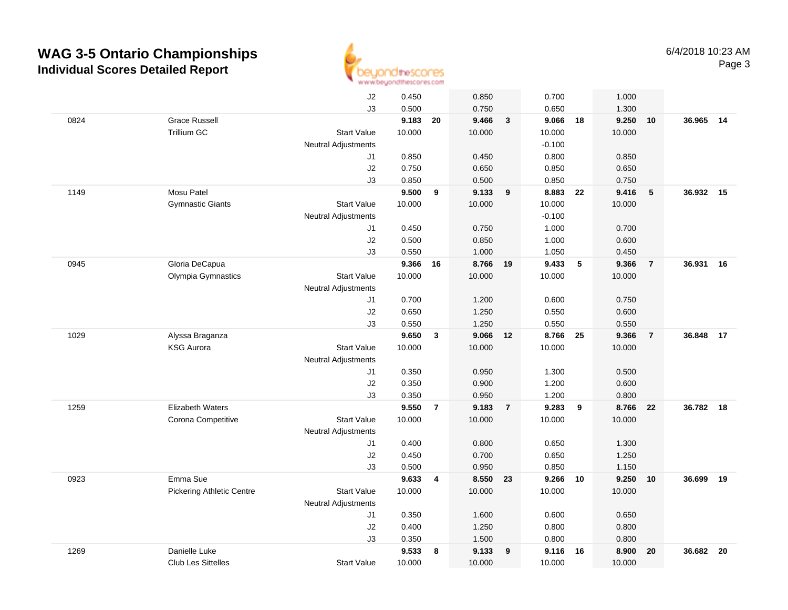

|      |                                  | J2                         | 0.450  |                | 0.850    |                | 0.700    |            | 1.000    |                |           |    |
|------|----------------------------------|----------------------------|--------|----------------|----------|----------------|----------|------------|----------|----------------|-----------|----|
|      |                                  | J3                         | 0.500  |                | 0.750    |                | 0.650    |            | 1.300    |                |           |    |
| 0824 | <b>Grace Russell</b>             |                            | 9.183  | 20             | 9.466    | $\mathbf{3}$   | 9.066    | 18         | 9.250    | 10             | 36.965    | 14 |
|      | Trillium GC                      | <b>Start Value</b>         | 10.000 |                | 10.000   |                | 10.000   |            | 10.000   |                |           |    |
|      |                                  | <b>Neutral Adjustments</b> |        |                |          |                | $-0.100$ |            |          |                |           |    |
|      |                                  | J1                         | 0.850  |                | 0.450    |                | 0.800    |            | 0.850    |                |           |    |
|      |                                  | J2                         | 0.750  |                | 0.650    |                | 0.850    |            | 0.650    |                |           |    |
|      |                                  | J3                         | 0.850  |                | 0.500    |                | 0.850    |            | 0.750    |                |           |    |
| 1149 | Mosu Patel                       |                            | 9.500  | 9              | 9.133    | 9              | 8.883    | 22         | 9.416    | 5              | 36.932 15 |    |
|      | <b>Gymnastic Giants</b>          | <b>Start Value</b>         | 10.000 |                | 10.000   |                | 10.000   |            | 10.000   |                |           |    |
|      |                                  | <b>Neutral Adjustments</b> |        |                |          |                | $-0.100$ |            |          |                |           |    |
|      |                                  | J1                         | 0.450  |                | 0.750    |                | 1.000    |            | 0.700    |                |           |    |
|      |                                  | J2                         | 0.500  |                | 0.850    |                | 1.000    |            | 0.600    |                |           |    |
|      |                                  | J3                         | 0.550  |                | 1.000    |                | 1.050    |            | 0.450    |                |           |    |
| 0945 | Gloria DeCapua                   |                            | 9.366  | 16             | 8.766    | 19             | 9.433    | $\sqrt{5}$ | 9.366    | $\overline{7}$ | 36.931    | 16 |
|      | Olympia Gymnastics               | <b>Start Value</b>         | 10.000 |                | 10.000   |                | 10.000   |            | 10.000   |                |           |    |
|      |                                  | <b>Neutral Adjustments</b> |        |                |          |                |          |            |          |                |           |    |
|      |                                  | J1                         | 0.700  |                | 1.200    |                | 0.600    |            | 0.750    |                |           |    |
|      |                                  | J2                         | 0.650  |                | 1.250    |                | 0.550    |            | 0.600    |                |           |    |
|      |                                  | J3                         | 0.550  |                | 1.250    |                | 0.550    |            | 0.550    |                |           |    |
| 1029 | Alyssa Braganza                  |                            | 9.650  | $\mathbf{3}$   | 9.066    | 12             | 8.766    | 25         | 9.366    | $\overline{7}$ | 36.848    | 17 |
|      | <b>KSG Aurora</b>                | <b>Start Value</b>         | 10.000 |                | 10.000   |                | 10.000   |            | 10.000   |                |           |    |
|      |                                  | <b>Neutral Adjustments</b> |        |                |          |                |          |            |          |                |           |    |
|      |                                  | J1                         | 0.350  |                | 0.950    |                | 1.300    |            | 0.500    |                |           |    |
|      |                                  | J2                         | 0.350  |                | 0.900    |                | 1.200    |            | 0.600    |                |           |    |
|      |                                  | J3                         | 0.350  |                | 0.950    |                | 1.200    |            | 0.800    |                |           |    |
| 1259 | <b>Elizabeth Waters</b>          |                            | 9.550  | $\overline{7}$ | 9.183    | $\overline{7}$ | 9.283    | 9          | 8.766    | 22             | 36.782    | 18 |
|      | Corona Competitive               | <b>Start Value</b>         | 10.000 |                | 10.000   |                | 10.000   |            | 10.000   |                |           |    |
|      |                                  | <b>Neutral Adjustments</b> |        |                |          |                |          |            |          |                |           |    |
|      |                                  | J1                         | 0.400  |                | 0.800    |                | 0.650    |            | 1.300    |                |           |    |
|      |                                  | J2                         | 0.450  |                | 0.700    |                | 0.650    |            | 1.250    |                |           |    |
|      |                                  | J3                         | 0.500  |                | 0.950    |                | 0.850    |            | 1.150    |                |           |    |
| 0923 | Emma Sue                         |                            | 9.633  | 4              | 8.550 23 |                | 9.266 10 |            | 9.250 10 |                | 36.699    | 19 |
|      | <b>Pickering Athletic Centre</b> | <b>Start Value</b>         | 10.000 |                | 10.000   |                | 10.000   |            | 10.000   |                |           |    |
|      |                                  | <b>Neutral Adjustments</b> |        |                |          |                |          |            |          |                |           |    |
|      |                                  | J1                         | 0.350  |                | 1.600    |                | 0.600    |            | 0.650    |                |           |    |
|      |                                  | J2                         | 0.400  |                | 1.250    |                | 0.800    |            | 0.800    |                |           |    |
|      |                                  | J3                         | 0.350  |                | 1.500    |                | 0.800    |            | 0.800    |                |           |    |
| 1269 | Danielle Luke                    |                            | 9.533  | 8              | 9.133    | 9              | 9.116    | 16         | 8.900    | 20             | 36.682    | 20 |
|      | <b>Club Les Sittelles</b>        | <b>Start Value</b>         | 10.000 |                | 10.000   |                | 10.000   |            | 10.000   |                |           |    |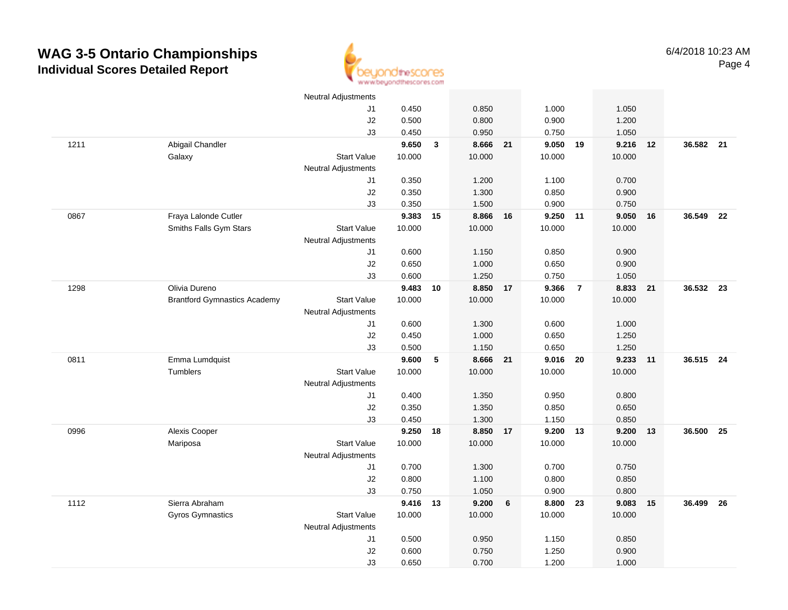

|      |                                     | Neutral Adjustments        |          |              |          |                 |          |                |        |    |           |      |
|------|-------------------------------------|----------------------------|----------|--------------|----------|-----------------|----------|----------------|--------|----|-----------|------|
|      |                                     | J1                         | 0.450    |              | 0.850    |                 | 1.000    |                | 1.050  |    |           |      |
|      |                                     | J2                         | 0.500    |              | 0.800    |                 | 0.900    |                | 1.200  |    |           |      |
|      |                                     | J3                         | 0.450    |              | 0.950    |                 | 0.750    |                | 1.050  |    |           |      |
| 1211 | Abigail Chandler                    |                            | 9.650    | $\mathbf{3}$ | 8.666 21 |                 | 9.050    | 19             | 9.216  | 12 | 36.582 21 |      |
|      | Galaxy                              | <b>Start Value</b>         | 10.000   |              | 10.000   |                 | 10.000   |                | 10.000 |    |           |      |
|      |                                     | <b>Neutral Adjustments</b> |          |              |          |                 |          |                |        |    |           |      |
|      |                                     | J1                         | 0.350    |              | 1.200    |                 | 1.100    |                | 0.700  |    |           |      |
|      |                                     | J2                         | 0.350    |              | 1.300    |                 | 0.850    |                | 0.900  |    |           |      |
|      |                                     | J3                         | 0.350    |              | 1.500    |                 | 0.900    |                | 0.750  |    |           |      |
| 0867 | Fraya Lalonde Cutler                |                            | 9.383    | 15           | 8.866    | 16              | 9.250 11 |                | 9.050  | 16 | 36.549    | 22   |
|      | Smiths Falls Gym Stars              | <b>Start Value</b>         | 10.000   |              | 10.000   |                 | 10.000   |                | 10.000 |    |           |      |
|      |                                     | <b>Neutral Adjustments</b> |          |              |          |                 |          |                |        |    |           |      |
|      |                                     | J1                         | 0.600    |              | 1.150    |                 | 0.850    |                | 0.900  |    |           |      |
|      |                                     | J2                         | 0.650    |              | 1.000    |                 | 0.650    |                | 0.900  |    |           |      |
|      |                                     | J3                         | 0.600    |              | 1.250    |                 | 0.750    |                | 1.050  |    |           |      |
| 1298 | Olivia Dureno                       |                            | 9.483    | 10           | 8.850    | 17              | 9.366    | $\overline{7}$ | 8.833  | 21 | 36.532 23 |      |
|      | <b>Brantford Gymnastics Academy</b> | <b>Start Value</b>         | 10.000   |              | 10.000   |                 | 10.000   |                | 10.000 |    |           |      |
|      |                                     | <b>Neutral Adjustments</b> |          |              |          |                 |          |                |        |    |           |      |
|      |                                     | J1                         | 0.600    |              | 1.300    |                 | 0.600    |                | 1.000  |    |           |      |
|      |                                     | J2                         | 0.450    |              | 1.000    |                 | 0.650    |                | 1.250  |    |           |      |
|      |                                     | J3                         | 0.500    |              | 1.150    |                 | 0.650    |                | 1.250  |    |           |      |
| 0811 | Emma Lumdquist                      |                            | 9.600    | 5            | 8.666    | 21              | 9.016    | -20            | 9.233  | 11 | 36.515 24 |      |
|      | <b>Tumblers</b>                     | <b>Start Value</b>         | 10.000   |              | 10.000   |                 | 10.000   |                | 10.000 |    |           |      |
|      |                                     | Neutral Adjustments        |          |              |          |                 |          |                |        |    |           |      |
|      |                                     | J1                         | 0.400    |              | 1.350    |                 | 0.950    |                | 0.800  |    |           |      |
|      |                                     | J2                         | 0.350    |              | 1.350    |                 | 0.850    |                | 0.650  |    |           |      |
|      |                                     | J3                         | 0.450    |              | 1.300    |                 | 1.150    |                | 0.850  |    |           |      |
| 0996 | Alexis Cooper                       |                            | 9.250 18 |              | 8.850    | 17              | 9.200 13 |                | 9.200  | 13 | 36.500    | 25   |
|      | Mariposa                            | <b>Start Value</b>         | 10.000   |              | 10.000   |                 | 10.000   |                | 10.000 |    |           |      |
|      |                                     | <b>Neutral Adjustments</b> |          |              |          |                 |          |                |        |    |           |      |
|      |                                     | J1                         | 0.700    |              | 1.300    |                 | 0.700    |                | 0.750  |    |           |      |
|      |                                     | J2                         | 0.800    |              | 1.100    |                 | 0.800    |                | 0.850  |    |           |      |
|      |                                     | J3                         | 0.750    |              | 1.050    |                 | 0.900    |                | 0.800  |    |           |      |
| 1112 | Sierra Abraham                      |                            | 9.416 13 |              | 9.200    | $6\phantom{1}6$ | 8.800    | 23             | 9.083  | 15 | 36.499    | - 26 |
|      | <b>Gyros Gymnastics</b>             | <b>Start Value</b>         | 10.000   |              | 10.000   |                 | 10.000   |                | 10.000 |    |           |      |
|      |                                     | <b>Neutral Adjustments</b> |          |              |          |                 |          |                |        |    |           |      |
|      |                                     | J1                         | 0.500    |              | 0.950    |                 | 1.150    |                | 0.850  |    |           |      |
|      |                                     | J2                         | 0.600    |              | 0.750    |                 | 1.250    |                | 0.900  |    |           |      |
|      |                                     | J3                         | 0.650    |              | 0.700    |                 | 1.200    |                | 1.000  |    |           |      |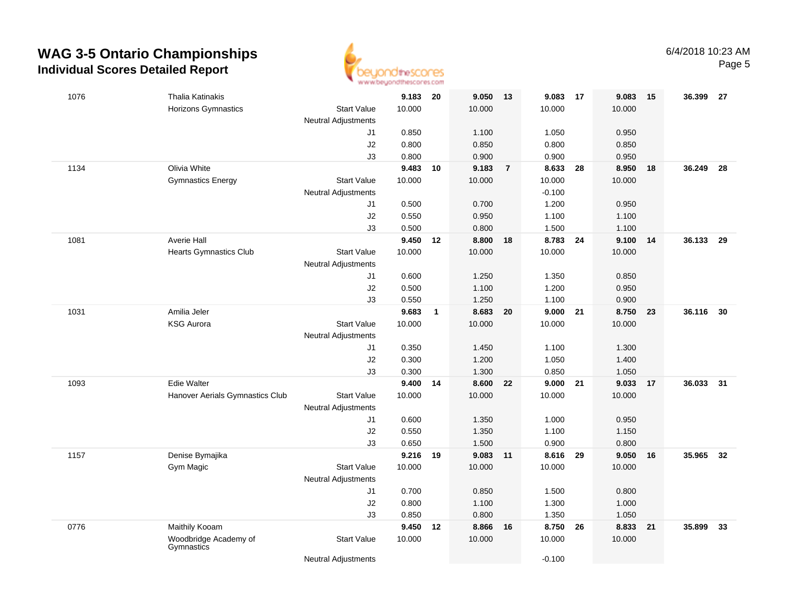

| 1076 | Thalia Katinakis                    |                            | 9.183 20 |              | 9.050    | 13             | 9.083    | 17 | 9.083  | 15 | 36.399 | - 27 |
|------|-------------------------------------|----------------------------|----------|--------------|----------|----------------|----------|----|--------|----|--------|------|
|      | Horizons Gymnastics                 | <b>Start Value</b>         | 10.000   |              | 10.000   |                | 10.000   |    | 10.000 |    |        |      |
|      |                                     | <b>Neutral Adjustments</b> |          |              |          |                |          |    |        |    |        |      |
|      |                                     | J1                         | 0.850    |              | 1.100    |                | 1.050    |    | 0.950  |    |        |      |
|      |                                     | J2                         | 0.800    |              | 0.850    |                | 0.800    |    | 0.850  |    |        |      |
|      |                                     | J3                         | 0.800    |              | 0.900    |                | 0.900    |    | 0.950  |    |        |      |
| 1134 | Olivia White                        |                            | 9.483    | 10           | 9.183    | $\overline{7}$ | 8.633    | 28 | 8.950  | 18 | 36.249 | - 28 |
|      | <b>Gymnastics Energy</b>            | <b>Start Value</b>         | 10.000   |              | 10.000   |                | 10.000   |    | 10.000 |    |        |      |
|      |                                     | <b>Neutral Adjustments</b> |          |              |          |                | $-0.100$ |    |        |    |        |      |
|      |                                     | J1                         | 0.500    |              | 0.700    |                | 1.200    |    | 0.950  |    |        |      |
|      |                                     | J2                         | 0.550    |              | 0.950    |                | 1.100    |    | 1.100  |    |        |      |
|      |                                     | J3                         | 0.500    |              | 0.800    |                | 1.500    |    | 1.100  |    |        |      |
| 1081 | <b>Averie Hall</b>                  |                            | 9.450    | 12           | 8.800    | 18             | 8.783    | 24 | 9.100  | 14 | 36.133 | 29   |
|      | <b>Hearts Gymnastics Club</b>       | <b>Start Value</b>         | 10.000   |              | 10.000   |                | 10.000   |    | 10.000 |    |        |      |
|      |                                     | <b>Neutral Adjustments</b> |          |              |          |                |          |    |        |    |        |      |
|      |                                     | J1                         | 0.600    |              | 1.250    |                | 1.350    |    | 0.850  |    |        |      |
|      |                                     | J2                         | 0.500    |              | 1.100    |                | 1.200    |    | 0.950  |    |        |      |
|      |                                     | J3                         | 0.550    |              | 1.250    |                | 1.100    |    | 0.900  |    |        |      |
| 1031 | Amilia Jeler                        |                            | 9.683    | $\mathbf{1}$ | 8.683 20 |                | 9.000    | 21 | 8.750  | 23 | 36.116 | 30   |
|      | <b>KSG Aurora</b>                   | <b>Start Value</b>         | 10.000   |              | 10.000   |                | 10.000   |    | 10.000 |    |        |      |
|      |                                     | <b>Neutral Adjustments</b> |          |              |          |                |          |    |        |    |        |      |
|      |                                     | J1                         | 0.350    |              | 1.450    |                | 1.100    |    | 1.300  |    |        |      |
|      |                                     | J2                         | 0.300    |              | 1.200    |                | 1.050    |    | 1.400  |    |        |      |
|      |                                     | J3                         | 0.300    |              | 1.300    |                | 0.850    |    | 1.050  |    |        |      |
| 1093 | Edie Walter                         |                            | 9.400    | 14           | 8.600    | 22             | 9.000    | 21 | 9.033  | 17 | 36.033 | 31   |
|      | Hanover Aerials Gymnastics Club     | <b>Start Value</b>         | 10.000   |              | 10.000   |                | 10.000   |    | 10.000 |    |        |      |
|      |                                     | <b>Neutral Adjustments</b> |          |              |          |                |          |    |        |    |        |      |
|      |                                     | J1                         | 0.600    |              | 1.350    |                | 1.000    |    | 0.950  |    |        |      |
|      |                                     | J2                         | 0.550    |              | 1.350    |                | 1.100    |    | 1.150  |    |        |      |
|      |                                     | J3                         | 0.650    |              | 1.500    |                | 0.900    |    | 0.800  |    |        |      |
| 1157 | Denise Bymajika                     |                            | 9.216    | 19           | 9.083    | $-11$          | 8.616    | 29 | 9.050  | 16 | 35.965 | 32   |
|      | Gym Magic                           | <b>Start Value</b>         | 10.000   |              | 10.000   |                | 10.000   |    | 10.000 |    |        |      |
|      |                                     | <b>Neutral Adjustments</b> |          |              |          |                |          |    |        |    |        |      |
|      |                                     | J1                         | 0.700    |              | 0.850    |                | 1.500    |    | 0.800  |    |        |      |
|      |                                     | J2                         | 0.800    |              | 1.100    |                | 1.300    |    | 1.000  |    |        |      |
|      |                                     | J3                         | 0.850    |              | 0.800    |                | 1.350    |    | 1.050  |    |        |      |
| 0776 | Maithily Kooam                      |                            | 9.450    | 12           | 8.866 16 |                | 8.750    | 26 | 8.833  | 21 | 35.899 | 33   |
|      | Woodbridge Academy of<br>Gymnastics | <b>Start Value</b>         | 10.000   |              | 10.000   |                | 10.000   |    | 10.000 |    |        |      |
|      |                                     | <b>Neutral Adjustments</b> |          |              |          |                | $-0.100$ |    |        |    |        |      |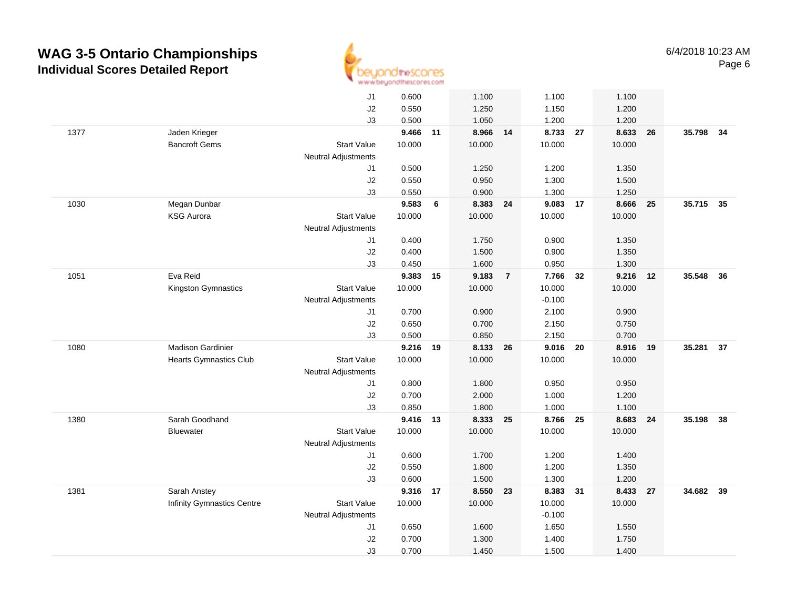

|      |                               | J1                         | 0.600  |    | 1.100    |                | 1.100    |    | 1.100  |    |        |      |
|------|-------------------------------|----------------------------|--------|----|----------|----------------|----------|----|--------|----|--------|------|
|      |                               | J2                         | 0.550  |    | 1.250    |                | 1.150    |    | 1.200  |    |        |      |
|      |                               | J3                         | 0.500  |    | 1.050    |                | 1.200    |    | 1.200  |    |        |      |
| 1377 | Jaden Krieger                 |                            | 9.466  | 11 | 8.966 14 |                | 8.733 27 |    | 8.633  | 26 | 35.798 | - 34 |
|      | <b>Bancroft Gems</b>          | <b>Start Value</b>         | 10.000 |    | 10.000   |                | 10.000   |    | 10.000 |    |        |      |
|      |                               | <b>Neutral Adjustments</b> |        |    |          |                |          |    |        |    |        |      |
|      |                               | J1                         | 0.500  |    | 1.250    |                | 1.200    |    | 1.350  |    |        |      |
|      |                               | J2                         | 0.550  |    | 0.950    |                | 1.300    |    | 1.500  |    |        |      |
|      |                               | J3                         | 0.550  |    | 0.900    |                | 1.300    |    | 1.250  |    |        |      |
| 1030 | Megan Dunbar                  |                            | 9.583  | 6  | 8.383 24 |                | 9.083 17 |    | 8.666  | 25 | 35.715 | 35   |
|      | <b>KSG Aurora</b>             | <b>Start Value</b>         | 10.000 |    | 10.000   |                | 10.000   |    | 10.000 |    |        |      |
|      |                               | <b>Neutral Adjustments</b> |        |    |          |                |          |    |        |    |        |      |
|      |                               | J1                         | 0.400  |    | 1.750    |                | 0.900    |    | 1.350  |    |        |      |
|      |                               | J2                         | 0.400  |    | 1.500    |                | 0.900    |    | 1.350  |    |        |      |
|      |                               | J3                         | 0.450  |    | 1.600    |                | 0.950    |    | 1.300  |    |        |      |
| 1051 | Eva Reid                      |                            | 9.383  | 15 | 9.183    | $\overline{7}$ | 7.766    | 32 | 9.216  | 12 | 35.548 | 36   |
|      | Kingston Gymnastics           | <b>Start Value</b>         | 10.000 |    | 10.000   |                | 10.000   |    | 10.000 |    |        |      |
|      |                               | <b>Neutral Adjustments</b> |        |    |          |                | $-0.100$ |    |        |    |        |      |
|      |                               | J1                         | 0.700  |    | 0.900    |                | 2.100    |    | 0.900  |    |        |      |
|      |                               | J2                         | 0.650  |    | 0.700    |                | 2.150    |    | 0.750  |    |        |      |
|      |                               | J3                         | 0.500  |    | 0.850    |                | 2.150    |    | 0.700  |    |        |      |
| 1080 | <b>Madison Gardinier</b>      |                            | 9.216  | 19 | 8.133    | 26             | 9.016 20 |    | 8.916  | 19 | 35.281 | 37   |
|      | <b>Hearts Gymnastics Club</b> | <b>Start Value</b>         | 10.000 |    | 10.000   |                | 10.000   |    | 10.000 |    |        |      |
|      |                               | <b>Neutral Adjustments</b> |        |    |          |                |          |    |        |    |        |      |
|      |                               | J1                         | 0.800  |    | 1.800    |                | 0.950    |    | 0.950  |    |        |      |
|      |                               | J2                         | 0.700  |    | 2.000    |                | 1.000    |    | 1.200  |    |        |      |
|      |                               | J3                         | 0.850  |    | 1.800    |                | 1.000    |    | 1.100  |    |        |      |
| 1380 | Sarah Goodhand                |                            | 9.416  | 13 | 8.333 25 |                | 8.766 25 |    | 8.683  | 24 | 35.198 | 38   |
|      | <b>Bluewater</b>              | <b>Start Value</b>         | 10.000 |    | 10.000   |                | 10.000   |    | 10.000 |    |        |      |
|      |                               | <b>Neutral Adjustments</b> |        |    |          |                |          |    |        |    |        |      |
|      |                               | J1                         | 0.600  |    | 1.700    |                | 1.200    |    | 1.400  |    |        |      |
|      |                               | J2                         | 0.550  |    | 1.800    |                | 1.200    |    | 1.350  |    |        |      |
|      |                               | J3                         | 0.600  |    | 1.500    |                | 1.300    |    | 1.200  |    |        |      |
| 1381 | Sarah Anstey                  |                            | 9.316  | 17 | 8.550    | 23             | 8.383    | 31 | 8.433  | 27 | 34.682 | 39   |
|      | Infinity Gymnastics Centre    | <b>Start Value</b>         | 10.000 |    | 10.000   |                | 10.000   |    | 10.000 |    |        |      |
|      |                               | <b>Neutral Adjustments</b> |        |    |          |                | $-0.100$ |    |        |    |        |      |
|      |                               | J1                         | 0.650  |    | 1.600    |                | 1.650    |    | 1.550  |    |        |      |
|      |                               | J2                         | 0.700  |    | 1.300    |                | 1.400    |    | 1.750  |    |        |      |
|      |                               | J3                         | 0.700  |    | 1.450    |                | 1.500    |    | 1.400  |    |        |      |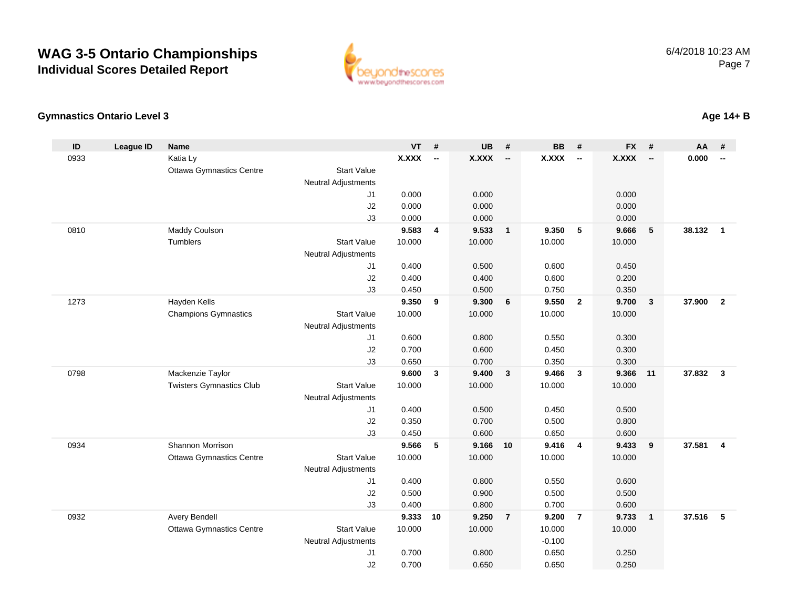

#### **Gymnastics Ontario Level 3**

| ID   | <b>League ID</b> | <b>Name</b>                     |                            | VT           | #            | <b>UB</b>    | #                          | <b>BB</b>    | #                        | <b>FX</b>    | #                        | <b>AA</b> | #                        |
|------|------------------|---------------------------------|----------------------------|--------------|--------------|--------------|----------------------------|--------------|--------------------------|--------------|--------------------------|-----------|--------------------------|
| 0933 |                  | Katia Ly                        |                            | <b>X.XXX</b> | $\sim$       | <b>X.XXX</b> | --                         | <b>X.XXX</b> | $\overline{\phantom{a}}$ | <b>X.XXX</b> | $\overline{\phantom{a}}$ | 0.000     | $\overline{\phantom{a}}$ |
|      |                  | <b>Ottawa Gymnastics Centre</b> | <b>Start Value</b>         |              |              |              |                            |              |                          |              |                          |           |                          |
|      |                  |                                 | <b>Neutral Adjustments</b> |              |              |              |                            |              |                          |              |                          |           |                          |
|      |                  |                                 | J1                         | 0.000        |              | 0.000        |                            |              |                          | 0.000        |                          |           |                          |
|      |                  |                                 | J2                         | 0.000        |              | 0.000        |                            |              |                          | 0.000        |                          |           |                          |
|      |                  |                                 | J3                         | 0.000        |              | 0.000        |                            |              |                          | 0.000        |                          |           |                          |
| 0810 |                  | Maddy Coulson                   |                            | 9.583        | 4            | 9.533        | $\overline{\phantom{0}}$ 1 | 9.350        | 5                        | 9.666        | 5                        | 38.132    | $\overline{1}$           |
|      |                  | Tumblers                        | <b>Start Value</b>         | 10.000       |              | 10.000       |                            | 10.000       |                          | 10.000       |                          |           |                          |
|      |                  |                                 | <b>Neutral Adjustments</b> |              |              |              |                            |              |                          |              |                          |           |                          |
|      |                  |                                 | J1                         | 0.400        |              | 0.500        |                            | 0.600        |                          | 0.450        |                          |           |                          |
|      |                  |                                 | J2                         | 0.400        |              | 0.400        |                            | 0.600        |                          | 0.200        |                          |           |                          |
|      |                  |                                 | J3                         | 0.450        |              | 0.500        |                            | 0.750        |                          | 0.350        |                          |           |                          |
| 1273 |                  | Hayden Kells                    |                            | 9.350        | 9            | 9.300        | 6                          | 9.550        | $\overline{2}$           | 9.700        | 3                        | 37,900    | $\overline{\mathbf{2}}$  |
|      |                  | <b>Champions Gymnastics</b>     | <b>Start Value</b>         | 10.000       |              | 10.000       |                            | 10.000       |                          | 10.000       |                          |           |                          |
|      |                  |                                 | <b>Neutral Adjustments</b> | 0.600        |              | 0.800        |                            | 0.550        |                          | 0.300        |                          |           |                          |
|      |                  |                                 | J1<br>J2                   | 0.700        |              | 0.600        |                            | 0.450        |                          | 0.300        |                          |           |                          |
|      |                  |                                 | J3                         | 0.650        |              | 0.700        |                            | 0.350        |                          | 0.300        |                          |           |                          |
| 0798 |                  | Mackenzie Taylor                |                            | 9.600        | $\mathbf{3}$ | 9.400        | $\overline{\mathbf{3}}$    | 9.466        | $\mathbf{3}$             | 9.366        | 11                       | 37.832    | $\overline{\mathbf{3}}$  |
|      |                  | <b>Twisters Gymnastics Club</b> | <b>Start Value</b>         | 10.000       |              | 10.000       |                            | 10.000       |                          | 10.000       |                          |           |                          |
|      |                  |                                 | <b>Neutral Adjustments</b> |              |              |              |                            |              |                          |              |                          |           |                          |
|      |                  |                                 | J1                         | 0.400        |              | 0.500        |                            | 0.450        |                          | 0.500        |                          |           |                          |
|      |                  |                                 | J2                         | 0.350        |              | 0.700        |                            | 0.500        |                          | 0.800        |                          |           |                          |
|      |                  |                                 | J3                         | 0.450        |              | 0.600        |                            | 0.650        |                          | 0.600        |                          |           |                          |
| 0934 |                  | Shannon Morrison                |                            | 9.566        | 5            | 9.166        | 10                         | 9.416        | $\overline{4}$           | 9.433        | 9                        | 37.581    | $\overline{\mathbf{4}}$  |
|      |                  | <b>Ottawa Gymnastics Centre</b> | <b>Start Value</b>         | 10.000       |              | 10.000       |                            | 10.000       |                          | 10.000       |                          |           |                          |
|      |                  |                                 | <b>Neutral Adjustments</b> |              |              |              |                            |              |                          |              |                          |           |                          |
|      |                  |                                 | J1                         | 0.400        |              | 0.800        |                            | 0.550        |                          | 0.600        |                          |           |                          |
|      |                  |                                 | J2                         | 0.500        |              | 0.900        |                            | 0.500        |                          | 0.500        |                          |           |                          |
|      |                  |                                 | J3                         | 0.400        |              | 0.800        |                            | 0.700        |                          | 0.600        |                          |           |                          |
| 0932 |                  | Avery Bendell                   |                            | 9.333        | 10           | 9.250        | $\overline{7}$             | 9.200        | $\overline{7}$           | 9.733        | $\mathbf{1}$             | 37.516    | $-5$                     |
|      |                  | Ottawa Gymnastics Centre        | <b>Start Value</b>         | 10.000       |              | 10.000       |                            | 10.000       |                          | 10.000       |                          |           |                          |
|      |                  |                                 | <b>Neutral Adjustments</b> |              |              |              |                            | $-0.100$     |                          |              |                          |           |                          |
|      |                  |                                 | J1                         | 0.700        |              | 0.800        |                            | 0.650        |                          | 0.250        |                          |           |                          |
|      |                  |                                 | J2                         | 0.700        |              | 0.650        |                            | 0.650        |                          | 0.250        |                          |           |                          |

#### **Age 14+ B**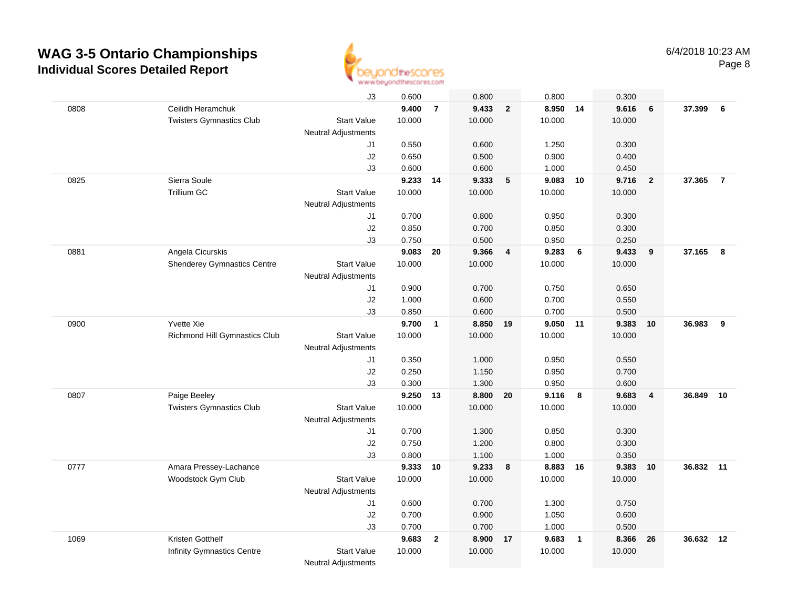

|      |                                    | J3                         | 0.600  |                | 0.800    |                | 0.800    |                | 0.300  |                         |        |                |
|------|------------------------------------|----------------------------|--------|----------------|----------|----------------|----------|----------------|--------|-------------------------|--------|----------------|
| 0808 | Ceilidh Heramchuk                  |                            | 9.400  | $\overline{7}$ | 9.433    | $\overline{2}$ | 8.950 14 |                | 9.616  | 6                       | 37.399 | 6              |
|      | <b>Twisters Gymnastics Club</b>    | <b>Start Value</b>         | 10.000 |                | 10.000   |                | 10.000   |                | 10.000 |                         |        |                |
|      |                                    | <b>Neutral Adjustments</b> |        |                |          |                |          |                |        |                         |        |                |
|      |                                    | J1                         | 0.550  |                | 0.600    |                | 1.250    |                | 0.300  |                         |        |                |
|      |                                    | J2                         | 0.650  |                | 0.500    |                | 0.900    |                | 0.400  |                         |        |                |
|      |                                    | J3                         | 0.600  |                | 0.600    |                | 1.000    |                | 0.450  |                         |        |                |
| 0825 | Sierra Soule                       |                            | 9.233  | 14             | 9.333    | $\sqrt{5}$     | 9.083    | 10             | 9.716  | $\overline{\mathbf{2}}$ | 37.365 | $\overline{7}$ |
|      | Trillium GC                        | <b>Start Value</b>         | 10.000 |                | 10.000   |                | 10.000   |                | 10.000 |                         |        |                |
|      |                                    | Neutral Adjustments        |        |                |          |                |          |                |        |                         |        |                |
|      |                                    | J1                         | 0.700  |                | 0.800    |                | 0.950    |                | 0.300  |                         |        |                |
|      |                                    | J2                         | 0.850  |                | 0.700    |                | 0.850    |                | 0.300  |                         |        |                |
|      |                                    | J3                         | 0.750  |                | 0.500    |                | 0.950    |                | 0.250  |                         |        |                |
| 0881 | Angela Cicurskis                   |                            | 9.083  | 20             | 9.366    | $\overline{4}$ | 9.283    | 6              | 9.433  | 9                       | 37.165 | 8              |
|      | <b>Shenderey Gymnastics Centre</b> | <b>Start Value</b>         | 10.000 |                | 10.000   |                | 10.000   |                | 10.000 |                         |        |                |
|      |                                    | Neutral Adjustments        |        |                |          |                |          |                |        |                         |        |                |
|      |                                    | J1                         | 0.900  |                | 0.700    |                | 0.750    |                | 0.650  |                         |        |                |
|      |                                    | J2                         | 1.000  |                | 0.600    |                | 0.700    |                | 0.550  |                         |        |                |
|      |                                    | JЗ                         | 0.850  |                | 0.600    |                | 0.700    |                | 0.500  |                         |        |                |
| 0900 | Yvette Xie                         |                            | 9.700  | $\overline{1}$ | 8.850 19 |                | 9.050 11 |                | 9.383  | 10                      | 36.983 | 9              |
|      | Richmond Hill Gymnastics Club      | <b>Start Value</b>         | 10.000 |                | 10.000   |                | 10.000   |                | 10.000 |                         |        |                |
|      |                                    | <b>Neutral Adjustments</b> |        |                |          |                |          |                |        |                         |        |                |
|      |                                    | J1                         | 0.350  |                | 1.000    |                | 0.950    |                | 0.550  |                         |        |                |
|      |                                    | J2                         | 0.250  |                | 1.150    |                | 0.950    |                | 0.700  |                         |        |                |
|      |                                    | J3                         | 0.300  |                | 1.300    |                | 0.950    |                | 0.600  |                         |        |                |
| 0807 | Paige Beeley                       |                            | 9.250  | 13             | 8.800    | ${\bf 20}$     | 9.116    | 8              | 9.683  | $\overline{\mathbf{4}}$ | 36.849 | 10             |
|      | <b>Twisters Gymnastics Club</b>    | <b>Start Value</b>         | 10.000 |                | 10.000   |                | 10.000   |                | 10.000 |                         |        |                |
|      |                                    | <b>Neutral Adjustments</b> |        |                |          |                |          |                |        |                         |        |                |
|      |                                    | J1                         | 0.700  |                | 1.300    |                | 0.850    |                | 0.300  |                         |        |                |
|      |                                    | J2                         | 0.750  |                | 1.200    |                | 0.800    |                | 0.300  |                         |        |                |
|      |                                    | J3                         | 0.800  |                | 1.100    |                | 1.000    |                | 0.350  |                         |        |                |
| 0777 | Amara Pressey-Lachance             |                            | 9.333  | 10             | 9.233    | 8              | 8.883 16 |                | 9.383  | 10                      | 36.832 | 11             |
|      | Woodstock Gym Club                 | <b>Start Value</b>         | 10.000 |                | 10.000   |                | 10.000   |                | 10.000 |                         |        |                |
|      |                                    | <b>Neutral Adjustments</b> |        |                |          |                |          |                |        |                         |        |                |
|      |                                    | J1                         | 0.600  |                | 0.700    |                | 1.300    |                | 0.750  |                         |        |                |
|      |                                    | J2                         | 0.700  |                | 0.900    |                | 1.050    |                | 0.600  |                         |        |                |
|      |                                    | J3                         | 0.700  |                | 0.700    |                | 1.000    |                | 0.500  |                         |        |                |
| 1069 | Kristen Gotthelf                   |                            | 9.683  | $\overline{2}$ | 8.900 17 |                | 9.683    | $\overline{1}$ | 8.366  | 26                      | 36.632 | 12             |
|      | <b>Infinity Gymnastics Centre</b>  | <b>Start Value</b>         | 10.000 |                | 10.000   |                | 10.000   |                | 10.000 |                         |        |                |
|      |                                    | <b>Neutral Adjustments</b> |        |                |          |                |          |                |        |                         |        |                |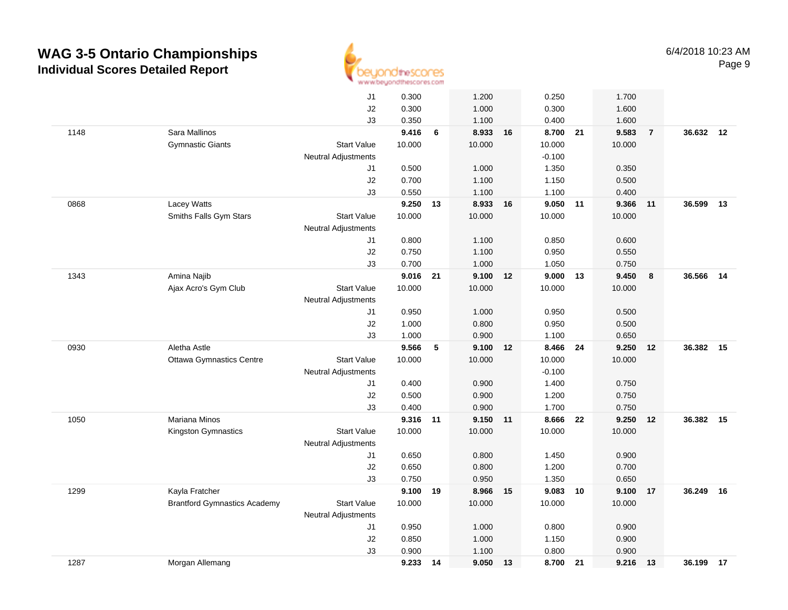

|      |                                     | J1                         | 0.300          |    | 1.200          |    | 0.250          |    | 1.700          |                |           |    |
|------|-------------------------------------|----------------------------|----------------|----|----------------|----|----------------|----|----------------|----------------|-----------|----|
|      |                                     | J2                         | 0.300          |    | 1.000          |    | 0.300          |    | 1.600          |                |           |    |
|      |                                     | JЗ                         | 0.350          |    | 1.100          |    | 0.400          |    | 1.600          |                |           |    |
| 1148 | Sara Mallinos                       |                            | 9.416          | 6  | 8.933 16       |    | 8.700 21       |    | 9.583          | $\overline{7}$ | 36.632 12 |    |
|      | <b>Gymnastic Giants</b>             | <b>Start Value</b>         | 10.000         |    | 10.000         |    | 10.000         |    | 10.000         |                |           |    |
|      |                                     | <b>Neutral Adjustments</b> |                |    |                |    | $-0.100$       |    |                |                |           |    |
|      |                                     | J1                         | 0.500          |    | 1.000          |    | 1.350          |    | 0.350          |                |           |    |
|      |                                     | J2                         | 0.700          |    | 1.100          |    | 1.150          |    | 0.500          |                |           |    |
|      |                                     | J3                         | 0.550          |    | 1.100          |    | 1.100          |    | 0.400          |                |           |    |
| 0868 | Lacey Watts                         |                            | 9.250          | 13 | 8.933          | 16 | 9.050          | 11 | 9.366          | 11             | 36.599    | 13 |
|      | Smiths Falls Gym Stars              | <b>Start Value</b>         | 10.000         |    | 10.000         |    | 10.000         |    | 10.000         |                |           |    |
|      |                                     | <b>Neutral Adjustments</b> |                |    |                |    |                |    |                |                |           |    |
|      |                                     | J1                         | 0.800          |    | 1.100          |    | 0.850          |    | 0.600          |                |           |    |
|      |                                     | J2                         | 0.750          |    | 1.100          |    | 0.950          |    | 0.550          |                |           |    |
|      |                                     | J3                         | 0.700          |    | 1.000          |    | 1.050          |    | 0.750          |                |           |    |
| 1343 | Amina Najib                         |                            | 9.016          | 21 | 9.100          | 12 | $9.000$ 13     |    | 9.450          | 8              | 36.566    | 14 |
|      | Ajax Acro's Gym Club                | <b>Start Value</b>         | 10.000         |    | 10.000         |    | 10.000         |    | 10.000         |                |           |    |
|      |                                     | Neutral Adjustments        |                |    |                |    |                |    |                |                |           |    |
|      |                                     | J1                         | 0.950          |    | 1.000          |    | 0.950          |    | 0.500          |                |           |    |
|      |                                     | J2                         | 1.000          |    | 0.800          |    | 0.950          |    | 0.500          |                |           |    |
|      |                                     | J3                         | 1.000          |    | 0.900          |    | 1.100          |    | 0.650          |                |           |    |
| 0930 | Aletha Astle                        |                            | 9.566          | 5  | 9.100          | 12 | 8.466          | 24 | 9.250          | 12             | 36.382    | 15 |
|      | <b>Ottawa Gymnastics Centre</b>     | <b>Start Value</b>         | 10.000         |    | 10.000         |    | 10.000         |    | 10.000         |                |           |    |
|      |                                     | <b>Neutral Adjustments</b> |                |    |                |    | $-0.100$       |    |                |                |           |    |
|      |                                     | J1                         | 0.400          |    | 0.900          |    | 1.400          |    | 0.750          |                |           |    |
|      |                                     | J2                         | 0.500          |    | 0.900          |    | 1.200          |    | 0.750          |                |           |    |
|      |                                     | J3                         | 0.400          |    | 0.900          |    | 1.700          |    | 0.750          |                |           |    |
| 1050 | <b>Mariana Minos</b>                |                            | 9.316          | 11 | 9.150 11       |    | 8.666          | 22 | 9.250          | 12             | 36.382    | 15 |
|      | Kingston Gymnastics                 | <b>Start Value</b>         | 10.000         |    | 10.000         |    | 10.000         |    | 10.000         |                |           |    |
|      |                                     | <b>Neutral Adjustments</b> |                |    |                |    |                |    |                |                |           |    |
|      |                                     | J1                         | 0.650          |    | 0.800          |    | 1.450          |    | 0.900          |                |           |    |
|      |                                     | J2                         | 0.650          |    | 0.800          |    | 1.200          |    | 0.700          |                |           |    |
|      |                                     | J3                         | 0.750          |    | 0.950          |    | 1.350          |    | 0.650          |                |           |    |
| 1299 | Kayla Fratcher                      |                            | 9.100          | 19 | 8.966          | 15 | 9.083          | 10 | 9.100          | 17             | 36.249    | 16 |
|      | <b>Brantford Gymnastics Academy</b> | <b>Start Value</b>         | 10.000         |    | 10.000         |    | 10.000         |    | 10.000         |                |           |    |
|      |                                     | <b>Neutral Adjustments</b> |                |    |                |    |                |    |                |                |           |    |
|      |                                     | J1<br>J2                   | 0.950<br>0.850 |    | 1.000<br>1.000 |    | 0.800<br>1.150 |    | 0.900<br>0.900 |                |           |    |
|      |                                     | J3                         |                |    |                |    | 0.800          |    |                |                |           |    |
|      | Morgan Allemang                     |                            | 0.900          |    | 1.100<br>9.050 |    | 8.700          |    | 0.900          |                | 36.199 17 |    |
| 1287 |                                     |                            | 9.233 14       |    |                | 13 |                | 21 | 9.216          | 13             |           |    |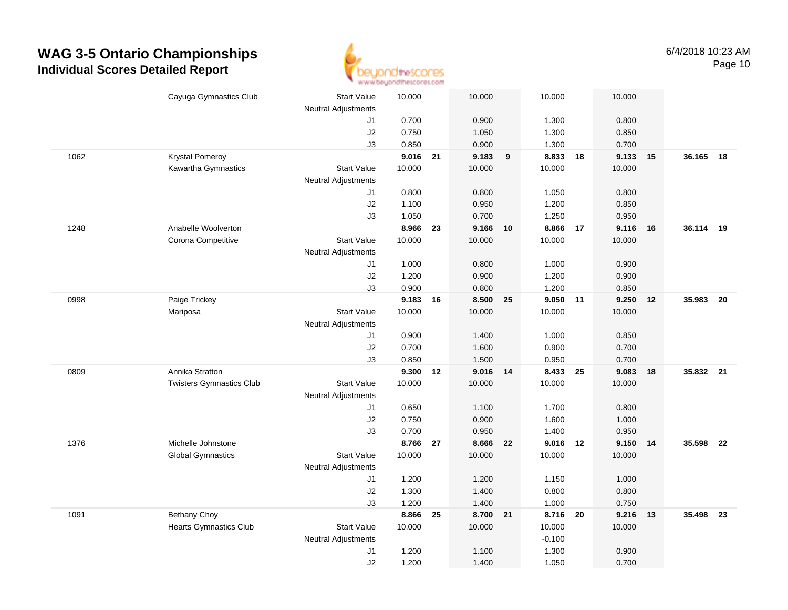

|      | Cayuga Gymnastics Club          | <b>Start Value</b>         | 10.000 |    | 10.000   |    | 10.000   |    | 10.000 |    |        |    |
|------|---------------------------------|----------------------------|--------|----|----------|----|----------|----|--------|----|--------|----|
|      |                                 | <b>Neutral Adjustments</b> |        |    |          |    |          |    |        |    |        |    |
|      |                                 | J1                         | 0.700  |    | 0.900    |    | 1.300    |    | 0.800  |    |        |    |
|      |                                 | J2                         | 0.750  |    | 1.050    |    | 1.300    |    | 0.850  |    |        |    |
|      |                                 | J3                         | 0.850  |    | 0.900    |    | 1.300    |    | 0.700  |    |        |    |
| 1062 | <b>Krystal Pomeroy</b>          |                            | 9.016  | 21 | 9.183    | 9  | 8.833 18 |    | 9.133  | 15 | 36.165 | 18 |
|      | Kawartha Gymnastics             | <b>Start Value</b>         | 10.000 |    | 10.000   |    | 10.000   |    | 10.000 |    |        |    |
|      |                                 | <b>Neutral Adjustments</b> |        |    |          |    |          |    |        |    |        |    |
|      |                                 | J1                         | 0.800  |    | 0.800    |    | 1.050    |    | 0.800  |    |        |    |
|      |                                 | J2                         | 1.100  |    | 0.950    |    | 1.200    |    | 0.850  |    |        |    |
|      |                                 | J3                         | 1.050  |    | 0.700    |    | 1.250    |    | 0.950  |    |        |    |
| 1248 | Anabelle Woolverton             |                            | 8.966  | 23 | 9.166    | 10 | 8.866    | 17 | 9.116  | 16 | 36.114 | 19 |
|      | Corona Competitive              | <b>Start Value</b>         | 10.000 |    | 10.000   |    | 10.000   |    | 10.000 |    |        |    |
|      |                                 | <b>Neutral Adjustments</b> |        |    |          |    |          |    |        |    |        |    |
|      |                                 | J1                         | 1.000  |    | 0.800    |    | 1.000    |    | 0.900  |    |        |    |
|      |                                 | J2                         | 1.200  |    | 0.900    |    | 1.200    |    | 0.900  |    |        |    |
|      |                                 | J3                         | 0.900  |    | 0.800    |    | 1.200    |    | 0.850  |    |        |    |
| 0998 | Paige Trickey                   |                            | 9.183  | 16 | 8.500    | 25 | 9.050    | 11 | 9.250  | 12 | 35.983 | 20 |
|      | Mariposa                        | <b>Start Value</b>         | 10.000 |    | 10.000   |    | 10.000   |    | 10.000 |    |        |    |
|      |                                 | <b>Neutral Adjustments</b> |        |    |          |    |          |    |        |    |        |    |
|      |                                 | J1                         | 0.900  |    | 1.400    |    | 1.000    |    | 0.850  |    |        |    |
|      |                                 | J2                         | 0.700  |    | 1.600    |    | 0.900    |    | 0.700  |    |        |    |
|      |                                 | J3                         | 0.850  |    | 1.500    |    | 0.950    |    | 0.700  |    |        |    |
| 0809 | Annika Stratton                 |                            | 9.300  | 12 | 9.016    | 14 | 8.433    | 25 | 9.083  | 18 | 35.832 | 21 |
|      | <b>Twisters Gymnastics Club</b> | <b>Start Value</b>         | 10.000 |    | 10.000   |    | 10.000   |    | 10.000 |    |        |    |
|      |                                 | <b>Neutral Adjustments</b> |        |    |          |    |          |    |        |    |        |    |
|      |                                 | J1                         | 0.650  |    | 1.100    |    | 1.700    |    | 0.800  |    |        |    |
|      |                                 | J2                         | 0.750  |    | 0.900    |    | 1.600    |    | 1.000  |    |        |    |
|      |                                 | J3                         | 0.700  |    | 0.950    |    | 1.400    |    | 0.950  |    |        |    |
| 1376 | Michelle Johnstone              |                            | 8.766  | 27 | 8.666    | 22 | 9.016 12 |    | 9.150  | 14 | 35.598 | 22 |
|      | <b>Global Gymnastics</b>        | <b>Start Value</b>         | 10.000 |    | 10.000   |    | 10.000   |    | 10.000 |    |        |    |
|      |                                 | <b>Neutral Adjustments</b> |        |    |          |    |          |    |        |    |        |    |
|      |                                 | J1                         | 1.200  |    | 1.200    |    | 1.150    |    | 1.000  |    |        |    |
|      |                                 | J2                         | 1.300  |    | 1.400    |    | 0.800    |    | 0.800  |    |        |    |
|      |                                 | J3                         | 1.200  |    | 1.400    |    | 1.000    |    | 0.750  |    |        |    |
| 1091 | <b>Bethany Choy</b>             |                            | 8.866  | 25 | 8.700 21 |    | 8.716    | 20 | 9.216  | 13 | 35.498 | 23 |
|      | <b>Hearts Gymnastics Club</b>   | Start Value                | 10.000 |    | 10.000   |    | 10.000   |    | 10.000 |    |        |    |
|      |                                 | <b>Neutral Adjustments</b> |        |    |          |    | $-0.100$ |    |        |    |        |    |
|      |                                 | J1                         | 1.200  |    | 1.100    |    | 1.300    |    | 0.900  |    |        |    |
|      |                                 | J2                         | 1.200  |    | 1.400    |    | 1.050    |    | 0.700  |    |        |    |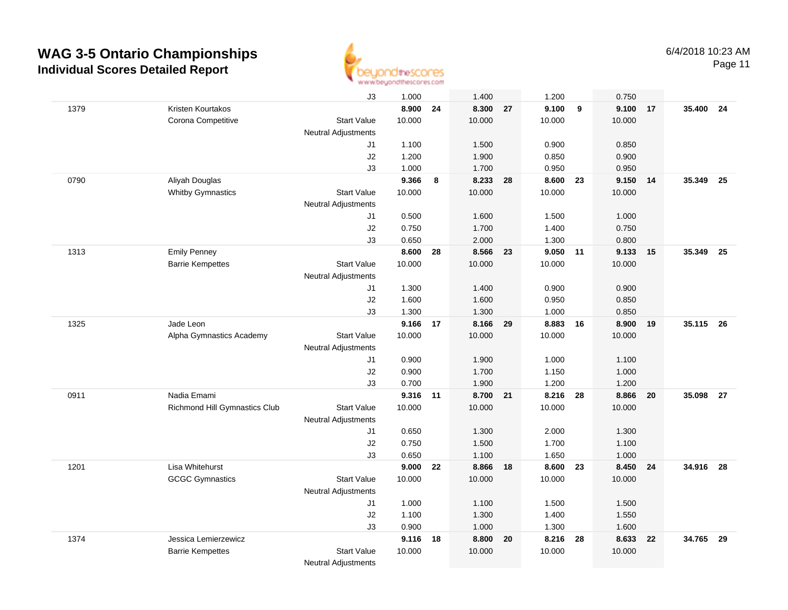

Page 11

|      |                               | J3                         | 1.000  |    | 1.400    |    | 1.200    |    | 0.750    |    |           |      |
|------|-------------------------------|----------------------------|--------|----|----------|----|----------|----|----------|----|-----------|------|
| 1379 | Kristen Kourtakos             |                            | 8.900  | 24 | 8.300    | 27 | 9.100    | 9  | 9.100    | 17 | 35.400    | 24   |
|      | Corona Competitive            | <b>Start Value</b>         | 10.000 |    | 10.000   |    | 10.000   |    | 10.000   |    |           |      |
|      |                               | <b>Neutral Adjustments</b> |        |    |          |    |          |    |          |    |           |      |
|      |                               | J1                         | 1.100  |    | 1.500    |    | 0.900    |    | 0.850    |    |           |      |
|      |                               | J2                         | 1.200  |    | 1.900    |    | 0.850    |    | 0.900    |    |           |      |
|      |                               | J3                         | 1.000  |    | 1.700    |    | 0.950    |    | 0.950    |    |           |      |
| 0790 | Aliyah Douglas                |                            | 9.366  | 8  | 8.233    | 28 | 8.600    | 23 | 9.150 14 |    | 35.349    | - 25 |
|      | <b>Whitby Gymnastics</b>      | <b>Start Value</b>         | 10.000 |    | 10.000   |    | 10.000   |    | 10.000   |    |           |      |
|      |                               | <b>Neutral Adjustments</b> |        |    |          |    |          |    |          |    |           |      |
|      |                               | J1                         | 0.500  |    | 1.600    |    | 1.500    |    | 1.000    |    |           |      |
|      |                               | J2                         | 0.750  |    | 1.700    |    | 1.400    |    | 0.750    |    |           |      |
|      |                               | J3                         | 0.650  |    | 2.000    |    | 1.300    |    | 0.800    |    |           |      |
| 1313 | <b>Emily Penney</b>           |                            | 8.600  | 28 | 8.566    | 23 | 9.050 11 |    | 9.133    | 15 | 35.349    | 25   |
|      | <b>Barrie Kempettes</b>       | <b>Start Value</b>         | 10.000 |    | 10.000   |    | 10.000   |    | 10.000   |    |           |      |
|      |                               | <b>Neutral Adjustments</b> |        |    |          |    |          |    |          |    |           |      |
|      |                               | J1                         | 1.300  |    | 1.400    |    | 0.900    |    | 0.900    |    |           |      |
|      |                               | J2                         | 1.600  |    | 1.600    |    | 0.950    |    | 0.850    |    |           |      |
|      |                               | J3                         | 1.300  |    | 1.300    |    | 1.000    |    | 0.850    |    |           |      |
| 1325 | Jade Leon                     |                            | 9.166  | 17 | 8.166    | 29 | 8.883    | 16 | 8.900    | 19 | 35.115 26 |      |
|      | Alpha Gymnastics Academy      | <b>Start Value</b>         | 10.000 |    | 10.000   |    | 10.000   |    | 10.000   |    |           |      |
|      |                               | <b>Neutral Adjustments</b> |        |    |          |    |          |    |          |    |           |      |
|      |                               | J1                         | 0.900  |    | 1.900    |    | 1.000    |    | 1.100    |    |           |      |
|      |                               | J2                         | 0.900  |    | 1.700    |    | 1.150    |    | 1.000    |    |           |      |
|      |                               | J3                         | 0.700  |    | 1.900    |    | 1.200    |    | 1.200    |    |           |      |
| 0911 | Nadia Emami                   |                            | 9.316  | 11 | 8.700 21 |    | 8.216    | 28 | 8.866    | 20 | 35.098    | 27   |
|      | Richmond Hill Gymnastics Club | <b>Start Value</b>         | 10.000 |    | 10.000   |    | 10.000   |    | 10.000   |    |           |      |
|      |                               | <b>Neutral Adjustments</b> |        |    |          |    |          |    |          |    |           |      |
|      |                               | J1                         | 0.650  |    | 1.300    |    | 2.000    |    | 1.300    |    |           |      |
|      |                               | J2                         | 0.750  |    | 1.500    |    | 1.700    |    | 1.100    |    |           |      |
|      |                               | J3                         | 0.650  |    | 1.100    |    | 1.650    |    | 1.000    |    |           |      |
| 1201 | Lisa Whitehurst               |                            | 9.000  | 22 | 8.866    | 18 | 8.600    | 23 | 8.450 24 |    | 34.916 28 |      |
|      | <b>GCGC Gymnastics</b>        | <b>Start Value</b>         | 10.000 |    | 10.000   |    | 10.000   |    | 10.000   |    |           |      |
|      |                               | <b>Neutral Adjustments</b> |        |    |          |    |          |    |          |    |           |      |
|      |                               | J1                         | 1.000  |    | 1.100    |    | 1.500    |    | 1.500    |    |           |      |
|      |                               | J2                         | 1.100  |    | 1.300    |    | 1.400    |    | 1.550    |    |           |      |
|      |                               | J3                         | 0.900  |    | 1.000    |    | 1.300    |    | 1.600    |    |           |      |
| 1374 | Jessica Lemierzewicz          |                            | 9.116  | 18 | 8.800    | 20 | 8.216    | 28 | 8.633 22 |    | 34.765    | 29   |
|      | <b>Barrie Kempettes</b>       | <b>Start Value</b>         | 10.000 |    | 10.000   |    | 10.000   |    | 10.000   |    |           |      |
|      |                               | <b>Neutral Adjustments</b> |        |    |          |    |          |    |          |    |           |      |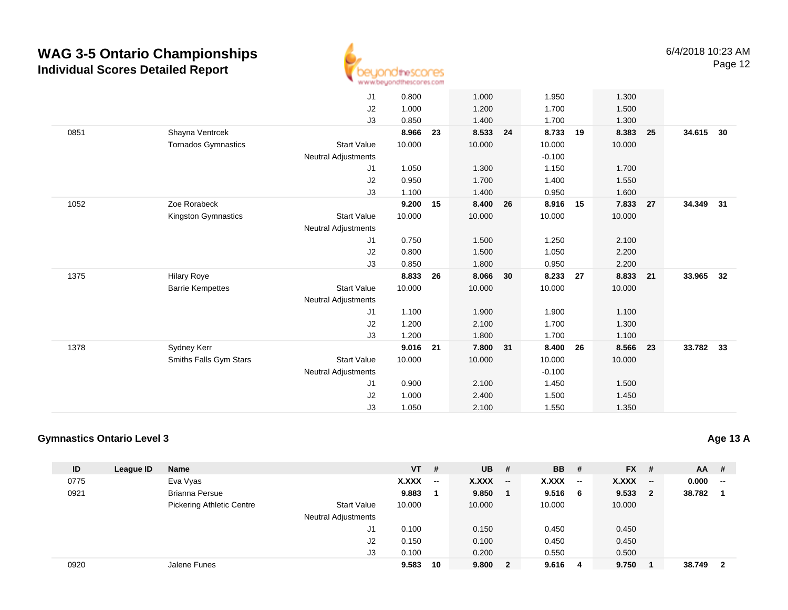

|      |                            | J1                         | 0.800  |    | 1.000    |    | 1.950    |    | 1.300    |    |           |    |
|------|----------------------------|----------------------------|--------|----|----------|----|----------|----|----------|----|-----------|----|
|      |                            | J <sub>2</sub>             | 1.000  |    | 1.200    |    | 1.700    |    | 1.500    |    |           |    |
|      |                            | J3                         | 0.850  |    | 1.400    |    | 1.700    |    | 1.300    |    |           |    |
| 0851 | Shayna Ventrcek            |                            | 8.966  | 23 | 8.533    | 24 | 8.733    | 19 | 8.383    | 25 | 34.615    | 30 |
|      | <b>Tornados Gymnastics</b> | <b>Start Value</b>         | 10.000 |    | 10.000   |    | 10.000   |    | 10.000   |    |           |    |
|      |                            | <b>Neutral Adjustments</b> |        |    |          |    | $-0.100$ |    |          |    |           |    |
|      |                            | J1                         | 1.050  |    | 1.300    |    | 1.150    |    | 1.700    |    |           |    |
|      |                            | J2                         | 0.950  |    | 1.700    |    | 1.400    |    | 1.550    |    |           |    |
|      |                            | J3                         | 1.100  |    | 1.400    |    | 0.950    |    | 1.600    |    |           |    |
| 1052 | Zoe Rorabeck               |                            | 9.200  | 15 | 8.400    | 26 | 8.916 15 |    | 7.833    | 27 | 34.349 31 |    |
|      | Kingston Gymnastics        | <b>Start Value</b>         | 10.000 |    | 10.000   |    | 10.000   |    | 10.000   |    |           |    |
|      |                            | <b>Neutral Adjustments</b> |        |    |          |    |          |    |          |    |           |    |
|      |                            | J1                         | 0.750  |    | 1.500    |    | 1.250    |    | 2.100    |    |           |    |
|      |                            | J2                         | 0.800  |    | 1.500    |    | 1.050    |    | 2.200    |    |           |    |
|      |                            | J3                         | 0.850  |    | 1.800    |    | 0.950    |    | 2.200    |    |           |    |
| 1375 | <b>Hilary Roye</b>         |                            | 8.833  | 26 | 8.066    | 30 | 8.233    | 27 | 8.833 21 |    | 33.965    | 32 |
|      | <b>Barrie Kempettes</b>    | <b>Start Value</b>         | 10.000 |    | 10.000   |    | 10.000   |    | 10.000   |    |           |    |
|      |                            | <b>Neutral Adjustments</b> |        |    |          |    |          |    |          |    |           |    |
|      |                            | J1                         | 1.100  |    | 1.900    |    | 1.900    |    | 1.100    |    |           |    |
|      |                            | J2                         | 1.200  |    | 2.100    |    | 1.700    |    | 1.300    |    |           |    |
|      |                            | J3                         | 1.200  |    | 1.800    |    | 1.700    |    | 1.100    |    |           |    |
| 1378 | Sydney Kerr                |                            | 9.016  | 21 | 7.800 31 |    | 8.400    | 26 | 8.566    | 23 | 33.782    | 33 |
|      | Smiths Falls Gym Stars     | <b>Start Value</b>         | 10.000 |    | 10.000   |    | 10.000   |    | 10.000   |    |           |    |
|      |                            | <b>Neutral Adjustments</b> |        |    |          |    | $-0.100$ |    |          |    |           |    |
|      |                            | J <sub>1</sub>             | 0.900  |    | 2.100    |    | 1.450    |    | 1.500    |    |           |    |
|      |                            | J <sub>2</sub>             | 1.000  |    | 2.400    |    | 1.500    |    | 1.450    |    |           |    |
|      |                            | J3                         | 1.050  |    | 2.100    |    | 1.550    |    | 1.350    |    |           |    |
|      |                            |                            |        |    |          |    |          |    |          |    |           |    |

#### **Gymnastics Ontario Level 3**

| ID   | League ID | <b>Name</b>                      |                            | $VT$ # |                          | $UB$ #       |                          | <b>BB</b> # |                          | $FX$ #    | $AA$ # |                         |
|------|-----------|----------------------------------|----------------------------|--------|--------------------------|--------------|--------------------------|-------------|--------------------------|-----------|--------|-------------------------|
| 0775 |           | Eva Vyas                         |                            | X.XXX  | $\overline{\phantom{a}}$ | <b>X.XXX</b> | $\overline{\phantom{a}}$ | X.XXX       | $\overline{\phantom{a}}$ | $X.XXX$ - | 0.000  | $\sim$                  |
| 0921 |           | <b>Brianna Persue</b>            |                            | 9.883  |                          | 9.850        | 1.                       | 9.516       | 6                        | 9.533 2   | 38.782 |                         |
|      |           | <b>Pickering Athletic Centre</b> | <b>Start Value</b>         | 10.000 |                          | 10.000       |                          | 10.000      |                          | 10.000    |        |                         |
|      |           |                                  | <b>Neutral Adjustments</b> |        |                          |              |                          |             |                          |           |        |                         |
|      |           |                                  | J1                         | 0.100  |                          | 0.150        |                          | 0.450       |                          | 0.450     |        |                         |
|      |           |                                  | J2                         | 0.150  |                          | 0.100        |                          | 0.450       |                          | 0.450     |        |                         |
|      |           |                                  | J3                         | 0.100  |                          | 0.200        |                          | 0.550       |                          | 0.500     |        |                         |
| 0920 |           | Jalene Funes                     |                            | 9.583  | 10                       | 9.800        | $\mathbf{2}$             | 9.616       | 4                        | 9.750     | 38.749 | $\overline{\mathbf{2}}$ |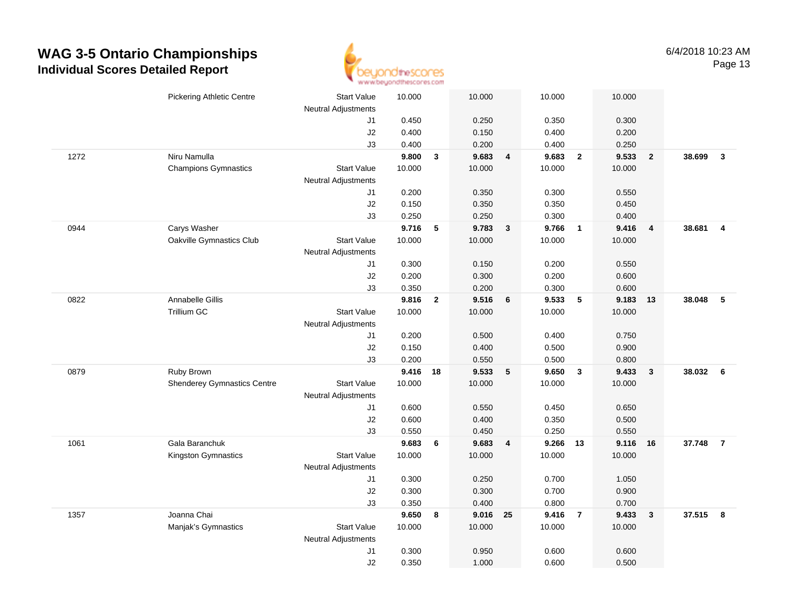

|      | <b>Pickering Athletic Centre</b>   | <b>Start Value</b><br><b>Neutral Adjustments</b> | 10.000         |                | 10.000   |                | 10.000   |                         | 10.000         |                         |          |                |
|------|------------------------------------|--------------------------------------------------|----------------|----------------|----------|----------------|----------|-------------------------|----------------|-------------------------|----------|----------------|
|      |                                    | J1                                               | 0.450          |                | 0.250    |                | 0.350    |                         | 0.300          |                         |          |                |
|      |                                    | J2                                               | 0.400          |                | 0.150    |                | 0.400    |                         | 0.200          |                         |          |                |
|      |                                    | J3                                               | 0.400          |                | 0.200    |                | 0.400    |                         | 0.250          |                         |          |                |
| 1272 | Niru Namulla                       |                                                  | 9.800          | $\mathbf{3}$   | 9.683    | $\overline{4}$ | 9.683    | $\overline{2}$          | 9.533          | $\overline{\mathbf{2}}$ | 38.699   | $\mathbf{3}$   |
|      | <b>Champions Gymnastics</b>        | <b>Start Value</b>                               | 10.000         |                | 10.000   |                | 10.000   |                         | 10.000         |                         |          |                |
|      |                                    | <b>Neutral Adjustments</b>                       |                |                |          |                |          |                         |                |                         |          |                |
|      |                                    | J1                                               | 0.200          |                | 0.350    |                | 0.300    |                         | 0.550          |                         |          |                |
|      |                                    | J2                                               | 0.150          |                | 0.350    |                | 0.350    |                         | 0.450          |                         |          |                |
|      |                                    | J3                                               | 0.250          |                | 0.250    |                | 0.300    |                         | 0.400          |                         |          |                |
| 0944 | Carys Washer                       |                                                  | 9.716          | 5              | 9.783    | $\mathbf{3}$   | 9.766    | $\overline{\mathbf{1}}$ | 9.416          | $\overline{4}$          | 38.681   | $\overline{4}$ |
|      | Oakville Gymnastics Club           | <b>Start Value</b>                               | 10.000         |                | 10.000   |                | 10.000   |                         | 10.000         |                         |          |                |
|      |                                    | <b>Neutral Adjustments</b>                       |                |                |          |                |          |                         |                |                         |          |                |
|      |                                    | J1                                               | 0.300          |                | 0.150    |                | 0.200    |                         | 0.550          |                         |          |                |
|      |                                    | J2                                               | 0.200          |                | 0.300    |                | 0.200    |                         | 0.600          |                         |          |                |
|      |                                    | J3                                               | 0.350          |                | 0.200    |                | 0.300    |                         | 0.600          |                         |          |                |
| 0822 | Annabelle Gillis                   |                                                  | 9.816          | $\overline{2}$ | 9.516    | 6              | 9.533    | $-5$                    | 9.183          | 13                      | 38.048   | 5              |
|      | <b>Trillium GC</b>                 | <b>Start Value</b>                               | 10.000         |                | 10.000   |                | 10.000   |                         | 10.000         |                         |          |                |
|      |                                    | Neutral Adjustments                              |                |                |          |                |          |                         |                |                         |          |                |
|      |                                    | J1                                               | 0.200          |                | 0.500    |                | 0.400    |                         | 0.750          |                         |          |                |
|      |                                    | J2                                               | 0.150          |                | 0.400    |                | 0.500    |                         | 0.900          |                         |          |                |
|      |                                    | J3                                               | 0.200          |                | 0.550    |                | 0.500    |                         | 0.800          |                         |          |                |
| 0879 | Ruby Brown                         |                                                  | 9.416          | 18             | 9.533    | 5              | 9.650    | $\mathbf{3}$            | 9.433          | $\mathbf{3}$            | 38.032 6 |                |
|      | <b>Shenderey Gymnastics Centre</b> | <b>Start Value</b>                               | 10.000         |                | 10.000   |                | 10.000   |                         | 10.000         |                         |          |                |
|      |                                    | Neutral Adjustments                              |                |                |          |                |          |                         |                |                         |          |                |
|      |                                    | J1                                               | 0.600          |                | 0.550    |                | 0.450    |                         | 0.650          |                         |          |                |
|      |                                    | J2                                               | 0.600          |                | 0.400    |                | 0.350    |                         | 0.500          |                         |          |                |
|      |                                    | J3                                               | 0.550          |                | 0.450    |                | 0.250    |                         | 0.550          |                         |          |                |
| 1061 | Gala Baranchuk                     |                                                  | 9.683          | 6              | 9.683    | 4              | 9.266 13 |                         | 9.116          | 16                      | 37.748   | $\overline{7}$ |
|      | Kingston Gymnastics                | <b>Start Value</b>                               | 10.000         |                | 10.000   |                | 10.000   |                         | 10.000         |                         |          |                |
|      |                                    | Neutral Adjustments                              |                |                |          |                |          |                         |                |                         |          |                |
|      |                                    | J1                                               | 0.300          |                | 0.250    |                | 0.700    |                         | 1.050          |                         |          |                |
|      |                                    | J2                                               | 0.300          |                | 0.300    |                | 0.700    |                         | 0.900          |                         |          |                |
|      |                                    | J3                                               | 0.350          |                | 0.400    |                | 0.800    |                         | 0.700          |                         |          |                |
| 1357 | Joanna Chai                        |                                                  | 9.650          | 8              | 9.016 25 |                | 9.416    | $\overline{7}$          | 9.433          | $\overline{\mathbf{3}}$ | 37.515 8 |                |
|      | Manjak's Gymnastics                | <b>Start Value</b>                               | 10.000         |                | 10.000   |                | 10.000   |                         | 10.000         |                         |          |                |
|      |                                    | Neutral Adjustments                              |                |                | 0.950    |                | 0.600    |                         |                |                         |          |                |
|      |                                    | J <sub>1</sub><br>J2                             | 0.300<br>0.350 |                | 1.000    |                | 0.600    |                         | 0.600<br>0.500 |                         |          |                |
|      |                                    |                                                  |                |                |          |                |          |                         |                |                         |          |                |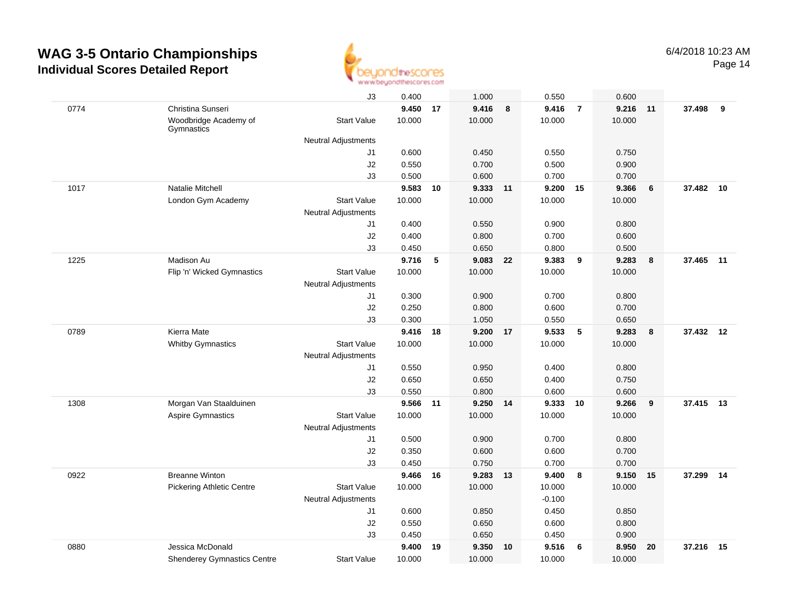

| 0774 | Christina Sunseri                   | J3                                               | 0.400  |    | 1.000              |    | 0.550    |                | 0.600  |    |           |    |
|------|-------------------------------------|--------------------------------------------------|--------|----|--------------------|----|----------|----------------|--------|----|-----------|----|
|      |                                     |                                                  |        |    |                    |    |          |                |        |    |           |    |
|      |                                     |                                                  | 9.450  | 17 | 9.416              | 8  | 9.416    | $\overline{7}$ | 9.216  | 11 | 37.498    | 9  |
|      | Woodbridge Academy of<br>Gymnastics | <b>Start Value</b>                               | 10.000 |    | 10.000             |    | 10.000   |                | 10.000 |    |           |    |
|      |                                     | <b>Neutral Adjustments</b>                       |        |    |                    |    |          |                |        |    |           |    |
|      |                                     | J1                                               | 0.600  |    | 0.450              |    | 0.550    |                | 0.750  |    |           |    |
|      |                                     | J2                                               | 0.550  |    | 0.700              |    | 0.500    |                | 0.900  |    |           |    |
|      |                                     | J3                                               | 0.500  |    | 0.600              |    | 0.700    |                | 0.700  |    |           |    |
| 1017 | Natalie Mitchell                    |                                                  | 9.583  | 10 | 9.333 11           |    | 9.200    | 15             | 9.366  | 6  | 37.482    | 10 |
|      | London Gym Academy                  | <b>Start Value</b>                               | 10.000 |    | 10.000             |    | 10.000   |                | 10.000 |    |           |    |
|      |                                     | <b>Neutral Adjustments</b>                       |        |    |                    |    |          |                |        |    |           |    |
|      |                                     | J1                                               | 0.400  |    | 0.550              |    | 0.900    |                | 0.800  |    |           |    |
|      |                                     | J2                                               | 0.400  |    | 0.800              |    | 0.700    |                | 0.600  |    |           |    |
|      |                                     | J3                                               | 0.450  |    | 0.650              |    | 0.800    |                | 0.500  |    |           |    |
| 1225 | Madison Au                          |                                                  | 9.716  | 5  | 9.083              | 22 | 9.383    | 9              | 9.283  | 8  | 37.465    | 11 |
|      | Flip 'n' Wicked Gymnastics          | <b>Start Value</b>                               | 10.000 |    | 10.000             |    | 10.000   |                | 10.000 |    |           |    |
|      |                                     | <b>Neutral Adjustments</b>                       |        |    |                    |    |          |                |        |    |           |    |
|      |                                     | J1                                               | 0.300  |    | 0.900              |    | 0.700    |                | 0.800  |    |           |    |
|      |                                     | J2                                               | 0.250  |    | 0.800              |    | 0.600    |                | 0.700  |    |           |    |
|      |                                     | J <sub>3</sub>                                   | 0.300  |    | 1.050              |    | 0.550    |                | 0.650  |    |           |    |
| 0789 | Kierra Mate                         |                                                  | 9.416  | 18 | 9.200              | 17 | 9.533    | 5              | 9.283  | 8  | 37.432 12 |    |
|      | <b>Whitby Gymnastics</b>            | <b>Start Value</b>                               | 10.000 |    | 10.000             |    | 10.000   |                | 10.000 |    |           |    |
|      |                                     | Neutral Adjustments                              |        |    |                    |    |          |                |        |    |           |    |
|      |                                     | J1                                               | 0.550  |    | 0.950              |    | 0.400    |                | 0.800  |    |           |    |
|      |                                     | J2                                               | 0.650  |    | 0.650              |    | 0.400    |                | 0.750  |    |           |    |
|      |                                     | J3                                               | 0.550  |    | 0.800              |    | 0.600    |                | 0.600  |    |           |    |
| 1308 | Morgan Van Staalduinen              |                                                  | 9.566  | 11 | 9.250 14<br>10.000 |    | 9.333    | 10             | 9.266  | 9  | 37.415 13 |    |
|      | Aspire Gymnastics                   | <b>Start Value</b><br><b>Neutral Adjustments</b> | 10.000 |    |                    |    | 10.000   |                | 10.000 |    |           |    |
|      |                                     | J1                                               | 0.500  |    | 0.900              |    | 0.700    |                | 0.800  |    |           |    |
|      |                                     | J2                                               | 0.350  |    | 0.600              |    | 0.600    |                | 0.700  |    |           |    |
|      |                                     | J3                                               | 0.450  |    | 0.750              |    | 0.700    |                | 0.700  |    |           |    |
| 0922 | <b>Breanne Winton</b>               |                                                  | 9.466  | 16 | 9.283              | 13 | 9.400    | 8              | 9.150  | 15 | 37.299    | 14 |
|      | <b>Pickering Athletic Centre</b>    | <b>Start Value</b>                               | 10.000 |    | 10.000             |    | 10.000   |                | 10.000 |    |           |    |
|      |                                     | <b>Neutral Adjustments</b>                       |        |    |                    |    | $-0.100$ |                |        |    |           |    |
|      |                                     | J1                                               | 0.600  |    | 0.850              |    | 0.450    |                | 0.850  |    |           |    |
|      |                                     | $\sf J2$                                         | 0.550  |    | 0.650              |    | 0.600    |                | 0.800  |    |           |    |
|      |                                     | J3                                               | 0.450  |    | 0.650              |    | 0.450    |                | 0.900  |    |           |    |
| 0880 | Jessica McDonald                    |                                                  | 9.400  | 19 | 9.350              | 10 | 9.516    | - 6            | 8.950  | 20 | 37.216    | 15 |
|      | <b>Shenderey Gymnastics Centre</b>  | <b>Start Value</b>                               | 10.000 |    | 10.000             |    | 10.000   |                | 10.000 |    |           |    |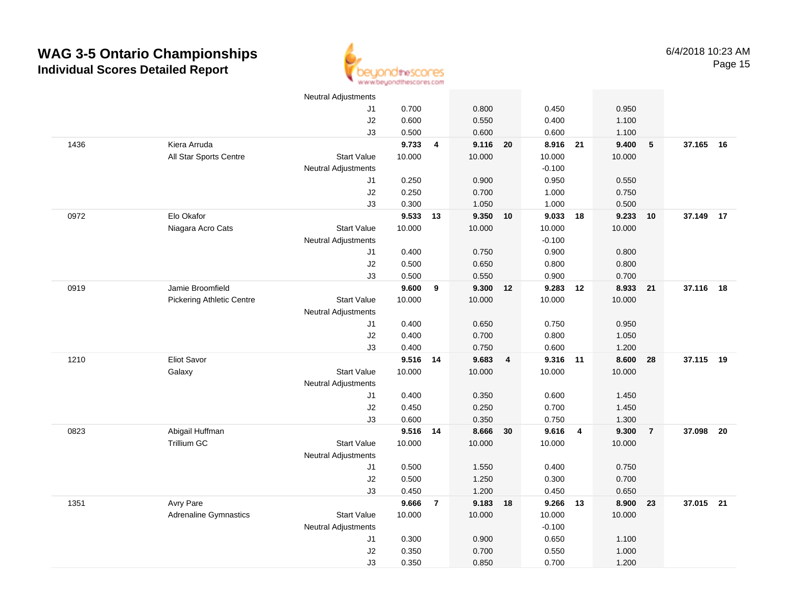

|      |                                  | <b>Neutral Adjustments</b> |          |                |          |                |          |                |        |                |           |      |
|------|----------------------------------|----------------------------|----------|----------------|----------|----------------|----------|----------------|--------|----------------|-----------|------|
|      |                                  | J1                         | 0.700    |                | 0.800    |                | 0.450    |                | 0.950  |                |           |      |
|      |                                  | J2                         | 0.600    |                | 0.550    |                | 0.400    |                | 1.100  |                |           |      |
|      |                                  | J3                         | 0.500    |                | 0.600    |                | 0.600    |                | 1.100  |                |           |      |
| 1436 | Kiera Arruda                     |                            | 9.733    | 4              | 9.116 20 |                | 8.916 21 |                | 9.400  | $\sqrt{5}$     | 37.165 16 |      |
|      | All Star Sports Centre           | <b>Start Value</b>         | 10.000   |                | 10.000   |                | 10.000   |                | 10.000 |                |           |      |
|      |                                  | <b>Neutral Adjustments</b> |          |                |          |                | $-0.100$ |                |        |                |           |      |
|      |                                  | J1                         | 0.250    |                | 0.900    |                | 0.950    |                | 0.550  |                |           |      |
|      |                                  | J2                         | 0.250    |                | 0.700    |                | 1.000    |                | 0.750  |                |           |      |
|      |                                  | J3                         | 0.300    |                | 1.050    |                | 1.000    |                | 0.500  |                |           |      |
| 0972 | Elo Okafor                       |                            | 9.533    | 13             | 9.350 10 |                | 9.033    | 18             | 9.233  | 10             | 37.149 17 |      |
|      | Niagara Acro Cats                | <b>Start Value</b>         | 10.000   |                | 10.000   |                | 10.000   |                | 10.000 |                |           |      |
|      |                                  | <b>Neutral Adjustments</b> |          |                |          |                | $-0.100$ |                |        |                |           |      |
|      |                                  | J1                         | 0.400    |                | 0.750    |                | 0.900    |                | 0.800  |                |           |      |
|      |                                  | J2                         | 0.500    |                | 0.650    |                | 0.800    |                | 0.800  |                |           |      |
|      |                                  | J3                         | 0.500    |                | 0.550    |                | 0.900    |                | 0.700  |                |           |      |
| 0919 | Jamie Broomfield                 |                            | 9.600    | 9              | 9.300 12 |                | 9.283    | 12             | 8.933  | 21             | 37.116 18 |      |
|      | <b>Pickering Athletic Centre</b> | <b>Start Value</b>         | 10.000   |                | 10.000   |                | 10.000   |                | 10.000 |                |           |      |
|      |                                  | <b>Neutral Adjustments</b> |          |                |          |                |          |                |        |                |           |      |
|      |                                  | J1                         | 0.400    |                | 0.650    |                | 0.750    |                | 0.950  |                |           |      |
|      |                                  | $\sf J2$                   | 0.400    |                | 0.700    |                | 0.800    |                | 1.050  |                |           |      |
|      |                                  | J3                         | 0.400    |                | 0.750    |                | 0.600    |                | 1.200  |                |           |      |
| 1210 | Eliot Savor                      |                            | 9.516 14 |                | 9.683    | $\overline{4}$ | 9.316    | 11             | 8.600  | 28             | 37.115 19 |      |
|      | Galaxy                           | <b>Start Value</b>         | 10.000   |                | 10.000   |                | 10.000   |                | 10.000 |                |           |      |
|      |                                  | <b>Neutral Adjustments</b> |          |                |          |                |          |                |        |                |           |      |
|      |                                  | J1                         | 0.400    |                | 0.350    |                | 0.600    |                | 1.450  |                |           |      |
|      |                                  | J2                         | 0.450    |                | 0.250    |                | 0.700    |                | 1.450  |                |           |      |
|      |                                  | J3                         | 0.600    |                | 0.350    |                | 0.750    |                | 1.300  |                |           |      |
| 0823 | Abigail Huffman                  |                            | 9.516 14 |                | 8.666 30 |                | 9.616    | $\overline{4}$ | 9.300  | $\overline{7}$ | 37.098    | - 20 |
|      | Trillium GC                      | <b>Start Value</b>         | 10.000   |                | 10.000   |                | 10.000   |                | 10.000 |                |           |      |
|      |                                  | <b>Neutral Adjustments</b> |          |                |          |                |          |                |        |                |           |      |
|      |                                  | J1                         | 0.500    |                | 1.550    |                | 0.400    |                | 0.750  |                |           |      |
|      |                                  | J2                         | 0.500    |                | 1.250    |                | 0.300    |                | 0.700  |                |           |      |
|      |                                  | J3                         | 0.450    |                | 1.200    |                | 0.450    |                | 0.650  |                |           |      |
| 1351 | Avry Pare                        |                            | 9.666    | $\overline{7}$ | 9.183 18 |                | 9.266    | 13             | 8.900  | 23             | 37.015 21 |      |
|      | <b>Adrenaline Gymnastics</b>     | <b>Start Value</b>         | 10.000   |                | 10.000   |                | 10.000   |                | 10.000 |                |           |      |
|      |                                  | <b>Neutral Adjustments</b> |          |                |          |                | $-0.100$ |                |        |                |           |      |
|      |                                  | J1                         | 0.300    |                | 0.900    |                | 0.650    |                | 1.100  |                |           |      |
|      |                                  | J2                         | 0.350    |                | 0.700    |                | 0.550    |                | 1.000  |                |           |      |
|      |                                  | J3                         | 0.350    |                | 0.850    |                | 0.700    |                | 1.200  |                |           |      |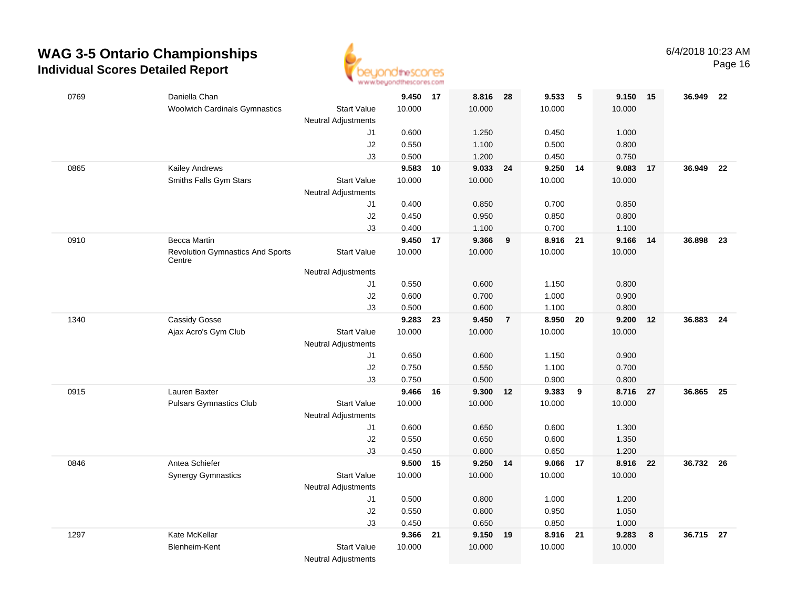

Page 16

| 0769 | Daniella Chan                                     |                                           | 9.450 17       |    | 8.816 28       |                | 9.533          | -5 | 9.150          | $-15$ | 36.949 22 |      |
|------|---------------------------------------------------|-------------------------------------------|----------------|----|----------------|----------------|----------------|----|----------------|-------|-----------|------|
|      | <b>Woolwich Cardinals Gymnastics</b>              | <b>Start Value</b><br>Neutral Adjustments | 10.000         |    | 10.000         |                | 10.000         |    | 10.000         |       |           |      |
|      |                                                   | J1                                        | 0.600          |    | 1.250          |                | 0.450          |    | 1.000          |       |           |      |
|      |                                                   | J2                                        | 0.550          |    | 1.100          |                | 0.500          |    | 0.800          |       |           |      |
|      |                                                   | J3                                        | 0.500          |    | 1.200          |                | 0.450          |    | 0.750          |       |           |      |
| 0865 | <b>Kailey Andrews</b>                             |                                           | 9.583          | 10 | 9.033 24       |                | 9.250 14       |    | 9.083          | 17    | 36.949 22 |      |
|      | Smiths Falls Gym Stars                            | <b>Start Value</b>                        | 10.000         |    | 10.000         |                | 10.000         |    | 10.000         |       |           |      |
|      |                                                   | <b>Neutral Adjustments</b>                |                |    |                |                |                |    |                |       |           |      |
|      |                                                   | J1                                        | 0.400          |    | 0.850          |                | 0.700          |    | 0.850          |       |           |      |
|      |                                                   | J2                                        | 0.450          |    | 0.950          |                | 0.850          |    | 0.800          |       |           |      |
|      |                                                   | J3                                        | 0.400          |    | 1.100          |                | 0.700          |    | 1.100          |       |           |      |
| 0910 | <b>Becca Martin</b>                               |                                           | 9.450          | 17 | 9.366          | 9              | 8.916          | 21 | 9.166          | 14    | 36.898    | 23   |
|      | <b>Revolution Gymnastics And Sports</b><br>Centre | <b>Start Value</b>                        | 10.000         |    | 10.000         |                | 10.000         |    | 10.000         |       |           |      |
|      |                                                   | <b>Neutral Adjustments</b>                |                |    |                |                |                |    |                |       |           |      |
|      |                                                   | J1                                        | 0.550          |    | 0.600          |                | 1.150          |    | 0.800          |       |           |      |
|      |                                                   | J2                                        | 0.600          |    | 0.700          |                | 1.000          |    | 0.900          |       |           |      |
|      |                                                   | J3                                        | 0.500          |    | 0.600          |                | 1.100          |    | 0.800          |       |           |      |
| 1340 | <b>Cassidy Gosse</b>                              |                                           | 9.283          | 23 | 9.450          | $\overline{7}$ | 8.950          | 20 | 9.200          | 12    | 36.883    | - 24 |
|      | Ajax Acro's Gym Club                              | <b>Start Value</b>                        | 10.000         |    | 10.000         |                | 10.000         |    | 10.000         |       |           |      |
|      |                                                   | Neutral Adjustments                       |                |    |                |                |                |    |                |       |           |      |
|      |                                                   | J1                                        | 0.650          |    | 0.600          |                | 1.150          |    | 0.900          |       |           |      |
|      |                                                   | J2                                        | 0.750          |    | 0.550          |                | 1.100          |    | 0.700          |       |           |      |
|      |                                                   | J3                                        | 0.750          |    | 0.500          |                | 0.900          |    | 0.800          |       |           |      |
| 0915 | Lauren Baxter                                     |                                           | 9.466          | 16 | 9.300          | 12             | 9.383          | 9  | 8.716          | 27    | 36.865    | - 25 |
|      | <b>Pulsars Gymnastics Club</b>                    | <b>Start Value</b>                        | 10.000         |    | 10.000         |                | 10.000         |    | 10.000         |       |           |      |
|      |                                                   | <b>Neutral Adjustments</b>                |                |    |                |                |                |    |                |       |           |      |
|      |                                                   | J1                                        | 0.600<br>0.550 |    | 0.650<br>0.650 |                | 0.600<br>0.600 |    | 1.300<br>1.350 |       |           |      |
|      |                                                   | J2<br>J3                                  | 0.450          |    | 0.800          |                | 0.650          |    | 1.200          |       |           |      |
| 0846 | Antea Schiefer                                    |                                           | 9.500 15       |    | 9.250 14       |                | 9.066          | 17 | 8.916          | 22    | 36.732 26 |      |
|      | <b>Synergy Gymnastics</b>                         | <b>Start Value</b>                        | 10.000         |    | 10.000         |                | 10.000         |    | 10.000         |       |           |      |
|      |                                                   | Neutral Adjustments                       |                |    |                |                |                |    |                |       |           |      |
|      |                                                   | J1                                        | 0.500          |    | 0.800          |                | 1.000          |    | 1.200          |       |           |      |
|      |                                                   | J2                                        | 0.550          |    | 0.800          |                | 0.950          |    | 1.050          |       |           |      |
|      |                                                   | J3                                        | 0.450          |    | 0.650          |                | 0.850          |    | 1.000          |       |           |      |
| 1297 | Kate McKellar                                     |                                           | 9.366          | 21 | 9.150 19       |                | 8.916 21       |    | 9.283          | 8     | 36.715 27 |      |
|      | Blenheim-Kent                                     | <b>Start Value</b>                        | 10.000         |    | 10.000         |                | 10.000         |    | 10.000         |       |           |      |
|      |                                                   | <b>Neutral Adjustments</b>                |                |    |                |                |                |    |                |       |           |      |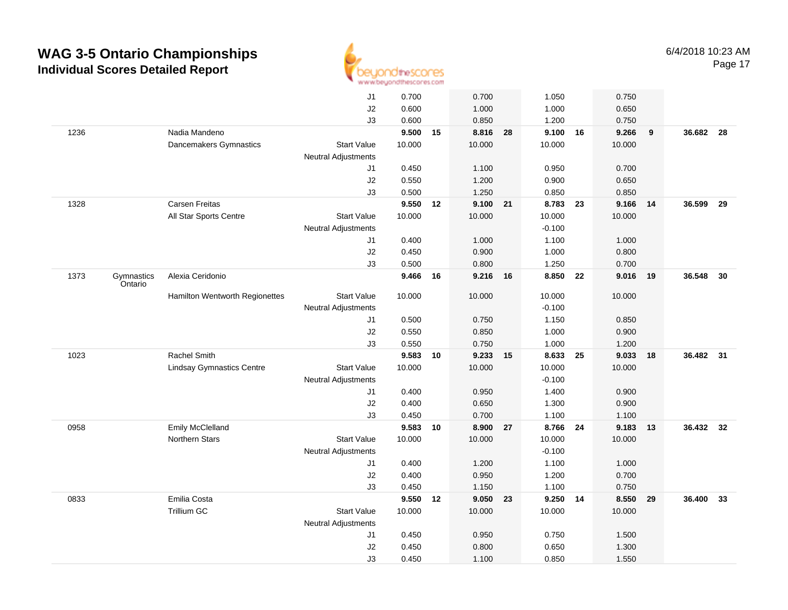

|      |                       |                                  | J1                         | 0.700  |    | 0.700    |    | 1.050    |    | 0.750  |     |           |      |
|------|-----------------------|----------------------------------|----------------------------|--------|----|----------|----|----------|----|--------|-----|-----------|------|
|      |                       |                                  | J2                         | 0.600  |    | 1.000    |    | 1.000    |    | 0.650  |     |           |      |
|      |                       |                                  | J3                         | 0.600  |    | 0.850    |    | 1.200    |    | 0.750  |     |           |      |
| 1236 |                       | Nadia Mandeno                    |                            | 9.500  | 15 | 8.816 28 |    | 9.100 16 |    | 9.266  | 9   | 36.682 28 |      |
|      |                       | Dancemakers Gymnastics           | <b>Start Value</b>         | 10.000 |    | 10.000   |    | 10.000   |    | 10.000 |     |           |      |
|      |                       |                                  | Neutral Adjustments        |        |    |          |    |          |    |        |     |           |      |
|      |                       |                                  | J1                         | 0.450  |    | 1.100    |    | 0.950    |    | 0.700  |     |           |      |
|      |                       |                                  | J2                         | 0.550  |    | 1.200    |    | 0.900    |    | 0.650  |     |           |      |
|      |                       |                                  | J3                         | 0.500  |    | 1.250    |    | 0.850    |    | 0.850  |     |           |      |
| 1328 |                       | <b>Carsen Freitas</b>            |                            | 9.550  | 12 | 9.100 21 |    | 8.783    | 23 | 9.166  | -14 | 36.599    | 29   |
|      |                       | All Star Sports Centre           | <b>Start Value</b>         | 10.000 |    | 10.000   |    | 10.000   |    | 10.000 |     |           |      |
|      |                       |                                  | <b>Neutral Adjustments</b> |        |    |          |    | $-0.100$ |    |        |     |           |      |
|      |                       |                                  | J1                         | 0.400  |    | 1.000    |    | 1.100    |    | 1.000  |     |           |      |
|      |                       |                                  | J2                         | 0.450  |    | 0.900    |    | 1.000    |    | 0.800  |     |           |      |
|      |                       |                                  | J3                         | 0.500  |    | 0.800    |    | 1.250    |    | 0.700  |     |           |      |
| 1373 | Gymnastics<br>Ontario | Alexia Ceridonio                 |                            | 9.466  | 16 | 9.216 16 |    | 8.850    | 22 | 9.016  | 19  | 36.548    | - 30 |
|      |                       | Hamilton Wentworth Regionettes   | <b>Start Value</b>         | 10.000 |    | 10.000   |    | 10.000   |    | 10.000 |     |           |      |
|      |                       |                                  | <b>Neutral Adjustments</b> |        |    |          |    | $-0.100$ |    |        |     |           |      |
|      |                       |                                  | J1                         | 0.500  |    | 0.750    |    | 1.150    |    | 0.850  |     |           |      |
|      |                       |                                  | J2                         | 0.550  |    | 0.850    |    | 1.000    |    | 0.900  |     |           |      |
|      |                       |                                  | J3                         | 0.550  |    | 0.750    |    | 1.000    |    | 1.200  |     |           |      |
| 1023 |                       | Rachel Smith                     |                            | 9.583  | 10 | 9.233    | 15 | 8.633    | 25 | 9.033  | 18  | 36.482 31 |      |
|      |                       | <b>Lindsay Gymnastics Centre</b> | <b>Start Value</b>         | 10.000 |    | 10.000   |    | 10.000   |    | 10.000 |     |           |      |
|      |                       |                                  | Neutral Adjustments        |        |    |          |    | $-0.100$ |    |        |     |           |      |
|      |                       |                                  | J1                         | 0.400  |    | 0.950    |    | 1.400    |    | 0.900  |     |           |      |
|      |                       |                                  | J2                         | 0.400  |    | 0.650    |    | 1.300    |    | 0.900  |     |           |      |
|      |                       |                                  | J3                         | 0.450  |    | 0.700    |    | 1.100    |    | 1.100  |     |           |      |
| 0958 |                       | Emily McClelland                 |                            | 9.583  | 10 | 8.900 27 |    | 8.766 24 |    | 9.183  | 13  | 36.432 32 |      |
|      |                       | Northern Stars                   | <b>Start Value</b>         | 10.000 |    | 10.000   |    | 10.000   |    | 10.000 |     |           |      |
|      |                       |                                  | <b>Neutral Adjustments</b> |        |    |          |    | $-0.100$ |    |        |     |           |      |
|      |                       |                                  | J1                         | 0.400  |    | 1.200    |    | 1.100    |    | 1.000  |     |           |      |
|      |                       |                                  | J2                         | 0.400  |    | 0.950    |    | 1.200    |    | 0.700  |     |           |      |
|      |                       |                                  | J3                         | 0.450  |    | 1.150    |    | 1.100    |    | 0.750  |     |           |      |
| 0833 |                       | Emilia Costa                     |                            | 9.550  | 12 | 9.050    | 23 | 9.250    | 14 | 8.550  | 29  | 36.400    | 33   |
|      |                       | <b>Trillium GC</b>               | <b>Start Value</b>         | 10.000 |    | 10.000   |    | 10.000   |    | 10.000 |     |           |      |
|      |                       |                                  | <b>Neutral Adjustments</b> |        |    |          |    |          |    |        |     |           |      |
|      |                       |                                  | J1                         | 0.450  |    | 0.950    |    | 0.750    |    | 1.500  |     |           |      |
|      |                       |                                  | $\sf J2$                   | 0.450  |    | 0.800    |    | 0.650    |    | 1.300  |     |           |      |
|      |                       |                                  | J3                         | 0.450  |    | 1.100    |    | 0.850    |    | 1.550  |     |           |      |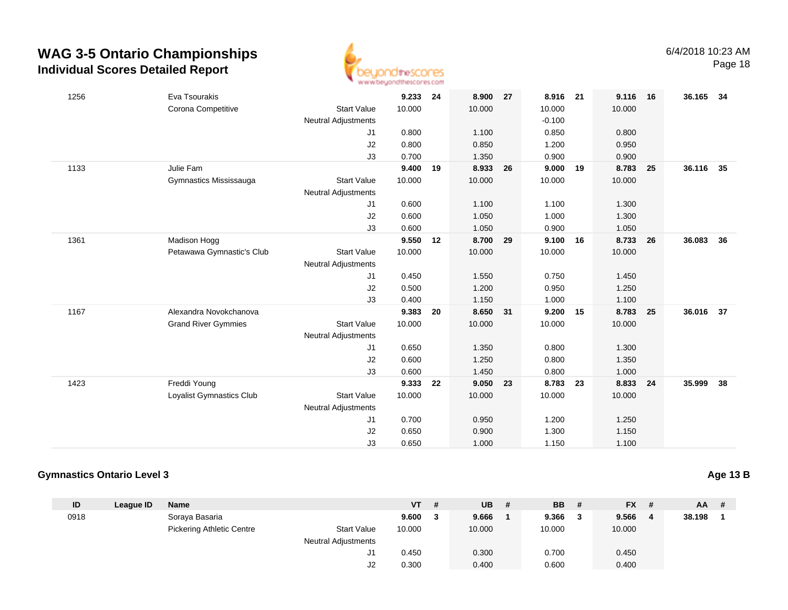

| 1256 | Eva Tsourakis              |                            | 9.233  | 24 | 8.900    | 27 | 8.916    | 21 | 9.116  | 16 | 36.165 34 |    |
|------|----------------------------|----------------------------|--------|----|----------|----|----------|----|--------|----|-----------|----|
|      | Corona Competitive         | <b>Start Value</b>         | 10.000 |    | 10.000   |    | 10.000   |    | 10.000 |    |           |    |
|      |                            | <b>Neutral Adjustments</b> |        |    |          |    | $-0.100$ |    |        |    |           |    |
|      |                            | J1                         | 0.800  |    | 1.100    |    | 0.850    |    | 0.800  |    |           |    |
|      |                            | J2                         | 0.800  |    | 0.850    |    | 1.200    |    | 0.950  |    |           |    |
|      |                            | J3                         | 0.700  |    | 1.350    |    | 0.900    |    | 0.900  |    |           |    |
| 1133 | Julie Fam                  |                            | 9.400  | 19 | 8.933    | 26 | 9.000    | 19 | 8.783  | 25 | 36.116    | 35 |
|      | Gymnastics Mississauga     | <b>Start Value</b>         | 10.000 |    | 10.000   |    | 10.000   |    | 10.000 |    |           |    |
|      |                            | <b>Neutral Adjustments</b> |        |    |          |    |          |    |        |    |           |    |
|      |                            | J1                         | 0.600  |    | 1.100    |    | 1.100    |    | 1.300  |    |           |    |
|      |                            | J2                         | 0.600  |    | 1.050    |    | 1.000    |    | 1.300  |    |           |    |
|      |                            | J3                         | 0.600  |    | 1.050    |    | 0.900    |    | 1.050  |    |           |    |
| 1361 | Madison Hogg               |                            | 9.550  | 12 | 8.700 29 |    | 9.100    | 16 | 8.733  | 26 | 36.083    | 36 |
|      | Petawawa Gymnastic's Club  | <b>Start Value</b>         | 10.000 |    | 10.000   |    | 10.000   |    | 10.000 |    |           |    |
|      |                            | <b>Neutral Adjustments</b> |        |    |          |    |          |    |        |    |           |    |
|      |                            | J1                         | 0.450  |    | 1.550    |    | 0.750    |    | 1.450  |    |           |    |
|      |                            | J2                         | 0.500  |    | 1.200    |    | 0.950    |    | 1.250  |    |           |    |
|      |                            | J3                         | 0.400  |    | 1.150    |    | 1.000    |    | 1.100  |    |           |    |
| 1167 | Alexandra Novokchanova     |                            | 9.383  | 20 | 8.650    | 31 | 9.200    | 15 | 8.783  | 25 | 36.016    | 37 |
|      | <b>Grand River Gymmies</b> | <b>Start Value</b>         | 10.000 |    | 10.000   |    | 10.000   |    | 10.000 |    |           |    |
|      |                            | <b>Neutral Adjustments</b> |        |    |          |    |          |    |        |    |           |    |
|      |                            | J1                         | 0.650  |    | 1.350    |    | 0.800    |    | 1.300  |    |           |    |
|      |                            | J2                         | 0.600  |    | 1.250    |    | 0.800    |    | 1.350  |    |           |    |
|      |                            | J3                         | 0.600  |    | 1.450    |    | 0.800    |    | 1.000  |    |           |    |
| 1423 | Freddi Young               |                            | 9.333  | 22 | 9.050    | 23 | 8.783    | 23 | 8.833  | 24 | 35.999    | 38 |
|      | Loyalist Gymnastics Club   | <b>Start Value</b>         | 10.000 |    | 10.000   |    | 10.000   |    | 10.000 |    |           |    |
|      |                            | <b>Neutral Adjustments</b> |        |    |          |    |          |    |        |    |           |    |
|      |                            | J1                         | 0.700  |    | 0.950    |    | 1.200    |    | 1.250  |    |           |    |
|      |                            | J2                         | 0.650  |    | 0.900    |    | 1.300    |    | 1.150  |    |           |    |
|      |                            | J3                         | 0.650  |    | 1.000    |    | 1.150    |    | 1.100  |    |           |    |

#### **Gymnastics Ontario Level 3**

| ID   | League ID | <b>Name</b>                      |                            | VT     | <b>UB</b> | -# | BB     | # | <b>FX</b> | # | $AA$ # |  |
|------|-----------|----------------------------------|----------------------------|--------|-----------|----|--------|---|-----------|---|--------|--|
| 0918 |           | Soraya Basaria                   |                            | 9.600  | 9.666     |    | 9.366  | 3 | 9.566     | 4 | 38.198 |  |
|      |           | <b>Pickering Athletic Centre</b> | <b>Start Value</b>         | 10.000 | 10.000    |    | 10.000 |   | 10.000    |   |        |  |
|      |           |                                  | <b>Neutral Adjustments</b> |        |           |    |        |   |           |   |        |  |
|      |           |                                  | ا ب                        | 0.450  | 0.300     |    | 0.700  |   | 0.450     |   |        |  |
|      |           |                                  | J2                         | 0.300  | 0.400     |    | 0.600  |   | 0.400     |   |        |  |
|      |           |                                  |                            |        |           |    |        |   |           |   |        |  |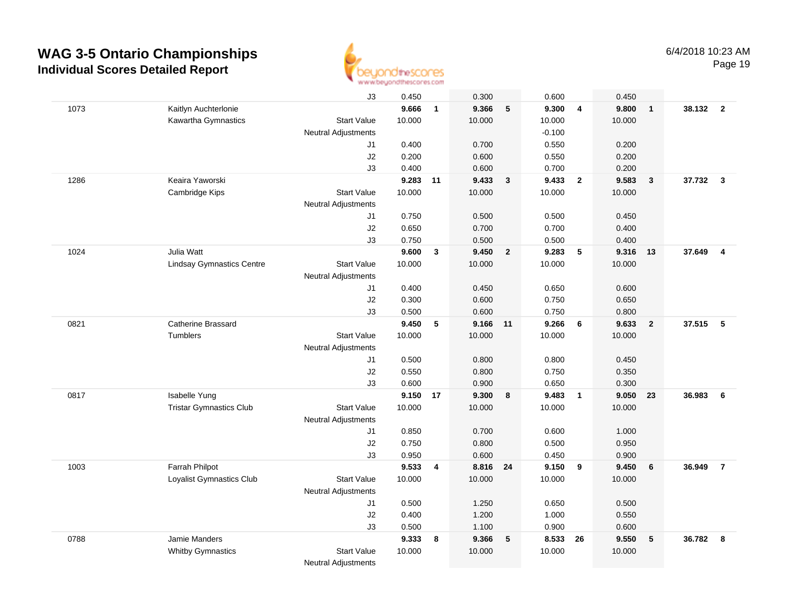

Page 19

|      |                                  | J3                         | 0.450          |              | 0.300          |                 | 0.600          |                 | 0.450          |                         |          |                         |
|------|----------------------------------|----------------------------|----------------|--------------|----------------|-----------------|----------------|-----------------|----------------|-------------------------|----------|-------------------------|
| 1073 | Kaitlyn Auchterlonie             |                            | 9.666          | $\mathbf{1}$ | 9.366          | $5\phantom{.0}$ | 9.300          | 4               | 9.800          | $\overline{1}$          | 38.132 2 |                         |
|      | Kawartha Gymnastics              | <b>Start Value</b>         | 10.000         |              | 10.000         |                 | 10.000         |                 | 10.000         |                         |          |                         |
|      |                                  | <b>Neutral Adjustments</b> |                |              |                |                 | $-0.100$       |                 |                |                         |          |                         |
|      |                                  | J1                         | 0.400          |              | 0.700          |                 | 0.550          |                 | 0.200          |                         |          |                         |
|      |                                  | J2                         | 0.200          |              | 0.600          |                 | 0.550          |                 | 0.200          |                         |          |                         |
|      |                                  | J3                         | 0.400          |              | 0.600          |                 | 0.700          |                 | 0.200          |                         |          |                         |
| 1286 | Keaira Yaworski                  |                            | 9.283          | 11           | 9.433          | 3               | 9.433          | $\mathbf{2}$    | 9.583          | $\mathbf{3}$            | 37.732 3 |                         |
|      | Cambridge Kips                   | <b>Start Value</b>         | 10.000         |              | 10.000         |                 | 10.000         |                 | 10.000         |                         |          |                         |
|      |                                  | <b>Neutral Adjustments</b> |                |              |                |                 |                |                 |                |                         |          |                         |
|      |                                  | J1                         | 0.750          |              | 0.500          |                 | 0.500          |                 | 0.450          |                         |          |                         |
|      |                                  | J2                         | 0.650          |              | 0.700          |                 | 0.700          |                 | 0.400          |                         |          |                         |
|      |                                  | J3                         | 0.750          |              | 0.500          |                 | 0.500          |                 | 0.400          |                         |          |                         |
| 1024 | Julia Watt                       |                            | 9.600          | $\mathbf{3}$ | 9.450          | $\overline{2}$  | 9.283          | $5\phantom{.0}$ | 9.316          | 13                      | 37.649   | $\overline{\mathbf{4}}$ |
|      | <b>Lindsay Gymnastics Centre</b> | <b>Start Value</b>         | 10.000         |              | 10.000         |                 | 10.000         |                 | 10.000         |                         |          |                         |
|      |                                  | <b>Neutral Adjustments</b> |                |              |                |                 |                |                 |                |                         |          |                         |
|      |                                  | J1                         | 0.400          |              | 0.450          |                 | 0.650          |                 | 0.600          |                         |          |                         |
|      |                                  | J2                         | 0.300          |              | 0.600          |                 | 0.750          |                 | 0.650          |                         |          |                         |
|      |                                  | J3                         | 0.500          |              | 0.600          |                 | 0.750          |                 | 0.800          |                         |          |                         |
| 0821 | Catherine Brassard               |                            | 9.450          | 5            | 9.166 11       |                 | 9.266          | 6               | 9.633          | $\overline{\mathbf{2}}$ | 37.515   | 5                       |
|      | Tumblers                         | <b>Start Value</b>         | 10.000         |              | 10.000         |                 | 10.000         |                 | 10.000         |                         |          |                         |
|      |                                  | Neutral Adjustments        |                |              |                |                 |                |                 |                |                         |          |                         |
|      |                                  | J1                         | 0.500          |              | 0.800          |                 | 0.800          |                 | 0.450          |                         |          |                         |
|      |                                  | J2                         | 0.550          |              | 0.800          |                 | 0.750          |                 | 0.350          |                         |          |                         |
| 0817 | Isabelle Yung                    | J3                         | 0.600<br>9.150 | 17           | 0.900<br>9.300 | 8               | 0.650<br>9.483 | $\overline{1}$  | 0.300<br>9.050 | 23                      | 36.983   | 6                       |
|      | <b>Tristar Gymnastics Club</b>   | <b>Start Value</b>         | 10.000         |              | 10.000         |                 | 10.000         |                 | 10.000         |                         |          |                         |
|      |                                  | <b>Neutral Adjustments</b> |                |              |                |                 |                |                 |                |                         |          |                         |
|      |                                  | J1                         | 0.850          |              | 0.700          |                 | 0.600          |                 | 1.000          |                         |          |                         |
|      |                                  | J2                         | 0.750          |              | 0.800          |                 | 0.500          |                 | 0.950          |                         |          |                         |
|      |                                  | J3                         | 0.950          |              | 0.600          |                 | 0.450          |                 | 0.900          |                         |          |                         |
| 1003 | Farrah Philpot                   |                            | 9.533          | 4            | 8.816 24       |                 | 9.150          | 9               | 9.450          | 6                       | 36.949   | $\overline{7}$          |
|      | Loyalist Gymnastics Club         | <b>Start Value</b>         | 10.000         |              | 10.000         |                 | 10.000         |                 | 10.000         |                         |          |                         |
|      |                                  | <b>Neutral Adjustments</b> |                |              |                |                 |                |                 |                |                         |          |                         |
|      |                                  | J1                         | 0.500          |              | 1.250          |                 | 0.650          |                 | 0.500          |                         |          |                         |
|      |                                  | J2                         | 0.400          |              | 1.200          |                 | 1.000          |                 | 0.550          |                         |          |                         |
|      |                                  | J3                         | 0.500          |              | 1.100          |                 | 0.900          |                 | 0.600          |                         |          |                         |
| 0788 | Jamie Manders                    |                            | 9.333          | 8            | 9.366          | $5\phantom{.0}$ | 8.533 26       |                 | 9.550          | 5                       | 36.782   | 8                       |
|      | <b>Whitby Gymnastics</b>         | <b>Start Value</b>         | 10.000         |              | 10.000         |                 | 10.000         |                 | 10.000         |                         |          |                         |
|      |                                  | <b>Neutral Adjustments</b> |                |              |                |                 |                |                 |                |                         |          |                         |
|      |                                  |                            |                |              |                |                 |                |                 |                |                         |          |                         |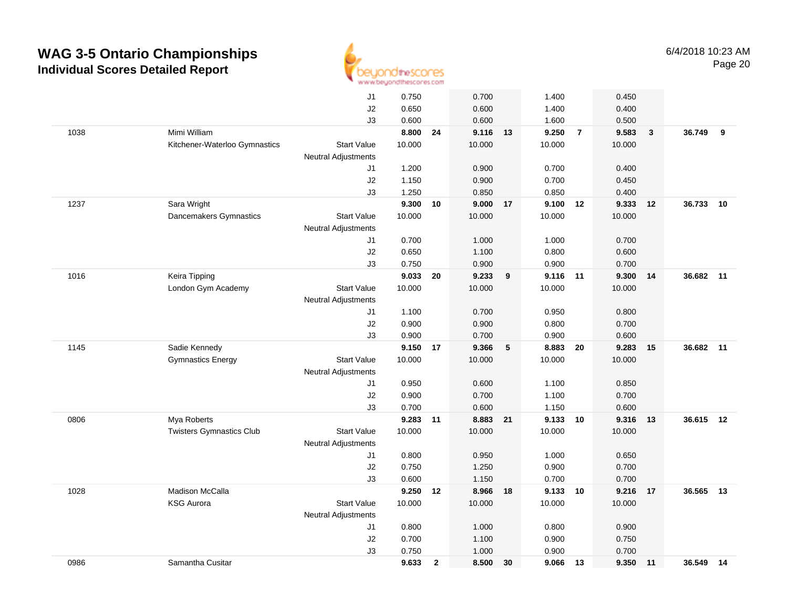

|      |                                 | J1                         | 0.750  |              | 0.700      |    | 1.400      |                | 0.450  |              |           |    |
|------|---------------------------------|----------------------------|--------|--------------|------------|----|------------|----------------|--------|--------------|-----------|----|
|      |                                 | J2                         | 0.650  |              | 0.600      |    | 1.400      |                | 0.400  |              |           |    |
|      |                                 | J3                         | 0.600  |              | 0.600      |    | 1.600      |                | 0.500  |              |           |    |
| 1038 | Mimi William                    |                            | 8.800  | 24           | 9.116 13   |    | 9.250      | $\overline{7}$ | 9.583  | $\mathbf{3}$ | 36.749    | 9  |
|      | Kitchener-Waterloo Gymnastics   | <b>Start Value</b>         | 10.000 |              | 10.000     |    | 10.000     |                | 10.000 |              |           |    |
|      |                                 | <b>Neutral Adjustments</b> |        |              |            |    |            |                |        |              |           |    |
|      |                                 | J1                         | 1.200  |              | 0.900      |    | 0.700      |                | 0.400  |              |           |    |
|      |                                 | J2                         | 1.150  |              | 0.900      |    | 0.700      |                | 0.450  |              |           |    |
|      |                                 | J3                         | 1.250  |              | 0.850      |    | 0.850      |                | 0.400  |              |           |    |
| 1237 | Sara Wright                     |                            | 9.300  | 10           | $9.000$ 17 |    | $9.100$ 12 |                | 9.333  | 12           | 36.733    | 10 |
|      | Dancemakers Gymnastics          | <b>Start Value</b>         | 10.000 |              | 10.000     |    | 10.000     |                | 10.000 |              |           |    |
|      |                                 | Neutral Adjustments        |        |              |            |    |            |                |        |              |           |    |
|      |                                 | J1                         | 0.700  |              | 1.000      |    | 1.000      |                | 0.700  |              |           |    |
|      |                                 | J2                         | 0.650  |              | 1.100      |    | 0.800      |                | 0.600  |              |           |    |
|      |                                 | J3                         | 0.750  |              | 0.900      |    | 0.900      |                | 0.700  |              |           |    |
| 1016 | Keira Tipping                   |                            | 9.033  | 20           | 9.233      | 9  | 9.116 11   |                | 9.300  | 14           | 36.682 11 |    |
|      | London Gym Academy              | <b>Start Value</b>         | 10.000 |              | 10.000     |    | 10.000     |                | 10.000 |              |           |    |
|      |                                 | Neutral Adjustments        |        |              |            |    |            |                |        |              |           |    |
|      |                                 | J1                         | 1.100  |              | 0.700      |    | 0.950      |                | 0.800  |              |           |    |
|      |                                 | $\sf J2$                   | 0.900  |              | 0.900      |    | 0.800      |                | 0.700  |              |           |    |
|      |                                 | J3                         | 0.900  |              | 0.700      |    | 0.900      |                | 0.600  |              |           |    |
| 1145 | Sadie Kennedy                   |                            | 9.150  | 17           | 9.366      | 5  | 8.883      | 20             | 9.283  | 15           | 36.682    | 11 |
|      | <b>Gymnastics Energy</b>        | <b>Start Value</b>         | 10.000 |              | 10.000     |    | 10.000     |                | 10.000 |              |           |    |
|      |                                 | <b>Neutral Adjustments</b> |        |              |            |    |            |                |        |              |           |    |
|      |                                 | J1                         | 0.950  |              | 0.600      |    | 1.100      |                | 0.850  |              |           |    |
|      |                                 | J2                         | 0.900  |              | 0.700      |    | 1.100      |                | 0.700  |              |           |    |
|      |                                 | J3                         | 0.700  |              | 0.600      |    | 1.150      |                | 0.600  |              |           |    |
| 0806 | Mya Roberts                     |                            | 9.283  | 11           | 8.883 21   |    | 9.133 10   |                | 9.316  | 13           | 36.615 12 |    |
|      | <b>Twisters Gymnastics Club</b> | <b>Start Value</b>         | 10.000 |              | 10.000     |    | 10.000     |                | 10.000 |              |           |    |
|      |                                 | Neutral Adjustments        |        |              |            |    |            |                |        |              |           |    |
|      |                                 | J1                         | 0.800  |              | 0.950      |    | 1.000      |                | 0.650  |              |           |    |
|      |                                 | J2                         | 0.750  |              | 1.250      |    | 0.900      |                | 0.700  |              |           |    |
|      |                                 | J3                         | 0.600  |              | 1.150      |    | 0.700      |                | 0.700  |              |           |    |
| 1028 | Madison McCalla                 |                            | 9.250  | 12           | 8.966      | 18 | 9.133 10   |                | 9.216  | 17           | 36.565    | 13 |
|      | <b>KSG Aurora</b>               | <b>Start Value</b>         | 10.000 |              | 10.000     |    | 10.000     |                | 10.000 |              |           |    |
|      |                                 | Neutral Adjustments        |        |              |            |    |            |                |        |              |           |    |
|      |                                 | J1                         | 0.800  |              | 1.000      |    | 0.800      |                | 0.900  |              |           |    |
|      |                                 | J2                         | 0.700  |              | 1.100      |    | 0.900      |                | 0.750  |              |           |    |
|      |                                 | J3                         | 0.750  |              | 1.000      |    | 0.900      |                | 0.700  |              |           |    |
| 0986 | Samantha Cusitar                |                            | 9.633  | $\mathbf{2}$ | 8.500      | 30 | 9.066 13   |                | 9.350  | 11           | 36.549 14 |    |
|      |                                 |                            |        |              |            |    |            |                |        |              |           |    |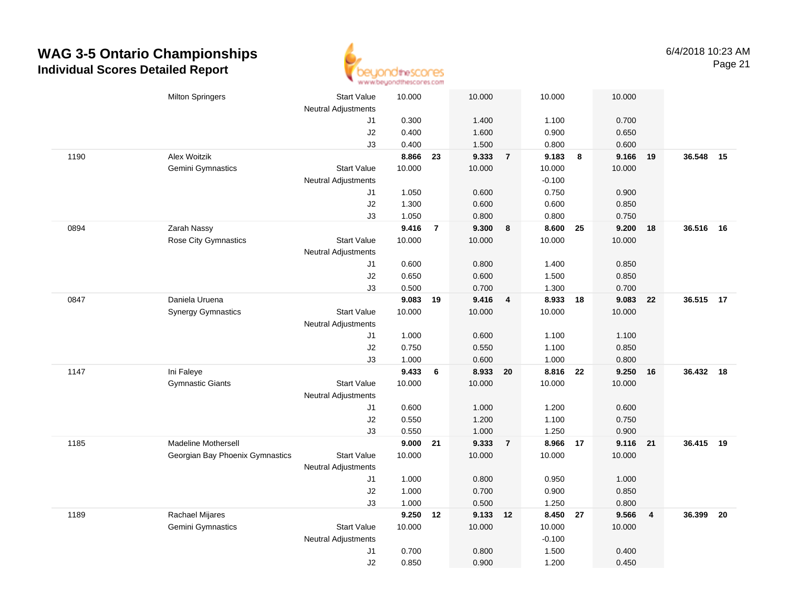

|      | <b>Milton Springers</b>         | <b>Start Value</b>               | 10.000 |                | 10.000   |                | 10.000   |    | 10.000   |                |           |    |
|------|---------------------------------|----------------------------------|--------|----------------|----------|----------------|----------|----|----------|----------------|-----------|----|
|      |                                 | <b>Neutral Adjustments</b><br>J1 | 0.300  |                | 1.400    |                | 1.100    |    | 0.700    |                |           |    |
|      |                                 | J2                               | 0.400  |                | 1.600    |                | 0.900    |    | 0.650    |                |           |    |
|      |                                 | J3                               | 0.400  |                | 1.500    |                | 0.800    |    | 0.600    |                |           |    |
| 1190 | Alex Woitzik                    |                                  | 8.866  | 23             | 9.333    | $\overline{7}$ | 9.183    | 8  | 9.166    | 19             | 36.548    | 15 |
|      | Gemini Gymnastics               | <b>Start Value</b>               | 10.000 |                | 10.000   |                | 10.000   |    | 10.000   |                |           |    |
|      |                                 | <b>Neutral Adjustments</b>       |        |                |          |                | $-0.100$ |    |          |                |           |    |
|      |                                 | J1                               | 1.050  |                | 0.600    |                | 0.750    |    | 0.900    |                |           |    |
|      |                                 | J2                               | 1.300  |                | 0.600    |                | 0.600    |    | 0.850    |                |           |    |
|      |                                 | J3                               | 1.050  |                | 0.800    |                | 0.800    |    | 0.750    |                |           |    |
| 0894 | Zarah Nassy                     |                                  | 9.416  | $\overline{7}$ | 9.300    | 8              | 8.600    | 25 | 9.200    | 18             | 36.516 16 |    |
|      | Rose City Gymnastics            | <b>Start Value</b>               | 10.000 |                | 10.000   |                | 10.000   |    | 10.000   |                |           |    |
|      |                                 | <b>Neutral Adjustments</b>       |        |                |          |                |          |    |          |                |           |    |
|      |                                 | J1                               | 0.600  |                | 0.800    |                | 1.400    |    | 0.850    |                |           |    |
|      |                                 | J2                               | 0.650  |                | 0.600    |                | 1.500    |    | 0.850    |                |           |    |
|      |                                 | J3                               | 0.500  |                | 0.700    |                | 1.300    |    | 0.700    |                |           |    |
| 0847 | Daniela Uruena                  |                                  | 9.083  | 19             | 9.416    | 4              | 8.933 18 |    | 9.083    | - 22           | 36.515 17 |    |
|      | <b>Synergy Gymnastics</b>       | <b>Start Value</b>               | 10.000 |                | 10.000   |                | 10.000   |    | 10.000   |                |           |    |
|      |                                 | Neutral Adjustments              |        |                |          |                |          |    |          |                |           |    |
|      |                                 | J1                               | 1.000  |                | 0.600    |                | 1.100    |    | 1.100    |                |           |    |
|      |                                 | J2                               | 0.750  |                | 0.550    |                | 1.100    |    | 0.850    |                |           |    |
|      |                                 | J3                               | 1.000  |                | 0.600    |                | 1.000    |    | 0.800    |                |           |    |
| 1147 | Ini Faleye                      |                                  | 9.433  | 6              | 8.933    | 20             | 8.816    | 22 | 9.250    | 16             | 36.432 18 |    |
|      | <b>Gymnastic Giants</b>         | <b>Start Value</b>               | 10.000 |                | 10.000   |                | 10.000   |    | 10.000   |                |           |    |
|      |                                 | <b>Neutral Adjustments</b>       |        |                |          |                |          |    |          |                |           |    |
|      |                                 | J1                               | 0.600  |                | 1.000    |                | 1.200    |    | 0.600    |                |           |    |
|      |                                 | J2                               | 0.550  |                | 1.200    |                | 1.100    |    | 0.750    |                |           |    |
|      |                                 | J3                               | 0.550  |                | 1.000    |                | 1.250    |    | 0.900    |                |           |    |
| 1185 | <b>Madeline Mothersell</b>      |                                  | 9.000  | 21             | 9.333    | $\overline{7}$ | 8.966 17 |    | 9.116 21 |                | 36.415 19 |    |
|      | Georgian Bay Phoenix Gymnastics | <b>Start Value</b>               | 10.000 |                | 10.000   |                | 10.000   |    | 10.000   |                |           |    |
|      |                                 | <b>Neutral Adjustments</b>       |        |                |          |                |          |    |          |                |           |    |
|      |                                 | J1                               | 1.000  |                | 0.800    |                | 0.950    |    | 1.000    |                |           |    |
|      |                                 | J2                               | 1.000  |                | 0.700    |                | 0.900    |    | 0.850    |                |           |    |
|      |                                 | J3                               | 1.000  |                | 0.500    |                | 1.250    |    | 0.800    |                |           |    |
| 1189 | <b>Rachael Mijares</b>          |                                  | 9.250  | 12             | 9.133 12 |                | 8.450 27 |    | 9.566    | $\overline{4}$ | 36.399    | 20 |
|      | Gemini Gymnastics               | <b>Start Value</b>               | 10.000 |                | 10.000   |                | 10.000   |    | 10.000   |                |           |    |
|      |                                 | <b>Neutral Adjustments</b>       |        |                |          |                | $-0.100$ |    |          |                |           |    |
|      |                                 | J1                               | 0.700  |                | 0.800    |                | 1.500    |    | 0.400    |                |           |    |
|      |                                 | J2                               | 0.850  |                | 0.900    |                | 1.200    |    | 0.450    |                |           |    |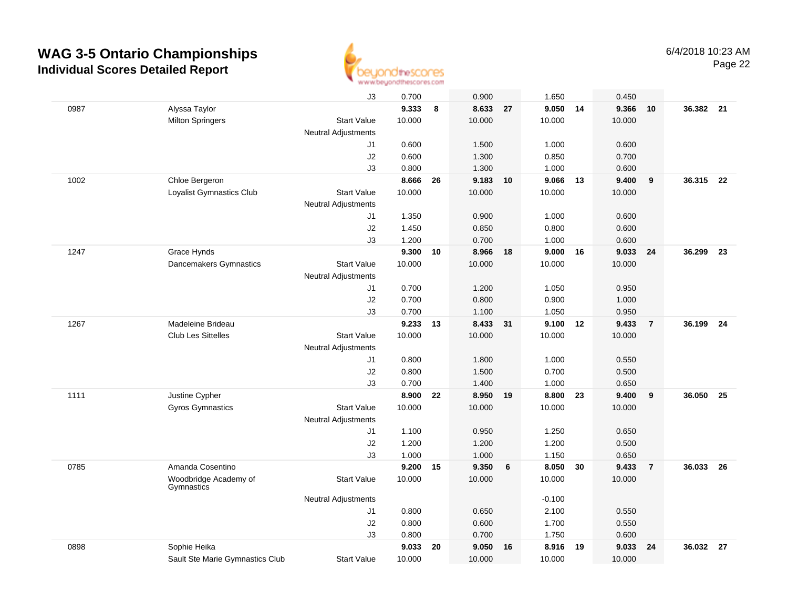

| J3<br>0.900<br>1.650<br>0.450<br>9.333<br>8.633<br>9.050<br>0987<br>Alyssa Taylor<br>8<br>27<br>14<br>9.366<br>10.000<br>10.000<br>10.000<br>10.000<br><b>Milton Springers</b><br><b>Start Value</b><br><b>Neutral Adjustments</b><br>0.600<br>1.500<br>1.000<br>0.600<br>J1<br>J2<br>0.600<br>1.300<br>0.850<br>0.700<br>J3<br>0.800<br>1.300<br>1.000<br>0.600<br>8.666<br>9.183<br>9.066<br>9.400<br>1002<br>Chloe Bergeron<br>26<br>10<br>13<br><b>Start Value</b><br>10.000<br>10.000<br>10.000<br>10.000<br>Loyalist Gymnastics Club<br><b>Neutral Adjustments</b><br>1.350<br>0.900<br>1.000<br>0.600<br>J1<br>J2<br>1.450<br>0.800<br>0.600<br>0.850<br>J3<br>1.000<br>1.200<br>0.700<br>0.600<br>1247<br>Grace Hynds<br>9.300<br>8.966<br>9.000<br>9.033<br>10<br>18<br>16<br>10.000<br>10.000<br>Dancemakers Gymnastics<br><b>Start Value</b><br>10.000<br>10.000<br><b>Neutral Adjustments</b><br>0.700<br>1.200<br>1.050<br>0.950<br>J1<br>0.700<br>J2<br>0.800<br>0.900<br>1.000<br>0.700<br>1.100<br>1.050<br>0.950<br>J3<br>1267<br>Madeleine Brideau<br>9.233 13<br>8.433 31<br>9.100<br>12<br>9.433<br><b>Club Les Sittelles</b><br><b>Start Value</b><br>10.000<br>10.000<br>10.000<br>10.000<br><b>Neutral Adjustments</b><br>0.800<br>1.800<br>1.000<br>0.550<br>J1<br>J2<br>0.800<br>1.500<br>0.700<br>0.500<br>0.700<br>1.400<br>1.000<br>0.650<br>J3<br>Justine Cypher<br>8.800<br>8.900<br>8.950<br>23<br>9.400<br>1111<br>22<br>19<br><b>Gyros Gymnastics</b><br><b>Start Value</b><br>10.000<br>10.000<br>10.000<br>10.000<br><b>Neutral Adjustments</b><br>1.100<br>0.950<br>1.250<br>0.650<br>J1<br>J2<br>1.200<br>1.200<br>1.200<br>0.500<br>J3<br>1.000<br>1.000<br>1.150<br>0.650<br>0785<br>Amanda Cosentino<br>9.200<br>9.350<br>6<br>8.050<br>30<br>9.433<br>15<br>10.000<br>Woodbridge Academy of<br><b>Start Value</b><br>10.000<br>10.000<br>10.000<br>Gymnastics<br><b>Neutral Adjustments</b><br>$-0.100$<br>0.800<br>2.100<br>J1<br>0.650<br>0.550<br>J2<br>0.800<br>0.600<br>1.700<br>0.550<br>J3<br>0.700<br>1.750<br>0.600<br>0.800<br>0898<br>Sophie Heika<br>9.033<br>20<br>9.050<br>8.916<br>19<br>9.033<br>16 |                                 |                    |        |        |        |        |                |           |      |
|--------------------------------------------------------------------------------------------------------------------------------------------------------------------------------------------------------------------------------------------------------------------------------------------------------------------------------------------------------------------------------------------------------------------------------------------------------------------------------------------------------------------------------------------------------------------------------------------------------------------------------------------------------------------------------------------------------------------------------------------------------------------------------------------------------------------------------------------------------------------------------------------------------------------------------------------------------------------------------------------------------------------------------------------------------------------------------------------------------------------------------------------------------------------------------------------------------------------------------------------------------------------------------------------------------------------------------------------------------------------------------------------------------------------------------------------------------------------------------------------------------------------------------------------------------------------------------------------------------------------------------------------------------------------------------------------------------------------------------------------------------------------------------------------------------------------------------------------------------------------------------------------------------------------------------------------------------------------------------------------------------------------------------------------------------------------------------------------------------------------------------------------------------------|---------------------------------|--------------------|--------|--------|--------|--------|----------------|-----------|------|
|                                                                                                                                                                                                                                                                                                                                                                                                                                                                                                                                                                                                                                                                                                                                                                                                                                                                                                                                                                                                                                                                                                                                                                                                                                                                                                                                                                                                                                                                                                                                                                                                                                                                                                                                                                                                                                                                                                                                                                                                                                                                                                                                                              |                                 |                    | 0.700  |        |        |        |                |           |      |
|                                                                                                                                                                                                                                                                                                                                                                                                                                                                                                                                                                                                                                                                                                                                                                                                                                                                                                                                                                                                                                                                                                                                                                                                                                                                                                                                                                                                                                                                                                                                                                                                                                                                                                                                                                                                                                                                                                                                                                                                                                                                                                                                                              |                                 |                    |        |        |        |        | 10             | 36.382 21 |      |
|                                                                                                                                                                                                                                                                                                                                                                                                                                                                                                                                                                                                                                                                                                                                                                                                                                                                                                                                                                                                                                                                                                                                                                                                                                                                                                                                                                                                                                                                                                                                                                                                                                                                                                                                                                                                                                                                                                                                                                                                                                                                                                                                                              |                                 |                    |        |        |        |        |                |           |      |
|                                                                                                                                                                                                                                                                                                                                                                                                                                                                                                                                                                                                                                                                                                                                                                                                                                                                                                                                                                                                                                                                                                                                                                                                                                                                                                                                                                                                                                                                                                                                                                                                                                                                                                                                                                                                                                                                                                                                                                                                                                                                                                                                                              |                                 |                    |        |        |        |        |                |           |      |
|                                                                                                                                                                                                                                                                                                                                                                                                                                                                                                                                                                                                                                                                                                                                                                                                                                                                                                                                                                                                                                                                                                                                                                                                                                                                                                                                                                                                                                                                                                                                                                                                                                                                                                                                                                                                                                                                                                                                                                                                                                                                                                                                                              |                                 |                    |        |        |        |        |                |           |      |
|                                                                                                                                                                                                                                                                                                                                                                                                                                                                                                                                                                                                                                                                                                                                                                                                                                                                                                                                                                                                                                                                                                                                                                                                                                                                                                                                                                                                                                                                                                                                                                                                                                                                                                                                                                                                                                                                                                                                                                                                                                                                                                                                                              |                                 |                    |        |        |        |        |                |           |      |
|                                                                                                                                                                                                                                                                                                                                                                                                                                                                                                                                                                                                                                                                                                                                                                                                                                                                                                                                                                                                                                                                                                                                                                                                                                                                                                                                                                                                                                                                                                                                                                                                                                                                                                                                                                                                                                                                                                                                                                                                                                                                                                                                                              |                                 |                    |        |        |        |        |                |           |      |
|                                                                                                                                                                                                                                                                                                                                                                                                                                                                                                                                                                                                                                                                                                                                                                                                                                                                                                                                                                                                                                                                                                                                                                                                                                                                                                                                                                                                                                                                                                                                                                                                                                                                                                                                                                                                                                                                                                                                                                                                                                                                                                                                                              |                                 |                    |        |        |        |        | 9              | 36.315 22 |      |
|                                                                                                                                                                                                                                                                                                                                                                                                                                                                                                                                                                                                                                                                                                                                                                                                                                                                                                                                                                                                                                                                                                                                                                                                                                                                                                                                                                                                                                                                                                                                                                                                                                                                                                                                                                                                                                                                                                                                                                                                                                                                                                                                                              |                                 |                    |        |        |        |        |                |           |      |
|                                                                                                                                                                                                                                                                                                                                                                                                                                                                                                                                                                                                                                                                                                                                                                                                                                                                                                                                                                                                                                                                                                                                                                                                                                                                                                                                                                                                                                                                                                                                                                                                                                                                                                                                                                                                                                                                                                                                                                                                                                                                                                                                                              |                                 |                    |        |        |        |        |                |           |      |
|                                                                                                                                                                                                                                                                                                                                                                                                                                                                                                                                                                                                                                                                                                                                                                                                                                                                                                                                                                                                                                                                                                                                                                                                                                                                                                                                                                                                                                                                                                                                                                                                                                                                                                                                                                                                                                                                                                                                                                                                                                                                                                                                                              |                                 |                    |        |        |        |        |                |           |      |
|                                                                                                                                                                                                                                                                                                                                                                                                                                                                                                                                                                                                                                                                                                                                                                                                                                                                                                                                                                                                                                                                                                                                                                                                                                                                                                                                                                                                                                                                                                                                                                                                                                                                                                                                                                                                                                                                                                                                                                                                                                                                                                                                                              |                                 |                    |        |        |        |        |                |           |      |
|                                                                                                                                                                                                                                                                                                                                                                                                                                                                                                                                                                                                                                                                                                                                                                                                                                                                                                                                                                                                                                                                                                                                                                                                                                                                                                                                                                                                                                                                                                                                                                                                                                                                                                                                                                                                                                                                                                                                                                                                                                                                                                                                                              |                                 |                    |        |        |        |        |                |           |      |
|                                                                                                                                                                                                                                                                                                                                                                                                                                                                                                                                                                                                                                                                                                                                                                                                                                                                                                                                                                                                                                                                                                                                                                                                                                                                                                                                                                                                                                                                                                                                                                                                                                                                                                                                                                                                                                                                                                                                                                                                                                                                                                                                                              |                                 |                    |        |        |        |        | 24             | 36.299    | 23   |
|                                                                                                                                                                                                                                                                                                                                                                                                                                                                                                                                                                                                                                                                                                                                                                                                                                                                                                                                                                                                                                                                                                                                                                                                                                                                                                                                                                                                                                                                                                                                                                                                                                                                                                                                                                                                                                                                                                                                                                                                                                                                                                                                                              |                                 |                    |        |        |        |        |                |           |      |
|                                                                                                                                                                                                                                                                                                                                                                                                                                                                                                                                                                                                                                                                                                                                                                                                                                                                                                                                                                                                                                                                                                                                                                                                                                                                                                                                                                                                                                                                                                                                                                                                                                                                                                                                                                                                                                                                                                                                                                                                                                                                                                                                                              |                                 |                    |        |        |        |        |                |           |      |
|                                                                                                                                                                                                                                                                                                                                                                                                                                                                                                                                                                                                                                                                                                                                                                                                                                                                                                                                                                                                                                                                                                                                                                                                                                                                                                                                                                                                                                                                                                                                                                                                                                                                                                                                                                                                                                                                                                                                                                                                                                                                                                                                                              |                                 |                    |        |        |        |        |                |           |      |
|                                                                                                                                                                                                                                                                                                                                                                                                                                                                                                                                                                                                                                                                                                                                                                                                                                                                                                                                                                                                                                                                                                                                                                                                                                                                                                                                                                                                                                                                                                                                                                                                                                                                                                                                                                                                                                                                                                                                                                                                                                                                                                                                                              |                                 |                    |        |        |        |        |                |           |      |
|                                                                                                                                                                                                                                                                                                                                                                                                                                                                                                                                                                                                                                                                                                                                                                                                                                                                                                                                                                                                                                                                                                                                                                                                                                                                                                                                                                                                                                                                                                                                                                                                                                                                                                                                                                                                                                                                                                                                                                                                                                                                                                                                                              |                                 |                    |        |        |        |        |                |           |      |
|                                                                                                                                                                                                                                                                                                                                                                                                                                                                                                                                                                                                                                                                                                                                                                                                                                                                                                                                                                                                                                                                                                                                                                                                                                                                                                                                                                                                                                                                                                                                                                                                                                                                                                                                                                                                                                                                                                                                                                                                                                                                                                                                                              |                                 |                    |        |        |        |        | $\overline{7}$ | 36.199 24 |      |
|                                                                                                                                                                                                                                                                                                                                                                                                                                                                                                                                                                                                                                                                                                                                                                                                                                                                                                                                                                                                                                                                                                                                                                                                                                                                                                                                                                                                                                                                                                                                                                                                                                                                                                                                                                                                                                                                                                                                                                                                                                                                                                                                                              |                                 |                    |        |        |        |        |                |           |      |
|                                                                                                                                                                                                                                                                                                                                                                                                                                                                                                                                                                                                                                                                                                                                                                                                                                                                                                                                                                                                                                                                                                                                                                                                                                                                                                                                                                                                                                                                                                                                                                                                                                                                                                                                                                                                                                                                                                                                                                                                                                                                                                                                                              |                                 |                    |        |        |        |        |                |           |      |
|                                                                                                                                                                                                                                                                                                                                                                                                                                                                                                                                                                                                                                                                                                                                                                                                                                                                                                                                                                                                                                                                                                                                                                                                                                                                                                                                                                                                                                                                                                                                                                                                                                                                                                                                                                                                                                                                                                                                                                                                                                                                                                                                                              |                                 |                    |        |        |        |        |                |           |      |
|                                                                                                                                                                                                                                                                                                                                                                                                                                                                                                                                                                                                                                                                                                                                                                                                                                                                                                                                                                                                                                                                                                                                                                                                                                                                                                                                                                                                                                                                                                                                                                                                                                                                                                                                                                                                                                                                                                                                                                                                                                                                                                                                                              |                                 |                    |        |        |        |        |                |           |      |
|                                                                                                                                                                                                                                                                                                                                                                                                                                                                                                                                                                                                                                                                                                                                                                                                                                                                                                                                                                                                                                                                                                                                                                                                                                                                                                                                                                                                                                                                                                                                                                                                                                                                                                                                                                                                                                                                                                                                                                                                                                                                                                                                                              |                                 |                    |        |        |        |        |                |           |      |
|                                                                                                                                                                                                                                                                                                                                                                                                                                                                                                                                                                                                                                                                                                                                                                                                                                                                                                                                                                                                                                                                                                                                                                                                                                                                                                                                                                                                                                                                                                                                                                                                                                                                                                                                                                                                                                                                                                                                                                                                                                                                                                                                                              |                                 |                    |        |        |        |        | 9              | 36.050    | 25   |
|                                                                                                                                                                                                                                                                                                                                                                                                                                                                                                                                                                                                                                                                                                                                                                                                                                                                                                                                                                                                                                                                                                                                                                                                                                                                                                                                                                                                                                                                                                                                                                                                                                                                                                                                                                                                                                                                                                                                                                                                                                                                                                                                                              |                                 |                    |        |        |        |        |                |           |      |
|                                                                                                                                                                                                                                                                                                                                                                                                                                                                                                                                                                                                                                                                                                                                                                                                                                                                                                                                                                                                                                                                                                                                                                                                                                                                                                                                                                                                                                                                                                                                                                                                                                                                                                                                                                                                                                                                                                                                                                                                                                                                                                                                                              |                                 |                    |        |        |        |        |                |           |      |
|                                                                                                                                                                                                                                                                                                                                                                                                                                                                                                                                                                                                                                                                                                                                                                                                                                                                                                                                                                                                                                                                                                                                                                                                                                                                                                                                                                                                                                                                                                                                                                                                                                                                                                                                                                                                                                                                                                                                                                                                                                                                                                                                                              |                                 |                    |        |        |        |        |                |           |      |
|                                                                                                                                                                                                                                                                                                                                                                                                                                                                                                                                                                                                                                                                                                                                                                                                                                                                                                                                                                                                                                                                                                                                                                                                                                                                                                                                                                                                                                                                                                                                                                                                                                                                                                                                                                                                                                                                                                                                                                                                                                                                                                                                                              |                                 |                    |        |        |        |        |                |           |      |
|                                                                                                                                                                                                                                                                                                                                                                                                                                                                                                                                                                                                                                                                                                                                                                                                                                                                                                                                                                                                                                                                                                                                                                                                                                                                                                                                                                                                                                                                                                                                                                                                                                                                                                                                                                                                                                                                                                                                                                                                                                                                                                                                                              |                                 |                    |        |        |        |        |                |           |      |
|                                                                                                                                                                                                                                                                                                                                                                                                                                                                                                                                                                                                                                                                                                                                                                                                                                                                                                                                                                                                                                                                                                                                                                                                                                                                                                                                                                                                                                                                                                                                                                                                                                                                                                                                                                                                                                                                                                                                                                                                                                                                                                                                                              |                                 |                    |        |        |        |        | $\overline{7}$ | 36.033    | - 26 |
|                                                                                                                                                                                                                                                                                                                                                                                                                                                                                                                                                                                                                                                                                                                                                                                                                                                                                                                                                                                                                                                                                                                                                                                                                                                                                                                                                                                                                                                                                                                                                                                                                                                                                                                                                                                                                                                                                                                                                                                                                                                                                                                                                              |                                 |                    |        |        |        |        |                |           |      |
|                                                                                                                                                                                                                                                                                                                                                                                                                                                                                                                                                                                                                                                                                                                                                                                                                                                                                                                                                                                                                                                                                                                                                                                                                                                                                                                                                                                                                                                                                                                                                                                                                                                                                                                                                                                                                                                                                                                                                                                                                                                                                                                                                              |                                 |                    |        |        |        |        |                |           |      |
|                                                                                                                                                                                                                                                                                                                                                                                                                                                                                                                                                                                                                                                                                                                                                                                                                                                                                                                                                                                                                                                                                                                                                                                                                                                                                                                                                                                                                                                                                                                                                                                                                                                                                                                                                                                                                                                                                                                                                                                                                                                                                                                                                              |                                 |                    |        |        |        |        |                |           |      |
|                                                                                                                                                                                                                                                                                                                                                                                                                                                                                                                                                                                                                                                                                                                                                                                                                                                                                                                                                                                                                                                                                                                                                                                                                                                                                                                                                                                                                                                                                                                                                                                                                                                                                                                                                                                                                                                                                                                                                                                                                                                                                                                                                              |                                 |                    |        |        |        |        |                |           |      |
|                                                                                                                                                                                                                                                                                                                                                                                                                                                                                                                                                                                                                                                                                                                                                                                                                                                                                                                                                                                                                                                                                                                                                                                                                                                                                                                                                                                                                                                                                                                                                                                                                                                                                                                                                                                                                                                                                                                                                                                                                                                                                                                                                              |                                 |                    |        |        |        |        |                |           |      |
|                                                                                                                                                                                                                                                                                                                                                                                                                                                                                                                                                                                                                                                                                                                                                                                                                                                                                                                                                                                                                                                                                                                                                                                                                                                                                                                                                                                                                                                                                                                                                                                                                                                                                                                                                                                                                                                                                                                                                                                                                                                                                                                                                              |                                 |                    |        |        |        |        | 24             | 36.032    | - 27 |
|                                                                                                                                                                                                                                                                                                                                                                                                                                                                                                                                                                                                                                                                                                                                                                                                                                                                                                                                                                                                                                                                                                                                                                                                                                                                                                                                                                                                                                                                                                                                                                                                                                                                                                                                                                                                                                                                                                                                                                                                                                                                                                                                                              | Sault Ste Marie Gymnastics Club | <b>Start Value</b> | 10.000 | 10.000 | 10.000 | 10.000 |                |           |      |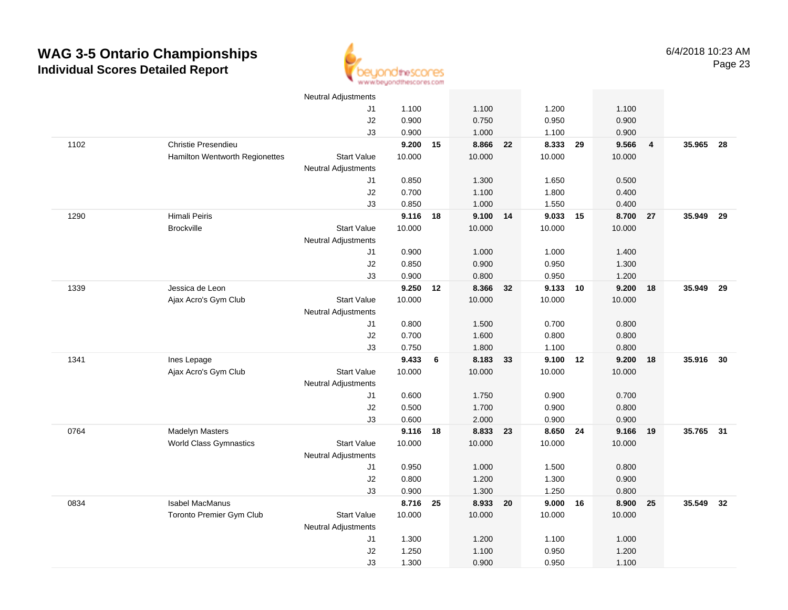

|      |                                 | <b>Neutral Adjustments</b> |          |    |          |    |        |    |        |                |           |      |
|------|---------------------------------|----------------------------|----------|----|----------|----|--------|----|--------|----------------|-----------|------|
|      |                                 | J1                         | 1.100    |    | 1.100    |    | 1.200  |    | 1.100  |                |           |      |
|      |                                 | J2                         | 0.900    |    | 0.750    |    | 0.950  |    | 0.900  |                |           |      |
|      |                                 | J3                         | 0.900    |    | 1.000    |    | 1.100  |    | 0.900  |                |           |      |
| 1102 | Christie Presendieu             |                            | 9.200    | 15 | 8.866    | 22 | 8.333  | 29 | 9.566  | $\overline{4}$ | 35.965 28 |      |
|      | Hamilton Wentworth Regionettes  | <b>Start Value</b>         | 10.000   |    | 10.000   |    | 10.000 |    | 10.000 |                |           |      |
|      |                                 | <b>Neutral Adjustments</b> |          |    |          |    |        |    |        |                |           |      |
|      |                                 | J1                         | 0.850    |    | 1.300    |    | 1.650  |    | 0.500  |                |           |      |
|      |                                 | J2                         | 0.700    |    | 1.100    |    | 1.800  |    | 0.400  |                |           |      |
|      |                                 | J3                         | 0.850    |    | 1.000    |    | 1.550  |    | 0.400  |                |           |      |
| 1290 | Himali Peiris                   |                            | 9.116 18 |    | 9.100 14 |    | 9.033  | 15 | 8.700  | 27             | 35.949    | - 29 |
|      | <b>Brockville</b>               | <b>Start Value</b>         | 10.000   |    | 10.000   |    | 10.000 |    | 10.000 |                |           |      |
|      |                                 | Neutral Adjustments        |          |    |          |    |        |    |        |                |           |      |
|      |                                 | J1                         | 0.900    |    | 1.000    |    | 1.000  |    | 1.400  |                |           |      |
|      |                                 | J2                         | 0.850    |    | 0.900    |    | 0.950  |    | 1.300  |                |           |      |
|      |                                 | J3                         | 0.900    |    | 0.800    |    | 0.950  |    | 1.200  |                |           |      |
| 1339 | Jessica de Leon                 |                            | 9.250    | 12 | 8.366    | 32 | 9.133  | 10 | 9.200  | 18             | 35.949    | 29   |
|      | Ajax Acro's Gym Club            | <b>Start Value</b>         | 10.000   |    | 10.000   |    | 10.000 |    | 10.000 |                |           |      |
|      |                                 | <b>Neutral Adjustments</b> |          |    |          |    |        |    |        |                |           |      |
|      |                                 | J1                         | 0.800    |    | 1.500    |    | 0.700  |    | 0.800  |                |           |      |
|      |                                 | J2                         | 0.700    |    | 1.600    |    | 0.800  |    | 0.800  |                |           |      |
|      |                                 | J3                         | 0.750    |    | 1.800    |    | 1.100  |    | 0.800  |                |           |      |
| 1341 | Ines Lepage                     |                            | 9.433    | 6  | 8.183    | 33 | 9.100  | 12 | 9.200  | 18             | 35.916    | 30   |
|      | Ajax Acro's Gym Club            | <b>Start Value</b>         | 10.000   |    | 10.000   |    | 10.000 |    | 10.000 |                |           |      |
|      |                                 | <b>Neutral Adjustments</b> |          |    |          |    |        |    |        |                |           |      |
|      |                                 | J1                         | 0.600    |    | 1.750    |    | 0.900  |    | 0.700  |                |           |      |
|      |                                 | J2                         | 0.500    |    | 1.700    |    | 0.900  |    | 0.800  |                |           |      |
|      |                                 | J3                         | 0.600    |    | 2.000    |    | 0.900  |    | 0.900  |                |           |      |
| 0764 | <b>Madelyn Masters</b>          |                            | 9.116 18 |    | 8.833 23 |    | 8.650  | 24 | 9.166  | 19             | 35.765 31 |      |
|      | World Class Gymnastics          | <b>Start Value</b>         | 10.000   |    | 10.000   |    | 10.000 |    | 10.000 |                |           |      |
|      |                                 | Neutral Adjustments        |          |    |          |    |        |    |        |                |           |      |
|      |                                 | J1                         | 0.950    |    | 1.000    |    | 1.500  |    | 0.800  |                |           |      |
|      |                                 | J2                         | 0.800    |    | 1.200    |    | 1.300  |    | 0.900  |                |           |      |
|      |                                 | J3                         | 0.900    |    | 1.300    |    | 1.250  |    | 0.800  |                |           |      |
| 0834 | <b>Isabel MacManus</b>          |                            | 8.716 25 |    | 8.933 20 |    | 9.000  | 16 | 8.900  | 25             | 35.549    | 32   |
|      | <b>Toronto Premier Gym Club</b> | <b>Start Value</b>         | 10.000   |    | 10.000   |    | 10.000 |    | 10.000 |                |           |      |
|      |                                 | <b>Neutral Adjustments</b> |          |    |          |    |        |    |        |                |           |      |
|      |                                 | J1                         | 1.300    |    | 1.200    |    | 1.100  |    | 1.000  |                |           |      |
|      |                                 | J2                         | 1.250    |    | 1.100    |    | 0.950  |    | 1.200  |                |           |      |
|      |                                 | J3                         | 1.300    |    | 0.900    |    | 0.950  |    | 1.100  |                |           |      |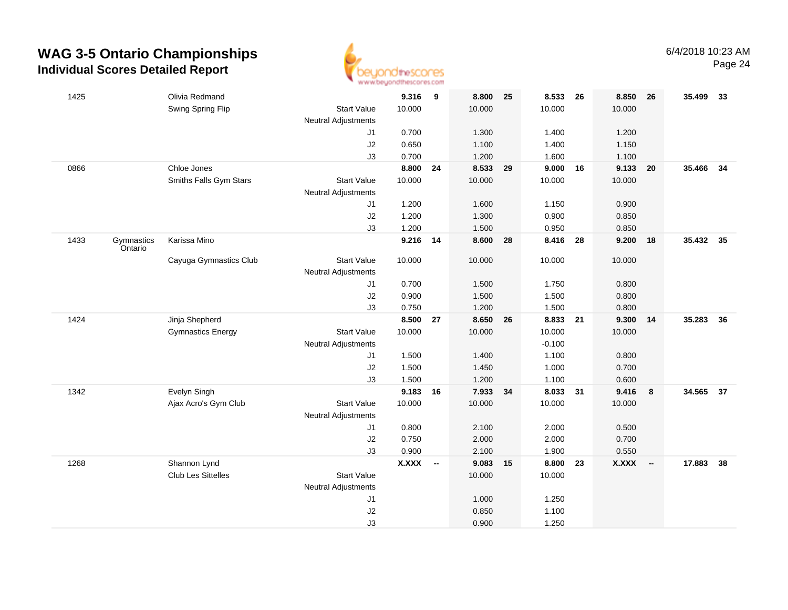

| 1425 |                       | Olivia Redmand            |                            | 9.316        | 9                        | 8.800    | 25 | 8.533      | 26 | 8.850        | 26                       | 35.499    | - 33 |
|------|-----------------------|---------------------------|----------------------------|--------------|--------------------------|----------|----|------------|----|--------------|--------------------------|-----------|------|
|      |                       | Swing Spring Flip         | <b>Start Value</b>         | 10.000       |                          | 10.000   |    | 10.000     |    | 10.000       |                          |           |      |
|      |                       |                           | <b>Neutral Adjustments</b> |              |                          |          |    |            |    |              |                          |           |      |
|      |                       |                           | J1                         | 0.700        |                          | 1.300    |    | 1.400      |    | 1.200        |                          |           |      |
|      |                       |                           | J2                         | 0.650        |                          | 1.100    |    | 1.400      |    | 1.150        |                          |           |      |
|      |                       |                           | J3                         | 0.700        |                          | 1.200    |    | 1.600      |    | 1.100        |                          |           |      |
| 0866 |                       | Chloe Jones               |                            | 8.800        | 24                       | 8.533 29 |    | $9.000$ 16 |    | 9.133        | 20                       | 35.466    | 34   |
|      |                       | Smiths Falls Gym Stars    | <b>Start Value</b>         | 10.000       |                          | 10.000   |    | 10.000     |    | 10.000       |                          |           |      |
|      |                       |                           | Neutral Adjustments        |              |                          |          |    |            |    |              |                          |           |      |
|      |                       |                           | J1                         | 1.200        |                          | 1.600    |    | 1.150      |    | 0.900        |                          |           |      |
|      |                       |                           | J2                         | 1.200        |                          | 1.300    |    | 0.900      |    | 0.850        |                          |           |      |
|      |                       |                           | J3                         | 1.200        |                          | 1.500    |    | 0.950      |    | 0.850        |                          |           |      |
| 1433 | Gymnastics<br>Ontario | Karissa Mino              |                            | 9.216        | 14                       | 8.600    | 28 | 8.416      | 28 | 9.200        | 18                       | 35.432 35 |      |
|      |                       | Cayuga Gymnastics Club    | <b>Start Value</b>         | 10.000       |                          | 10.000   |    | 10.000     |    | 10.000       |                          |           |      |
|      |                       |                           | <b>Neutral Adjustments</b> |              |                          |          |    |            |    |              |                          |           |      |
|      |                       |                           | J1                         | 0.700        |                          | 1.500    |    | 1.750      |    | 0.800        |                          |           |      |
|      |                       |                           | J2                         | 0.900        |                          | 1.500    |    | 1.500      |    | 0.800        |                          |           |      |
|      |                       |                           | J3                         | 0.750        |                          | 1.200    |    | 1.500      |    | 0.800        |                          |           |      |
| 1424 |                       | Jinja Shepherd            |                            | 8.500        | 27                       | 8.650 26 |    | 8.833 21   |    | 9.300        | 14                       | 35.283    | 36   |
|      |                       | <b>Gymnastics Energy</b>  | <b>Start Value</b>         | 10.000       |                          | 10.000   |    | 10.000     |    | 10.000       |                          |           |      |
|      |                       |                           | <b>Neutral Adjustments</b> |              |                          |          |    | $-0.100$   |    |              |                          |           |      |
|      |                       |                           | J1                         | 1.500        |                          | 1.400    |    | 1.100      |    | 0.800        |                          |           |      |
|      |                       |                           | J2                         | 1.500        |                          | 1.450    |    | 1.000      |    | 0.700        |                          |           |      |
|      |                       |                           | J3                         | 1.500        |                          | 1.200    |    | 1.100      |    | 0.600        |                          |           |      |
| 1342 |                       | Evelyn Singh              |                            | 9.183        | 16                       | 7.933 34 |    | 8.033 31   |    | 9.416        | 8                        | 34.565 37 |      |
|      |                       | Ajax Acro's Gym Club      | <b>Start Value</b>         | 10.000       |                          | 10.000   |    | 10.000     |    | 10.000       |                          |           |      |
|      |                       |                           | <b>Neutral Adjustments</b> |              |                          |          |    |            |    |              |                          |           |      |
|      |                       |                           | J1                         | 0.800        |                          | 2.100    |    | 2.000      |    | 0.500        |                          |           |      |
|      |                       |                           | J2                         | 0.750        |                          | 2.000    |    | 2.000      |    | 0.700        |                          |           |      |
|      |                       |                           | J3                         | 0.900        |                          | 2.100    |    | 1.900      |    | 0.550        |                          |           |      |
| 1268 |                       | Shannon Lynd              |                            | <b>X.XXX</b> | $\overline{\phantom{a}}$ | 9.083    | 15 | 8.800      | 23 | <b>X.XXX</b> | $\overline{\phantom{a}}$ | 17.883    | 38   |
|      |                       | <b>Club Les Sittelles</b> | <b>Start Value</b>         |              |                          | 10.000   |    | 10.000     |    |              |                          |           |      |
|      |                       |                           | Neutral Adjustments        |              |                          |          |    |            |    |              |                          |           |      |
|      |                       |                           | J1                         |              |                          | 1.000    |    | 1.250      |    |              |                          |           |      |
|      |                       |                           | $\sf J2$                   |              |                          | 0.850    |    | 1.100      |    |              |                          |           |      |
|      |                       |                           | J3                         |              |                          | 0.900    |    | 1.250      |    |              |                          |           |      |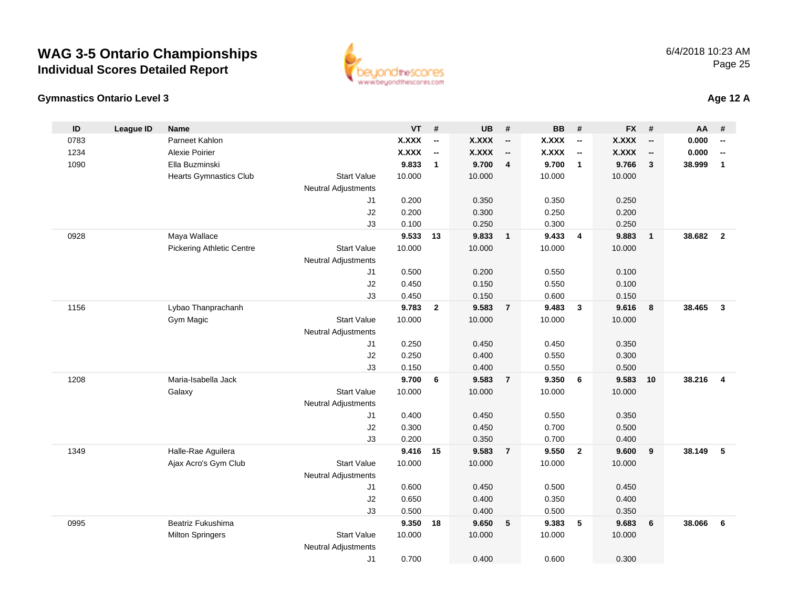



**Age 12 A**

| ID   | <b>League ID</b> | <b>Name</b>                   |                            | <b>VT</b>       | #                        | <b>UB</b>       | #                        | <b>BB</b>       | #                        | <b>FX</b>       | #                        | AA     | #                        |
|------|------------------|-------------------------------|----------------------------|-----------------|--------------------------|-----------------|--------------------------|-----------------|--------------------------|-----------------|--------------------------|--------|--------------------------|
| 0783 |                  | Parneet Kahlon                |                            | <b>X.XXX</b>    | $\overline{\phantom{a}}$ | <b>X.XXX</b>    | $\overline{\phantom{a}}$ | X.XXX           | $\overline{\phantom{a}}$ | <b>X.XXX</b>    | $\overline{\phantom{a}}$ | 0.000  | $\overline{\phantom{a}}$ |
| 1234 |                  | Alexie Poirier                |                            | <b>X.XXX</b>    | $\overline{\phantom{a}}$ | <b>X.XXX</b>    | $\overline{\phantom{a}}$ | <b>X.XXX</b>    | $\overline{\phantom{a}}$ | <b>X.XXX</b>    | $\overline{\phantom{a}}$ | 0.000  | $\overline{\phantom{a}}$ |
| 1090 |                  | Ella Buzminski                |                            | 9.833           | $\mathbf{1}$             | 9.700           | $\overline{4}$           | 9.700           | $\overline{1}$           | 9.766           | 3                        | 38.999 | $\mathbf{1}$             |
|      |                  | <b>Hearts Gymnastics Club</b> | <b>Start Value</b>         | 10.000          |                          | 10.000          |                          | 10.000          |                          | 10.000          |                          |        |                          |
|      |                  |                               | <b>Neutral Adjustments</b> |                 |                          |                 |                          |                 |                          |                 |                          |        |                          |
|      |                  |                               | J1                         | 0.200           |                          | 0.350           |                          | 0.350           |                          | 0.250           |                          |        |                          |
|      |                  |                               | J2                         | 0.200           |                          | 0.300           |                          | 0.250           |                          | 0.200           |                          |        |                          |
|      |                  |                               | J3                         | 0.100           |                          | 0.250           |                          | 0.300           |                          | 0.250           |                          |        |                          |
| 0928 |                  | Maya Wallace                  |                            | 9.533           | 13                       | 9.833           | $\overline{1}$           | 9.433           | $\overline{4}$           | 9.883           | $\overline{1}$           | 38.682 | $\overline{2}$           |
|      |                  | Pickering Athletic Centre     | <b>Start Value</b>         | 10.000          |                          | 10.000          |                          | 10.000          |                          | 10.000          |                          |        |                          |
|      |                  |                               | <b>Neutral Adjustments</b> |                 |                          |                 |                          |                 |                          |                 |                          |        |                          |
|      |                  |                               | J1                         | 0.500           |                          | 0.200           |                          | 0.550           |                          | 0.100           |                          |        |                          |
|      |                  |                               | J2                         | 0.450           |                          | 0.150           |                          | 0.550           |                          | 0.100           |                          |        |                          |
|      |                  |                               | J3                         | 0.450           |                          | 0.150           |                          | 0.600           |                          | 0.150           |                          |        |                          |
| 1156 |                  | Lybao Thanprachanh            |                            | 9.783           | $\mathbf{2}$             | 9.583           | $\overline{7}$           | 9.483           | $\overline{\mathbf{3}}$  | 9.616           | 8                        | 38.465 | $\mathbf{3}$             |
|      |                  | Gym Magic                     | <b>Start Value</b>         | 10.000          |                          | 10.000          |                          | 10.000          |                          | 10.000          |                          |        |                          |
|      |                  |                               | <b>Neutral Adjustments</b> |                 |                          |                 |                          |                 |                          |                 |                          |        |                          |
|      |                  |                               | J1                         | 0.250           |                          | 0.450           |                          | 0.450           |                          | 0.350           |                          |        |                          |
|      |                  |                               | J2                         | 0.250           |                          | 0.400           |                          | 0.550           |                          | 0.300           |                          |        |                          |
|      |                  |                               | J3                         | 0.150           |                          | 0.400           |                          | 0.550           |                          | 0.500           |                          |        |                          |
| 1208 |                  | Maria-Isabella Jack           | <b>Start Value</b>         | 9.700<br>10.000 | 6                        | 9.583<br>10.000 | $\overline{7}$           | 9.350<br>10.000 | 6                        | 9.583<br>10.000 | 10                       | 38.216 | $\overline{4}$           |
|      |                  | Galaxy                        | <b>Neutral Adjustments</b> |                 |                          |                 |                          |                 |                          |                 |                          |        |                          |
|      |                  |                               | J <sub>1</sub>             | 0.400           |                          | 0.450           |                          | 0.550           |                          | 0.350           |                          |        |                          |
|      |                  |                               | J2                         | 0.300           |                          | 0.450           |                          | 0.700           |                          | 0.500           |                          |        |                          |
|      |                  |                               | J3                         | 0.200           |                          | 0.350           |                          | 0.700           |                          | 0.400           |                          |        |                          |
| 1349 |                  | Halle-Rae Aguilera            |                            | 9.416           | 15                       | 9.583           | $\overline{7}$           | 9.550           | $\overline{2}$           | 9.600           | 9                        | 38.149 | 5                        |
|      |                  | Ajax Acro's Gym Club          | <b>Start Value</b>         | 10.000          |                          | 10.000          |                          | 10.000          |                          | 10.000          |                          |        |                          |
|      |                  |                               | <b>Neutral Adjustments</b> |                 |                          |                 |                          |                 |                          |                 |                          |        |                          |
|      |                  |                               | J <sub>1</sub>             | 0.600           |                          | 0.450           |                          | 0.500           |                          | 0.450           |                          |        |                          |
|      |                  |                               | J2                         | 0.650           |                          | 0.400           |                          | 0.350           |                          | 0.400           |                          |        |                          |
|      |                  |                               | J3                         | 0.500           |                          | 0.400           |                          | 0.500           |                          | 0.350           |                          |        |                          |
| 0995 |                  | Beatriz Fukushima             |                            | 9.350           | 18                       | 9.650           | 5                        | 9.383           | 5                        | 9.683           | 6                        | 38.066 | 6                        |
|      |                  | <b>Milton Springers</b>       | <b>Start Value</b>         | 10.000          |                          | 10.000          |                          | 10.000          |                          | 10.000          |                          |        |                          |
|      |                  |                               | <b>Neutral Adjustments</b> |                 |                          |                 |                          |                 |                          |                 |                          |        |                          |
|      |                  |                               | J <sub>1</sub>             | 0.700           |                          | 0.400           |                          | 0.600           |                          | 0.300           |                          |        |                          |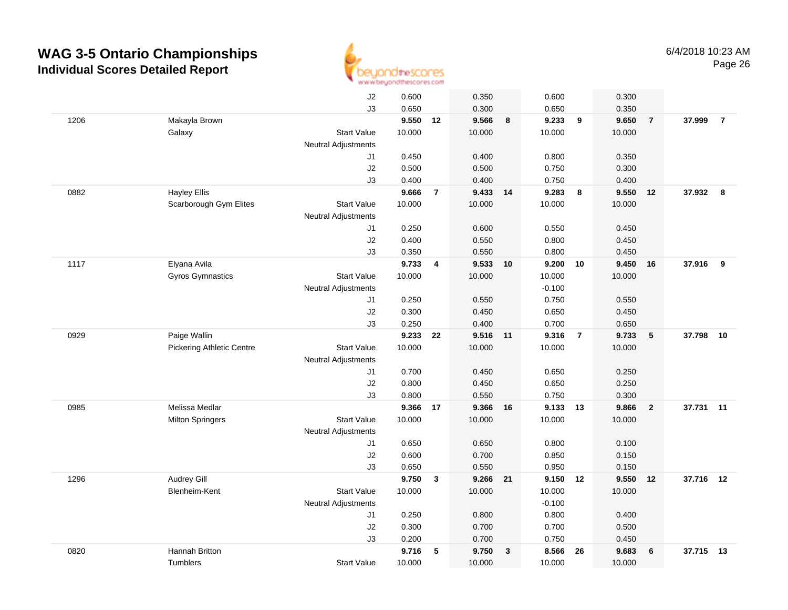

|      |                                  | J2                         | 0.600  |                | 0.350    |              | 0.600    |                | 0.300  |                 |           |                |
|------|----------------------------------|----------------------------|--------|----------------|----------|--------------|----------|----------------|--------|-----------------|-----------|----------------|
|      |                                  | J3                         | 0.650  |                | 0.300    |              | 0.650    |                | 0.350  |                 |           |                |
| 1206 | Makayla Brown                    |                            | 9.550  | 12             | 9.566    | 8            | 9.233    | 9              | 9.650  | $\overline{7}$  | 37.999    | $\overline{7}$ |
|      | Galaxy                           | <b>Start Value</b>         | 10.000 |                | 10.000   |              | 10.000   |                | 10.000 |                 |           |                |
|      |                                  | <b>Neutral Adjustments</b> |        |                |          |              |          |                |        |                 |           |                |
|      |                                  | J1                         | 0.450  |                | 0.400    |              | 0.800    |                | 0.350  |                 |           |                |
|      |                                  | J2                         | 0.500  |                | 0.500    |              | 0.750    |                | 0.300  |                 |           |                |
|      |                                  | J3                         | 0.400  |                | 0.400    |              | 0.750    |                | 0.400  |                 |           |                |
| 0882 | <b>Hayley Ellis</b>              |                            | 9.666  | $\overline{7}$ | 9.433 14 |              | 9.283    | 8              | 9.550  | 12              | 37.932 8  |                |
|      | Scarborough Gym Elites           | <b>Start Value</b>         | 10.000 |                | 10.000   |              | 10.000   |                | 10.000 |                 |           |                |
|      |                                  | <b>Neutral Adjustments</b> |        |                |          |              |          |                |        |                 |           |                |
|      |                                  | J1                         | 0.250  |                | 0.600    |              | 0.550    |                | 0.450  |                 |           |                |
|      |                                  | J2                         | 0.400  |                | 0.550    |              | 0.800    |                | 0.450  |                 |           |                |
|      |                                  | J3                         | 0.350  |                | 0.550    |              | 0.800    |                | 0.450  |                 |           |                |
| 1117 | Elyana Avila                     |                            | 9.733  | 4              | 9.533    | 10           | 9.200    | 10             | 9.450  | 16              | 37.916    | 9              |
|      | Gyros Gymnastics                 | <b>Start Value</b>         | 10.000 |                | 10.000   |              | 10.000   |                | 10.000 |                 |           |                |
|      |                                  | <b>Neutral Adjustments</b> |        |                |          |              | $-0.100$ |                |        |                 |           |                |
|      |                                  | J1                         | 0.250  |                | 0.550    |              | 0.750    |                | 0.550  |                 |           |                |
|      |                                  | J2                         | 0.300  |                | 0.450    |              | 0.650    |                | 0.450  |                 |           |                |
|      |                                  | J3                         | 0.250  |                | 0.400    |              | 0.700    |                | 0.650  |                 |           |                |
| 0929 | Paige Wallin                     |                            | 9.233  | 22             | 9.516 11 |              | 9.316    | $\overline{7}$ | 9.733  | $5\phantom{.0}$ | 37.798    | 10             |
|      | <b>Pickering Athletic Centre</b> | <b>Start Value</b>         | 10.000 |                | 10.000   |              | 10.000   |                | 10.000 |                 |           |                |
|      |                                  | <b>Neutral Adjustments</b> |        |                |          |              |          |                |        |                 |           |                |
|      |                                  | J1                         | 0.700  |                | 0.450    |              | 0.650    |                | 0.250  |                 |           |                |
|      |                                  | J2                         | 0.800  |                | 0.450    |              | 0.650    |                | 0.250  |                 |           |                |
|      |                                  | J3                         | 0.800  |                | 0.550    |              | 0.750    |                | 0.300  |                 |           |                |
| 0985 | Melissa Medlar                   |                            | 9.366  | 17             | 9.366    | 16           | 9.133 13 |                | 9.866  | $\overline{2}$  | 37.731 11 |                |
|      | <b>Milton Springers</b>          | <b>Start Value</b>         | 10.000 |                | 10.000   |              | 10.000   |                | 10.000 |                 |           |                |
|      |                                  | <b>Neutral Adjustments</b> |        |                |          |              |          |                |        |                 |           |                |
|      |                                  | J1                         | 0.650  |                | 0.650    |              | 0.800    |                | 0.100  |                 |           |                |
|      |                                  | J2                         | 0.600  |                | 0.700    |              | 0.850    |                | 0.150  |                 |           |                |
|      |                                  | J3                         | 0.650  |                | 0.550    |              | 0.950    |                | 0.150  |                 |           |                |
| 1296 | <b>Audrey Gill</b>               |                            | 9.750  | $\mathbf{3}$   | 9.266 21 |              | 9.150 12 |                | 9.550  | 12              | 37.716 12 |                |
|      | Blenheim-Kent                    | <b>Start Value</b>         | 10.000 |                | 10.000   |              | 10.000   |                | 10.000 |                 |           |                |
|      |                                  | <b>Neutral Adjustments</b> |        |                |          |              | $-0.100$ |                |        |                 |           |                |
|      |                                  | J1                         | 0.250  |                | 0.800    |              | 0.800    |                | 0.400  |                 |           |                |
|      |                                  | J2                         | 0.300  |                | 0.700    |              | 0.700    |                | 0.500  |                 |           |                |
|      |                                  | J3                         | 0.200  |                | 0.700    |              | 0.750    |                | 0.450  |                 |           |                |
| 0820 | Hannah Britton                   |                            | 9.716  | 5              | 9.750    | $\mathbf{3}$ | 8.566    | 26             | 9.683  | 6               | 37.715    | 13             |
|      | Tumblers                         | <b>Start Value</b>         | 10.000 |                | 10.000   |              | 10.000   |                | 10.000 |                 |           |                |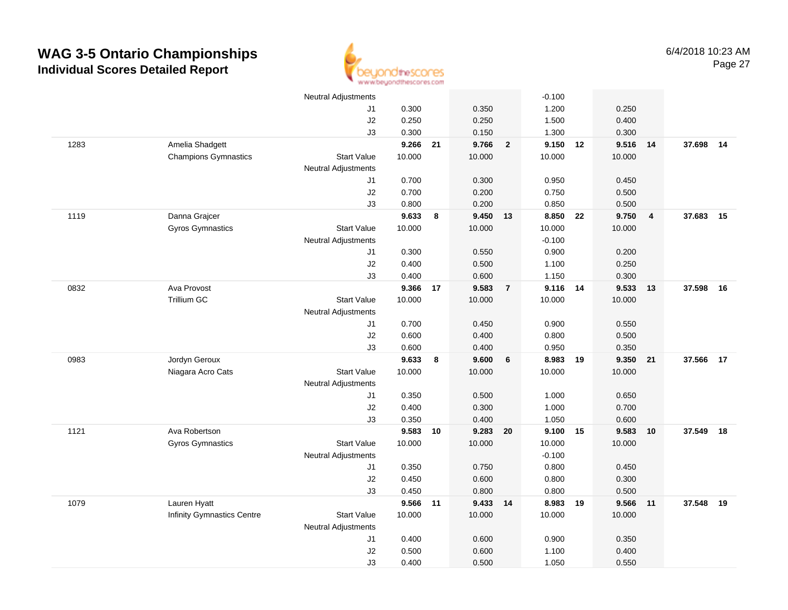

|      |                                   | <b>Neutral Adjustments</b> |          |    |          |                | $-0.100$ |    |        |                |        |      |
|------|-----------------------------------|----------------------------|----------|----|----------|----------------|----------|----|--------|----------------|--------|------|
|      |                                   | J1                         | 0.300    |    | 0.350    |                | 1.200    |    | 0.250  |                |        |      |
|      |                                   | J2                         | 0.250    |    | 0.250    |                | 1.500    |    | 0.400  |                |        |      |
|      |                                   | J3                         | 0.300    |    | 0.150    |                | 1.300    |    | 0.300  |                |        |      |
| 1283 | Amelia Shadgett                   |                            | 9.266    | 21 | 9.766    | $\overline{2}$ | 9.150    | 12 | 9.516  | 14             | 37.698 | - 14 |
|      | <b>Champions Gymnastics</b>       | <b>Start Value</b>         | 10.000   |    | 10.000   |                | 10.000   |    | 10.000 |                |        |      |
|      |                                   | <b>Neutral Adjustments</b> |          |    |          |                |          |    |        |                |        |      |
|      |                                   | J1                         | 0.700    |    | 0.300    |                | 0.950    |    | 0.450  |                |        |      |
|      |                                   | J2                         | 0.700    |    | 0.200    |                | 0.750    |    | 0.500  |                |        |      |
|      |                                   | J3                         | 0.800    |    | 0.200    |                | 0.850    |    | 0.500  |                |        |      |
| 1119 | Danna Grajcer                     |                            | 9.633    | 8  | 9.450 13 |                | 8.850 22 |    | 9.750  | $\overline{4}$ | 37.683 | 15   |
|      | <b>Gyros Gymnastics</b>           | <b>Start Value</b>         | 10.000   |    | 10.000   |                | 10.000   |    | 10.000 |                |        |      |
|      |                                   | <b>Neutral Adjustments</b> |          |    |          |                | $-0.100$ |    |        |                |        |      |
|      |                                   | J1                         | 0.300    |    | 0.550    |                | 0.900    |    | 0.200  |                |        |      |
|      |                                   | J2                         | 0.400    |    | 0.500    |                | 1.100    |    | 0.250  |                |        |      |
|      |                                   | J3                         | 0.400    |    | 0.600    |                | 1.150    |    | 0.300  |                |        |      |
| 0832 | Ava Provost                       |                            | 9.366    | 17 | 9.583    | $\overline{7}$ | 9.116 14 |    | 9.533  | 13             | 37.598 | 16   |
|      | <b>Trillium GC</b>                | <b>Start Value</b>         | 10.000   |    | 10.000   |                | 10.000   |    | 10.000 |                |        |      |
|      |                                   | <b>Neutral Adjustments</b> |          |    |          |                |          |    |        |                |        |      |
|      |                                   | J1                         | 0.700    |    | 0.450    |                | 0.900    |    | 0.550  |                |        |      |
|      |                                   | J2                         | 0.600    |    | 0.400    |                | 0.800    |    | 0.500  |                |        |      |
|      |                                   | J3                         | 0.600    |    | 0.400    |                | 0.950    |    | 0.350  |                |        |      |
| 0983 | Jordyn Geroux                     |                            | 9.633    | 8  | 9.600    | 6              | 8.983    | 19 | 9.350  | 21             | 37.566 | 17   |
|      | Niagara Acro Cats                 | <b>Start Value</b>         | 10.000   |    | 10.000   |                | 10.000   |    | 10.000 |                |        |      |
|      |                                   | <b>Neutral Adjustments</b> |          |    |          |                |          |    |        |                |        |      |
|      |                                   | J1                         | 0.350    |    | 0.500    |                | 1.000    |    | 0.650  |                |        |      |
|      |                                   | J2                         | 0.400    |    | 0.300    |                | 1.000    |    | 0.700  |                |        |      |
|      |                                   | J3                         | 0.350    |    | 0.400    |                | 1.050    |    | 0.600  |                |        |      |
| 1121 | Ava Robertson                     |                            | 9.583 10 |    | 9.283 20 |                | 9.100 15 |    | 9.583  | 10             | 37.549 | 18   |
|      | <b>Gyros Gymnastics</b>           | <b>Start Value</b>         | 10.000   |    | 10.000   |                | 10.000   |    | 10.000 |                |        |      |
|      |                                   | <b>Neutral Adjustments</b> |          |    |          |                | $-0.100$ |    |        |                |        |      |
|      |                                   | J1                         | 0.350    |    | 0.750    |                | 0.800    |    | 0.450  |                |        |      |
|      |                                   | J2                         | 0.450    |    | 0.600    |                | 0.800    |    | 0.300  |                |        |      |
|      |                                   | J3                         | 0.450    |    | 0.800    |                | 0.800    |    | 0.500  |                |        |      |
| 1079 | Lauren Hyatt                      |                            | 9.566 11 |    | 9.433 14 |                | 8.983    | 19 | 9.566  | 11             | 37.548 | 19   |
|      | <b>Infinity Gymnastics Centre</b> | <b>Start Value</b>         | 10.000   |    | 10.000   |                | 10.000   |    | 10.000 |                |        |      |
|      |                                   | <b>Neutral Adjustments</b> | 0.400    |    | 0.600    |                | 0.900    |    | 0.350  |                |        |      |
|      |                                   | J <sub>1</sub><br>J2       | 0.500    |    | 0.600    |                | 1.100    |    | 0.400  |                |        |      |
|      |                                   | J3                         | 0.400    |    | 0.500    |                | 1.050    |    | 0.550  |                |        |      |
|      |                                   |                            |          |    |          |                |          |    |        |                |        |      |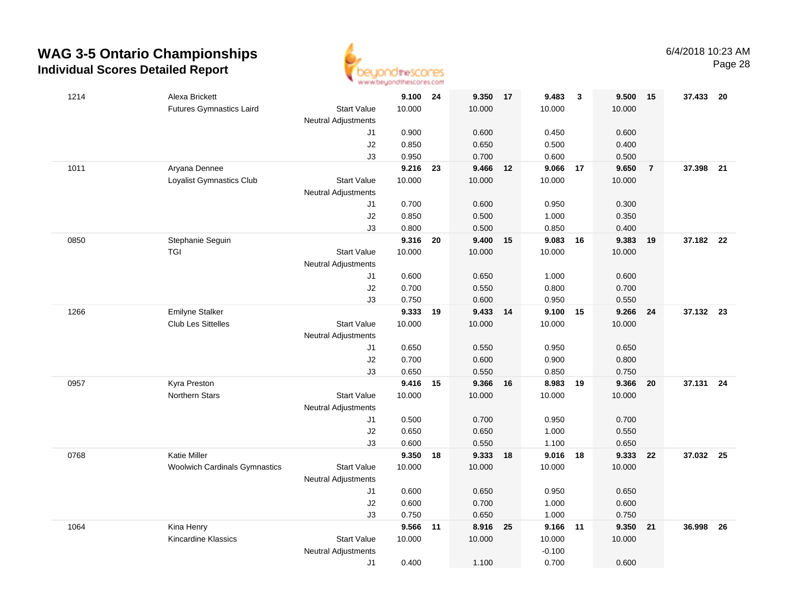

| 1214 | Alexa Brickett                       |                            | 9.100 24       |       | 9.350          | 17 | 9.483          | $\overline{\mathbf{3}}$ | 9.500          | 15             | 37.433    | - 20 |
|------|--------------------------------------|----------------------------|----------------|-------|----------------|----|----------------|-------------------------|----------------|----------------|-----------|------|
|      | <b>Futures Gymnastics Laird</b>      | <b>Start Value</b>         | 10.000         |       | 10.000         |    | 10.000         |                         | 10.000         |                |           |      |
|      |                                      | <b>Neutral Adjustments</b> |                |       |                |    |                |                         |                |                |           |      |
|      |                                      | J1                         | 0.900          |       | 0.600          |    | 0.450          |                         | 0.600          |                |           |      |
|      |                                      | J2                         | 0.850          |       | 0.650          |    | 0.500          |                         | 0.400          |                |           |      |
|      |                                      | J3                         | 0.950          |       | 0.700          |    | 0.600          |                         | 0.500          |                |           |      |
| 1011 | Aryana Dennee                        |                            | 9.216          | 23    | 9.466          | 12 | 9.066          | 17                      | 9.650          | $\overline{7}$ | 37.398 21 |      |
|      | Loyalist Gymnastics Club             | <b>Start Value</b>         | 10.000         |       | 10.000         |    | 10.000         |                         | 10.000         |                |           |      |
|      |                                      | <b>Neutral Adjustments</b> |                |       |                |    |                |                         |                |                |           |      |
|      |                                      | J1                         | 0.700          |       | 0.600          |    | 0.950          |                         | 0.300          |                |           |      |
|      |                                      | J2                         | 0.850          |       | 0.500          |    | 1.000          |                         | 0.350          |                |           |      |
|      |                                      | J3                         | 0.800          |       | 0.500          |    | 0.850          |                         | 0.400          |                |           |      |
| 0850 | Stephanie Seguin                     |                            | 9.316          | 20    | 9.400          | 15 | 9.083          | 16                      | 9.383          | 19             | 37.182 22 |      |
|      | <b>TGI</b>                           | <b>Start Value</b>         | 10.000         |       | 10.000         |    | 10.000         |                         | 10.000         |                |           |      |
|      |                                      | <b>Neutral Adjustments</b> |                |       |                |    |                |                         |                |                |           |      |
|      |                                      | J1                         | 0.600          |       | 0.650          |    | 1.000          |                         | 0.600          |                |           |      |
|      |                                      | J2                         | 0.700          |       | 0.550          |    | 0.800          |                         | 0.700          |                |           |      |
|      |                                      | J3                         | 0.750          |       | 0.600          |    | 0.950          |                         | 0.550          |                |           |      |
| 1266 | <b>Emilyne Stalker</b>               |                            | 9.333 19       |       | 9.433 14       |    | 9.100          | 15                      | 9.266          | 24             | 37.132 23 |      |
|      | <b>Club Les Sittelles</b>            | <b>Start Value</b>         | 10.000         |       | 10.000         |    | 10.000         |                         | 10.000         |                |           |      |
|      |                                      | <b>Neutral Adjustments</b> |                |       |                |    |                |                         |                |                |           |      |
|      |                                      | J1                         | 0.650          |       | 0.550          |    | 0.950          |                         | 0.650          |                |           |      |
|      |                                      | J2                         | 0.700          |       | 0.600          |    | 0.900          |                         | 0.800          |                |           |      |
|      |                                      | J3                         | 0.650          |       | 0.550          |    | 0.850          |                         | 0.750          |                |           |      |
| 0957 | Kyra Preston                         |                            | 9.416          | 15    | 9.366          | 16 | 8.983          | 19                      | 9.366          | 20             | 37.131    | 24   |
|      | Northern Stars                       | <b>Start Value</b>         | 10.000         |       | 10.000         |    | 10.000         |                         | 10.000         |                |           |      |
|      |                                      | <b>Neutral Adjustments</b> |                |       |                |    |                |                         |                |                |           |      |
|      |                                      | J1<br>J2                   | 0.500<br>0.650 |       | 0.700<br>0.650 |    | 0.950<br>1.000 |                         | 0.700<br>0.550 |                |           |      |
|      |                                      | J3                         | 0.600          |       | 0.550          |    | 1.100          |                         | 0.650          |                |           |      |
| 0768 | <b>Katie Miller</b>                  |                            | 9.350          | 18    | 9.333 18       |    | 9.016          | 18                      | 9.333          | 22             | 37.032 25 |      |
|      | <b>Woolwich Cardinals Gymnastics</b> | <b>Start Value</b>         | 10.000         |       | 10.000         |    | 10.000         |                         | 10.000         |                |           |      |
|      |                                      | <b>Neutral Adjustments</b> |                |       |                |    |                |                         |                |                |           |      |
|      |                                      | J1                         | 0.600          |       | 0.650          |    | 0.950          |                         | 0.650          |                |           |      |
|      |                                      | J2                         | 0.600          |       | 0.700          |    | 1.000          |                         | 0.600          |                |           |      |
|      |                                      | J3                         | 0.750          |       | 0.650          |    | 1.000          |                         | 0.750          |                |           |      |
| 1064 | Kina Henry                           |                            | 9.566          | $-11$ | 8.916          | 25 | 9.166          | 11                      | 9.350          | 21             | 36.998    | 26   |
|      | Kincardine Klassics                  | <b>Start Value</b>         | 10.000         |       | 10.000         |    | 10.000         |                         | 10.000         |                |           |      |
|      |                                      | <b>Neutral Adjustments</b> |                |       |                |    | $-0.100$       |                         |                |                |           |      |
|      |                                      | J1                         | 0.400          |       | 1.100          |    | 0.700          |                         | 0.600          |                |           |      |
|      |                                      |                            |                |       |                |    |                |                         |                |                |           |      |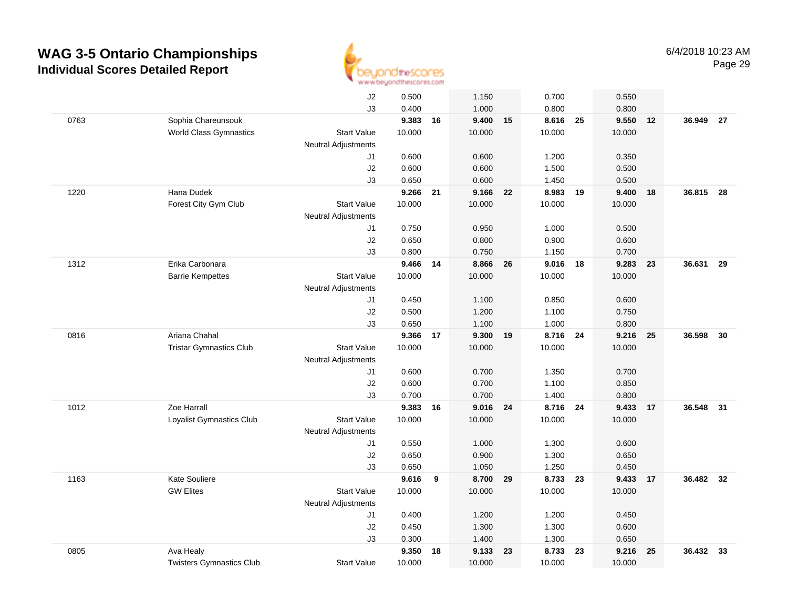

|      |                                 | J2                         | 0.500    |    | 1.150    |    | 0.700    |    | 0.550    |    |           |      |
|------|---------------------------------|----------------------------|----------|----|----------|----|----------|----|----------|----|-----------|------|
|      |                                 | J3                         | 0.400    |    | 1.000    |    | 0.800    |    | 0.800    |    |           |      |
| 0763 | Sophia Chareunsouk              |                            | 9.383 16 |    | 9.400    | 15 | 8.616 25 |    | 9.550    | 12 | 36.949    | - 27 |
|      | <b>World Class Gymnastics</b>   | <b>Start Value</b>         | 10.000   |    | 10.000   |    | 10.000   |    | 10.000   |    |           |      |
|      |                                 | <b>Neutral Adjustments</b> |          |    |          |    |          |    |          |    |           |      |
|      |                                 | J1                         | 0.600    |    | 0.600    |    | 1.200    |    | 0.350    |    |           |      |
|      |                                 | J2                         | 0.600    |    | 0.600    |    | 1.500    |    | 0.500    |    |           |      |
|      |                                 | J3                         | 0.650    |    | 0.600    |    | 1.450    |    | 0.500    |    |           |      |
| 1220 | Hana Dudek                      |                            | 9.266    | 21 | 9.166    | 22 | 8.983    | 19 | 9.400    | 18 | 36.815    | - 28 |
|      | Forest City Gym Club            | <b>Start Value</b>         | 10.000   |    | 10.000   |    | 10.000   |    | 10.000   |    |           |      |
|      |                                 | Neutral Adjustments        |          |    |          |    |          |    |          |    |           |      |
|      |                                 | J1                         | 0.750    |    | 0.950    |    | 1.000    |    | 0.500    |    |           |      |
|      |                                 | J2                         | 0.650    |    | 0.800    |    | 0.900    |    | 0.600    |    |           |      |
|      |                                 | J3                         | 0.800    |    | 0.750    |    | 1.150    |    | 0.700    |    |           |      |
| 1312 | Erika Carbonara                 |                            | 9.466    | 14 | 8.866    | 26 | 9.016 18 |    | 9.283 23 |    | 36.631 29 |      |
|      | <b>Barrie Kempettes</b>         | <b>Start Value</b>         | 10.000   |    | 10.000   |    | 10.000   |    | 10.000   |    |           |      |
|      |                                 | <b>Neutral Adjustments</b> |          |    |          |    |          |    |          |    |           |      |
|      |                                 | J1                         | 0.450    |    | 1.100    |    | 0.850    |    | 0.600    |    |           |      |
|      |                                 | J2                         | 0.500    |    | 1.200    |    | 1.100    |    | 0.750    |    |           |      |
|      |                                 | J3                         | 0.650    |    | 1.100    |    | 1.000    |    | 0.800    |    |           |      |
| 0816 | Ariana Chahal                   |                            | 9.366    | 17 | 9.300    | 19 | 8.716 24 |    | 9.216    | 25 | 36.598    | 30   |
|      | <b>Tristar Gymnastics Club</b>  | <b>Start Value</b>         | 10.000   |    | 10.000   |    | 10.000   |    | 10.000   |    |           |      |
|      |                                 | Neutral Adjustments        |          |    |          |    |          |    |          |    |           |      |
|      |                                 | J1                         | 0.600    |    | 0.700    |    | 1.350    |    | 0.700    |    |           |      |
|      |                                 | J2                         | 0.600    |    | 0.700    |    | 1.100    |    | 0.850    |    |           |      |
|      |                                 | J3                         | 0.700    |    | 0.700    |    | 1.400    |    | 0.800    |    |           | 31   |
| 1012 | Zoe Harrall                     |                            | 9.383    | 16 | 9.016 24 |    | 8.716 24 |    | 9.433    | 17 | 36.548    |      |
|      | Loyalist Gymnastics Club        | <b>Start Value</b>         | 10.000   |    | 10.000   |    | 10.000   |    | 10.000   |    |           |      |
|      |                                 | Neutral Adjustments<br>J1  | 0.550    |    | 1.000    |    | 1.300    |    | 0.600    |    |           |      |
|      |                                 | J2                         | 0.650    |    | 0.900    |    | 1.300    |    | 0.650    |    |           |      |
|      |                                 | J3                         | 0.650    |    | 1.050    |    | 1.250    |    | 0.450    |    |           |      |
| 1163 | <b>Kate Souliere</b>            |                            | 9.616    | 9  | 8.700    | 29 | 8.733 23 |    | 9.433 17 |    | 36.482 32 |      |
|      | <b>GW Elites</b>                | <b>Start Value</b>         | 10.000   |    | 10.000   |    | 10.000   |    | 10.000   |    |           |      |
|      |                                 | <b>Neutral Adjustments</b> |          |    |          |    |          |    |          |    |           |      |
|      |                                 | J1                         | 0.400    |    | 1.200    |    | 1.200    |    | 0.450    |    |           |      |
|      |                                 | J2                         | 0.450    |    | 1.300    |    | 1.300    |    | 0.600    |    |           |      |
|      |                                 | J3                         | 0.300    |    | 1.400    |    | 1.300    |    | 0.650    |    |           |      |
| 0805 | Ava Healy                       |                            | 9.350    | 18 | 9.133    | 23 | 8.733    | 23 | 9.216    | 25 | 36.432    | 33   |
|      | <b>Twisters Gymnastics Club</b> | <b>Start Value</b>         | 10.000   |    | 10.000   |    | 10.000   |    | 10.000   |    |           |      |
|      |                                 |                            |          |    |          |    |          |    |          |    |           |      |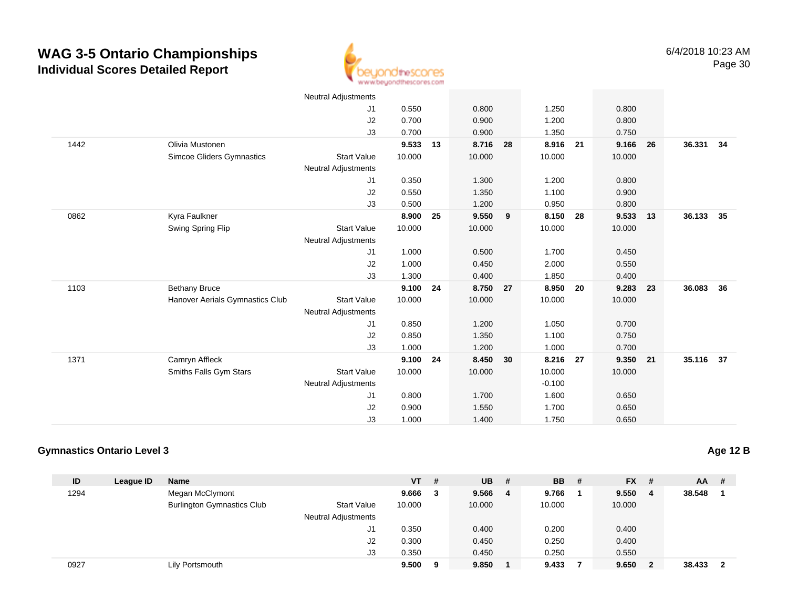

|      |                                 | <b>Neutral Adjustments</b> |        |    |        |                         |          |    |        |    |           |    |
|------|---------------------------------|----------------------------|--------|----|--------|-------------------------|----------|----|--------|----|-----------|----|
|      |                                 | J <sub>1</sub>             | 0.550  |    | 0.800  |                         | 1.250    |    | 0.800  |    |           |    |
|      |                                 | J <sub>2</sub>             | 0.700  |    | 0.900  |                         | 1.200    |    | 0.800  |    |           |    |
|      |                                 | J3                         | 0.700  |    | 0.900  |                         | 1.350    |    | 0.750  |    |           |    |
| 1442 | Olivia Mustonen                 |                            | 9.533  | 13 | 8.716  | 28                      | 8.916 21 |    | 9.166  | 26 | 36.331 34 |    |
|      | Simcoe Gliders Gymnastics       | <b>Start Value</b>         | 10.000 |    | 10.000 |                         | 10.000   |    | 10.000 |    |           |    |
|      |                                 | <b>Neutral Adjustments</b> |        |    |        |                         |          |    |        |    |           |    |
|      |                                 | J <sub>1</sub>             | 0.350  |    | 1.300  |                         | 1.200    |    | 0.800  |    |           |    |
|      |                                 | J <sub>2</sub>             | 0.550  |    | 1.350  |                         | 1.100    |    | 0.900  |    |           |    |
|      |                                 | J3                         | 0.500  |    | 1.200  |                         | 0.950    |    | 0.800  |    |           |    |
| 0862 | Kyra Faulkner                   |                            | 8.900  | 25 | 9.550  | $\overline{\mathbf{9}}$ | 8.150    | 28 | 9.533  | 13 | 36.133 35 |    |
|      | Swing Spring Flip               | <b>Start Value</b>         | 10.000 |    | 10.000 |                         | 10.000   |    | 10.000 |    |           |    |
|      |                                 | <b>Neutral Adjustments</b> |        |    |        |                         |          |    |        |    |           |    |
|      |                                 | J <sub>1</sub>             | 1.000  |    | 0.500  |                         | 1.700    |    | 0.450  |    |           |    |
|      |                                 | J <sub>2</sub>             | 1.000  |    | 0.450  |                         | 2.000    |    | 0.550  |    |           |    |
|      |                                 | J3                         | 1.300  |    | 0.400  |                         | 1.850    |    | 0.400  |    |           |    |
| 1103 | <b>Bethany Bruce</b>            |                            | 9.100  | 24 | 8.750  | 27                      | 8.950    | 20 | 9.283  | 23 | 36.083    | 36 |
|      | Hanover Aerials Gymnastics Club | <b>Start Value</b>         | 10.000 |    | 10.000 |                         | 10.000   |    | 10.000 |    |           |    |
|      |                                 | <b>Neutral Adjustments</b> |        |    |        |                         |          |    |        |    |           |    |
|      |                                 | J <sub>1</sub>             | 0.850  |    | 1.200  |                         | 1.050    |    | 0.700  |    |           |    |
|      |                                 | J <sub>2</sub>             | 0.850  |    | 1.350  |                         | 1.100    |    | 0.750  |    |           |    |
|      |                                 | J3                         | 1.000  |    | 1.200  |                         | 1.000    |    | 0.700  |    |           |    |
| 1371 | Camryn Affleck                  |                            | 9.100  | 24 | 8.450  | 30                      | 8.216    | 27 | 9.350  | 21 | 35.116 37 |    |
|      | Smiths Falls Gym Stars          | <b>Start Value</b>         | 10.000 |    | 10.000 |                         | 10.000   |    | 10.000 |    |           |    |
|      |                                 | <b>Neutral Adjustments</b> |        |    |        |                         | $-0.100$ |    |        |    |           |    |
|      |                                 | J <sub>1</sub>             | 0.800  |    | 1.700  |                         | 1.600    |    | 0.650  |    |           |    |
|      |                                 | J <sub>2</sub>             | 0.900  |    | 1.550  |                         | 1.700    |    | 0.650  |    |           |    |
|      |                                 | J3                         | 1.000  |    | 1.400  |                         | 1.750    |    | 0.650  |    |           |    |

#### **Gymnastics Ontario Level 3**

| ID   | League ID | <b>Name</b>                       |                            | <b>VT</b> | # | <b>UB</b> | # | <b>BB</b> # | $FX$ # |   | $AA$ #   |  |
|------|-----------|-----------------------------------|----------------------------|-----------|---|-----------|---|-------------|--------|---|----------|--|
| 1294 |           | Megan McClymont                   |                            | 9.666     | 3 | 9.566     | 4 | 9.766       | 9.550  | 4 | 38.548   |  |
|      |           | <b>Burlington Gymnastics Club</b> | <b>Start Value</b>         | 10.000    |   | 10.000    |   | 10.000      | 10.000 |   |          |  |
|      |           |                                   | <b>Neutral Adjustments</b> |           |   |           |   |             |        |   |          |  |
|      |           |                                   | J <sub>1</sub>             | 0.350     |   | 0.400     |   | 0.200       | 0.400  |   |          |  |
|      |           |                                   | J <sub>2</sub>             | 0.300     |   | 0.450     |   | 0.250       | 0.400  |   |          |  |
|      |           |                                   | J3                         | 0.350     |   | 0.450     |   | 0.250       | 0.550  |   |          |  |
| 0927 |           | Lily Portsmouth                   |                            | 9.500     | 9 | 9.850     |   | 9.433       | 9.650  | 2 | 38.433 2 |  |

**Age 12 B**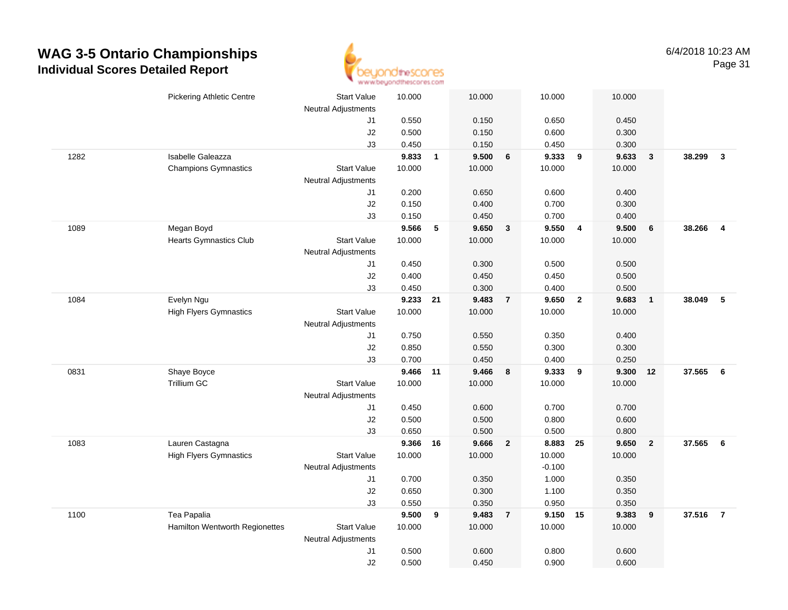

|      | <b>Pickering Athletic Centre</b> | <b>Start Value</b>         | 10.000         |              | 10.000         |                | 10.000         |                         | 10.000         |                  |          |                |
|------|----------------------------------|----------------------------|----------------|--------------|----------------|----------------|----------------|-------------------------|----------------|------------------|----------|----------------|
|      |                                  | <b>Neutral Adjustments</b> |                |              |                |                |                |                         |                |                  |          |                |
|      |                                  | J1                         | 0.550<br>0.500 |              | 0.150          |                | 0.650          |                         | 0.450          |                  |          |                |
|      |                                  | J2                         |                |              | 0.150          |                | 0.600          |                         | 0.300          |                  |          |                |
| 1282 | Isabelle Galeazza                | J3                         | 0.450<br>9.833 | $\mathbf{1}$ | 0.150<br>9.500 | 6              | 0.450<br>9.333 | $\overline{\mathbf{9}}$ | 0.300<br>9.633 | $\mathbf{3}$     | 38.299   | $\mathbf{3}$   |
|      | <b>Champions Gymnastics</b>      | <b>Start Value</b>         | 10.000         |              | 10.000         |                | 10.000         |                         | 10.000         |                  |          |                |
|      |                                  | <b>Neutral Adjustments</b> |                |              |                |                |                |                         |                |                  |          |                |
|      |                                  | J1                         | 0.200          |              | 0.650          |                | 0.600          |                         | 0.400          |                  |          |                |
|      |                                  | $\sf J2$                   | 0.150          |              | 0.400          |                | 0.700          |                         | 0.300          |                  |          |                |
|      |                                  | J3                         | 0.150          |              | 0.450          |                | 0.700          |                         | 0.400          |                  |          |                |
| 1089 | Megan Boyd                       |                            | 9.566          | 5            | 9.650          | $\mathbf{3}$   | 9.550          | $\overline{4}$          | 9.500          | 6                | 38.266   | $\overline{4}$ |
|      | <b>Hearts Gymnastics Club</b>    | <b>Start Value</b>         | 10.000         |              | 10.000         |                | 10.000         |                         | 10.000         |                  |          |                |
|      |                                  | <b>Neutral Adjustments</b> |                |              |                |                |                |                         |                |                  |          |                |
|      |                                  | J1                         | 0.450          |              | 0.300          |                | 0.500          |                         | 0.500          |                  |          |                |
|      |                                  | J2                         | 0.400          |              | 0.450          |                | 0.450          |                         | 0.500          |                  |          |                |
|      |                                  | J3                         | 0.450          |              | 0.300          |                | 0.400          |                         | 0.500          |                  |          |                |
| 1084 | Evelyn Ngu                       |                            | 9.233          | 21           | 9.483          | $\overline{7}$ | 9.650          | $\overline{2}$          | 9.683          | $\mathbf{1}$     | 38.049   | 5              |
|      | <b>High Flyers Gymnastics</b>    | <b>Start Value</b>         | 10.000         |              | 10.000         |                | 10.000         |                         | 10.000         |                  |          |                |
|      |                                  | <b>Neutral Adjustments</b> |                |              |                |                |                |                         |                |                  |          |                |
|      |                                  | J1                         | 0.750          |              | 0.550          |                | 0.350          |                         | 0.400          |                  |          |                |
|      |                                  | J2                         | 0.850          |              | 0.550          |                | 0.300          |                         | 0.300          |                  |          |                |
|      |                                  | J3                         | 0.700          |              | 0.450          |                | 0.400          |                         | 0.250          |                  |          |                |
| 0831 | Shaye Boyce                      |                            | 9.466          | 11           | 9.466          | 8              | 9.333          | 9                       | 9.300          | 12               | 37.565   | 6              |
|      | Trillium GC                      | <b>Start Value</b>         | 10.000         |              | 10.000         |                | 10.000         |                         | 10.000         |                  |          |                |
|      |                                  | <b>Neutral Adjustments</b> |                |              |                |                |                |                         |                |                  |          |                |
|      |                                  | J1                         | 0.450          |              | 0.600          |                | 0.700          |                         | 0.700          |                  |          |                |
|      |                                  | J2                         | 0.500          |              | 0.500          |                | 0.800          |                         | 0.600          |                  |          |                |
|      |                                  | J3                         | 0.650          |              | 0.500          |                | 0.500          |                         | 0.800          |                  |          |                |
| 1083 | Lauren Castagna                  |                            | 9.366          | 16           | 9.666          | $\overline{2}$ | 8.883 25       |                         | 9.650          | $\overline{2}$   | 37.565 6 |                |
|      | <b>High Flyers Gymnastics</b>    | <b>Start Value</b>         | 10.000         |              | 10.000         |                | 10.000         |                         | 10.000         |                  |          |                |
|      |                                  | Neutral Adjustments        |                |              |                |                | $-0.100$       |                         |                |                  |          |                |
|      |                                  | J1                         | 0.700          |              | 0.350          |                | 1.000          |                         | 0.350          |                  |          |                |
|      |                                  | J2                         | 0.650          |              | 0.300          |                | 1.100          |                         | 0.350          |                  |          |                |
|      |                                  | J3                         | 0.550          |              | 0.350          |                | 0.950          |                         | 0.350          |                  |          |                |
| 1100 | Tea Papalia                      |                            | 9.500          | 9            | 9.483          | $\overline{7}$ | 9.150 15       |                         | 9.383          | $\boldsymbol{9}$ | 37.516   | $\overline{7}$ |
|      | Hamilton Wentworth Regionettes   | <b>Start Value</b>         | 10.000         |              | 10.000         |                | 10.000         |                         | 10.000         |                  |          |                |
|      |                                  | <b>Neutral Adjustments</b> |                |              |                |                |                |                         |                |                  |          |                |
|      |                                  | J <sub>1</sub>             | 0.500          |              | 0.600          |                | 0.800          |                         | 0.600          |                  |          |                |
|      |                                  | J2                         | 0.500          |              | 0.450          |                | 0.900          |                         | 0.600          |                  |          |                |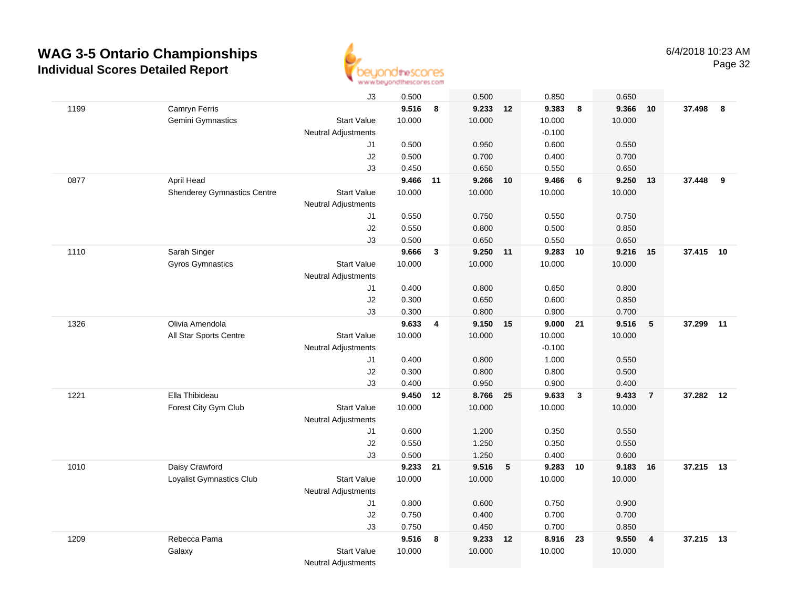

|      |                                    | J3                         | 0.500          |                | 0.500             |    | 0.850          |                 | 0.650          |                         |           |    |
|------|------------------------------------|----------------------------|----------------|----------------|-------------------|----|----------------|-----------------|----------------|-------------------------|-----------|----|
| 1199 | Camryn Ferris                      |                            | 9.516          | 8              | 9.233 12          |    | 9.383          | 8               | 9.366          | 10                      | 37.498 8  |    |
|      | Gemini Gymnastics                  | <b>Start Value</b>         | 10.000         |                | 10.000            |    | 10.000         |                 | 10.000         |                         |           |    |
|      |                                    | <b>Neutral Adjustments</b> |                |                |                   |    | $-0.100$       |                 |                |                         |           |    |
|      |                                    | J1                         | 0.500          |                | 0.950             |    | 0.600          |                 | 0.550          |                         |           |    |
|      |                                    | J2                         | 0.500          |                | 0.700             |    | 0.400          |                 | 0.700          |                         |           |    |
|      |                                    | J3                         | 0.450          |                | 0.650             |    | 0.550          |                 | 0.650          |                         |           |    |
| 0877 | April Head                         |                            | 9.466          | 11             | 9.266             | 10 | 9.466          | $6\phantom{1}6$ | 9.250          | 13                      | 37.448    | 9  |
|      | <b>Shenderey Gymnastics Centre</b> | <b>Start Value</b>         | 10.000         |                | 10.000            |    | 10.000         |                 | 10.000         |                         |           |    |
|      |                                    | <b>Neutral Adjustments</b> |                |                |                   |    |                |                 |                |                         |           |    |
|      |                                    | J1                         | 0.550          |                | 0.750             |    | 0.550          |                 | 0.750          |                         |           |    |
|      |                                    | J2                         | 0.550          |                | 0.800             |    | 0.500          |                 | 0.850          |                         |           |    |
|      |                                    | J3                         | 0.500          |                | 0.650             |    | 0.550          |                 | 0.650          |                         |           |    |
| 1110 | Sarah Singer                       |                            | 9.666          | $\mathbf{3}$   | 9.250 11          |    | 9.283          | 10              | 9.216          | 15                      | 37.415 10 |    |
|      | Gyros Gymnastics                   | <b>Start Value</b>         | 10.000         |                | 10.000            |    | 10.000         |                 | 10.000         |                         |           |    |
|      |                                    | <b>Neutral Adjustments</b> |                |                |                   |    |                |                 |                |                         |           |    |
|      |                                    | J1                         | 0.400          |                | 0.800             |    | 0.650          |                 | 0.800          |                         |           |    |
|      |                                    | J2                         | 0.300          |                | 0.650             |    | 0.600          |                 | 0.850          |                         |           |    |
|      |                                    | J3                         | 0.300          |                | 0.800             |    | 0.900          |                 | 0.700          |                         |           |    |
| 1326 | Olivia Amendola                    |                            | 9.633          | $\overline{4}$ | 9.150 15          |    | 9.000 21       |                 | 9.516          | $5\phantom{.0}$         | 37.299 11 |    |
|      | All Star Sports Centre             | <b>Start Value</b>         | 10.000         |                | 10.000            |    | 10.000         |                 | 10.000         |                         |           |    |
|      |                                    | Neutral Adjustments        |                |                |                   |    | $-0.100$       |                 |                |                         |           |    |
|      |                                    | J1                         | 0.400          |                | 0.800             |    | 1.000          |                 | 0.550          |                         |           |    |
|      |                                    | J2                         | 0.300          |                | 0.800             |    | 0.800          |                 | 0.500          |                         |           |    |
|      |                                    | J3                         | 0.400          |                | 0.950             |    | 0.900          |                 | 0.400          |                         |           |    |
| 1221 | Ella Thibideau                     |                            | 9.450          | 12             | 8.766             | 25 | 9.633          | $\mathbf{3}$    | 9.433          | $\overline{7}$          | 37.282    | 12 |
|      | Forest City Gym Club               | <b>Start Value</b>         | 10.000         |                | 10.000            |    | 10.000         |                 | 10.000         |                         |           |    |
|      |                                    | Neutral Adjustments        |                |                |                   |    |                |                 |                |                         |           |    |
|      |                                    | J1                         | 0.600          |                | 1.200             |    | 0.350          |                 | 0.550          |                         |           |    |
|      |                                    | J2                         | 0.550          |                | 1.250             |    | 0.350          |                 | 0.550          |                         |           |    |
|      |                                    | J3                         | 0.500          |                | 1.250             |    | 0.400          |                 | 0.600          |                         |           |    |
| 1010 | Daisy Crawford                     |                            | 9.233          | 21             | 9.516             | 5  | 9.283          | 10              | 9.183          | 16                      | 37.215 13 |    |
|      | Loyalist Gymnastics Club           | <b>Start Value</b>         | 10.000         |                | 10.000            |    | 10.000         |                 | 10.000         |                         |           |    |
|      |                                    | Neutral Adjustments        |                |                |                   |    |                |                 |                |                         |           |    |
|      |                                    | J1                         | 0.800          |                | 0.600             |    | 0.750          |                 | 0.900          |                         |           |    |
|      |                                    | J2                         | 0.750<br>0.750 |                | 0.400             |    | 0.700<br>0.700 |                 | 0.700          |                         |           |    |
|      | Rebecca Pama                       | J3                         | 9.516          |                | 0.450<br>9.233 12 |    | 8.916          |                 | 0.850<br>9.550 |                         | 37.215 13 |    |
| 1209 |                                    | <b>Start Value</b>         | 10.000         | 8              | 10.000            |    | 10.000         | 23              | 10.000         | $\overline{\mathbf{4}}$ |           |    |
|      | Galaxy                             |                            |                |                |                   |    |                |                 |                |                         |           |    |
|      |                                    | <b>Neutral Adjustments</b> |                |                |                   |    |                |                 |                |                         |           |    |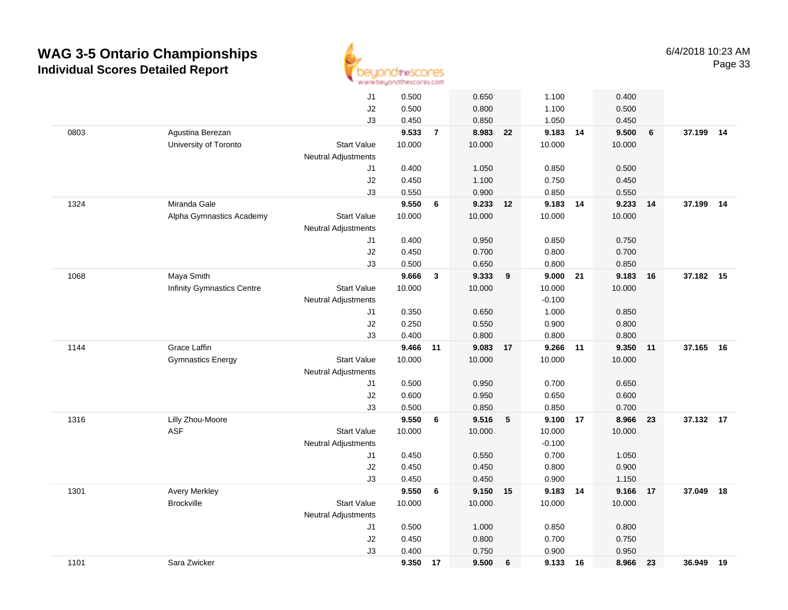

|      |                                   | J1                         | 0.500          |                | 0.650          |    | 1.100    |       | 0.400          |    |           |    |
|------|-----------------------------------|----------------------------|----------------|----------------|----------------|----|----------|-------|----------------|----|-----------|----|
|      |                                   | J2                         | 0.500          |                | 0.800          |    | 1.100    |       | 0.500          |    |           |    |
|      |                                   | J3                         | 0.450          |                | 0.850          |    | 1.050    |       | 0.450          |    |           |    |
| 0803 | Agustina Berezan                  |                            | 9.533          | $\overline{7}$ | 8.983 22       |    | 9.183 14 |       | 9.500          | 6  | 37.199 14 |    |
|      | University of Toronto             | <b>Start Value</b>         | 10.000         |                | 10.000         |    | 10.000   |       | 10.000         |    |           |    |
|      |                                   | <b>Neutral Adjustments</b> |                |                |                |    |          |       |                |    |           |    |
|      |                                   | J1                         | 0.400          |                | 1.050          |    | 0.850    |       | 0.500          |    |           |    |
|      |                                   | J2                         | 0.450          |                | 1.100          |    | 0.750    |       | 0.450          |    |           |    |
|      |                                   | J3                         | 0.550          |                | 0.900          |    | 0.850    |       | 0.550          |    |           |    |
| 1324 | Miranda Gale                      |                            | 9.550          | 6              | 9.233          | 12 | 9.183 14 |       | 9.233          | 14 | 37.199    | 14 |
|      | Alpha Gymnastics Academy          | <b>Start Value</b>         | 10.000         |                | 10.000         |    | 10.000   |       | 10.000         |    |           |    |
|      |                                   | <b>Neutral Adjustments</b> |                |                |                |    |          |       |                |    |           |    |
|      |                                   | J1                         | 0.400          |                | 0.950          |    | 0.850    |       | 0.750          |    |           |    |
|      |                                   | J2                         | 0.450          |                | 0.700          |    | 0.800    |       | 0.700          |    |           |    |
|      |                                   | J3                         | 0.500          |                | 0.650          |    | 0.800    |       | 0.850          |    |           |    |
| 1068 | Maya Smith                        |                            | 9.666          | 3              | 9.333          | 9  | 9.000 21 |       | 9.183          | 16 | 37.182 15 |    |
|      | <b>Infinity Gymnastics Centre</b> | <b>Start Value</b>         | 10.000         |                | 10.000         |    | 10.000   |       | 10.000         |    |           |    |
|      |                                   | <b>Neutral Adjustments</b> |                |                |                |    | $-0.100$ |       |                |    |           |    |
|      |                                   | J1                         | 0.350          |                | 0.650          |    | 1.000    |       | 0.850          |    |           |    |
|      |                                   | J2                         | 0.250          |                | 0.550          |    | 0.900    |       | 0.800          |    |           |    |
|      |                                   | J3                         | 0.400          |                | 0.800          |    | 0.800    |       | 0.800          |    |           |    |
| 1144 | Grace Laffin                      |                            | 9.466          | 11             | 9.083          | 17 | 9.266    | $-11$ | 9.350          | 11 | 37.165    | 16 |
|      | <b>Gymnastics Energy</b>          | <b>Start Value</b>         | 10.000         |                | 10.000         |    | 10.000   |       | 10.000         |    |           |    |
|      |                                   | <b>Neutral Adjustments</b> |                |                |                |    |          |       |                |    |           |    |
|      |                                   | J1                         | 0.500          |                | 0.950          |    | 0.700    |       | 0.650          |    |           |    |
|      |                                   | J2                         | 0.600          |                | 0.950          |    | 0.650    |       | 0.600          |    |           |    |
|      |                                   | J3                         | 0.500          |                | 0.850          |    | 0.850    |       | 0.700          |    |           |    |
| 1316 | Lilly Zhou-Moore                  |                            | 9.550          | 6              | 9.516          | 5  | 9.100 17 |       | 8.966          | 23 | 37.132 17 |    |
|      | <b>ASF</b>                        | <b>Start Value</b>         | 10.000         |                | 10.000         |    | 10.000   |       | 10.000         |    |           |    |
|      |                                   | <b>Neutral Adjustments</b> |                |                |                |    | $-0.100$ |       |                |    |           |    |
|      |                                   | J1                         | 0.450          |                | 0.550          |    | 0.700    |       | 1.050          |    |           |    |
|      |                                   | J2                         | 0.450          |                | 0.450          |    | 0.800    |       | 0.900          |    |           |    |
|      |                                   | J3                         | 0.450          |                | 0.450          |    | 0.900    |       | 1.150          |    |           |    |
| 1301 | <b>Avery Merkley</b>              |                            | 9.550          | 6              | 9.150 15       |    | 9.183 14 |       | 9.166          | 17 | 37.049    | 18 |
|      | <b>Brockville</b>                 | <b>Start Value</b>         | 10.000         |                | 10.000         |    | 10.000   |       | 10.000         |    |           |    |
|      |                                   | <b>Neutral Adjustments</b> |                |                |                |    |          |       |                |    |           |    |
|      |                                   | J1                         | 0.500          |                | 1.000          |    | 0.850    |       | 0.800          |    |           |    |
|      |                                   | J2<br>J3                   | 0.450<br>0.400 |                | 0.800<br>0.750 |    | 0.700    |       | 0.750<br>0.950 |    |           |    |
| 1101 | Sara Zwicker                      |                            | 9.350          | 17             | 9.500          | 6  | 0.900    |       | 8.966          | 23 | 36.949    | 19 |
|      |                                   |                            |                |                |                |    | 9.133 16 |       |                |    |           |    |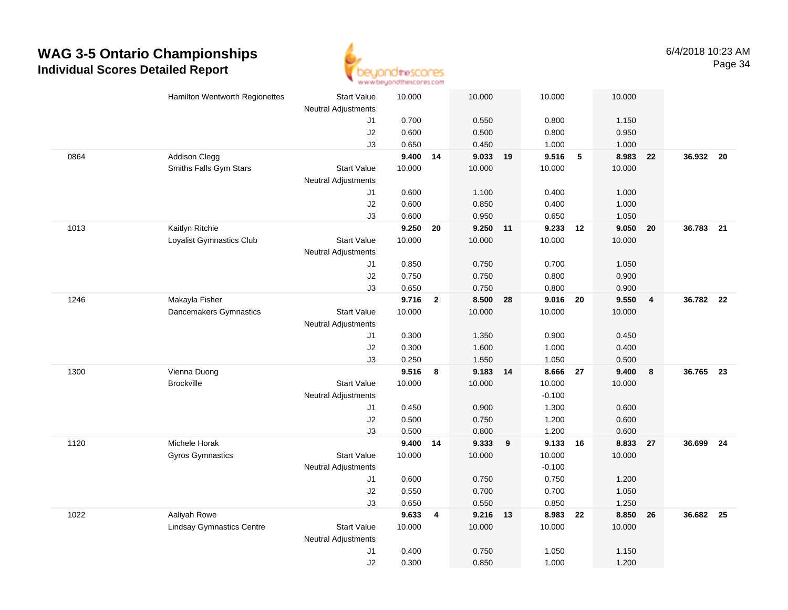

|      | Hamilton Wentworth Regionettes   | <b>Start Value</b>         | 10.000   |                | 10.000   |    | 10.000         | 10.000                            |                         |           |      |
|------|----------------------------------|----------------------------|----------|----------------|----------|----|----------------|-----------------------------------|-------------------------|-----------|------|
|      |                                  | <b>Neutral Adjustments</b> | 0.700    |                | 0.550    |    |                |                                   |                         |           |      |
|      |                                  | J1<br>$\sf J2$             | 0.600    |                | 0.500    |    | 0.800<br>0.800 | 1.150<br>0.950                    |                         |           |      |
|      |                                  | J3                         | 0.650    |                | 0.450    |    | 1.000          | 1.000                             |                         |           |      |
| 0864 | <b>Addison Clegg</b>             |                            | 9.400    | 14             | 9.033    | 19 | 9.516          | $\overline{\phantom{0}}$<br>8.983 | 22                      | 36.932 20 |      |
|      | Smiths Falls Gym Stars           | <b>Start Value</b>         | 10.000   |                | 10.000   |    | 10.000         | 10.000                            |                         |           |      |
|      |                                  | <b>Neutral Adjustments</b> |          |                |          |    |                |                                   |                         |           |      |
|      |                                  | J1                         | 0.600    |                | 1.100    |    | 0.400          | 1.000                             |                         |           |      |
|      |                                  | J2                         | 0.600    |                | 0.850    |    | 0.400          | 1.000                             |                         |           |      |
|      |                                  | J3                         | 0.600    |                | 0.950    |    | 0.650          | 1.050                             |                         |           |      |
| 1013 | Kaitlyn Ritchie                  |                            | 9.250    | 20             | 9.250 11 |    | 9.233          | 9.050<br>12                       | 20                      | 36.783 21 |      |
|      | Loyalist Gymnastics Club         | <b>Start Value</b>         | 10.000   |                | 10.000   |    | 10.000         | 10.000                            |                         |           |      |
|      |                                  | <b>Neutral Adjustments</b> |          |                |          |    |                |                                   |                         |           |      |
|      |                                  | J1                         | 0.850    |                | 0.750    |    | 0.700          | 1.050                             |                         |           |      |
|      |                                  | J2                         | 0.750    |                | 0.750    |    | 0.800          | 0.900                             |                         |           |      |
|      |                                  | J3                         | 0.650    |                | 0.750    |    | 0.800          | 0.900                             |                         |           |      |
| 1246 | Makayla Fisher                   |                            | 9.716    | $\overline{2}$ | 8.500 28 |    | 9.016 20       | 9.550                             | $\overline{\mathbf{4}}$ | 36.782 22 |      |
|      | Dancemakers Gymnastics           | <b>Start Value</b>         | 10.000   |                | 10.000   |    | 10.000         | 10.000                            |                         |           |      |
|      |                                  | <b>Neutral Adjustments</b> |          |                |          |    |                |                                   |                         |           |      |
|      |                                  | J1                         | 0.300    |                | 1.350    |    | 0.900          | 0.450                             |                         |           |      |
|      |                                  | J2                         | 0.300    |                | 1.600    |    | 1.000          | 0.400                             |                         |           |      |
|      |                                  | J3                         | 0.250    |                | 1.550    |    | 1.050          | 0.500                             |                         |           |      |
| 1300 | Vienna Duong                     |                            | 9.516    | 8              | 9.183    | 14 | 8.666          | 9.400<br>27                       | 8                       | 36.765    | 23   |
|      | <b>Brockville</b>                | <b>Start Value</b>         | 10.000   |                | 10.000   |    | 10.000         | 10.000                            |                         |           |      |
|      |                                  | <b>Neutral Adjustments</b> |          |                |          |    | $-0.100$       |                                   |                         |           |      |
|      |                                  | J1                         | 0.450    |                | 0.900    |    | 1.300          | 0.600                             |                         |           |      |
|      |                                  | J2                         | 0.500    |                | 0.750    |    | 1.200          | 0.600                             |                         |           |      |
|      |                                  | J3                         | 0.500    |                | 0.800    |    | 1.200          | 0.600                             |                         |           |      |
| 1120 | Michele Horak                    |                            | 9.400 14 |                | 9.333    | 9  | 9.133 16       | 8.833                             | 27                      | 36.699    | - 24 |
|      | <b>Gyros Gymnastics</b>          | <b>Start Value</b>         | 10.000   |                | 10.000   |    | 10.000         | 10.000                            |                         |           |      |
|      |                                  | Neutral Adjustments        |          |                |          |    | $-0.100$       |                                   |                         |           |      |
|      |                                  | J1                         | 0.600    |                | 0.750    |    | 0.750          | 1.200                             |                         |           |      |
|      |                                  | J2                         | 0.550    |                | 0.700    |    | 0.700          | 1.050                             |                         |           |      |
|      |                                  | J3                         | 0.650    |                | 0.550    |    | 0.850          | 1.250                             |                         |           |      |
| 1022 | Aaliyah Rowe                     |                            | 9.633    | 4              | 9.216 13 |    | 8.983          | 22<br>8.850                       | 26                      | 36.682    | - 25 |
|      | <b>Lindsay Gymnastics Centre</b> | <b>Start Value</b>         | 10.000   |                | 10.000   |    | 10.000         | 10.000                            |                         |           |      |
|      |                                  | <b>Neutral Adjustments</b> |          |                |          |    |                |                                   |                         |           |      |
|      |                                  | J1                         | 0.400    |                | 0.750    |    | 1.050          | 1.150                             |                         |           |      |
|      |                                  | J2                         | 0.300    |                | 0.850    |    | 1.000          | 1.200                             |                         |           |      |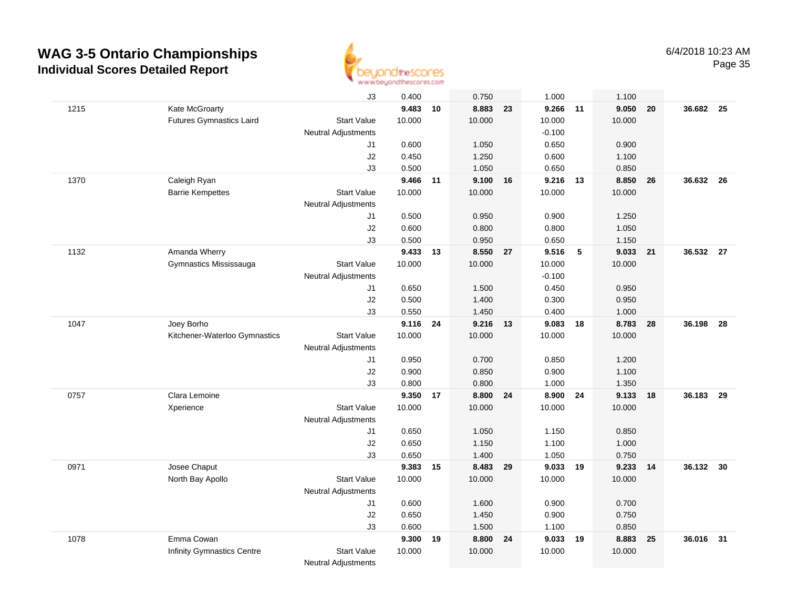

|      |                                   | J3                         | 0.400  |    | 0.750    |    | 1.000    |      | 1.100  |    |           |      |
|------|-----------------------------------|----------------------------|--------|----|----------|----|----------|------|--------|----|-----------|------|
| 1215 | Kate McGroarty                    |                            | 9.483  | 10 | 8.883 23 |    | 9.266 11 |      | 9.050  | 20 | 36.682    | - 25 |
|      | <b>Futures Gymnastics Laird</b>   | <b>Start Value</b>         | 10.000 |    | 10.000   |    | 10.000   |      | 10.000 |    |           |      |
|      |                                   | Neutral Adjustments        |        |    |          |    | $-0.100$ |      |        |    |           |      |
|      |                                   | J1                         | 0.600  |    | 1.050    |    | 0.650    |      | 0.900  |    |           |      |
|      |                                   | J2                         | 0.450  |    | 1.250    |    | 0.600    |      | 1.100  |    |           |      |
|      |                                   | J3                         | 0.500  |    | 1.050    |    | 0.650    |      | 0.850  |    |           |      |
| 1370 | Caleigh Ryan                      |                            | 9.466  | 11 | 9.100    | 16 | 9.216 13 |      | 8.850  | 26 | 36.632    | -26  |
|      | <b>Barrie Kempettes</b>           | <b>Start Value</b>         | 10.000 |    | 10.000   |    | 10.000   |      | 10.000 |    |           |      |
|      |                                   | <b>Neutral Adjustments</b> |        |    |          |    |          |      |        |    |           |      |
|      |                                   | J1                         | 0.500  |    | 0.950    |    | 0.900    |      | 1.250  |    |           |      |
|      |                                   | J2                         | 0.600  |    | 0.800    |    | 0.800    |      | 1.050  |    |           |      |
|      |                                   | J3                         | 0.500  |    | 0.950    |    | 0.650    |      | 1.150  |    |           |      |
| 1132 | Amanda Wherry                     |                            | 9.433  | 13 | 8.550 27 |    | 9.516    | $-5$ | 9.033  | 21 | 36.532 27 |      |
|      | Gymnastics Mississauga            | <b>Start Value</b>         | 10.000 |    | 10.000   |    | 10.000   |      | 10.000 |    |           |      |
|      |                                   | <b>Neutral Adjustments</b> |        |    |          |    | $-0.100$ |      |        |    |           |      |
|      |                                   | J1                         | 0.650  |    | 1.500    |    | 0.450    |      | 0.950  |    |           |      |
|      |                                   | J2                         | 0.500  |    | 1.400    |    | 0.300    |      | 0.950  |    |           |      |
|      |                                   | J3                         | 0.550  |    | 1.450    |    | 0.400    |      | 1.000  |    |           |      |
| 1047 | Joey Borho                        |                            | 9.116  | 24 | 9.216 13 |    | 9.083 18 |      | 8.783  | 28 | 36.198    | - 28 |
|      | Kitchener-Waterloo Gymnastics     | <b>Start Value</b>         | 10.000 |    | 10.000   |    | 10.000   |      | 10.000 |    |           |      |
|      |                                   | Neutral Adjustments        |        |    |          |    |          |      |        |    |           |      |
|      |                                   | J1                         | 0.950  |    | 0.700    |    | 0.850    |      | 1.200  |    |           |      |
|      |                                   | J2                         | 0.900  |    | 0.850    |    | 0.900    |      | 1.100  |    |           |      |
|      |                                   | J3                         | 0.800  |    | 0.800    |    | 1.000    |      | 1.350  |    |           |      |
| 0757 | Clara Lemoine                     |                            | 9.350  | 17 | 8.800    | 24 | 8.900    | 24   | 9.133  | 18 | 36.183    | 29   |
|      | Xperience                         | <b>Start Value</b>         | 10.000 |    | 10.000   |    | 10.000   |      | 10.000 |    |           |      |
|      |                                   | Neutral Adjustments        |        |    |          |    |          |      |        |    |           |      |
|      |                                   | J1                         | 0.650  |    | 1.050    |    | 1.150    |      | 0.850  |    |           |      |
|      |                                   | J2                         | 0.650  |    | 1.150    |    | 1.100    |      | 1.000  |    |           |      |
|      |                                   | J3                         | 0.650  |    | 1.400    |    | 1.050    |      | 0.750  |    |           |      |
| 0971 | Josee Chaput                      |                            | 9.383  | 15 | 8.483 29 |    | 9.033 19 |      | 9.233  | 14 | 36.132 30 |      |
|      | North Bay Apollo                  | <b>Start Value</b>         | 10.000 |    | 10.000   |    | 10.000   |      | 10.000 |    |           |      |
|      |                                   | <b>Neutral Adjustments</b> |        |    |          |    |          |      |        |    |           |      |
|      |                                   | J1                         | 0.600  |    | 1.600    |    | 0.900    |      | 0.700  |    |           |      |
|      |                                   | J2                         | 0.650  |    | 1.450    |    | 0.900    |      | 0.750  |    |           |      |
|      |                                   | J3                         | 0.600  |    | 1.500    |    | 1.100    |      | 0.850  |    |           |      |
| 1078 | Emma Cowan                        |                            | 9.300  | 19 | 8.800 24 |    | 9.033 19 |      | 8.883  | 25 | 36.016    | 31   |
|      | <b>Infinity Gymnastics Centre</b> | <b>Start Value</b>         | 10.000 |    | 10.000   |    | 10.000   |      | 10.000 |    |           |      |
|      |                                   | <b>Neutral Adjustments</b> |        |    |          |    |          |      |        |    |           |      |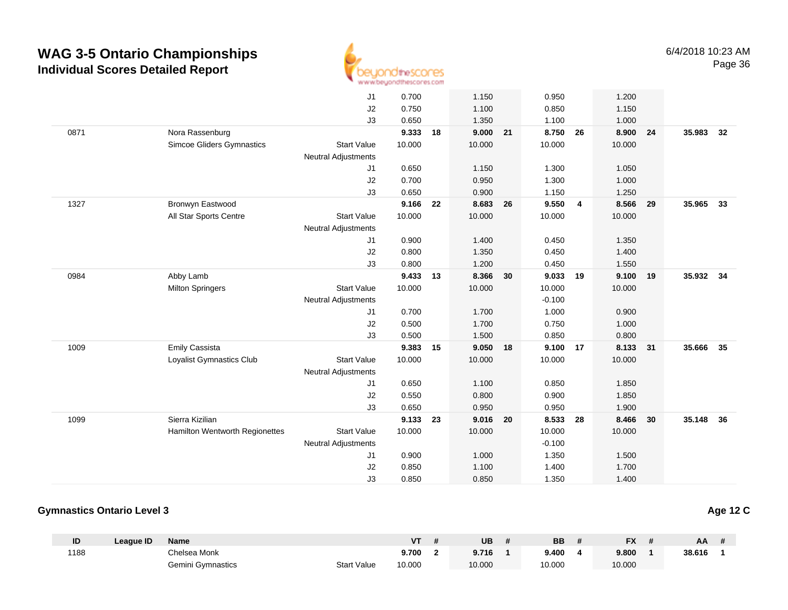

|      |                                  | J1                         | 0.700  |    | 1.150    |    | 0.950    |    | 1.200    |    |           |    |
|------|----------------------------------|----------------------------|--------|----|----------|----|----------|----|----------|----|-----------|----|
|      |                                  | J2                         | 0.750  |    | 1.100    |    | 0.850    |    | 1.150    |    |           |    |
|      |                                  | J3                         | 0.650  |    | 1.350    |    | 1.100    |    | 1.000    |    |           |    |
| 0871 | Nora Rassenburg                  |                            | 9.333  | 18 | 9.000    | 21 | 8.750    | 26 | 8.900    | 24 | 35.983    | 32 |
|      | <b>Simcoe Gliders Gymnastics</b> | <b>Start Value</b>         | 10.000 |    | 10.000   |    | 10.000   |    | 10.000   |    |           |    |
|      |                                  | <b>Neutral Adjustments</b> |        |    |          |    |          |    |          |    |           |    |
|      |                                  | J1                         | 0.650  |    | 1.150    |    | 1.300    |    | 1.050    |    |           |    |
|      |                                  | J2                         | 0.700  |    | 0.950    |    | 1.300    |    | 1.000    |    |           |    |
|      |                                  | J3                         | 0.650  |    | 0.900    |    | 1.150    |    | 1.250    |    |           |    |
| 1327 | Bronwyn Eastwood                 |                            | 9.166  | 22 | 8.683    | 26 | 9.550    | 4  | 8.566    | 29 | 35.965 33 |    |
|      | All Star Sports Centre           | <b>Start Value</b>         | 10.000 |    | 10.000   |    | 10.000   |    | 10.000   |    |           |    |
|      |                                  | <b>Neutral Adjustments</b> |        |    |          |    |          |    |          |    |           |    |
|      |                                  | J1                         | 0.900  |    | 1.400    |    | 0.450    |    | 1.350    |    |           |    |
|      |                                  | J2                         | 0.800  |    | 1.350    |    | 0.450    |    | 1.400    |    |           |    |
|      |                                  | J3                         | 0.800  |    | 1.200    |    | 0.450    |    | 1.550    |    |           |    |
| 0984 | Abby Lamb                        |                            | 9.433  | 13 | 8.366    | 30 | 9.033    | 19 | 9.100 19 |    | 35.932 34 |    |
|      | <b>Milton Springers</b>          | <b>Start Value</b>         | 10.000 |    | 10.000   |    | 10.000   |    | 10.000   |    |           |    |
|      |                                  | <b>Neutral Adjustments</b> |        |    |          |    | $-0.100$ |    |          |    |           |    |
|      |                                  | J1                         | 0.700  |    | 1.700    |    | 1.000    |    | 0.900    |    |           |    |
|      |                                  | J2                         | 0.500  |    | 1.700    |    | 0.750    |    | 1.000    |    |           |    |
|      |                                  | J3                         | 0.500  |    | 1.500    |    | 0.850    |    | 0.800    |    |           |    |
| 1009 | <b>Emily Cassista</b>            |                            | 9.383  | 15 | 9.050 18 |    | 9.100 17 |    | 8.133 31 |    | 35.666    | 35 |
|      | Loyalist Gymnastics Club         | <b>Start Value</b>         | 10.000 |    | 10.000   |    | 10.000   |    | 10.000   |    |           |    |
|      |                                  | <b>Neutral Adjustments</b> |        |    |          |    |          |    |          |    |           |    |
|      |                                  | J1                         | 0.650  |    | 1.100    |    | 0.850    |    | 1.850    |    |           |    |
|      |                                  | J2                         | 0.550  |    | 0.800    |    | 0.900    |    | 1.850    |    |           |    |
|      |                                  | J3                         | 0.650  |    | 0.950    |    | 0.950    |    | 1.900    |    |           |    |
| 1099 | Sierra Kizilian                  |                            | 9.133  | 23 | 9.016    | 20 | 8.533    | 28 | 8.466    | 30 | 35.148    | 36 |
|      | Hamilton Wentworth Regionettes   | <b>Start Value</b>         | 10.000 |    | 10.000   |    | 10.000   |    | 10.000   |    |           |    |
|      |                                  | <b>Neutral Adjustments</b> |        |    |          |    | $-0.100$ |    |          |    |           |    |
|      |                                  | J1                         | 0.900  |    | 1.000    |    | 1.350    |    | 1.500    |    |           |    |
|      |                                  | J2                         | 0.850  |    | 1.100    |    | 1.400    |    | 1.700    |    |           |    |
|      |                                  | J3                         | 0.850  |    | 0.850    |    | 1.350    |    | 1.400    |    |           |    |

#### **Gymnastics Ontario Level 3**

| ID   | League ID | <b>Name</b>       |                    | <b>VT</b> | <b>UB</b> | BB     | <b>FX</b> | AA     |  |
|------|-----------|-------------------|--------------------|-----------|-----------|--------|-----------|--------|--|
| 1188 |           | Chelsea Monk      |                    | 9.700     | 9.716     | 9.400  | 9.800     | 38.616 |  |
|      |           | Gemini Gymnastics | <b>Start Value</b> | 10.000    | 10.000    | 10.000 | 10.000    |        |  |

**Age 12 C**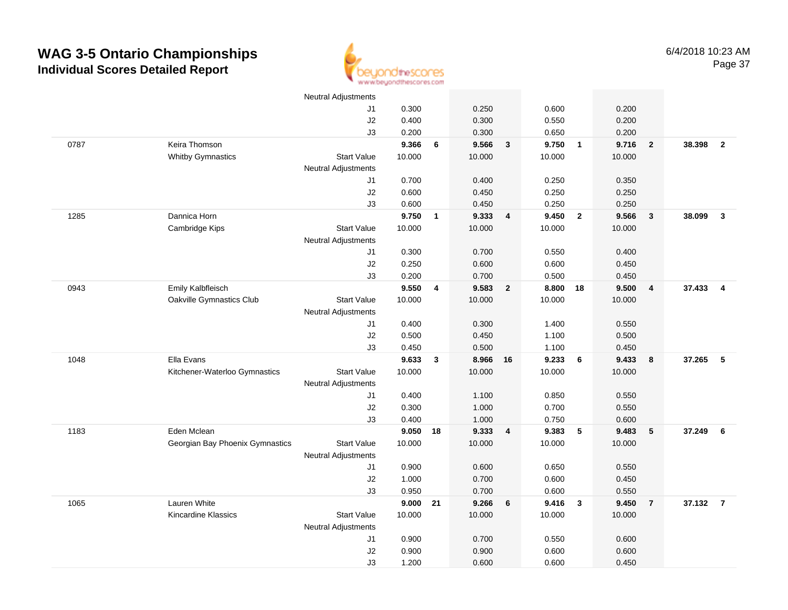

|      |                                 | <b>Neutral Adjustments</b> |                |              |                |                         |                |                         |                |                         |        |                |
|------|---------------------------------|----------------------------|----------------|--------------|----------------|-------------------------|----------------|-------------------------|----------------|-------------------------|--------|----------------|
|      |                                 | J1                         | 0.300          |              | 0.250          |                         | 0.600          |                         | 0.200          |                         |        |                |
|      |                                 | J2                         | 0.400          |              | 0.300          |                         | 0.550          |                         | 0.200          |                         |        |                |
|      |                                 | J3                         | 0.200          |              | 0.300          |                         | 0.650          |                         | 0.200          |                         |        |                |
| 0787 | Keira Thomson                   |                            | 9.366          | 6            | 9.566          | $\mathbf{3}$            | 9.750          | $\overline{\mathbf{1}}$ | 9.716          | $\overline{2}$          | 38.398 | $\overline{2}$ |
|      | <b>Whitby Gymnastics</b>        | <b>Start Value</b>         | 10.000         |              | 10.000         |                         | 10.000         |                         | 10.000         |                         |        |                |
|      |                                 | <b>Neutral Adjustments</b> |                |              |                |                         |                |                         |                |                         |        |                |
|      |                                 | J1                         | 0.700          |              | 0.400          |                         | 0.250          |                         | 0.350          |                         |        |                |
|      |                                 | J2                         | 0.600          |              | 0.450          |                         | 0.250          |                         | 0.250          |                         |        |                |
|      |                                 | J3                         | 0.600          |              | 0.450          |                         | 0.250          |                         | 0.250          |                         |        |                |
| 1285 | Dannica Horn                    |                            | 9.750          | $\mathbf{1}$ | 9.333          | $\overline{4}$          | 9.450          | $\overline{2}$          | 9.566          | $\mathbf{3}$            | 38.099 | $\mathbf{3}$   |
|      | Cambridge Kips                  | <b>Start Value</b>         | 10.000         |              | 10.000         |                         | 10.000         |                         | 10.000         |                         |        |                |
|      |                                 | <b>Neutral Adjustments</b> |                |              |                |                         |                |                         |                |                         |        |                |
|      |                                 | J1                         | 0.300          |              | 0.700          |                         | 0.550          |                         | 0.400          |                         |        |                |
|      |                                 | $\sf J2$                   | 0.250          |              | 0.600          |                         | 0.600          |                         | 0.450          |                         |        |                |
|      |                                 | J3                         | 0.200          |              | 0.700          |                         | 0.500          |                         | 0.450          |                         |        |                |
| 0943 | Emily Kalbfleisch               |                            | 9.550          | 4            | 9.583          | $\overline{\mathbf{2}}$ | 8.800          | 18                      | 9.500          | $\overline{\mathbf{4}}$ | 37.433 | $\overline{4}$ |
|      | Oakville Gymnastics Club        | <b>Start Value</b>         | 10.000         |              | 10.000         |                         | 10.000         |                         | 10.000         |                         |        |                |
|      |                                 | <b>Neutral Adjustments</b> |                |              |                |                         |                |                         |                |                         |        |                |
|      |                                 | J1                         | 0.400          |              | 0.300          |                         | 1.400          |                         | 0.550          |                         |        |                |
|      |                                 | $\sf J2$                   | 0.500          |              | 0.450          |                         | 1.100          |                         | 0.500          |                         |        |                |
|      |                                 | J3                         | 0.450          |              | 0.500          |                         | 1.100          |                         | 0.450          |                         |        |                |
| 1048 | Ella Evans                      |                            | 9.633          | 3            | 8.966          | 16                      | 9.233          | 6                       | 9.433          | 8                       | 37.265 | 5              |
|      | Kitchener-Waterloo Gymnastics   | <b>Start Value</b>         | 10.000         |              | 10.000         |                         | 10.000         |                         | 10.000         |                         |        |                |
|      |                                 | <b>Neutral Adjustments</b> |                |              |                |                         |                |                         |                |                         |        |                |
|      |                                 | J1                         | 0.400          |              | 1.100          |                         | 0.850          |                         | 0.550          |                         |        |                |
|      |                                 | J2                         | 0.300          |              | 1.000          |                         | 0.700          |                         | 0.550          |                         |        |                |
|      |                                 | J3                         | 0.400          |              | 1.000          |                         | 0.750          |                         | 0.600          |                         |        |                |
| 1183 | Eden Mclean                     |                            | $9.050$ 18     |              | 9.333          | $\overline{4}$          | 9.383          | $5\phantom{.0}$         | 9.483          | 5                       | 37.249 | 6              |
|      | Georgian Bay Phoenix Gymnastics | <b>Start Value</b>         | 10.000         |              | 10.000         |                         | 10.000         |                         | 10.000         |                         |        |                |
|      |                                 | <b>Neutral Adjustments</b> |                |              |                |                         |                |                         |                |                         |        |                |
|      |                                 | J1                         | 0.900          |              | 0.600          |                         | 0.650          |                         | 0.550          |                         |        |                |
|      |                                 | J2                         | 1.000<br>0.950 |              | 0.700<br>0.700 |                         | 0.600<br>0.600 |                         | 0.450<br>0.550 |                         |        |                |
| 1065 | Lauren White                    | J3                         | $9.000$ 21     |              | 9.266          | 6                       | 9.416          | $\overline{\mathbf{3}}$ | 9.450          | $\overline{7}$          | 37.132 | $\overline{7}$ |
|      | <b>Kincardine Klassics</b>      | <b>Start Value</b>         | 10.000         |              | 10.000         |                         | 10.000         |                         | 10.000         |                         |        |                |
|      |                                 | <b>Neutral Adjustments</b> |                |              |                |                         |                |                         |                |                         |        |                |
|      |                                 | J1                         | 0.900          |              | 0.700          |                         | 0.550          |                         | 0.600          |                         |        |                |
|      |                                 | J2                         | 0.900          |              | 0.900          |                         | 0.600          |                         | 0.600          |                         |        |                |
|      |                                 | J3                         | 1.200          |              | 0.600          |                         | 0.600          |                         | 0.450          |                         |        |                |
|      |                                 |                            |                |              |                |                         |                |                         |                |                         |        |                |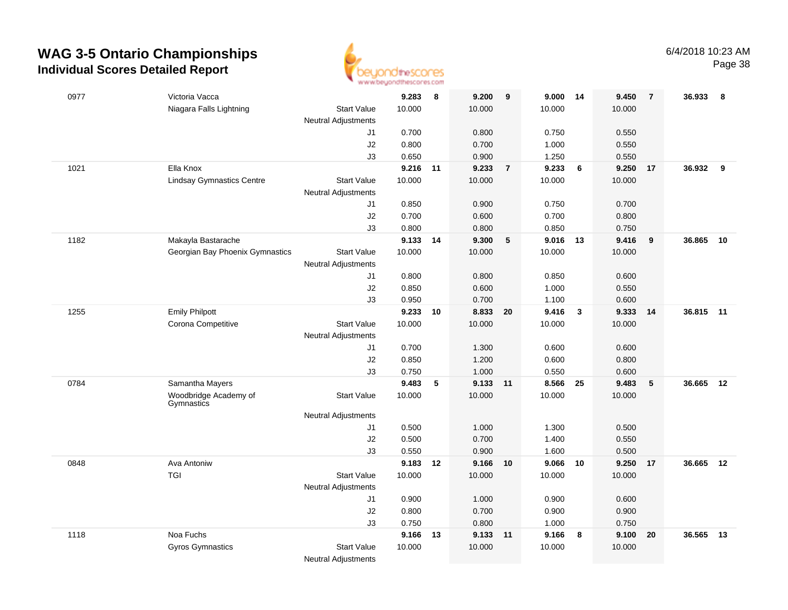

| 0977 | Victoria Vacca                      |                            | 9.283    | 8  | 9.200    | 9              | 9.000 14 |                         | 9.450  | $\overline{7}$ | 36.933    | 8  |
|------|-------------------------------------|----------------------------|----------|----|----------|----------------|----------|-------------------------|--------|----------------|-----------|----|
|      | Niagara Falls Lightning             | <b>Start Value</b>         | 10.000   |    | 10.000   |                | 10.000   |                         | 10.000 |                |           |    |
|      |                                     | <b>Neutral Adjustments</b> |          |    |          |                |          |                         |        |                |           |    |
|      |                                     | J1                         | 0.700    |    | 0.800    |                | 0.750    |                         | 0.550  |                |           |    |
|      |                                     | $\sf J2$                   | 0.800    |    | 0.700    |                | 1.000    |                         | 0.550  |                |           |    |
|      |                                     | J3                         | 0.650    |    | 0.900    |                | 1.250    |                         | 0.550  |                |           |    |
| 1021 | Ella Knox                           |                            | 9.216 11 |    | 9.233    | $\overline{7}$ | 9.233    | 6                       | 9.250  | 17             | 36.932    | 9  |
|      | <b>Lindsay Gymnastics Centre</b>    | <b>Start Value</b>         | 10.000   |    | 10.000   |                | 10.000   |                         | 10.000 |                |           |    |
|      |                                     | <b>Neutral Adjustments</b> |          |    |          |                |          |                         |        |                |           |    |
|      |                                     | J1                         | 0.850    |    | 0.900    |                | 0.750    |                         | 0.700  |                |           |    |
|      |                                     | J2                         | 0.700    |    | 0.600    |                | 0.700    |                         | 0.800  |                |           |    |
|      |                                     | J3                         | 0.800    |    | 0.800    |                | 0.850    |                         | 0.750  |                |           |    |
| 1182 | Makayla Bastarache                  |                            | 9.133    | 14 | 9.300    | 5              | 9.016 13 |                         | 9.416  | 9              | 36.865    | 10 |
|      | Georgian Bay Phoenix Gymnastics     | <b>Start Value</b>         | 10.000   |    | 10.000   |                | 10.000   |                         | 10.000 |                |           |    |
|      |                                     | Neutral Adjustments        |          |    |          |                |          |                         |        |                |           |    |
|      |                                     | J1                         | 0.800    |    | 0.800    |                | 0.850    |                         | 0.600  |                |           |    |
|      |                                     | J2                         | 0.850    |    | 0.600    |                | 1.000    |                         | 0.550  |                |           |    |
|      |                                     | J3                         | 0.950    |    | 0.700    |                | 1.100    |                         | 0.600  |                |           |    |
| 1255 | <b>Emily Philpott</b>               |                            | 9.233    | 10 | 8.833 20 |                | 9.416    | $\overline{\mathbf{3}}$ | 9.333  | 14             | 36.815 11 |    |
|      | Corona Competitive                  | <b>Start Value</b>         | 10.000   |    | 10.000   |                | 10.000   |                         | 10.000 |                |           |    |
|      |                                     | <b>Neutral Adjustments</b> |          |    |          |                |          |                         |        |                |           |    |
|      |                                     | J1                         | 0.700    |    | 1.300    |                | 0.600    |                         | 0.600  |                |           |    |
|      |                                     | J2                         | 0.850    |    | 1.200    |                | 0.600    |                         | 0.800  |                |           |    |
|      |                                     | J3                         | 0.750    |    | 1.000    |                | 0.550    |                         | 0.600  |                |           |    |
| 0784 | Samantha Mayers                     |                            | 9.483    | 5  | 9.133 11 |                | 8.566    | 25                      | 9.483  | 5              | 36.665    | 12 |
|      | Woodbridge Academy of<br>Gymnastics | <b>Start Value</b>         | 10.000   |    | 10.000   |                | 10.000   |                         | 10.000 |                |           |    |
|      |                                     | <b>Neutral Adjustments</b> |          |    |          |                |          |                         |        |                |           |    |
|      |                                     | J1                         | 0.500    |    | 1.000    |                | 1.300    |                         | 0.500  |                |           |    |
|      |                                     | J2                         | 0.500    |    | 0.700    |                | 1.400    |                         | 0.550  |                |           |    |
|      |                                     | J3                         | 0.550    |    | 0.900    |                | 1.600    |                         | 0.500  |                |           |    |
| 0848 | Ava Antoniw                         |                            | 9.183    | 12 | 9.166 10 |                | 9.066    | 10                      | 9.250  | 17             | 36.665 12 |    |
|      | <b>TGI</b>                          | <b>Start Value</b>         | 10.000   |    | 10.000   |                | 10.000   |                         | 10.000 |                |           |    |
|      |                                     | Neutral Adjustments        |          |    |          |                |          |                         |        |                |           |    |
|      |                                     | J1                         | 0.900    |    | 1.000    |                | 0.900    |                         | 0.600  |                |           |    |
|      |                                     | J2                         | 0.800    |    | 0.700    |                | 0.900    |                         | 0.900  |                |           |    |
|      |                                     | J3                         | 0.750    |    | 0.800    |                | 1.000    |                         | 0.750  |                |           |    |
| 1118 | Noa Fuchs                           |                            | 9.166    | 13 | 9.133 11 |                | 9.166    | $\bf{8}$                | 9.100  | 20             | 36.565    | 13 |
|      | <b>Gyros Gymnastics</b>             | <b>Start Value</b>         | 10.000   |    | 10.000   |                | 10.000   |                         | 10.000 |                |           |    |
|      |                                     | <b>Neutral Adjustments</b> |          |    |          |                |          |                         |        |                |           |    |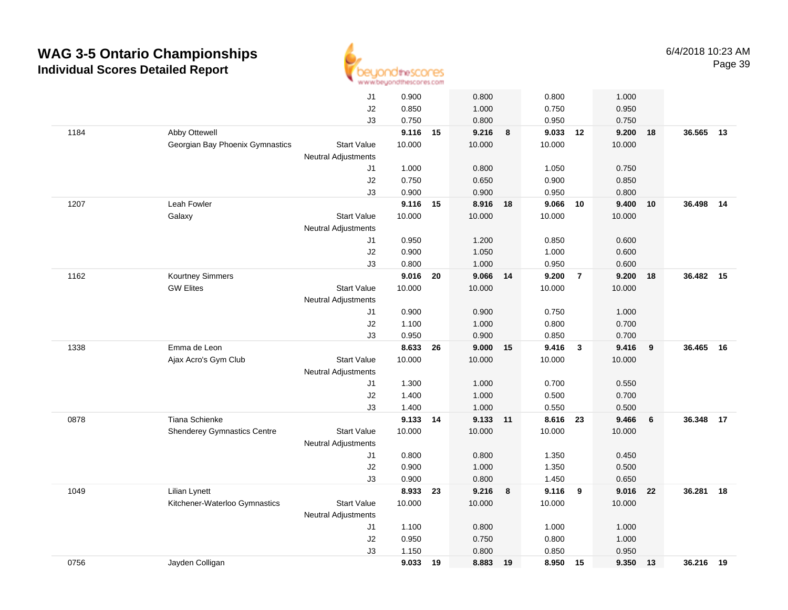

|      |                                    | J1                         | 0.900    |    | 0.800      |    | 0.800    |                         | 1.000  |    |           |    |
|------|------------------------------------|----------------------------|----------|----|------------|----|----------|-------------------------|--------|----|-----------|----|
|      |                                    | J2                         | 0.850    |    | 1.000      |    | 0.750    |                         | 0.950  |    |           |    |
|      |                                    | J3                         | 0.750    |    | 0.800      |    | 0.950    |                         | 0.750  |    |           |    |
| 1184 | Abby Ottewell                      |                            | 9.116 15 |    | 9.216      | 8  | 9.033    | 12                      | 9.200  | 18 | 36.565 13 |    |
|      | Georgian Bay Phoenix Gymnastics    | <b>Start Value</b>         | 10.000   |    | 10.000     |    | 10.000   |                         | 10.000 |    |           |    |
|      |                                    | Neutral Adjustments        |          |    |            |    |          |                         |        |    |           |    |
|      |                                    | J1                         | 1.000    |    | 0.800      |    | 1.050    |                         | 0.750  |    |           |    |
|      |                                    | J2                         | 0.750    |    | 0.650      |    | 0.900    |                         | 0.850  |    |           |    |
|      |                                    | J3                         | 0.900    |    | 0.900      |    | 0.950    |                         | 0.800  |    |           |    |
| 1207 | Leah Fowler                        |                            | 9.116    | 15 | 8.916      | 18 | 9.066    | 10                      | 9.400  | 10 | 36.498    | 14 |
|      | Galaxy                             | <b>Start Value</b>         | 10.000   |    | 10.000     |    | 10.000   |                         | 10.000 |    |           |    |
|      |                                    | <b>Neutral Adjustments</b> |          |    |            |    |          |                         |        |    |           |    |
|      |                                    | J1                         | 0.950    |    | 1.200      |    | 0.850    |                         | 0.600  |    |           |    |
|      |                                    | J2                         | 0.900    |    | 1.050      |    | 1.000    |                         | 0.600  |    |           |    |
|      |                                    | J3                         | 0.800    |    | 1.000      |    | 0.950    |                         | 0.600  |    |           |    |
| 1162 | Kourtney Simmers                   |                            | 9.016    | 20 | 9.066 14   |    | 9.200    | $\overline{7}$          | 9.200  | 18 | 36.482    | 15 |
|      | <b>GW Elites</b>                   | <b>Start Value</b>         | 10.000   |    | 10.000     |    | 10.000   |                         | 10.000 |    |           |    |
|      |                                    | <b>Neutral Adjustments</b> |          |    |            |    |          |                         |        |    |           |    |
|      |                                    | J1                         | 0.900    |    | 0.900      |    | 0.750    |                         | 1.000  |    |           |    |
|      |                                    | J2                         | 1.100    |    | 1.000      |    | 0.800    |                         | 0.700  |    |           |    |
|      |                                    | J3                         | 0.950    |    | 0.900      |    | 0.850    |                         | 0.700  |    |           |    |
| 1338 | Emma de Leon                       |                            | 8.633    | 26 | $9.000$ 15 |    | 9.416    | $\overline{\mathbf{3}}$ | 9.416  | 9  | 36.465    | 16 |
|      | Ajax Acro's Gym Club               | <b>Start Value</b>         | 10.000   |    | 10.000     |    | 10.000   |                         | 10.000 |    |           |    |
|      |                                    | <b>Neutral Adjustments</b> |          |    |            |    |          |                         |        |    |           |    |
|      |                                    | J1                         | 1.300    |    | 1.000      |    | 0.700    |                         | 0.550  |    |           |    |
|      |                                    | J2                         | 1.400    |    | 1.000      |    | 0.500    |                         | 0.700  |    |           |    |
|      |                                    | J3                         | 1.400    |    | 1.000      |    | 0.550    |                         | 0.500  |    |           |    |
| 0878 | <b>Tiana Schienke</b>              |                            | 9.133    | 14 | 9.133 11   |    | 8.616 23 |                         | 9.466  | 6  | 36.348    | 17 |
|      | <b>Shenderey Gymnastics Centre</b> | <b>Start Value</b>         | 10.000   |    | 10.000     |    | 10.000   |                         | 10.000 |    |           |    |
|      |                                    | <b>Neutral Adjustments</b> |          |    |            |    |          |                         |        |    |           |    |
|      |                                    | J1                         | 0.800    |    | 0.800      |    | 1.350    |                         | 0.450  |    |           |    |
|      |                                    | J2                         | 0.900    |    | 1.000      |    | 1.350    |                         | 0.500  |    |           |    |
|      |                                    | J3                         | 0.900    |    | 0.800      |    | 1.450    |                         | 0.650  |    |           |    |
| 1049 | <b>Lilian Lynett</b>               |                            | 8.933    | 23 | 9.216      | 8  | 9.116    | 9                       | 9.016  | 22 | 36.281    | 18 |
|      | Kitchener-Waterloo Gymnastics      | <b>Start Value</b>         | 10.000   |    | 10.000     |    | 10.000   |                         | 10.000 |    |           |    |
|      |                                    | <b>Neutral Adjustments</b> |          |    |            |    |          |                         |        |    |           |    |
|      |                                    | J1                         | 1.100    |    | 0.800      |    | 1.000    |                         | 1.000  |    |           |    |
|      |                                    | J2                         | 0.950    |    | 0.750      |    | 0.800    |                         | 1.000  |    |           |    |
|      |                                    | J3                         | 1.150    |    | 0.800      |    | 0.850    |                         | 0.950  |    |           |    |
| 0756 | Jayden Colligan                    |                            | 9.033    | 19 | 8.883      | 19 | 8.950 15 |                         | 9.350  | 13 | 36.216 19 |    |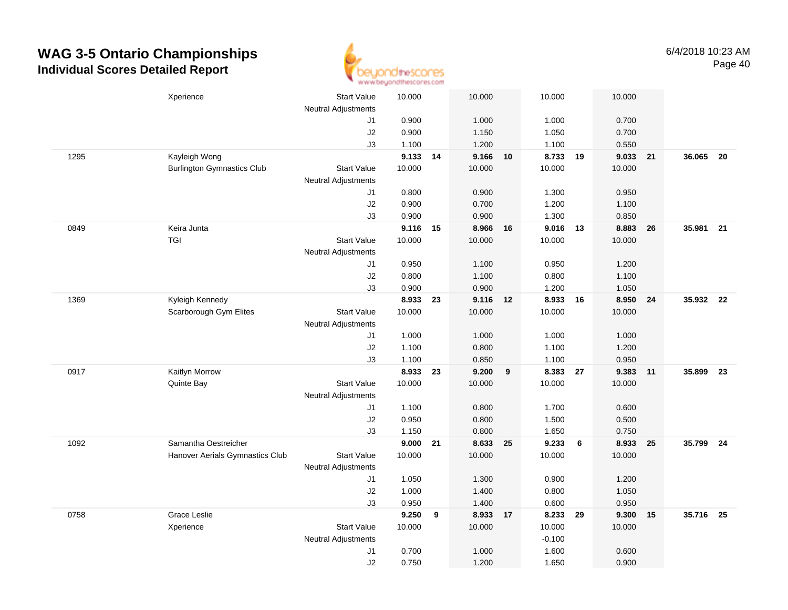

|      | Xperience                         | Start Value                      | 10.000   |    | 10.000   |    | 10.000   | 10.000          |          |           |  |
|------|-----------------------------------|----------------------------------|----------|----|----------|----|----------|-----------------|----------|-----------|--|
|      |                                   | <b>Neutral Adjustments</b><br>J1 | 0.900    |    | 1.000    |    | 1.000    | 0.700           |          |           |  |
|      |                                   | J2                               | 0.900    |    | 1.150    |    | 1.050    | 0.700           |          |           |  |
|      |                                   | J3                               | 1.100    |    | 1.200    |    | 1.100    | 0.550           |          |           |  |
| 1295 | Kayleigh Wong                     |                                  | 9.133 14 |    | 9.166 10 |    | 8.733 19 | 9.033           | 21       | 36.065 20 |  |
|      | <b>Burlington Gymnastics Club</b> | <b>Start Value</b>               | 10.000   |    | 10.000   |    | 10.000   | 10.000          |          |           |  |
|      |                                   | <b>Neutral Adjustments</b>       |          |    |          |    |          |                 |          |           |  |
|      |                                   | J1                               | 0.800    |    | 0.900    |    | 1.300    | 0.950           |          |           |  |
|      |                                   | J2                               | 0.900    |    | 0.700    |    | 1.200    | 1.100           |          |           |  |
|      |                                   | J3                               | 0.900    |    | 0.900    |    | 1.300    | 0.850           |          |           |  |
| 0849 | Keira Junta                       |                                  | 9.116 15 |    | 8.966    | 16 | 9.016 13 | 8.883           | 26       | 35.981 21 |  |
|      | <b>TGI</b>                        | <b>Start Value</b>               | 10.000   |    | 10.000   |    | 10.000   | 10.000          |          |           |  |
|      |                                   | <b>Neutral Adjustments</b>       |          |    |          |    |          |                 |          |           |  |
|      |                                   | J1                               | 0.950    |    | 1.100    |    | 0.950    | 1.200           |          |           |  |
|      |                                   | J2                               | 0.800    |    | 1.100    |    | 0.800    | 1.100           |          |           |  |
|      |                                   | J3                               | 0.900    |    | 0.900    |    | 1.200    | 1.050           |          |           |  |
| 1369 | Kyleigh Kennedy                   |                                  | 8.933 23 |    | 9.116 12 |    | 8.933 16 |                 | 8.950 24 | 35.932 22 |  |
|      | Scarborough Gym Elites            | <b>Start Value</b>               | 10.000   |    | 10.000   |    | 10.000   | 10.000          |          |           |  |
|      |                                   | <b>Neutral Adjustments</b>       |          |    |          |    |          |                 |          |           |  |
|      |                                   | J1                               | 1.000    |    | 1.000    |    | 1.000    | 1.000           |          |           |  |
|      |                                   | J2                               | 1.100    |    | 0.800    |    | 1.100    | 1.200           |          |           |  |
|      |                                   | J3                               | 1.100    |    | 0.850    |    | 1.100    | 0.950           |          |           |  |
| 0917 | Kaitlyn Morrow                    |                                  | 8.933    | 23 | 9.200    | 9  | 8.383    | 27<br>9.383     | 11       | 35.899 23 |  |
|      | Quinte Bay                        | <b>Start Value</b>               | 10.000   |    | 10.000   |    | 10.000   | 10.000          |          |           |  |
|      |                                   | <b>Neutral Adjustments</b>       |          |    |          |    |          |                 |          |           |  |
|      |                                   | J1                               | 1.100    |    | 0.800    |    | 1.700    | 0.600           |          |           |  |
|      |                                   | J2                               | 0.950    |    | 0.800    |    | 1.500    | 0.500           |          |           |  |
|      |                                   | J3                               | 1.150    |    | 0.800    |    | 1.650    | 0.750           |          |           |  |
| 1092 | Samantha Oestreicher              |                                  | 9.000 21 |    | 8.633 25 |    | 9.233    | $6\phantom{.}6$ | 8.933 25 | 35.799 24 |  |
|      | Hanover Aerials Gymnastics Club   | <b>Start Value</b>               | 10.000   |    | 10.000   |    | 10.000   | 10.000          |          |           |  |
|      |                                   | <b>Neutral Adjustments</b>       |          |    |          |    |          |                 |          |           |  |
|      |                                   | J1                               | 1.050    |    | 1.300    |    | 0.900    | 1.200           |          |           |  |
|      |                                   | J2                               | 1.000    |    | 1.400    |    | 0.800    | 1.050           |          |           |  |
|      |                                   | J3                               | 0.950    |    | 1.400    |    | 0.600    | 0.950           |          |           |  |
| 0758 | Grace Leslie                      |                                  | 9.250    | 9  | 8.933 17 |    | 8.233    | 29<br>9.300     | 15       | 35.716 25 |  |
|      | Xperience                         | <b>Start Value</b>               | 10.000   |    | 10.000   |    | 10.000   | 10.000          |          |           |  |
|      |                                   | <b>Neutral Adjustments</b>       |          |    |          |    | $-0.100$ |                 |          |           |  |
|      |                                   | J1                               | 0.700    |    | 1.000    |    | 1.600    | 0.600           |          |           |  |
|      |                                   | J2                               | 0.750    |    | 1.200    |    | 1.650    | 0.900           |          |           |  |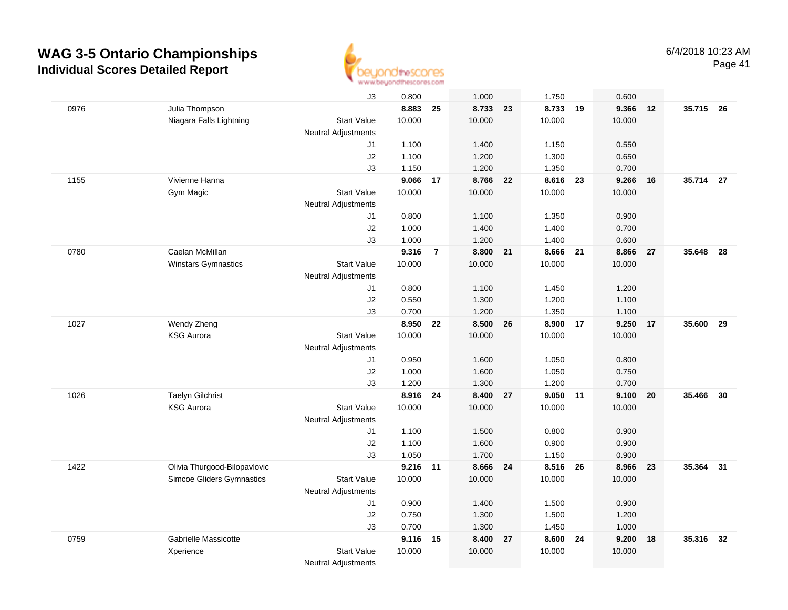

Page 41

|      |                                  | J3                         | 0.800    |                | 1.000  |    | 1.750    |       | 0.600    |    |           |    |
|------|----------------------------------|----------------------------|----------|----------------|--------|----|----------|-------|----------|----|-----------|----|
| 0976 | Julia Thompson                   |                            | 8.883    | 25             | 8.733  | 23 | 8.733    | 19    | 9.366    | 12 | 35.715 26 |    |
|      | Niagara Falls Lightning          | <b>Start Value</b>         | 10.000   |                | 10.000 |    | 10.000   |       | 10.000   |    |           |    |
|      |                                  | <b>Neutral Adjustments</b> |          |                |        |    |          |       |          |    |           |    |
|      |                                  | J1                         | 1.100    |                | 1.400  |    | 1.150    |       | 0.550    |    |           |    |
|      |                                  | J2                         | 1.100    |                | 1.200  |    | 1.300    |       | 0.650    |    |           |    |
|      |                                  | J3                         | 1.150    |                | 1.200  |    | 1.350    |       | 0.700    |    |           |    |
| 1155 | Vivienne Hanna                   |                            | 9.066    | 17             | 8.766  | 22 | 8.616    | 23    | 9.266    | 16 | 35.714 27 |    |
|      | Gym Magic                        | <b>Start Value</b>         | 10.000   |                | 10.000 |    | 10.000   |       | 10.000   |    |           |    |
|      |                                  | <b>Neutral Adjustments</b> |          |                |        |    |          |       |          |    |           |    |
|      |                                  | J1                         | 0.800    |                | 1.100  |    | 1.350    |       | 0.900    |    |           |    |
|      |                                  | J2                         | 1.000    |                | 1.400  |    | 1.400    |       | 0.700    |    |           |    |
|      |                                  | J3                         | 1.000    |                | 1.200  |    | 1.400    |       | 0.600    |    |           |    |
| 0780 | Caelan McMillan                  |                            | 9.316    | $\overline{7}$ | 8.800  | 21 | 8.666    | 21    | 8.866    | 27 | 35.648    | 28 |
|      | <b>Winstars Gymnastics</b>       | <b>Start Value</b>         | 10.000   |                | 10.000 |    | 10.000   |       | 10.000   |    |           |    |
|      |                                  | <b>Neutral Adjustments</b> |          |                |        |    |          |       |          |    |           |    |
|      |                                  | J1                         | 0.800    |                | 1.100  |    | 1.450    |       | 1.200    |    |           |    |
|      |                                  | J2                         | 0.550    |                | 1.300  |    | 1.200    |       | 1.100    |    |           |    |
|      |                                  | J3                         | 0.700    |                | 1.200  |    | 1.350    |       | 1.100    |    |           |    |
| 1027 | Wendy Zheng                      |                            | 8.950    | 22             | 8.500  | 26 | 8.900    | 17    | 9.250 17 |    | 35,600    | 29 |
|      | <b>KSG Aurora</b>                | <b>Start Value</b>         | 10.000   |                | 10.000 |    | 10.000   |       | 10.000   |    |           |    |
|      |                                  | <b>Neutral Adjustments</b> |          |                |        |    |          |       |          |    |           |    |
|      |                                  | J1                         | 0.950    |                | 1.600  |    | 1.050    |       | 0.800    |    |           |    |
|      |                                  | J2                         | 1.000    |                | 1.600  |    | 1.050    |       | 0.750    |    |           |    |
|      |                                  | J3                         | 1.200    |                | 1.300  |    | 1.200    |       | 0.700    |    |           |    |
| 1026 | <b>Taelyn Gilchrist</b>          |                            | 8.916    | 24             | 8.400  | 27 | 9.050    | $-11$ | 9.100    | 20 | 35.466    | 30 |
|      | <b>KSG Aurora</b>                | <b>Start Value</b>         | 10.000   |                | 10.000 |    | 10.000   |       | 10.000   |    |           |    |
|      |                                  | <b>Neutral Adjustments</b> |          |                |        |    |          |       |          |    |           |    |
|      |                                  | J1                         | 1.100    |                | 1.500  |    | 0.800    |       | 0.900    |    |           |    |
|      |                                  | J2                         | 1.100    |                | 1.600  |    | 0.900    |       | 0.900    |    |           |    |
|      |                                  | J3                         | 1.050    |                | 1.700  |    | 1.150    |       | 0.900    |    |           |    |
| 1422 | Olivia Thurgood-Bilopavlovic     |                            | 9.216 11 |                | 8.666  | 24 | 8.516 26 |       | 8.966    | 23 | 35.364 31 |    |
|      | <b>Simcoe Gliders Gymnastics</b> | <b>Start Value</b>         | 10.000   |                | 10.000 |    | 10.000   |       | 10.000   |    |           |    |
|      |                                  | <b>Neutral Adjustments</b> |          |                |        |    |          |       |          |    |           |    |
|      |                                  | J1                         | 0.900    |                | 1.400  |    | 1.500    |       | 0.900    |    |           |    |
|      |                                  | J2                         | 0.750    |                | 1.300  |    | 1.500    |       | 1.200    |    |           |    |
|      |                                  | J3                         | 0.700    |                | 1.300  |    | 1.450    |       | 1.000    |    |           |    |
| 0759 | Gabrielle Massicotte             |                            | 9.116    | 15             | 8.400  | 27 | 8.600 24 |       | 9.200    | 18 | 35.316    | 32 |
|      | Xperience                        | <b>Start Value</b>         | 10.000   |                | 10.000 |    | 10.000   |       | 10.000   |    |           |    |
|      |                                  | <b>Neutral Adiustments</b> |          |                |        |    |          |       |          |    |           |    |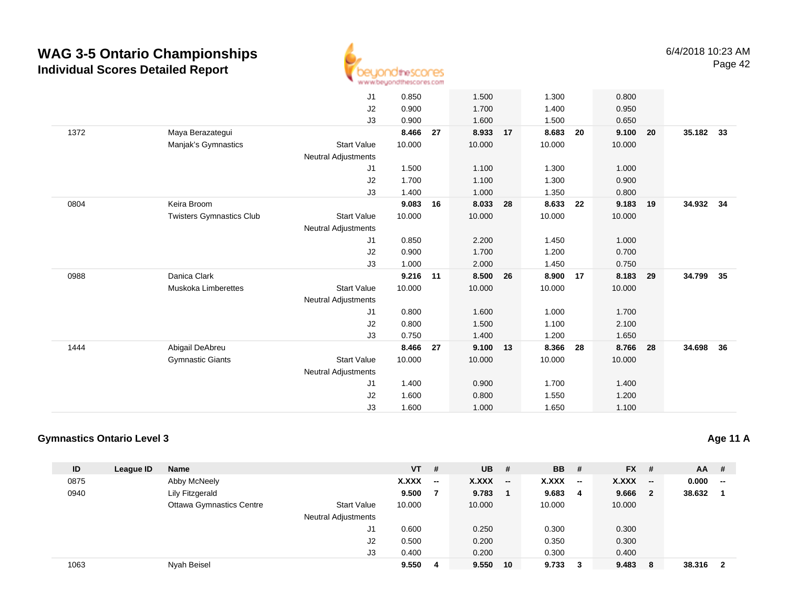

|      |                                 | J1                         | 0.850  |    | 1.500    |    | 1.300  |    | 0.800    |    |           |    |
|------|---------------------------------|----------------------------|--------|----|----------|----|--------|----|----------|----|-----------|----|
|      |                                 | J2                         | 0.900  |    | 1.700    |    | 1.400  |    | 0.950    |    |           |    |
|      |                                 | J3                         | 0.900  |    | 1.600    |    | 1.500  |    | 0.650    |    |           |    |
| 1372 | Maya Berazategui                |                            | 8.466  | 27 | 8.933    | 17 | 8.683  | 20 | 9.100    | 20 | 35.182    | 33 |
|      | Manjak's Gymnastics             | <b>Start Value</b>         | 10.000 |    | 10.000   |    | 10.000 |    | 10.000   |    |           |    |
|      |                                 | Neutral Adjustments        |        |    |          |    |        |    |          |    |           |    |
|      |                                 | J1                         | 1.500  |    | 1.100    |    | 1.300  |    | 1.000    |    |           |    |
|      |                                 | J2                         | 1.700  |    | 1.100    |    | 1.300  |    | 0.900    |    |           |    |
|      |                                 | J3                         | 1.400  |    | 1.000    |    | 1.350  |    | 0.800    |    |           |    |
| 0804 | Keira Broom                     |                            | 9.083  | 16 | 8.033    | 28 | 8.633  | 22 | 9.183    | 19 | 34.932 34 |    |
|      | <b>Twisters Gymnastics Club</b> | <b>Start Value</b>         | 10.000 |    | 10.000   |    | 10.000 |    | 10.000   |    |           |    |
|      |                                 | <b>Neutral Adjustments</b> |        |    |          |    |        |    |          |    |           |    |
|      |                                 | J1                         | 0.850  |    | 2.200    |    | 1.450  |    | 1.000    |    |           |    |
|      |                                 | J2                         | 0.900  |    | 1.700    |    | 1.200  |    | 0.700    |    |           |    |
|      |                                 | J3                         | 1.000  |    | 2.000    |    | 1.450  |    | 0.750    |    |           |    |
| 0988 | Danica Clark                    |                            | 9.216  | 11 | 8.500    | 26 | 8.900  | 17 | 8.183 29 |    | 34.799    | 35 |
|      | Muskoka Limberettes             | <b>Start Value</b>         | 10.000 |    | 10.000   |    | 10.000 |    | 10.000   |    |           |    |
|      |                                 | <b>Neutral Adjustments</b> |        |    |          |    |        |    |          |    |           |    |
|      |                                 | J1                         | 0.800  |    | 1.600    |    | 1.000  |    | 1.700    |    |           |    |
|      |                                 | J2                         | 0.800  |    | 1.500    |    | 1.100  |    | 2.100    |    |           |    |
|      |                                 | J3                         | 0.750  |    | 1.400    |    | 1.200  |    | 1.650    |    |           |    |
| 1444 | Abigail DeAbreu                 |                            | 8.466  | 27 | 9.100 13 |    | 8.366  | 28 | 8.766    | 28 | 34.698    | 36 |
|      | <b>Gymnastic Giants</b>         | <b>Start Value</b>         | 10.000 |    | 10.000   |    | 10.000 |    | 10.000   |    |           |    |
|      |                                 | <b>Neutral Adjustments</b> |        |    |          |    |        |    |          |    |           |    |
|      |                                 | J1                         | 1.400  |    | 0.900    |    | 1.700  |    | 1.400    |    |           |    |
|      |                                 | J2                         | 1.600  |    | 0.800    |    | 1.550  |    | 1.200    |    |           |    |
|      |                                 | J3                         | 1.600  |    | 1.000    |    | 1.650  |    | 1.100    |    |           |    |
|      |                                 |                            |        |    |          |    |        |    |          |    |           |    |

#### **Gymnastics Ontario Level 3**

| ID   | League ID | <b>Name</b>                     |                            | <b>VT</b> | #                        | $UB$ # |                          | <b>BB</b> # |                          | $FX$ # |                | $AA$ # |                         |
|------|-----------|---------------------------------|----------------------------|-----------|--------------------------|--------|--------------------------|-------------|--------------------------|--------|----------------|--------|-------------------------|
| 0875 |           | Abby McNeely                    |                            | X.XXX     | $\overline{\phantom{a}}$ | X.XXX  | $\overline{\phantom{a}}$ | X.XXX       | $\overline{\phantom{a}}$ | X.XXX  | $-$            | 0.000  | --                      |
| 0940 |           | <b>Lily Fitzgerald</b>          |                            | 9.500     |                          | 9.783  |                          | 9.683       | 4                        | 9.666  | $\overline{2}$ | 38.632 |                         |
|      |           | <b>Ottawa Gymnastics Centre</b> | <b>Start Value</b>         | 10.000    |                          | 10.000 |                          | 10.000      |                          | 10.000 |                |        |                         |
|      |           |                                 | <b>Neutral Adjustments</b> |           |                          |        |                          |             |                          |        |                |        |                         |
|      |           |                                 | J1                         | 0.600     |                          | 0.250  |                          | 0.300       |                          | 0.300  |                |        |                         |
|      |           |                                 | J2                         | 0.500     |                          | 0.200  |                          | 0.350       |                          | 0.300  |                |        |                         |
|      |           |                                 | J3                         | 0.400     |                          | 0.200  |                          | 0.300       |                          | 0.400  |                |        |                         |
| 1063 |           | Nyah Beisel                     |                            | 9.550     | 4                        | 9.550  | 10                       | 9.733       | 3                        | 9.483  | - 8            | 38.316 | $\overline{\mathbf{2}}$ |

#### **Age 11 A**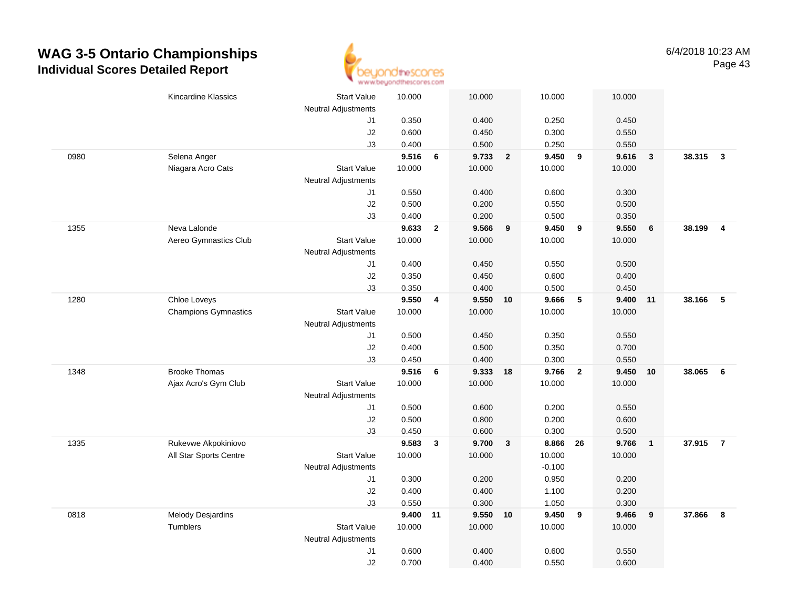

|      | <b>Kincardine Klassics</b>  | <b>Start Value</b>               | 10.000 |                | 10.000   |                         | 10.000   |                         | 10.000 |                         |        |                |
|------|-----------------------------|----------------------------------|--------|----------------|----------|-------------------------|----------|-------------------------|--------|-------------------------|--------|----------------|
|      |                             | <b>Neutral Adjustments</b><br>J1 | 0.350  |                | 0.400    |                         | 0.250    |                         | 0.450  |                         |        |                |
|      |                             | J2                               | 0.600  |                | 0.450    |                         | 0.300    |                         | 0.550  |                         |        |                |
|      |                             | J3                               | 0.400  |                | 0.500    |                         | 0.250    |                         | 0.550  |                         |        |                |
| 0980 | Selena Anger                |                                  | 9.516  | 6              | 9.733    | $\overline{\mathbf{2}}$ | 9.450    | $\overline{\mathbf{9}}$ | 9.616  | $\overline{\mathbf{3}}$ | 38.315 | $\mathbf{3}$   |
|      | Niagara Acro Cats           | <b>Start Value</b>               | 10.000 |                | 10.000   |                         | 10.000   |                         | 10.000 |                         |        |                |
|      |                             | <b>Neutral Adjustments</b>       |        |                |          |                         |          |                         |        |                         |        |                |
|      |                             | J1                               | 0.550  |                | 0.400    |                         | 0.600    |                         | 0.300  |                         |        |                |
|      |                             | J2                               | 0.500  |                | 0.200    |                         | 0.550    |                         | 0.500  |                         |        |                |
|      |                             | J3                               | 0.400  |                | 0.200    |                         | 0.500    |                         | 0.350  |                         |        |                |
| 1355 | Neva Lalonde                |                                  | 9.633  | $\overline{2}$ | 9.566    | 9                       | 9.450    | 9                       | 9.550  | 6                       | 38.199 | $\overline{4}$ |
|      | Aereo Gymnastics Club       | <b>Start Value</b>               | 10.000 |                | 10.000   |                         | 10.000   |                         | 10.000 |                         |        |                |
|      |                             | Neutral Adjustments              |        |                |          |                         |          |                         |        |                         |        |                |
|      |                             | J1                               | 0.400  |                | 0.450    |                         | 0.550    |                         | 0.500  |                         |        |                |
|      |                             | J2                               | 0.350  |                | 0.450    |                         | 0.600    |                         | 0.400  |                         |        |                |
|      |                             | J3                               | 0.350  |                | 0.400    |                         | 0.500    |                         | 0.450  |                         |        |                |
| 1280 | Chloe Loveys                |                                  | 9.550  | 4              | 9.550    | 10                      | 9.666    | $\sqrt{5}$              | 9.400  | 11                      | 38.166 | - 5            |
|      | <b>Champions Gymnastics</b> | <b>Start Value</b>               | 10.000 |                | 10.000   |                         | 10.000   |                         | 10.000 |                         |        |                |
|      |                             | Neutral Adjustments              |        |                |          |                         |          |                         |        |                         |        |                |
|      |                             | J1                               | 0.500  |                | 0.450    |                         | 0.350    |                         | 0.550  |                         |        |                |
|      |                             | J2                               | 0.400  |                | 0.500    |                         | 0.350    |                         | 0.700  |                         |        |                |
|      |                             | J3                               | 0.450  |                | 0.400    |                         | 0.300    |                         | 0.550  |                         |        |                |
| 1348 | <b>Brooke Thomas</b>        |                                  | 9.516  | 6              | 9.333    | 18                      | 9.766    | $\overline{2}$          | 9.450  | 10                      | 38.065 | 6              |
|      | Ajax Acro's Gym Club        | <b>Start Value</b>               | 10.000 |                | 10.000   |                         | 10.000   |                         | 10.000 |                         |        |                |
|      |                             | <b>Neutral Adjustments</b>       |        |                |          |                         |          |                         |        |                         |        |                |
|      |                             | J1                               | 0.500  |                | 0.600    |                         | 0.200    |                         | 0.550  |                         |        |                |
|      |                             | J2                               | 0.500  |                | 0.800    |                         | 0.200    |                         | 0.600  |                         |        |                |
|      |                             | J3                               | 0.450  |                | 0.600    |                         | 0.300    |                         | 0.500  |                         |        |                |
| 1335 | Rukevwe Akpokiniovo         |                                  | 9.583  | $\mathbf{3}$   | 9.700    | $\mathbf{3}$            | 8.866 26 |                         | 9.766  | $\overline{\mathbf{1}}$ | 37.915 | $\overline{7}$ |
|      | All Star Sports Centre      | Start Value                      | 10.000 |                | 10.000   |                         | 10.000   |                         | 10.000 |                         |        |                |
|      |                             | Neutral Adjustments              |        |                |          |                         | $-0.100$ |                         |        |                         |        |                |
|      |                             | J1                               | 0.300  |                | 0.200    |                         | 0.950    |                         | 0.200  |                         |        |                |
|      |                             | J2                               | 0.400  |                | 0.400    |                         | 1.100    |                         | 0.200  |                         |        |                |
|      |                             | J3                               | 0.550  |                | 0.300    |                         | 1.050    |                         | 0.300  |                         |        |                |
| 0818 | <b>Melody Desjardins</b>    |                                  | 9.400  | 11             | 9.550 10 |                         | 9.450    | 9                       | 9.466  | 9                       | 37.866 | 8              |
|      | Tumblers                    | <b>Start Value</b>               | 10.000 |                | 10.000   |                         | 10.000   |                         | 10.000 |                         |        |                |
|      |                             | Neutral Adjustments              |        |                |          |                         |          |                         |        |                         |        |                |
|      |                             | J <sub>1</sub>                   | 0.600  |                | 0.400    |                         | 0.600    |                         | 0.550  |                         |        |                |
|      |                             | J2                               | 0.700  |                | 0.400    |                         | 0.550    |                         | 0.600  |                         |        |                |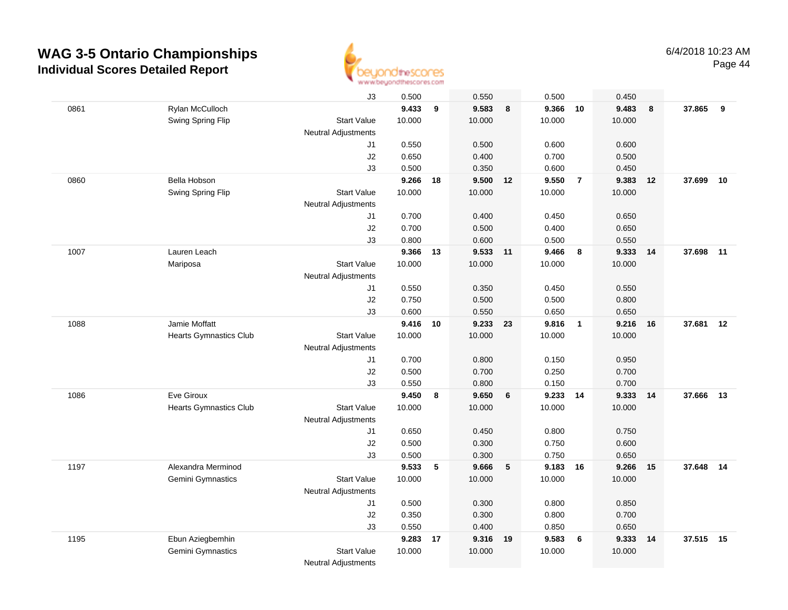

|      |                               | J3                         | 0.500    |    | 0.550    |    | 0.500    |                 | 0.450  |     |           |    |
|------|-------------------------------|----------------------------|----------|----|----------|----|----------|-----------------|--------|-----|-----------|----|
| 0861 | Rylan McCulloch               |                            | 9.433    | 9  | 9.583    | 8  | 9.366    | 10              | 9.483  | 8   | 37.865    | 9  |
|      | Swing Spring Flip             | <b>Start Value</b>         | 10.000   |    | 10.000   |    | 10.000   |                 | 10.000 |     |           |    |
|      |                               | Neutral Adjustments        |          |    |          |    |          |                 |        |     |           |    |
|      |                               | J1                         | 0.550    |    | 0.500    |    | 0.600    |                 | 0.600  |     |           |    |
|      |                               | J2                         | 0.650    |    | 0.400    |    | 0.700    |                 | 0.500  |     |           |    |
|      |                               | J3                         | 0.500    |    | 0.350    |    | 0.600    |                 | 0.450  |     |           |    |
| 0860 | Bella Hobson                  |                            | 9.266    | 18 | 9.500    | 12 | 9.550    | $\overline{7}$  | 9.383  | 12  | 37.699    | 10 |
|      | Swing Spring Flip             | <b>Start Value</b>         | 10.000   |    | 10.000   |    | 10.000   |                 | 10.000 |     |           |    |
|      |                               | <b>Neutral Adjustments</b> |          |    |          |    |          |                 |        |     |           |    |
|      |                               | J1                         | 0.700    |    | 0.400    |    | 0.450    |                 | 0.650  |     |           |    |
|      |                               | J2                         | 0.700    |    | 0.500    |    | 0.400    |                 | 0.650  |     |           |    |
|      |                               | J3                         | 0.800    |    | 0.600    |    | 0.500    |                 | 0.550  |     |           |    |
| 1007 | Lauren Leach                  |                            | 9.366    | 13 | 9.533 11 |    | 9.466    | - 8             | 9.333  | 14  | 37.698    | 11 |
|      | Mariposa                      | <b>Start Value</b>         | 10.000   |    | 10.000   |    | 10.000   |                 | 10.000 |     |           |    |
|      |                               | <b>Neutral Adjustments</b> |          |    |          |    |          |                 |        |     |           |    |
|      |                               | J1                         | 0.550    |    | 0.350    |    | 0.450    |                 | 0.550  |     |           |    |
|      |                               | J2                         | 0.750    |    | 0.500    |    | 0.500    |                 | 0.800  |     |           |    |
|      |                               | J3                         | 0.600    |    | 0.550    |    | 0.650    |                 | 0.650  |     |           |    |
| 1088 | Jamie Moffatt                 |                            | 9.416 10 |    | 9.233 23 |    | 9.816    | $\overline{1}$  | 9.216  | 16  | 37.681    | 12 |
|      | <b>Hearts Gymnastics Club</b> | <b>Start Value</b>         | 10.000   |    | 10.000   |    | 10.000   |                 | 10.000 |     |           |    |
|      |                               | <b>Neutral Adjustments</b> |          |    |          |    |          |                 |        |     |           |    |
|      |                               | J1                         | 0.700    |    | 0.800    |    | 0.150    |                 | 0.950  |     |           |    |
|      |                               | J2                         | 0.500    |    | 0.700    |    | 0.250    |                 | 0.700  |     |           |    |
|      |                               | J3                         | 0.550    |    | 0.800    |    | 0.150    |                 | 0.700  |     |           |    |
| 1086 | Eve Giroux                    |                            | 9.450    | 8  | 9.650    | 6  | 9.233    | 14              | 9.333  | 14  | 37.666    | 13 |
|      | <b>Hearts Gymnastics Club</b> | <b>Start Value</b>         | 10.000   |    | 10.000   |    | 10.000   |                 | 10.000 |     |           |    |
|      |                               | <b>Neutral Adjustments</b> |          |    |          |    |          |                 |        |     |           |    |
|      |                               | J1                         | 0.650    |    | 0.450    |    | 0.800    |                 | 0.750  |     |           |    |
|      |                               | J2                         | 0.500    |    | 0.300    |    | 0.750    |                 | 0.600  |     |           |    |
|      |                               | J3                         | 0.500    |    | 0.300    |    | 0.750    |                 | 0.650  |     |           |    |
| 1197 | Alexandra Merminod            |                            | 9.533    | 5  | 9.666    | 5  | 9.183 16 |                 | 9.266  | 15  | 37.648 14 |    |
|      | Gemini Gymnastics             | <b>Start Value</b>         | 10.000   |    | 10.000   |    | 10.000   |                 | 10.000 |     |           |    |
|      |                               | <b>Neutral Adjustments</b> |          |    |          |    |          |                 |        |     |           |    |
|      |                               | J1                         | 0.500    |    | 0.300    |    | 0.800    |                 | 0.850  |     |           |    |
|      |                               | J2                         | 0.350    |    | 0.300    |    | 0.800    |                 | 0.700  |     |           |    |
|      |                               | J3                         | 0.550    |    | 0.400    |    | 0.850    |                 | 0.650  |     |           |    |
| 1195 | Ebun Aziegbemhin              |                            | 9.283    | 17 | 9.316 19 |    | 9.583    | $6\phantom{1}6$ | 9.333  | -14 | 37.515 15 |    |
|      | Gemini Gymnastics             | <b>Start Value</b>         | 10.000   |    | 10.000   |    | 10.000   |                 | 10.000 |     |           |    |
|      |                               | <b>Neutral Adjustments</b> |          |    |          |    |          |                 |        |     |           |    |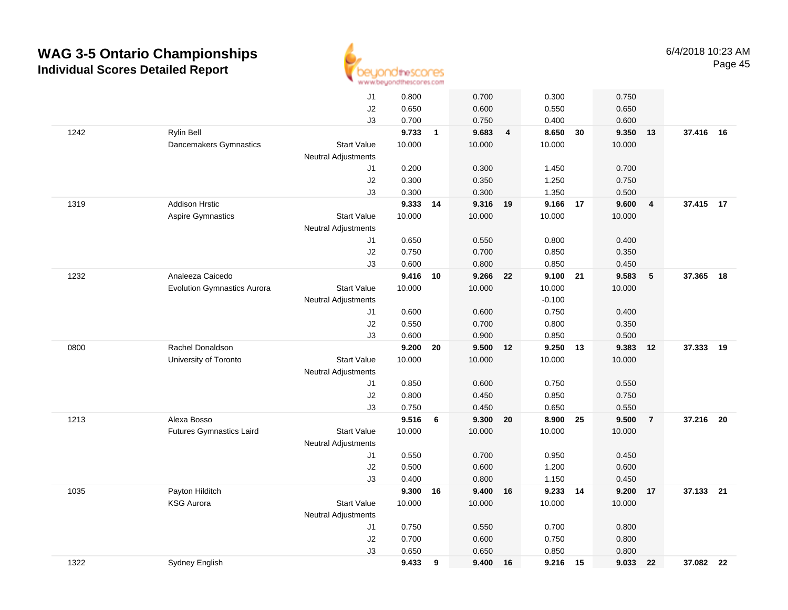

|      |                                    | J1                         | 0.800  |              | 0.700    |                | 0.300    |    | 0.750  |                |           |    |
|------|------------------------------------|----------------------------|--------|--------------|----------|----------------|----------|----|--------|----------------|-----------|----|
|      |                                    | J2                         | 0.650  |              | 0.600    |                | 0.550    |    | 0.650  |                |           |    |
|      |                                    | J3                         | 0.700  |              | 0.750    |                | 0.400    |    | 0.600  |                |           |    |
| 1242 | <b>Rylin Bell</b>                  |                            | 9.733  | $\mathbf{1}$ | 9.683    | $\overline{4}$ | 8.650    | 30 | 9.350  | 13             | 37.416 16 |    |
|      | Dancemakers Gymnastics             | <b>Start Value</b>         | 10.000 |              | 10.000   |                | 10.000   |    | 10.000 |                |           |    |
|      |                                    | <b>Neutral Adjustments</b> |        |              |          |                |          |    |        |                |           |    |
|      |                                    | J1                         | 0.200  |              | 0.300    |                | 1.450    |    | 0.700  |                |           |    |
|      |                                    | J2                         | 0.300  |              | 0.350    |                | 1.250    |    | 0.750  |                |           |    |
|      |                                    | J3                         | 0.300  |              | 0.300    |                | 1.350    |    | 0.500  |                |           |    |
| 1319 | <b>Addison Hrstic</b>              |                            | 9.333  | 14           | 9.316 19 |                | 9.166 17 |    | 9.600  | $\overline{4}$ | 37.415 17 |    |
|      | <b>Aspire Gymnastics</b>           | <b>Start Value</b>         | 10.000 |              | 10.000   |                | 10.000   |    | 10.000 |                |           |    |
|      |                                    | Neutral Adjustments        |        |              |          |                |          |    |        |                |           |    |
|      |                                    | J1                         | 0.650  |              | 0.550    |                | 0.800    |    | 0.400  |                |           |    |
|      |                                    | J2                         | 0.750  |              | 0.700    |                | 0.850    |    | 0.350  |                |           |    |
|      |                                    | J3                         | 0.600  |              | 0.800    |                | 0.850    |    | 0.450  |                |           |    |
| 1232 | Analeeza Caicedo                   |                            | 9.416  | 10           | 9.266 22 |                | 9.100 21 |    | 9.583  | 5              | 37.365    | 18 |
|      | <b>Evolution Gymnastics Aurora</b> | <b>Start Value</b>         | 10.000 |              | 10.000   |                | 10.000   |    | 10.000 |                |           |    |
|      |                                    | Neutral Adjustments        |        |              |          |                | $-0.100$ |    |        |                |           |    |
|      |                                    | J1                         | 0.600  |              | 0.600    |                | 0.750    |    | 0.400  |                |           |    |
|      |                                    | J2                         | 0.550  |              | 0.700    |                | 0.800    |    | 0.350  |                |           |    |
|      |                                    | J3                         | 0.600  |              | 0.900    |                | 0.850    |    | 0.500  |                |           |    |
| 0800 | Rachel Donaldson                   |                            | 9.200  | 20           | 9.500    | 12             | 9.250    | 13 | 9.383  | 12             | 37.333    | 19 |
|      | University of Toronto              | <b>Start Value</b>         | 10.000 |              | 10.000   |                | 10.000   |    | 10.000 |                |           |    |
|      |                                    | <b>Neutral Adjustments</b> |        |              |          |                |          |    |        |                |           |    |
|      |                                    | J1                         | 0.850  |              | 0.600    |                | 0.750    |    | 0.550  |                |           |    |
|      |                                    | J2                         | 0.800  |              | 0.450    |                | 0.850    |    | 0.750  |                |           |    |
|      |                                    | J3                         | 0.750  |              | 0.450    |                | 0.650    |    | 0.550  |                |           |    |
| 1213 | Alexa Bosso                        |                            | 9.516  | 6            | 9.300    | 20             | 8.900 25 |    | 9.500  | $\overline{7}$ | 37.216 20 |    |
|      | <b>Futures Gymnastics Laird</b>    | <b>Start Value</b>         | 10.000 |              | 10.000   |                | 10.000   |    | 10.000 |                |           |    |
|      |                                    | Neutral Adjustments        |        |              |          |                |          |    |        |                |           |    |
|      |                                    | J1                         | 0.550  |              | 0.700    |                | 0.950    |    | 0.450  |                |           |    |
|      |                                    | J2                         | 0.500  |              | 0.600    |                | 1.200    |    | 0.600  |                |           |    |
|      |                                    | J3                         | 0.400  |              | 0.800    |                | 1.150    |    | 0.450  |                |           |    |
| 1035 | Payton Hilditch                    |                            | 9.300  | 16           | 9.400    | 16             | 9.233 14 |    | 9.200  | 17             | 37.133 21 |    |
|      | <b>KSG Aurora</b>                  | <b>Start Value</b>         | 10.000 |              | 10.000   |                | 10.000   |    | 10.000 |                |           |    |
|      |                                    | Neutral Adjustments        |        |              |          |                |          |    |        |                |           |    |
|      |                                    | J1                         | 0.750  |              | 0.550    |                | 0.700    |    | 0.800  |                |           |    |
|      |                                    | J2                         | 0.700  |              | 0.600    |                | 0.750    |    | 0.800  |                |           |    |
|      |                                    | J3                         | 0.650  |              | 0.650    |                | 0.850    |    | 0.800  |                |           |    |
| 1322 | Sydney English                     |                            | 9.433  | 9            | 9.400    | 16             | 9.216    | 15 | 9.033  | 22             | 37.082 22 |    |
|      |                                    |                            |        |              |          |                |          |    |        |                |           |    |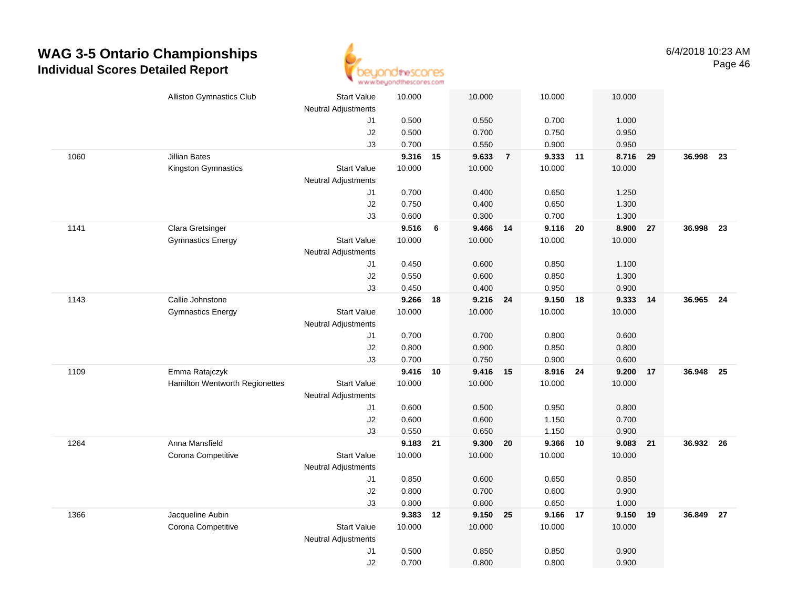

|      | <b>Alliston Gymnastics Club</b> | <b>Start Value</b><br><b>Neutral Adjustments</b> | 10.000   |    | 10.000   |                | 10.000   | 10.000        |    |           |      |
|------|---------------------------------|--------------------------------------------------|----------|----|----------|----------------|----------|---------------|----|-----------|------|
|      |                                 | J1                                               | 0.500    |    | 0.550    |                | 0.700    | 1.000         |    |           |      |
|      |                                 | J2                                               | 0.500    |    | 0.700    |                | 0.750    | 0.950         |    |           |      |
|      |                                 | J3                                               | 0.700    |    | 0.550    |                | 0.900    | 0.950         |    |           |      |
| 1060 | <b>Jillian Bates</b>            |                                                  | 9.316 15 |    | 9.633    | $\overline{7}$ | 9.333    | 11<br>8.716   | 29 | 36.998    | - 23 |
|      | Kingston Gymnastics             | <b>Start Value</b>                               | 10.000   |    | 10.000   |                | 10.000   | 10.000        |    |           |      |
|      |                                 | <b>Neutral Adjustments</b>                       |          |    |          |                |          |               |    |           |      |
|      |                                 | J1                                               | 0.700    |    | 0.400    |                | 0.650    | 1.250         |    |           |      |
|      |                                 | J2                                               | 0.750    |    | 0.400    |                | 0.650    | 1.300         |    |           |      |
|      |                                 | J3                                               | 0.600    |    | 0.300    |                | 0.700    | 1.300         |    |           |      |
| 1141 | Clara Gretsinger                |                                                  | 9.516    | 6  | 9.466    | 14             | 9.116    | 8.900<br>- 20 | 27 | 36.998    | 23   |
|      | <b>Gymnastics Energy</b>        | <b>Start Value</b>                               | 10.000   |    | 10.000   |                | 10.000   | 10.000        |    |           |      |
|      |                                 | <b>Neutral Adjustments</b>                       |          |    |          |                |          |               |    |           |      |
|      |                                 | J1                                               | 0.450    |    | 0.600    |                | 0.850    | 1.100         |    |           |      |
|      |                                 | J2                                               | 0.550    |    | 0.600    |                | 0.850    | 1.300         |    |           |      |
|      |                                 | J3                                               | 0.450    |    | 0.400    |                | 0.950    | 0.900         |    |           |      |
| 1143 | Callie Johnstone                |                                                  | 9.266    | 18 | 9.216 24 |                | 9.150 18 | 9.333 14      |    | 36.965 24 |      |
|      | <b>Gymnastics Energy</b>        | <b>Start Value</b>                               | 10.000   |    | 10.000   |                | 10.000   | 10.000        |    |           |      |
|      |                                 | Neutral Adjustments                              |          |    |          |                |          |               |    |           |      |
|      |                                 | J1                                               | 0.700    |    | 0.700    |                | 0.800    | 0.600         |    |           |      |
|      |                                 | J2                                               | 0.800    |    | 0.900    |                | 0.850    | 0.800         |    |           |      |
|      |                                 | J3                                               | 0.700    |    | 0.750    |                | 0.900    | 0.600         |    |           |      |
| 1109 | Emma Ratajczyk                  |                                                  | 9.416    | 10 | 9.416    | 15             | 8.916    | 24<br>9.200   | 17 | 36.948    | - 25 |
|      | Hamilton Wentworth Regionettes  | <b>Start Value</b>                               | 10.000   |    | 10.000   |                | 10.000   | 10.000        |    |           |      |
|      |                                 | <b>Neutral Adjustments</b>                       |          |    |          |                |          |               |    |           |      |
|      |                                 | J1                                               | 0.600    |    | 0.500    |                | 0.950    | 0.800         |    |           |      |
|      |                                 | J2                                               | 0.600    |    | 0.600    |                | 1.150    | 0.700         |    |           |      |
|      |                                 | J3                                               | 0.550    |    | 0.650    |                | 1.150    | 0.900         |    |           |      |
| 1264 | Anna Mansfield                  |                                                  | 9.183    | 21 | 9.300 20 |                | 9.366 10 | 9.083         | 21 | 36.932 26 |      |
|      | Corona Competitive              | <b>Start Value</b>                               | 10.000   |    | 10.000   |                | 10.000   | 10.000        |    |           |      |
|      |                                 | Neutral Adjustments                              |          |    |          |                |          |               |    |           |      |
|      |                                 | J1                                               | 0.850    |    | 0.600    |                | 0.650    | 0.850         |    |           |      |
|      |                                 | J2                                               | 0.800    |    | 0.700    |                | 0.600    | 0.900         |    |           |      |
|      |                                 | J3                                               | 0.800    |    | 0.800    |                | 0.650    | 1.000         |    |           |      |
| 1366 | Jacqueline Aubin                |                                                  | 9.383    | 12 | 9.150 25 |                | 9.166 17 | 9.150         | 19 | 36.849    | 27   |
|      | Corona Competitive              | <b>Start Value</b>                               | 10.000   |    | 10.000   |                | 10.000   | 10.000        |    |           |      |
|      |                                 | <b>Neutral Adjustments</b>                       |          |    |          |                |          |               |    |           |      |
|      |                                 | J1                                               | 0.500    |    | 0.850    |                | 0.850    | 0.900         |    |           |      |
|      |                                 | J2                                               | 0.700    |    | 0.800    |                | 0.800    | 0.900         |    |           |      |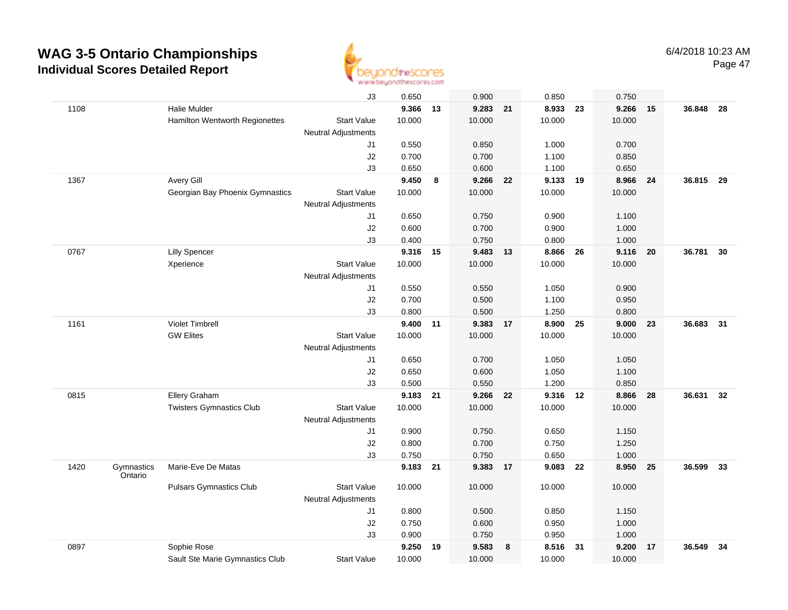

|      |                       |                                 | J3                         | 0.650    |    | 0.900    |    | 0.850  |    | 0.750  |    |           |    |
|------|-----------------------|---------------------------------|----------------------------|----------|----|----------|----|--------|----|--------|----|-----------|----|
| 1108 |                       | Halie Mulder                    |                            | 9.366    | 13 | 9.283    | 21 | 8.933  | 23 | 9.266  | 15 | 36.848    | 28 |
|      |                       | Hamilton Wentworth Regionettes  | <b>Start Value</b>         | 10.000   |    | 10.000   |    | 10.000 |    | 10.000 |    |           |    |
|      |                       |                                 | <b>Neutral Adjustments</b> |          |    |          |    |        |    |        |    |           |    |
|      |                       |                                 | J1                         | 0.550    |    | 0.850    |    | 1.000  |    | 0.700  |    |           |    |
|      |                       |                                 | J2                         | 0.700    |    | 0.700    |    | 1.100  |    | 0.850  |    |           |    |
|      |                       |                                 | J3                         | 0.650    |    | 0.600    |    | 1.100  |    | 0.650  |    |           |    |
| 1367 |                       | Avery Gill                      |                            | 9.450    | 8  | 9.266    | 22 | 9.133  | 19 | 8.966  | 24 | 36.815    | 29 |
|      |                       | Georgian Bay Phoenix Gymnastics | <b>Start Value</b>         | 10.000   |    | 10.000   |    | 10.000 |    | 10.000 |    |           |    |
|      |                       |                                 | Neutral Adjustments        |          |    |          |    |        |    |        |    |           |    |
|      |                       |                                 | J1                         | 0.650    |    | 0.750    |    | 0.900  |    | 1.100  |    |           |    |
|      |                       |                                 | J2                         | 0.600    |    | 0.700    |    | 0.900  |    | 1.000  |    |           |    |
|      |                       |                                 | J3                         | 0.400    |    | 0.750    |    | 0.800  |    | 1.000  |    |           |    |
| 0767 |                       | <b>Lilly Spencer</b>            |                            | 9.316    | 15 | 9.483    | 13 | 8.866  | 26 | 9.116  | 20 | 36.781    | 30 |
|      |                       | Xperience                       | <b>Start Value</b>         | 10.000   |    | 10.000   |    | 10.000 |    | 10.000 |    |           |    |
|      |                       |                                 | <b>Neutral Adjustments</b> |          |    |          |    |        |    |        |    |           |    |
|      |                       |                                 | J1                         | 0.550    |    | 0.550    |    | 1.050  |    | 0.900  |    |           |    |
|      |                       |                                 | J2                         | 0.700    |    | 0.500    |    | 1.100  |    | 0.950  |    |           |    |
|      |                       |                                 | J3                         | 0.800    |    | 0.500    |    | 1.250  |    | 0.800  |    |           |    |
| 1161 |                       | <b>Violet Timbrell</b>          |                            | 9.400 11 |    | 9.383 17 |    | 8.900  | 25 | 9.000  | 23 | 36.683 31 |    |
|      |                       | <b>GW Elites</b>                | <b>Start Value</b>         | 10.000   |    | 10.000   |    | 10.000 |    | 10.000 |    |           |    |
|      |                       |                                 | <b>Neutral Adjustments</b> |          |    |          |    |        |    |        |    |           |    |
|      |                       |                                 | J1                         | 0.650    |    | 0.700    |    | 1.050  |    | 1.050  |    |           |    |
|      |                       |                                 | J2                         | 0.650    |    | 0.600    |    | 1.050  |    | 1.100  |    |           |    |
|      |                       |                                 | J3                         | 0.500    |    | 0.550    |    | 1.200  |    | 0.850  |    |           |    |
| 0815 |                       | Ellery Graham                   |                            | 9.183    | 21 | 9.266    | 22 | 9.316  | 12 | 8.866  | 28 | 36.631    | 32 |
|      |                       | <b>Twisters Gymnastics Club</b> | <b>Start Value</b>         | 10.000   |    | 10.000   |    | 10.000 |    | 10.000 |    |           |    |
|      |                       |                                 | <b>Neutral Adjustments</b> |          |    |          |    |        |    |        |    |           |    |
|      |                       |                                 | J1                         | 0.900    |    | 0.750    |    | 0.650  |    | 1.150  |    |           |    |
|      |                       |                                 | J2                         | 0.800    |    | 0.700    |    | 0.750  |    | 1.250  |    |           |    |
|      |                       |                                 | J3                         | 0.750    |    | 0.750    |    | 0.650  |    | 1.000  |    |           |    |
| 1420 | Gymnastics<br>Ontario | Marie-Eve De Matas              |                            | 9.183    | 21 | 9.383    | 17 | 9.083  | 22 | 8.950  | 25 | 36.599    | 33 |
|      |                       | <b>Pulsars Gymnastics Club</b>  | <b>Start Value</b>         | 10.000   |    | 10.000   |    | 10.000 |    | 10.000 |    |           |    |
|      |                       |                                 | <b>Neutral Adjustments</b> |          |    |          |    |        |    |        |    |           |    |
|      |                       |                                 | J1                         | 0.800    |    | 0.500    |    | 0.850  |    | 1.150  |    |           |    |
|      |                       |                                 | J2                         | 0.750    |    | 0.600    |    | 0.950  |    | 1.000  |    |           |    |
|      |                       |                                 | J3                         | 0.900    |    | 0.750    |    | 0.950  |    | 1.000  |    |           |    |
| 0897 |                       | Sophie Rose                     |                            | 9.250    | 19 | 9.583    | 8  | 8.516  | 31 | 9.200  | 17 | 36.549    | 34 |
|      |                       | Sault Ste Marie Gymnastics Club | <b>Start Value</b>         | 10.000   |    | 10.000   |    | 10.000 |    | 10.000 |    |           |    |
|      |                       |                                 |                            |          |    |          |    |        |    |        |    |           |    |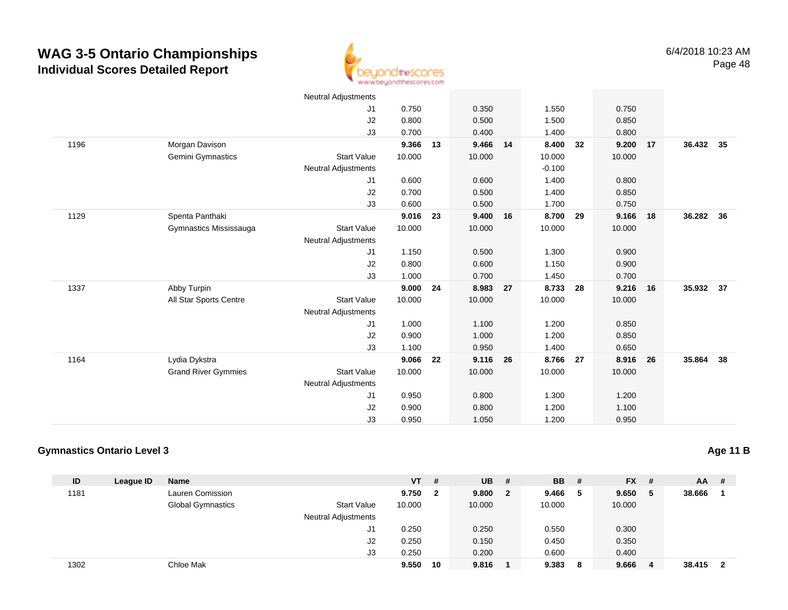

|      |                            | <b>Neutral Adjustments</b> |        |    |        |    |          |      |        |    |           |    |
|------|----------------------------|----------------------------|--------|----|--------|----|----------|------|--------|----|-----------|----|
|      |                            | J1                         | 0.750  |    | 0.350  |    | 1.550    |      | 0.750  |    |           |    |
|      |                            | J2                         | 0.800  |    | 0.500  |    | 1.500    |      | 0.850  |    |           |    |
|      |                            | J3                         | 0.700  |    | 0.400  |    | 1.400    |      | 0.800  |    |           |    |
| 1196 | Morgan Davison             |                            | 9.366  | 13 | 9.466  | 14 | 8.400    | 32   | 9.200  | 17 | 36.432 35 |    |
|      | Gemini Gymnastics          | <b>Start Value</b>         | 10.000 |    | 10.000 |    | 10.000   |      | 10.000 |    |           |    |
|      |                            | <b>Neutral Adjustments</b> |        |    |        |    | $-0.100$ |      |        |    |           |    |
|      |                            | J1                         | 0.600  |    | 0.600  |    | 1.400    |      | 0.800  |    |           |    |
|      |                            | J2                         | 0.700  |    | 0.500  |    | 1.400    |      | 0.850  |    |           |    |
|      |                            | J3                         | 0.600  |    | 0.500  |    | 1.700    |      | 0.750  |    |           |    |
| 1129 | Spenta Panthaki            |                            | 9.016  | 23 | 9.400  | 16 | 8.700    | 29   | 9.166  | 18 | 36.282 36 |    |
|      | Gymnastics Mississauga     | <b>Start Value</b>         | 10.000 |    | 10.000 |    | 10.000   |      | 10.000 |    |           |    |
|      |                            | <b>Neutral Adjustments</b> |        |    |        |    |          |      |        |    |           |    |
|      |                            | J1                         | 1.150  |    | 0.500  |    | 1.300    |      | 0.900  |    |           |    |
|      |                            | J2                         | 0.800  |    | 0.600  |    | 1.150    |      | 0.900  |    |           |    |
|      |                            | J3                         | 1.000  |    | 0.700  |    | 1.450    |      | 0.700  |    |           |    |
| 1337 | Abby Turpin                |                            | 9.000  | 24 | 8.983  | 27 | 8.733    | 28   | 9.216  | 16 | 35.932 37 |    |
|      | All Star Sports Centre     | <b>Start Value</b>         | 10.000 |    | 10.000 |    | 10.000   |      | 10.000 |    |           |    |
|      |                            | <b>Neutral Adjustments</b> |        |    |        |    |          |      |        |    |           |    |
|      |                            | J1                         | 1.000  |    | 1.100  |    | 1.200    |      | 0.850  |    |           |    |
|      |                            | J2                         | 0.900  |    | 1.000  |    | 1.200    |      | 0.850  |    |           |    |
|      |                            | J3                         | 1.100  |    | 0.950  |    | 1.400    |      | 0.650  |    |           |    |
| 1164 | Lydia Dykstra              |                            | 9.066  | 22 | 9.116  | 26 | 8.766    | - 27 | 8.916  | 26 | 35.864    | 38 |
|      | <b>Grand River Gymmies</b> | <b>Start Value</b>         | 10.000 |    | 10.000 |    | 10.000   |      | 10.000 |    |           |    |
|      |                            | <b>Neutral Adjustments</b> |        |    |        |    |          |      |        |    |           |    |
|      |                            | J1                         | 0.950  |    | 0.800  |    | 1.300    |      | 1.200  |    |           |    |
|      |                            | J <sub>2</sub>             | 0.900  |    | 0.800  |    | 1.200    |      | 1.100  |    |           |    |
|      |                            | J3                         | 0.950  |    | 1.050  |    | 1.200    |      | 0.950  |    |           |    |

#### **Gymnastics Ontario Level 3**

**ID League ID Name VT # UB # BB # FX # AA #** 1181 Lauren Comission **9.750 <sup>2</sup> 9.800 <sup>2</sup> 9.466 <sup>5</sup> 9.650 <sup>5</sup> 38.666 <sup>1</sup>** Global Gymnastics Start Valuee 10.000 10.000 10.000 10.000 Neutral Adjustments J1 0.250 0.250 0.550 0.300 J2 0.250 0.150 0.450 0.350 J3 0.250 0.200 0.600 0.400 1302Chloe Mak **9.550 <sup>10</sup> 9.816 <sup>1</sup> 9.383 <sup>8</sup> 9.666 <sup>4</sup> 38.415 <sup>2</sup>**

**Age 11 B**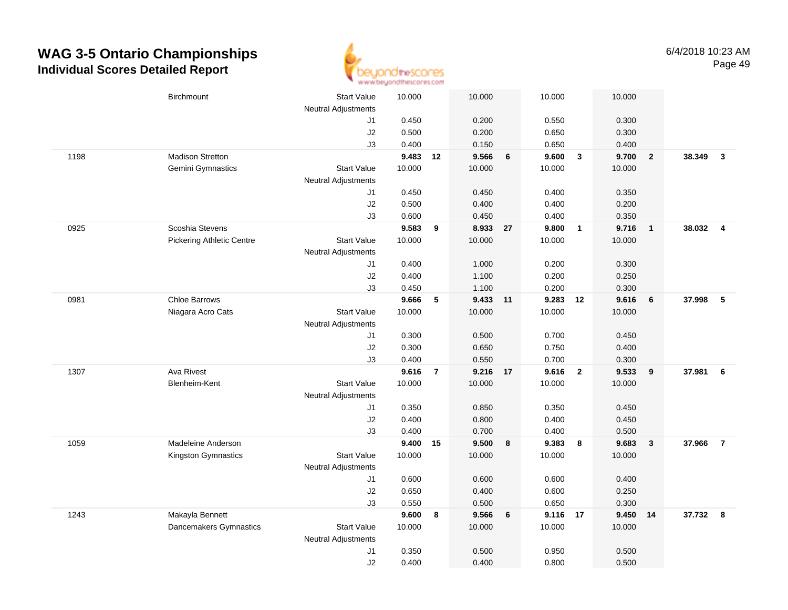

|      | Birchmount                       | <b>Start Value</b><br><b>Neutral Adjustments</b> | 10.000 |                | 10.000   |    | 10.000   |                         | 10.000   |                         |          |                |
|------|----------------------------------|--------------------------------------------------|--------|----------------|----------|----|----------|-------------------------|----------|-------------------------|----------|----------------|
|      |                                  | J1                                               | 0.450  |                | 0.200    |    | 0.550    |                         | 0.300    |                         |          |                |
|      |                                  | J2                                               | 0.500  |                | 0.200    |    | 0.650    |                         | 0.300    |                         |          |                |
|      |                                  | J3                                               | 0.400  |                | 0.150    |    | 0.650    |                         | 0.400    |                         |          |                |
| 1198 | Madison Stretton                 |                                                  | 9.483  | 12             | 9.566    | 6  | 9.600    | $\overline{\mathbf{3}}$ | 9.700    | $\overline{\mathbf{2}}$ | 38.349   | $\mathbf{3}$   |
|      | Gemini Gymnastics                | <b>Start Value</b>                               | 10.000 |                | 10.000   |    | 10.000   |                         | 10.000   |                         |          |                |
|      |                                  | <b>Neutral Adjustments</b>                       |        |                |          |    |          |                         |          |                         |          |                |
|      |                                  | J1                                               | 0.450  |                | 0.450    |    | 0.400    |                         | 0.350    |                         |          |                |
|      |                                  | J2                                               | 0.500  |                | 0.400    |    | 0.400    |                         | 0.200    |                         |          |                |
|      |                                  | J3                                               | 0.600  |                | 0.450    |    | 0.400    |                         | 0.350    |                         |          |                |
| 0925 | Scoshia Stevens                  |                                                  | 9.583  | 9              | 8.933    | 27 | 9.800    | $\overline{1}$          | 9.716    | $\overline{1}$          | 38.032   | $\overline{4}$ |
|      | <b>Pickering Athletic Centre</b> | <b>Start Value</b>                               | 10.000 |                | 10.000   |    | 10.000   |                         | 10.000   |                         |          |                |
|      |                                  | <b>Neutral Adjustments</b>                       |        |                |          |    |          |                         |          |                         |          |                |
|      |                                  | J1                                               | 0.400  |                | 1.000    |    | 0.200    |                         | 0.300    |                         |          |                |
|      |                                  | J2                                               | 0.400  |                | 1.100    |    | 0.200    |                         | 0.250    |                         |          |                |
|      |                                  | J3                                               | 0.450  |                | 1.100    |    | 0.200    |                         | 0.300    |                         |          |                |
| 0981 | Chloe Barrows                    |                                                  | 9.666  | 5              | 9.433 11 |    | 9.283 12 |                         | 9.616    | 6                       | 37.998   | $-5$           |
|      | Niagara Acro Cats                | <b>Start Value</b>                               | 10.000 |                | 10.000   |    | 10.000   |                         | 10.000   |                         |          |                |
|      |                                  | <b>Neutral Adjustments</b>                       |        |                |          |    |          |                         |          |                         |          |                |
|      |                                  | J1                                               | 0.300  |                | 0.500    |    | 0.700    |                         | 0.450    |                         |          |                |
|      |                                  | J2                                               | 0.300  |                | 0.650    |    | 0.750    |                         | 0.400    |                         |          |                |
|      |                                  | J3                                               | 0.400  |                | 0.550    |    | 0.700    |                         | 0.300    |                         |          |                |
| 1307 | Ava Rivest                       |                                                  | 9.616  | $\overline{7}$ | 9.216    | 17 | 9.616    | $\overline{2}$          | 9.533    | 9                       | 37.981   | - 6            |
|      | <b>Blenheim-Kent</b>             | <b>Start Value</b>                               | 10.000 |                | 10.000   |    | 10.000   |                         | 10.000   |                         |          |                |
|      |                                  | <b>Neutral Adjustments</b>                       |        |                |          |    |          |                         |          |                         |          |                |
|      |                                  | J1                                               | 0.350  |                | 0.850    |    | 0.350    |                         | 0.450    |                         |          |                |
|      |                                  | J2                                               | 0.400  |                | 0.800    |    | 0.400    |                         | 0.450    |                         |          |                |
|      |                                  | J3                                               | 0.400  |                | 0.700    |    | 0.400    |                         | 0.500    |                         |          |                |
| 1059 | Madeleine Anderson               |                                                  | 9.400  | 15             | 9.500    | 8  | 9.383    | 8                       | 9.683    | $\overline{\mathbf{3}}$ | 37.966   | $\overline{7}$ |
|      | Kingston Gymnastics              | <b>Start Value</b>                               | 10.000 |                | 10.000   |    | 10.000   |                         | 10.000   |                         |          |                |
|      |                                  | <b>Neutral Adjustments</b>                       |        |                |          |    |          |                         |          |                         |          |                |
|      |                                  | J1                                               | 0.600  |                | 0.600    |    | 0.600    |                         | 0.400    |                         |          |                |
|      |                                  | J2                                               | 0.650  |                | 0.400    |    | 0.600    |                         | 0.250    |                         |          |                |
|      |                                  | J3                                               | 0.550  |                | 0.500    |    | 0.650    |                         | 0.300    |                         |          |                |
| 1243 | Makayla Bennett                  |                                                  | 9.600  | 8              | 9.566    | 6  | 9.116 17 |                         | 9.450 14 |                         | 37.732 8 |                |
|      | Dancemakers Gymnastics           | <b>Start Value</b>                               | 10.000 |                | 10.000   |    | 10.000   |                         | 10.000   |                         |          |                |
|      |                                  | <b>Neutral Adjustments</b>                       |        |                |          |    |          |                         |          |                         |          |                |
|      |                                  | J1                                               | 0.350  |                | 0.500    |    | 0.950    |                         | 0.500    |                         |          |                |
|      |                                  | J2                                               | 0.400  |                | 0.400    |    | 0.800    |                         | 0.500    |                         |          |                |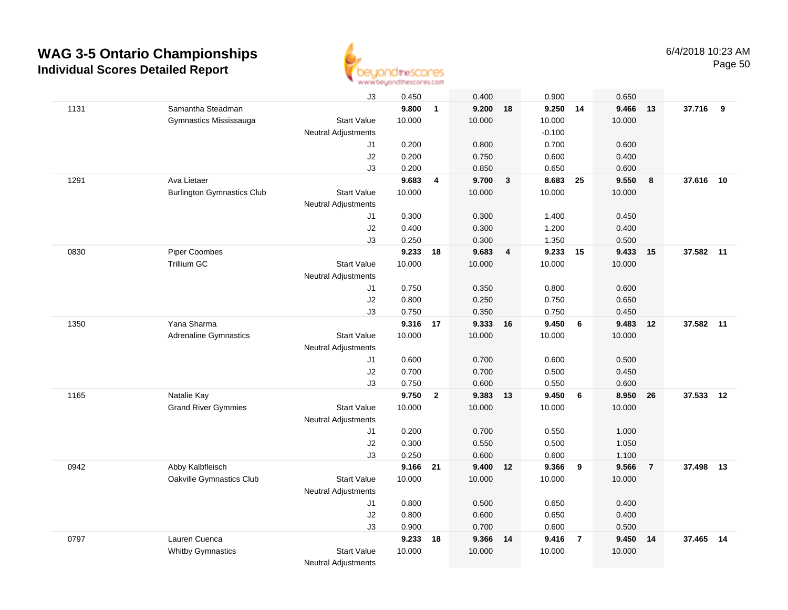

|      |                                   | J3                         | 0.450    |                | 0.400    |              | 0.900    |                 | 0.650  |                |           |    |
|------|-----------------------------------|----------------------------|----------|----------------|----------|--------------|----------|-----------------|--------|----------------|-----------|----|
| 1131 | Samantha Steadman                 |                            | 9.800    | $\mathbf{1}$   | 9.200 18 |              | 9.250 14 |                 | 9.466  | 13             | 37.716 9  |    |
|      | Gymnastics Mississauga            | <b>Start Value</b>         | 10.000   |                | 10.000   |              | 10.000   |                 | 10.000 |                |           |    |
|      |                                   | <b>Neutral Adjustments</b> |          |                |          |              | $-0.100$ |                 |        |                |           |    |
|      |                                   | J1                         | 0.200    |                | 0.800    |              | 0.700    |                 | 0.600  |                |           |    |
|      |                                   | J2                         | 0.200    |                | 0.750    |              | 0.600    |                 | 0.400  |                |           |    |
|      |                                   | J3                         | 0.200    |                | 0.850    |              | 0.650    |                 | 0.600  |                |           |    |
| 1291 | Ava Lietaer                       |                            | 9.683    | 4              | 9.700    | $\mathbf{3}$ | 8.683    | 25              | 9.550  | 8              | 37.616    | 10 |
|      | <b>Burlington Gymnastics Club</b> | <b>Start Value</b>         | 10.000   |                | 10.000   |              | 10.000   |                 | 10.000 |                |           |    |
|      |                                   | Neutral Adjustments        |          |                |          |              |          |                 |        |                |           |    |
|      |                                   | J1                         | 0.300    |                | 0.300    |              | 1.400    |                 | 0.450  |                |           |    |
|      |                                   | J2                         | 0.400    |                | 0.300    |              | 1.200    |                 | 0.400  |                |           |    |
|      |                                   | J3                         | 0.250    |                | 0.300    |              | 1.350    |                 | 0.500  |                |           |    |
| 0830 | <b>Piper Coombes</b>              |                            | 9.233    | 18             | 9.683    | 4            | 9.233    | 15              | 9.433  | 15             | 37.582    | 11 |
|      | <b>Trillium GC</b>                | <b>Start Value</b>         | 10.000   |                | 10.000   |              | 10.000   |                 | 10.000 |                |           |    |
|      |                                   | <b>Neutral Adjustments</b> |          |                |          |              |          |                 |        |                |           |    |
|      |                                   | J1                         | 0.750    |                | 0.350    |              | 0.800    |                 | 0.600  |                |           |    |
|      |                                   | J2                         | 0.800    |                | 0.250    |              | 0.750    |                 | 0.650  |                |           |    |
|      |                                   | J3                         | 0.750    |                | 0.350    |              | 0.750    |                 | 0.450  |                |           |    |
| 1350 | Yana Sharma                       |                            | 9.316 17 |                | 9.333 16 |              | 9.450    | $6\overline{6}$ | 9.483  | 12             | 37.582 11 |    |
|      | <b>Adrenaline Gymnastics</b>      | <b>Start Value</b>         | 10.000   |                | 10.000   |              | 10.000   |                 | 10.000 |                |           |    |
|      |                                   | <b>Neutral Adjustments</b> |          |                |          |              |          |                 |        |                |           |    |
|      |                                   | J1                         | 0.600    |                | 0.700    |              | 0.600    |                 | 0.500  |                |           |    |
|      |                                   | J2                         | 0.700    |                | 0.700    |              | 0.500    |                 | 0.450  |                |           |    |
|      |                                   | J3                         | 0.750    |                | 0.600    |              | 0.550    |                 | 0.600  |                |           |    |
| 1165 | Natalie Kay                       |                            | 9.750    | $\overline{2}$ | 9.383    | 13           | 9.450    | 6               | 8.950  | 26             | 37.533    | 12 |
|      | <b>Grand River Gymmies</b>        | Start Value                | 10.000   |                | 10.000   |              | 10.000   |                 | 10.000 |                |           |    |
|      |                                   | Neutral Adjustments        |          |                |          |              |          |                 |        |                |           |    |
|      |                                   | J1                         | 0.200    |                | 0.700    |              | 0.550    |                 | 1.000  |                |           |    |
|      |                                   | J2                         | 0.300    |                | 0.550    |              | 0.500    |                 | 1.050  |                |           |    |
|      |                                   | J3                         | 0.250    |                | 0.600    |              | 0.600    |                 | 1.100  |                |           |    |
| 0942 | Abby Kalbfleisch                  |                            | 9.166 21 |                | 9.400 12 |              | 9.366    | 9               | 9.566  | $\overline{7}$ | 37.498 13 |    |
|      | Oakville Gymnastics Club          | <b>Start Value</b>         | 10.000   |                | 10.000   |              | 10.000   |                 | 10.000 |                |           |    |
|      |                                   | Neutral Adjustments        |          |                |          |              |          |                 |        |                |           |    |
|      |                                   | J1                         | 0.800    |                | 0.500    |              | 0.650    |                 | 0.400  |                |           |    |
|      |                                   | J2                         | 0.800    |                | 0.600    |              | 0.650    |                 | 0.400  |                |           |    |
|      |                                   | J3                         | 0.900    |                | 0.700    |              | 0.600    |                 | 0.500  |                |           |    |
| 0797 | Lauren Cuenca                     |                            | 9.233    | 18             | 9.366 14 |              | 9.416    | $\overline{7}$  | 9.450  | 14             | 37.465    | 14 |
|      | <b>Whitby Gymnastics</b>          | <b>Start Value</b>         | 10.000   |                | 10.000   |              | 10.000   |                 | 10.000 |                |           |    |
|      |                                   | <b>Neutral Adjustments</b> |          |                |          |              |          |                 |        |                |           |    |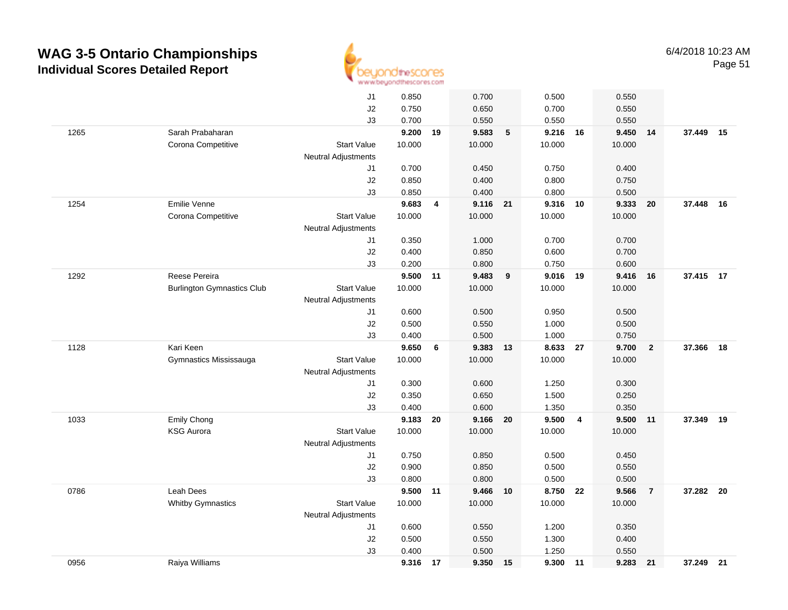

|      |                                   | J1                               | 0.850  |    | 0.700           |    | 0.500    |                         | 0.550  |                |           |    |
|------|-----------------------------------|----------------------------------|--------|----|-----------------|----|----------|-------------------------|--------|----------------|-----------|----|
|      |                                   | J2                               | 0.750  |    | 0.650           |    | 0.700    |                         | 0.550  |                |           |    |
|      |                                   | J3                               | 0.700  |    | 0.550           |    | 0.550    |                         | 0.550  |                |           |    |
| 1265 | Sarah Prabaharan                  |                                  | 9.200  | 19 | 9.583           | 5  | 9.216 16 |                         | 9.450  | 14             | 37.449    | 15 |
|      | Corona Competitive                | <b>Start Value</b>               | 10.000 |    | 10.000          |    | 10.000   |                         | 10.000 |                |           |    |
|      |                                   | <b>Neutral Adjustments</b>       |        |    |                 |    |          |                         |        |                |           |    |
|      |                                   | J1                               | 0.700  |    | 0.450           |    | 0.750    |                         | 0.400  |                |           |    |
|      |                                   | J2                               | 0.850  |    | 0.400           |    | 0.800    |                         | 0.750  |                |           |    |
|      |                                   | J3                               | 0.850  |    | 0.400           |    | 0.800    |                         | 0.500  |                |           |    |
| 1254 | Emilie Venne                      |                                  | 9.683  | 4  | 9.116 21        |    | 9.316 10 |                         | 9.333  | 20             | 37.448    | 16 |
|      | Corona Competitive                | <b>Start Value</b>               | 10.000 |    | 10.000          |    | 10.000   |                         | 10.000 |                |           |    |
|      |                                   | <b>Neutral Adjustments</b>       |        |    |                 |    |          |                         |        |                |           |    |
|      |                                   | J1                               | 0.350  |    | 1.000           |    | 0.700    |                         | 0.700  |                |           |    |
|      |                                   | J2                               | 0.400  |    | 0.850           |    | 0.600    |                         | 0.700  |                |           |    |
|      |                                   | J3                               | 0.200  |    | 0.800           |    | 0.750    |                         | 0.600  |                |           |    |
| 1292 | Reese Pereira                     |                                  | 9.500  | 11 | 9.483           | 9  | 9.016 19 |                         | 9.416  | 16             | 37.415 17 |    |
|      | <b>Burlington Gymnastics Club</b> | <b>Start Value</b>               | 10.000 |    | 10.000          |    | 10.000   |                         | 10.000 |                |           |    |
|      |                                   | <b>Neutral Adjustments</b>       |        |    |                 |    |          |                         |        |                |           |    |
|      |                                   | J1                               | 0.600  |    | 0.500           |    | 0.950    |                         | 0.500  |                |           |    |
|      |                                   | J2                               | 0.500  |    | 0.550           |    | 1.000    |                         | 0.500  |                |           |    |
|      |                                   | J3                               | 0.400  |    | 0.500           |    | 1.000    |                         | 0.750  |                |           |    |
| 1128 | Kari Keen                         |                                  | 9.650  | 6  | 9.383           | 13 | 8.633    | 27                      | 9.700  | $\overline{2}$ | 37.366    | 18 |
|      | Gymnastics Mississauga            | <b>Start Value</b>               | 10.000 |    | 10.000          |    | 10.000   |                         | 10.000 |                |           |    |
|      |                                   | Neutral Adjustments              |        |    |                 |    |          |                         |        |                |           |    |
|      |                                   | J1                               | 0.300  |    | 0.600           |    | 1.250    |                         | 0.300  |                |           |    |
|      |                                   | J2                               | 0.350  |    | 0.650           |    | 1.500    |                         | 0.250  |                |           |    |
|      |                                   | J3                               | 0.400  |    | 0.600           |    | 1.350    |                         | 0.350  |                |           |    |
| 1033 | Emily Chong<br><b>KSG Aurora</b>  |                                  | 9.183  | 20 | 9.166<br>10.000 | 20 | 9.500    | $\overline{\mathbf{4}}$ | 9.500  | 11             | 37.349    | 19 |
|      |                                   | <b>Start Value</b>               | 10.000 |    |                 |    | 10.000   |                         | 10.000 |                |           |    |
|      |                                   | <b>Neutral Adjustments</b><br>J1 | 0.750  |    | 0.850           |    | 0.500    |                         | 0.450  |                |           |    |
|      |                                   | J2                               | 0.900  |    | 0.850           |    | 0.500    |                         | 0.550  |                |           |    |
|      |                                   | J3                               | 0.800  |    | 0.800           |    | 0.500    |                         | 0.500  |                |           |    |
| 0786 | Leah Dees                         |                                  | 9.500  | 11 | 9.466           | 10 | 8.750    | 22                      | 9.566  | $\overline{7}$ | 37.282 20 |    |
|      | <b>Whitby Gymnastics</b>          | <b>Start Value</b>               | 10.000 |    | 10.000          |    | 10.000   |                         | 10.000 |                |           |    |
|      |                                   | <b>Neutral Adjustments</b>       |        |    |                 |    |          |                         |        |                |           |    |
|      |                                   | J1                               | 0.600  |    | 0.550           |    | 1.200    |                         | 0.350  |                |           |    |
|      |                                   | J2                               | 0.500  |    | 0.550           |    | 1.300    |                         | 0.400  |                |           |    |
|      |                                   | J3                               | 0.400  |    | 0.500           |    | 1.250    |                         | 0.550  |                |           |    |
| 0956 | Raiya Williams                    |                                  | 9.316  | 17 | 9.350           | 15 | 9.300    | $-11$                   | 9.283  | 21             | 37.249 21 |    |
|      |                                   |                                  |        |    |                 |    |          |                         |        |                |           |    |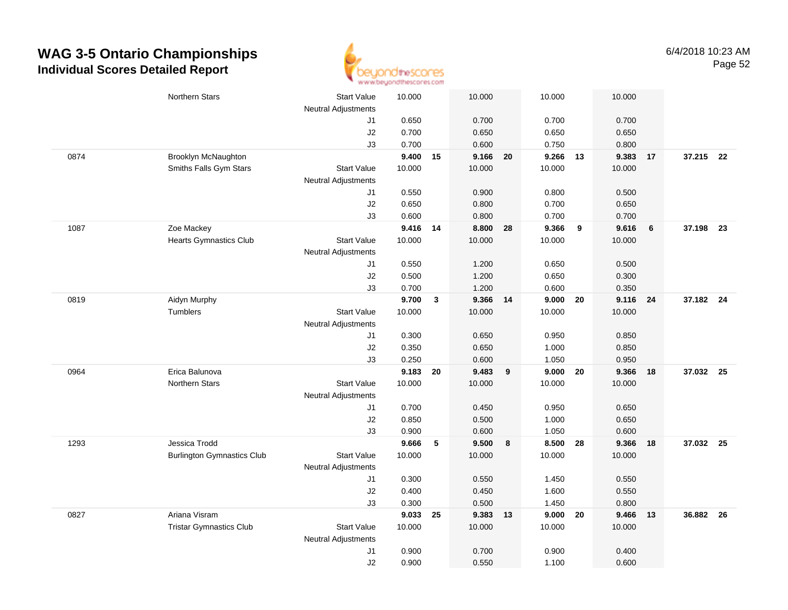

|      | Northern Stars                    | <b>Start Value</b>               | 10.000         | 10.000       |          | 10.000            |      | 10.000            |    |           |  |
|------|-----------------------------------|----------------------------------|----------------|--------------|----------|-------------------|------|-------------------|----|-----------|--|
|      |                                   | <b>Neutral Adjustments</b>       |                |              |          |                   |      |                   |    |           |  |
|      |                                   | J1                               | 0.650          | 0.700        |          | 0.700             |      | 0.700             |    |           |  |
|      |                                   | J2                               | 0.700          | 0.650        |          | 0.650             |      | 0.650             |    |           |  |
| 0874 | <b>Brooklyn McNaughton</b>        | J3                               | 0.700<br>9.400 | 0.600        | 9.166 20 | 0.750<br>9.266 13 |      | 0.800<br>9.383 17 |    | 37.215 22 |  |
|      | Smiths Falls Gym Stars            | <b>Start Value</b>               | 10.000         | 15<br>10.000 |          | 10.000            |      | 10.000            |    |           |  |
|      |                                   |                                  |                |              |          |                   |      |                   |    |           |  |
|      |                                   | <b>Neutral Adjustments</b><br>J1 | 0.550          | 0.900        |          | 0.800             |      | 0.500             |    |           |  |
|      |                                   | J2                               | 0.650          | 0.800        |          | 0.700             |      | 0.650             |    |           |  |
|      |                                   | J3                               | 0.600          | 0.800        |          | 0.700             |      | 0.700             |    |           |  |
| 1087 | Zoe Mackey                        |                                  | 9.416 14       | 8.800        | 28       | 9.366             | 9    | 9.616             | 6  | 37.198 23 |  |
|      | <b>Hearts Gymnastics Club</b>     | <b>Start Value</b>               | 10.000         | 10.000       |          | 10.000            |      | 10.000            |    |           |  |
|      |                                   | <b>Neutral Adjustments</b>       |                |              |          |                   |      |                   |    |           |  |
|      |                                   | J1                               | 0.550          | 1.200        |          | 0.650             |      | 0.500             |    |           |  |
|      |                                   | J2                               | 0.500          | 1.200        |          | 0.650             |      | 0.300             |    |           |  |
|      |                                   | J3                               | 0.700          | 1.200        |          | 0.600             |      | 0.350             |    |           |  |
| 0819 | Aidyn Murphy                      |                                  | 9.700          | 3            | 9.366 14 | 9.000             | 20   | 9.116 24          |    | 37.182 24 |  |
|      | <b>Tumblers</b>                   | <b>Start Value</b>               | 10.000         | 10.000       |          | 10.000            |      | 10.000            |    |           |  |
|      |                                   | Neutral Adjustments              |                |              |          |                   |      |                   |    |           |  |
|      |                                   | J1                               | 0.300          | 0.650        |          | 0.950             |      | 0.850             |    |           |  |
|      |                                   | J2                               | 0.350          | 0.650        |          | 1.000             |      | 0.850             |    |           |  |
|      |                                   | J3                               | 0.250          | 0.600        |          | 1.050             |      | 0.950             |    |           |  |
| 0964 | Erica Balunova                    |                                  | 9.183          | 9.483<br>20  | 9        | 9.000             | 20   | 9.366             | 18 | 37.032 25 |  |
|      | <b>Northern Stars</b>             | <b>Start Value</b>               | 10.000         | 10.000       |          | 10.000            |      | 10.000            |    |           |  |
|      |                                   | <b>Neutral Adjustments</b>       |                |              |          |                   |      |                   |    |           |  |
|      |                                   | J1                               | 0.700          | 0.450        |          | 0.950             |      | 0.650             |    |           |  |
|      |                                   | J2                               | 0.850          | 0.500        |          | 1.000             |      | 0.650             |    |           |  |
|      |                                   | J3                               | 0.900          | 0.600        |          | 1.050             |      | 0.600             |    |           |  |
| 1293 | Jessica Trodd                     |                                  | 9.666          | 5<br>9.500   | 8        | 8.500 28          |      | 9.366 18          |    | 37.032 25 |  |
|      | <b>Burlington Gymnastics Club</b> | <b>Start Value</b>               | 10.000         | 10.000       |          | 10.000            |      | 10.000            |    |           |  |
|      |                                   | <b>Neutral Adjustments</b>       |                |              |          |                   |      |                   |    |           |  |
|      |                                   | J1                               | 0.300          | 0.550        |          | 1.450             |      | 0.550             |    |           |  |
|      |                                   | J2                               | 0.400          | 0.450        |          | 1.600             |      | 0.550             |    |           |  |
|      |                                   | J3                               | 0.300          | 0.500        |          | 1.450             |      | 0.800             |    |           |  |
| 0827 | Ariana Visram                     |                                  | 9.033          | 25           | 9.383 13 | 9.000             | - 20 | 9.466 13          |    | 36.882 26 |  |
|      | <b>Tristar Gymnastics Club</b>    | <b>Start Value</b>               | 10.000         | 10.000       |          | 10.000            |      | 10.000            |    |           |  |
|      |                                   | <b>Neutral Adjustments</b>       |                |              |          |                   |      |                   |    |           |  |
|      |                                   | J1                               | 0.900          | 0.700        |          | 0.900             |      | 0.400             |    |           |  |
|      |                                   | J2                               | 0.900          | 0.550        |          | 1.100             |      | 0.600             |    |           |  |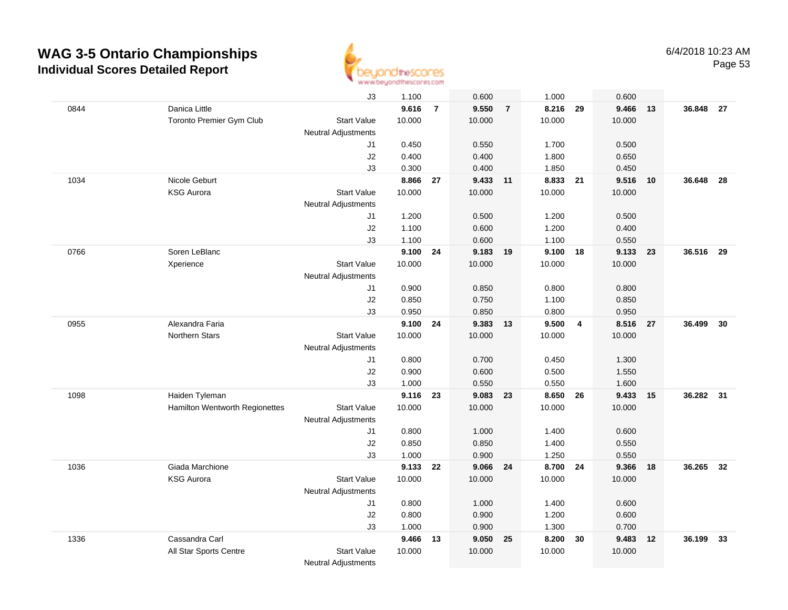

|      |                                | J3                         | 1.100          |                | 0.600          |                | 1.000          |                | 0.600          |     |           |      |
|------|--------------------------------|----------------------------|----------------|----------------|----------------|----------------|----------------|----------------|----------------|-----|-----------|------|
| 0844 | Danica Little                  |                            | 9.616          | $\overline{7}$ | 9.550          | $\overline{7}$ | 8.216          | 29             | 9.466          | 13  | 36.848 27 |      |
|      | Toronto Premier Gym Club       | <b>Start Value</b>         | 10.000         |                | 10.000         |                | 10.000         |                | 10.000         |     |           |      |
|      |                                | <b>Neutral Adjustments</b> |                |                |                |                |                |                |                |     |           |      |
|      |                                | J1                         | 0.450          |                | 0.550          |                | 1.700          |                | 0.500          |     |           |      |
|      |                                | J2                         | 0.400          |                | 0.400          |                | 1.800          |                | 0.650          |     |           |      |
|      |                                | J3                         | 0.300          |                | 0.400          |                | 1.850          |                | 0.450          |     |           |      |
| 1034 | Nicole Geburt                  |                            | 8.866          | 27             | 9.433 11       |                | 8.833          | 21             | 9.516          | 10  | 36.648    | - 28 |
|      | <b>KSG Aurora</b>              | <b>Start Value</b>         | 10.000         |                | 10.000         |                | 10.000         |                | 10.000         |     |           |      |
|      |                                | Neutral Adjustments        |                |                |                |                |                |                |                |     |           |      |
|      |                                | J1                         | 1.200          |                | 0.500          |                | 1.200          |                | 0.500          |     |           |      |
|      |                                | J2                         | 1.100          |                | 0.600          |                | 1.200          |                | 0.400          |     |           |      |
|      |                                | J3                         | 1.100          |                | 0.600          |                | 1.100          |                | 0.550          |     |           |      |
| 0766 | Soren LeBlanc                  |                            | 9.100          | 24             | 9.183          | 19             | 9.100 18       |                | 9.133          | -23 | 36.516    | - 29 |
|      | Xperience                      | <b>Start Value</b>         | 10.000         |                | 10.000         |                | 10.000         |                | 10.000         |     |           |      |
|      |                                | <b>Neutral Adjustments</b> |                |                |                |                |                |                |                |     |           |      |
|      |                                | J1                         | 0.900          |                | 0.850          |                | 0.800          |                | 0.800          |     |           |      |
|      |                                | J2                         | 0.850          |                | 0.750          |                | 1.100          |                | 0.850          |     |           |      |
|      |                                | J3                         | 0.950          |                | 0.850          |                | 0.800          |                | 0.950          |     |           |      |
| 0955 | Alexandra Faria                |                            | 9.100          | 24             | 9.383 13       |                | 9.500          | $\overline{4}$ | 8.516          | 27  | 36.499    | 30   |
|      | Northern Stars                 | <b>Start Value</b>         | 10.000         |                | 10.000         |                | 10.000         |                | 10.000         |     |           |      |
|      |                                | Neutral Adjustments        |                |                |                |                |                |                |                |     |           |      |
|      |                                | J1                         | 0.800          |                | 0.700          |                | 0.450          |                | 1.300          |     |           |      |
|      |                                | J2                         | 0.900          |                | 0.600          |                | 0.500          |                | 1.550          |     |           |      |
|      |                                | J3                         | 1.000          |                | 0.550          |                | 0.550          |                | 1.600          |     |           |      |
| 1098 | Haiden Tyleman                 |                            | 9.116          | 23             | 9.083          | 23             | 8.650          | 26             | 9.433          | 15  | 36.282    | 31   |
|      | Hamilton Wentworth Regionettes | <b>Start Value</b>         | 10.000         |                | 10.000         |                | 10.000         |                | 10.000         |     |           |      |
|      |                                | <b>Neutral Adjustments</b> |                |                |                |                |                |                |                |     |           |      |
|      |                                | J1                         | 0.800          |                | 1.000          |                | 1.400          |                | 0.600          |     |           |      |
|      |                                | J2                         | 0.850          |                | 0.850          |                | 1.400          |                | 0.550          |     |           |      |
|      |                                | J3                         | 1.000          |                | 0.900          |                | 1.250          |                | 0.550          |     |           |      |
| 1036 | Giada Marchione                |                            | 9.133          | $22 \,$        | 9.066 24       |                | 8.700 24       |                | 9.366          | 18  | 36.265    | - 32 |
|      | <b>KSG Aurora</b>              | <b>Start Value</b>         | 10.000         |                | 10.000         |                | 10.000         |                | 10.000         |     |           |      |
|      |                                | <b>Neutral Adjustments</b> |                |                |                |                |                |                |                |     |           |      |
|      |                                | J1                         | 0.800          |                | 1.000          |                | 1.400          |                | 0.600          |     |           |      |
|      |                                | J2                         | 0.800          |                | 0.900          |                | 1.200          |                | 0.600          |     |           |      |
| 1336 | Cassandra Carl                 | J3                         | 1.000<br>9.466 | 13             | 0.900<br>9.050 | 25             | 1.300<br>8.200 | 30             | 0.700<br>9.483 | 12  | 36.199    | 33   |
|      | All Star Sports Centre         | <b>Start Value</b>         | 10.000         |                | 10.000         |                | 10.000         |                | 10.000         |     |           |      |
|      |                                |                            |                |                |                |                |                |                |                |     |           |      |
|      |                                | <b>Neutral Adjustments</b> |                |                |                |                |                |                |                |     |           |      |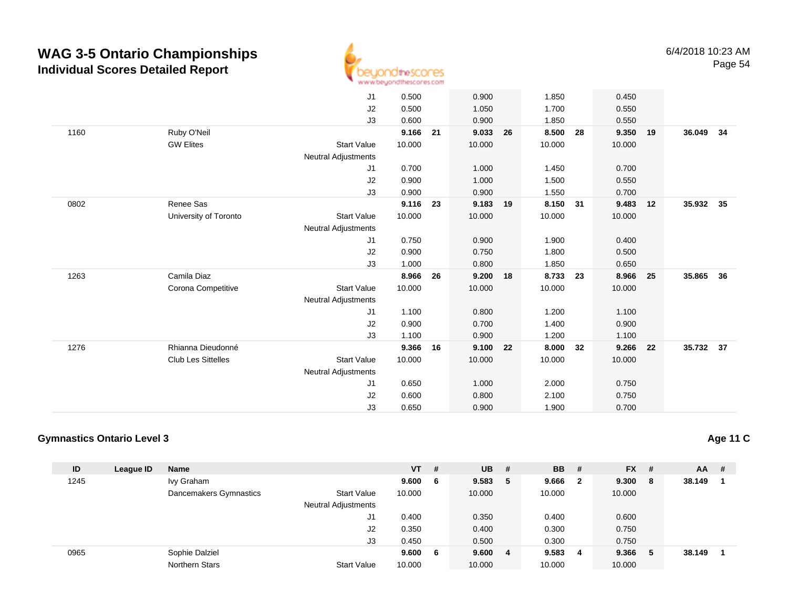

|      |                           | J1                         | 0.500  |    | 0.900    |    | 1.850    |    | 0.450    |    |           |    |
|------|---------------------------|----------------------------|--------|----|----------|----|----------|----|----------|----|-----------|----|
|      |                           | J2                         | 0.500  |    | 1.050    |    | 1.700    |    | 0.550    |    |           |    |
|      |                           | J3                         | 0.600  |    | 0.900    |    | 1.850    |    | 0.550    |    |           |    |
| 1160 | Ruby O'Neil               |                            | 9.166  | 21 | 9.033    | 26 | 8.500    | 28 | 9.350    | 19 | 36.049    | 34 |
|      | <b>GW Elites</b>          | <b>Start Value</b>         | 10.000 |    | 10.000   |    | 10.000   |    | 10.000   |    |           |    |
|      |                           | Neutral Adjustments        |        |    |          |    |          |    |          |    |           |    |
|      |                           | J1                         | 0.700  |    | 1.000    |    | 1.450    |    | 0.700    |    |           |    |
|      |                           | J2                         | 0.900  |    | 1.000    |    | 1.500    |    | 0.550    |    |           |    |
|      |                           | J3                         | 0.900  |    | 0.900    |    | 1.550    |    | 0.700    |    |           |    |
| 0802 | Renee Sas                 |                            | 9.116  | 23 | 9.183 19 |    | 8.150 31 |    | 9.483    | 12 | 35.932 35 |    |
|      | University of Toronto     | <b>Start Value</b>         | 10.000 |    | 10.000   |    | 10.000   |    | 10.000   |    |           |    |
|      |                           | Neutral Adjustments        |        |    |          |    |          |    |          |    |           |    |
|      |                           | J1                         | 0.750  |    | 0.900    |    | 1.900    |    | 0.400    |    |           |    |
|      |                           | J2                         | 0.900  |    | 0.750    |    | 1.800    |    | 0.500    |    |           |    |
|      |                           | J3                         | 1.000  |    | 0.800    |    | 1.850    |    | 0.650    |    |           |    |
| 1263 | Camila Diaz               |                            | 8.966  | 26 | 9.200 18 |    | 8.733    | 23 | 8.966 25 |    | 35.865 36 |    |
|      | Corona Competitive        | <b>Start Value</b>         | 10.000 |    | 10.000   |    | 10.000   |    | 10.000   |    |           |    |
|      |                           | Neutral Adjustments        |        |    |          |    |          |    |          |    |           |    |
|      |                           | J1                         | 1.100  |    | 0.800    |    | 1.200    |    | 1.100    |    |           |    |
|      |                           | J2                         | 0.900  |    | 0.700    |    | 1.400    |    | 0.900    |    |           |    |
|      |                           | J3                         | 1.100  |    | 0.900    |    | 1.200    |    | 1.100    |    |           |    |
| 1276 | Rhianna Dieudonné         |                            | 9.366  | 16 | 9.100    | 22 | 8.000    | 32 | 9.266    | 22 | 35.732 37 |    |
|      | <b>Club Les Sittelles</b> | <b>Start Value</b>         | 10.000 |    | 10.000   |    | 10.000   |    | 10.000   |    |           |    |
|      |                           | <b>Neutral Adjustments</b> |        |    |          |    |          |    |          |    |           |    |
|      |                           | J1                         | 0.650  |    | 1.000    |    | 2.000    |    | 0.750    |    |           |    |
|      |                           | J2                         | 0.600  |    | 0.800    |    | 2.100    |    | 0.750    |    |           |    |
|      |                           | J3                         | 0.650  |    | 0.900    |    | 1.900    |    | 0.700    |    |           |    |
|      |                           |                            |        |    |          |    |          |    |          |    |           |    |

#### **Gymnastics Ontario Level 3**

| ID   | League ID | <b>Name</b>            |                            | <b>VT</b> | # | $UB$ # |    | <b>BB</b> | - #          | $FX$ # |     | AA     | -# |
|------|-----------|------------------------|----------------------------|-----------|---|--------|----|-----------|--------------|--------|-----|--------|----|
| 1245 |           | Ivy Graham             |                            | 9.600     | 6 | 9.583  | 5  | 9.666     | $\mathbf{2}$ | 9.300  | - 8 | 38.149 |    |
|      |           | Dancemakers Gymnastics | <b>Start Value</b>         | 10.000    |   | 10.000 |    | 10.000    |              | 10.000 |     |        |    |
|      |           |                        | <b>Neutral Adjustments</b> |           |   |        |    |           |              |        |     |        |    |
|      |           |                        | J1                         | 0.400     |   | 0.350  |    | 0.400     |              | 0.600  |     |        |    |
|      |           |                        | J2                         | 0.350     |   | 0.400  |    | 0.300     |              | 0.750  |     |        |    |
|      |           |                        | J3                         | 0.450     |   | 0.500  |    | 0.300     |              | 0.750  |     |        |    |
| 0965 |           | Sophie Dalziel         |                            | 9.600     | 6 | 9.600  | -4 | 9.583     | 4            | 9.366  | -5  | 38.149 |    |
|      |           | Northern Stars         | <b>Start Value</b>         | 10.000    |   | 10.000 |    | 10.000    |              | 10.000 |     |        |    |

**Age 11 C**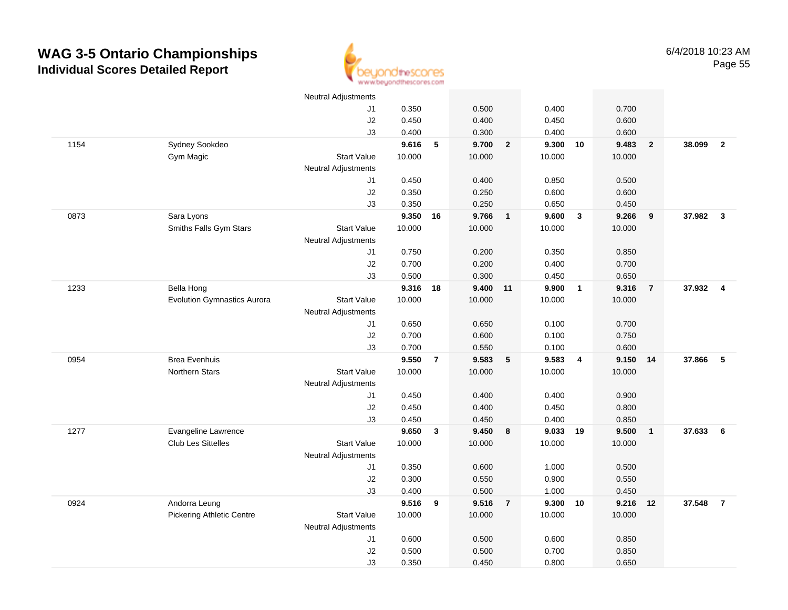

|      |                                    | Neutral Adjustments        |        |                |        |                         |        |                |        |                |          |                |
|------|------------------------------------|----------------------------|--------|----------------|--------|-------------------------|--------|----------------|--------|----------------|----------|----------------|
|      |                                    | J1                         | 0.350  |                | 0.500  |                         | 0.400  |                | 0.700  |                |          |                |
|      |                                    | J2                         | 0.450  |                | 0.400  |                         | 0.450  |                | 0.600  |                |          |                |
|      |                                    | J3                         | 0.400  |                | 0.300  |                         | 0.400  |                | 0.600  |                |          |                |
| 1154 | Sydney Sookdeo                     |                            | 9.616  | $\sqrt{5}$     | 9.700  | $\overline{\mathbf{2}}$ | 9.300  | 10             | 9.483  | $\mathbf{2}$   | 38.099   | $\overline{2}$ |
|      | Gym Magic                          | <b>Start Value</b>         | 10.000 |                | 10.000 |                         | 10.000 |                | 10.000 |                |          |                |
|      |                                    | <b>Neutral Adjustments</b> |        |                |        |                         |        |                |        |                |          |                |
|      |                                    | J1                         | 0.450  |                | 0.400  |                         | 0.850  |                | 0.500  |                |          |                |
|      |                                    | $\sf J2$                   | 0.350  |                | 0.250  |                         | 0.600  |                | 0.600  |                |          |                |
|      |                                    | J3                         | 0.350  |                | 0.250  |                         | 0.650  |                | 0.450  |                |          |                |
| 0873 | Sara Lyons                         |                            | 9.350  | 16             | 9.766  | $\overline{\mathbf{1}}$ | 9.600  | $\mathbf{3}$   | 9.266  | 9              | 37.982   | $\mathbf{3}$   |
|      | Smiths Falls Gym Stars             | <b>Start Value</b>         | 10.000 |                | 10.000 |                         | 10.000 |                | 10.000 |                |          |                |
|      |                                    | <b>Neutral Adjustments</b> |        |                |        |                         |        |                |        |                |          |                |
|      |                                    | J1                         | 0.750  |                | 0.200  |                         | 0.350  |                | 0.850  |                |          |                |
|      |                                    | J2                         | 0.700  |                | 0.200  |                         | 0.400  |                | 0.700  |                |          |                |
|      |                                    | J3                         | 0.500  |                | 0.300  |                         | 0.450  |                | 0.650  |                |          |                |
| 1233 | <b>Bella Hong</b>                  |                            | 9.316  | 18             | 9.400  | $-11$                   | 9.900  | $\overline{1}$ | 9.316  | $\overline{7}$ | 37.932 4 |                |
|      | <b>Evolution Gymnastics Aurora</b> | <b>Start Value</b>         | 10.000 |                | 10.000 |                         | 10.000 |                | 10.000 |                |          |                |
|      |                                    | <b>Neutral Adjustments</b> |        |                |        |                         |        |                |        |                |          |                |
|      |                                    | J1                         | 0.650  |                | 0.650  |                         | 0.100  |                | 0.700  |                |          |                |
|      |                                    | $\sf J2$                   | 0.700  |                | 0.600  |                         | 0.100  |                | 0.750  |                |          |                |
|      |                                    | J3                         | 0.700  |                | 0.550  |                         | 0.100  |                | 0.600  |                |          |                |
| 0954 | <b>Brea Evenhuis</b>               |                            | 9.550  | $\overline{7}$ | 9.583  | $-5$                    | 9.583  | $\overline{4}$ | 9.150  | 14             | 37.866   | 5              |
|      | Northern Stars                     | <b>Start Value</b>         | 10.000 |                | 10.000 |                         | 10.000 |                | 10.000 |                |          |                |
|      |                                    | Neutral Adjustments        |        |                |        |                         |        |                |        |                |          |                |
|      |                                    | J1                         | 0.450  |                | 0.400  |                         | 0.400  |                | 0.900  |                |          |                |
|      |                                    | J2                         | 0.450  |                | 0.400  |                         | 0.450  |                | 0.800  |                |          |                |
|      |                                    | J3                         | 0.450  |                | 0.450  |                         | 0.400  |                | 0.850  |                |          |                |
| 1277 | Evangeline Lawrence                |                            | 9.650  | $\mathbf{3}$   | 9.450  | 8                       | 9.033  | 19             | 9.500  | $\overline{1}$ | 37.633   | 6              |
|      | Club Les Sittelles                 | <b>Start Value</b>         | 10.000 |                | 10.000 |                         | 10.000 |                | 10.000 |                |          |                |
|      |                                    | <b>Neutral Adjustments</b> |        |                |        |                         |        |                |        |                |          |                |
|      |                                    | J1                         | 0.350  |                | 0.600  |                         | 1.000  |                | 0.500  |                |          |                |
|      |                                    | J2                         | 0.300  |                | 0.550  |                         | 0.900  |                | 0.550  |                |          |                |
|      |                                    | J3                         | 0.400  |                | 0.500  |                         | 1.000  |                | 0.450  |                |          |                |
| 0924 | Andorra Leung                      |                            | 9.516  | 9              | 9.516  | $\overline{7}$          | 9.300  | 10             | 9.216  | 12             | 37.548   | $\overline{7}$ |
|      | <b>Pickering Athletic Centre</b>   | <b>Start Value</b>         | 10.000 |                | 10.000 |                         | 10.000 |                | 10.000 |                |          |                |
|      |                                    | <b>Neutral Adjustments</b> |        |                |        |                         |        |                |        |                |          |                |
|      |                                    | J1                         | 0.600  |                | 0.500  |                         | 0.600  |                | 0.850  |                |          |                |
|      |                                    | J2                         | 0.500  |                | 0.500  |                         | 0.700  |                | 0.850  |                |          |                |
|      |                                    | J3                         | 0.350  |                | 0.450  |                         | 0.800  |                | 0.650  |                |          |                |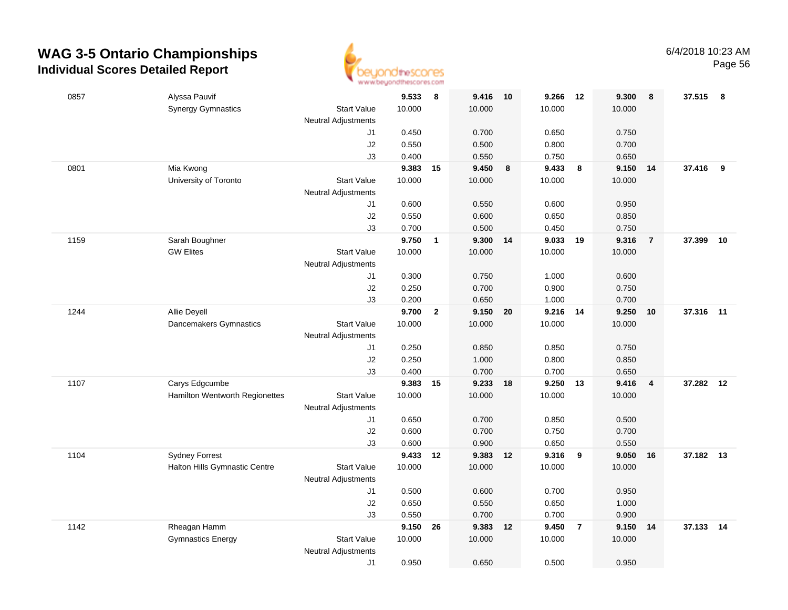

|      |                                       | <b>THE THE THEORY OF DISPLAYER FOR</b> |          |                         |          |                  |        |                |        |                         |           |    |
|------|---------------------------------------|----------------------------------------|----------|-------------------------|----------|------------------|--------|----------------|--------|-------------------------|-----------|----|
| 0857 | Alyssa Pauvif                         |                                        | 9.533    | 8                       | 9.416    | 10               | 9.266  | 12             | 9.300  | 8                       | 37.515 8  |    |
|      | <b>Synergy Gymnastics</b>             | <b>Start Value</b>                     | 10.000   |                         | 10.000   |                  | 10.000 |                | 10.000 |                         |           |    |
|      |                                       | <b>Neutral Adjustments</b>             |          |                         |          |                  |        |                |        |                         |           |    |
|      |                                       | J1                                     | 0.450    |                         | 0.700    |                  | 0.650  |                | 0.750  |                         |           |    |
|      |                                       | J2                                     | 0.550    |                         | 0.500    |                  | 0.800  |                | 0.700  |                         |           |    |
|      |                                       | J3                                     | 0.400    |                         | 0.550    |                  | 0.750  |                | 0.650  |                         |           |    |
| 0801 | Mia Kwong                             |                                        | 9.383    | 15                      | 9.450    | $\boldsymbol{8}$ | 9.433  | 8              | 9.150  | 14                      | 37.416    | 9  |
|      | University of Toronto                 | <b>Start Value</b>                     | 10.000   |                         | 10.000   |                  | 10.000 |                | 10.000 |                         |           |    |
|      |                                       | <b>Neutral Adjustments</b>             |          |                         |          |                  |        |                |        |                         |           |    |
|      |                                       | J1                                     | 0.600    |                         | 0.550    |                  | 0.600  |                | 0.950  |                         |           |    |
|      |                                       | J2                                     | 0.550    |                         | 0.600    |                  | 0.650  |                | 0.850  |                         |           |    |
|      |                                       | J3                                     | 0.700    |                         | 0.500    |                  | 0.450  |                | 0.750  |                         |           |    |
| 1159 | Sarah Boughner                        |                                        | 9.750    | $\overline{\mathbf{1}}$ | 9.300    | 14               | 9.033  | 19             | 9.316  | $\overline{7}$          | 37.399    | 10 |
|      | <b>GW Elites</b>                      | <b>Start Value</b>                     | 10.000   |                         | 10.000   |                  | 10.000 |                | 10.000 |                         |           |    |
|      |                                       | <b>Neutral Adjustments</b>             |          |                         |          |                  |        |                |        |                         |           |    |
|      |                                       | J1                                     | 0.300    |                         | 0.750    |                  | 1.000  |                | 0.600  |                         |           |    |
|      |                                       | J2                                     | 0.250    |                         | 0.700    |                  | 0.900  |                | 0.750  |                         |           |    |
|      |                                       | J3                                     | 0.200    |                         | 0.650    |                  | 1.000  |                | 0.700  |                         |           |    |
| 1244 | Allie Deyell                          |                                        | 9.700    | $\overline{2}$          | 9.150 20 |                  | 9.216  | 14             | 9.250  | 10                      | 37.316 11 |    |
|      | Dancemakers Gymnastics                | <b>Start Value</b>                     | 10.000   |                         | 10.000   |                  | 10.000 |                | 10.000 |                         |           |    |
|      |                                       | <b>Neutral Adjustments</b>             |          |                         |          |                  |        |                |        |                         |           |    |
|      |                                       | J1                                     | 0.250    |                         | 0.850    |                  | 0.850  |                | 0.750  |                         |           |    |
|      |                                       | J2                                     | 0.250    |                         | 1.000    |                  | 0.800  |                | 0.850  |                         |           |    |
|      |                                       | J3                                     | 0.400    |                         | 0.700    |                  | 0.700  |                | 0.650  |                         |           |    |
| 1107 | Carys Edgcumbe                        |                                        | 9.383    | 15                      | 9.233    | 18               | 9.250  | 13             | 9.416  | $\overline{\mathbf{4}}$ | 37.282    | 12 |
|      | <b>Hamilton Wentworth Regionettes</b> | <b>Start Value</b>                     | 10.000   |                         | 10.000   |                  | 10.000 |                | 10.000 |                         |           |    |
|      |                                       | <b>Neutral Adjustments</b>             |          |                         |          |                  |        |                |        |                         |           |    |
|      |                                       | J1                                     | 0.650    |                         | 0.700    |                  | 0.850  |                | 0.500  |                         |           |    |
|      |                                       | J2                                     | 0.600    |                         | 0.700    |                  | 0.750  |                | 0.700  |                         |           |    |
|      |                                       | J3                                     | 0.600    |                         | 0.900    |                  | 0.650  |                | 0.550  |                         |           |    |
| 1104 | <b>Sydney Forrest</b>                 |                                        | 9.433 12 |                         | 9.383 12 |                  | 9.316  | 9              | 9.050  | 16                      | 37.182 13 |    |
|      | Halton Hills Gymnastic Centre         | <b>Start Value</b>                     | 10.000   |                         | 10.000   |                  | 10.000 |                | 10.000 |                         |           |    |
|      |                                       | <b>Neutral Adjustments</b>             |          |                         |          |                  |        |                |        |                         |           |    |
|      |                                       | J1                                     | 0.500    |                         | 0.600    |                  | 0.700  |                | 0.950  |                         |           |    |
|      |                                       | J2                                     | 0.650    |                         | 0.550    |                  | 0.650  |                | 1.000  |                         |           |    |
|      |                                       | J3                                     | 0.550    |                         | 0.700    |                  | 0.700  |                | 0.900  |                         |           |    |
| 1142 | Rheagan Hamm                          |                                        | 9.150    | 26                      | 9.383    | 12               | 9.450  | $\overline{7}$ | 9.150  | 14                      | 37.133 14 |    |
|      | <b>Gymnastics Energy</b>              | <b>Start Value</b>                     | 10.000   |                         | 10.000   |                  | 10.000 |                | 10.000 |                         |           |    |
|      |                                       | <b>Neutral Adjustments</b>             |          |                         |          |                  |        |                |        |                         |           |    |
|      |                                       | J1                                     | 0.950    |                         | 0.650    |                  | 0.500  |                | 0.950  |                         |           |    |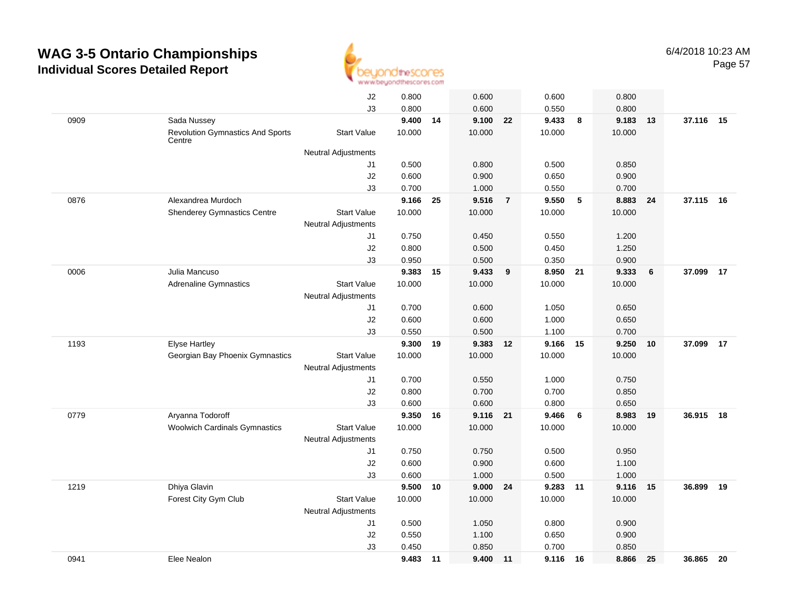

|      |                                                   | J2                         | 0.800    |       | 0.600    |                | 0.600  |      | 0.800  |    |           |    |
|------|---------------------------------------------------|----------------------------|----------|-------|----------|----------------|--------|------|--------|----|-----------|----|
|      |                                                   | J3                         | 0.800    |       | 0.600    |                | 0.550  |      | 0.800  |    |           |    |
| 0909 | Sada Nussey                                       |                            | 9.400 14 |       | 9.100 22 |                | 9.433  | 8    | 9.183  | 13 | 37.116 15 |    |
|      | <b>Revolution Gymnastics And Sports</b><br>Centre | <b>Start Value</b>         | 10.000   |       | 10.000   |                | 10.000 |      | 10.000 |    |           |    |
|      |                                                   | <b>Neutral Adjustments</b> |          |       |          |                |        |      |        |    |           |    |
|      |                                                   | J1                         | 0.500    |       | 0.800    |                | 0.500  |      | 0.850  |    |           |    |
|      |                                                   | J2                         | 0.600    |       | 0.900    |                | 0.650  |      | 0.900  |    |           |    |
|      |                                                   | J3                         | 0.700    |       | 1.000    |                | 0.550  |      | 0.700  |    |           |    |
| 0876 | Alexandrea Murdoch                                |                            | 9.166    | 25    | 9.516    | $\overline{7}$ | 9.550  | 5    | 8.883  | 24 | 37.115    | 16 |
|      | <b>Shenderey Gymnastics Centre</b>                | <b>Start Value</b>         | 10.000   |       | 10.000   |                | 10.000 |      | 10.000 |    |           |    |
|      |                                                   | <b>Neutral Adjustments</b> |          |       |          |                |        |      |        |    |           |    |
|      |                                                   | J1                         | 0.750    |       | 0.450    |                | 0.550  |      | 1.200  |    |           |    |
|      |                                                   | J2                         | 0.800    |       | 0.500    |                | 0.450  |      | 1.250  |    |           |    |
|      |                                                   | J3                         | 0.950    |       | 0.500    |                | 0.350  |      | 0.900  |    |           |    |
| 0006 | Julia Mancuso                                     |                            | 9.383    | 15    | 9.433    | 9              | 8.950  | 21   | 9.333  | 6  | 37.099    | 17 |
|      | <b>Adrenaline Gymnastics</b>                      | <b>Start Value</b>         | 10.000   |       | 10.000   |                | 10.000 |      | 10.000 |    |           |    |
|      |                                                   | <b>Neutral Adjustments</b> |          |       |          |                |        |      |        |    |           |    |
|      |                                                   | J1                         | 0.700    |       | 0.600    |                | 1.050  |      | 0.650  |    |           |    |
|      |                                                   | J2                         | 0.600    |       | 0.600    |                | 1.000  |      | 0.650  |    |           |    |
|      |                                                   | J3                         | 0.550    |       | 0.500    |                | 1.100  |      | 0.700  |    |           |    |
| 1193 | <b>Elyse Hartley</b>                              |                            | 9.300    | 19    | 9.383    | 12             | 9.166  | 15   | 9.250  | 10 | 37.099    | 17 |
|      | Georgian Bay Phoenix Gymnastics                   | <b>Start Value</b>         | 10.000   |       | 10.000   |                | 10.000 |      | 10.000 |    |           |    |
|      |                                                   | <b>Neutral Adjustments</b> |          |       |          |                |        |      |        |    |           |    |
|      |                                                   | J1                         | 0.700    |       | 0.550    |                | 1.000  |      | 0.750  |    |           |    |
|      |                                                   | J2                         | 0.800    |       | 0.700    |                | 0.700  |      | 0.850  |    |           |    |
|      |                                                   | J3                         | 0.600    |       | 0.600    |                | 0.800  |      | 0.650  |    |           |    |
| 0779 | Aryanna Todoroff                                  |                            | 9.350 16 |       | 9.116 21 |                | 9.466  | 6    | 8.983  | 19 | 36.915 18 |    |
|      | <b>Woolwich Cardinals Gymnastics</b>              | <b>Start Value</b>         | 10.000   |       | 10.000   |                | 10.000 |      | 10.000 |    |           |    |
|      |                                                   | <b>Neutral Adjustments</b> |          |       |          |                |        |      |        |    |           |    |
|      |                                                   | J1                         | 0.750    |       | 0.750    |                | 0.500  |      | 0.950  |    |           |    |
|      |                                                   | J2                         | 0.600    |       | 0.900    |                | 0.600  |      | 1.100  |    |           |    |
|      |                                                   | J3                         | 0.600    |       | 1.000    |                | 0.500  |      | 1.000  |    |           |    |
| 1219 | Dhiya Glavin                                      |                            | 9.500    | 10    | 9.000    | 24             | 9.283  | 11   | 9.116  | 15 | 36.899    | 19 |
|      | Forest City Gym Club                              | <b>Start Value</b>         | 10.000   |       | 10.000   |                | 10.000 |      | 10.000 |    |           |    |
|      |                                                   | <b>Neutral Adjustments</b> |          |       |          |                |        |      |        |    |           |    |
|      |                                                   | J1                         | 0.500    |       | 1.050    |                | 0.800  |      | 0.900  |    |           |    |
|      |                                                   | J2                         | 0.550    |       | 1.100    |                | 0.650  |      | 0.900  |    |           |    |
|      |                                                   | J3                         | 0.450    |       | 0.850    |                | 0.700  |      | 0.850  |    |           |    |
| 0941 | Elee Nealon                                       |                            | 9.483    | $-11$ | 9.400    | $-11$          | 9.116  | - 16 | 8.866  | 25 | 36.865    | 20 |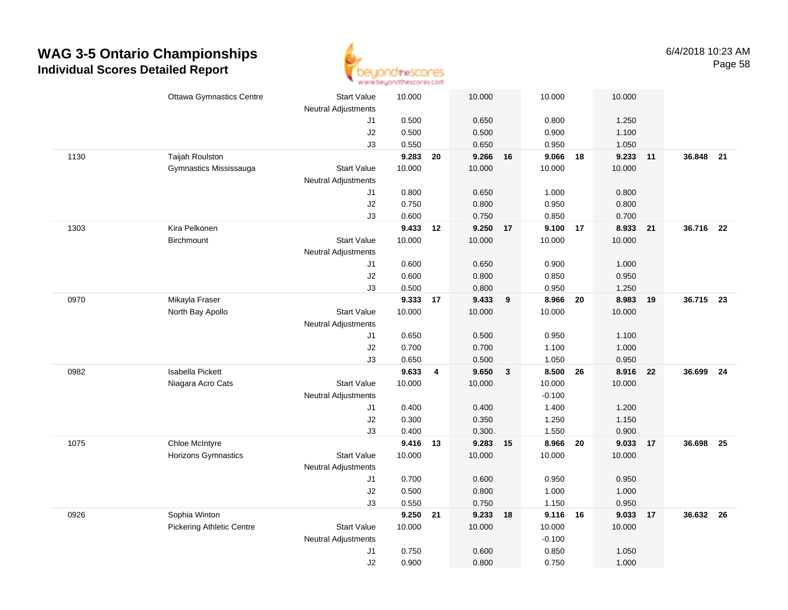

|      | <b>Ottawa Gymnastics Centre</b>  | <b>Start Value</b><br><b>Neutral Adjustments</b> | 10.000          |    | 10.000   |   | 10.000             |    | 10.000   |    |           |      |
|------|----------------------------------|--------------------------------------------------|-----------------|----|----------|---|--------------------|----|----------|----|-----------|------|
|      |                                  | J1                                               | 0.500           |    | 0.650    |   | 0.800              |    | 1.250    |    |           |      |
|      |                                  | J2                                               | 0.500           |    | 0.500    |   | 0.900              |    | 1.100    |    |           |      |
|      |                                  | J3                                               | 0.550           |    | 0.650    |   | 0.950              |    | 1.050    |    |           |      |
| 1130 | Taijah Roulston                  |                                                  | 9.283           | 20 | 9.266 16 |   | 9.066              | 18 | 9.233    | 11 | 36.848 21 |      |
|      | Gymnastics Mississauga           | <b>Start Value</b>                               | 10.000          |    | 10.000   |   | 10.000             |    | 10.000   |    |           |      |
|      |                                  | <b>Neutral Adjustments</b>                       |                 |    |          |   |                    |    |          |    |           |      |
|      |                                  | J1                                               | 0.800           |    | 0.650    |   | 1.000              |    | 0.800    |    |           |      |
|      |                                  | J2                                               | 0.750           |    | 0.800    |   | 0.950              |    | 0.800    |    |           |      |
|      |                                  | J3                                               | 0.600           |    | 0.750    |   | 0.850              |    | 0.700    |    |           |      |
| 1303 | Kira Pelkonen                    |                                                  | 9.433 12        |    | 9.250 17 |   | 9.100              | 17 | 8.933    | 21 | 36.716 22 |      |
|      | Birchmount                       | <b>Start Value</b>                               | 10.000          |    | 10.000   |   | 10.000             |    | 10.000   |    |           |      |
|      |                                  | Neutral Adjustments                              |                 |    |          |   |                    |    |          |    |           |      |
|      |                                  | J1                                               | 0.600           |    | 0.650    |   | 0.900              |    | 1.000    |    |           |      |
|      |                                  | J2                                               | 0.600           |    | 0.800    |   | 0.850              |    | 0.950    |    |           |      |
|      |                                  | J3                                               | 0.500           |    | 0.800    |   | 0.950              |    | 1.250    |    |           |      |
| 0970 | Mikayla Fraser                   |                                                  | 9.333 17        |    | 9.433    | 9 | 8.966              | 20 | 8.983    | 19 | 36.715 23 |      |
|      | North Bay Apollo                 | <b>Start Value</b>                               | 10.000          |    | 10.000   |   | 10.000             |    | 10.000   |    |           |      |
|      |                                  | Neutral Adjustments                              |                 |    |          |   |                    |    |          |    |           |      |
|      |                                  | J1                                               | 0.650           |    | 0.500    |   | 0.950              |    | 1.100    |    |           |      |
|      |                                  | J2                                               | 0.700           |    | 0.700    |   | 1.100              |    | 1.000    |    |           |      |
|      |                                  | J3                                               | 0.650           |    | 0.500    |   | 1.050              |    | 0.950    |    |           |      |
| 0982 | Isabella Pickett                 |                                                  | 9.633           | 4  | 9.650    | 3 | 8.500              | 26 | 8.916    | 22 | 36.699    | - 24 |
|      | Niagara Acro Cats                | <b>Start Value</b>                               | 10.000          |    | 10.000   |   | 10.000             |    | 10.000   |    |           |      |
|      |                                  | <b>Neutral Adjustments</b>                       |                 |    |          |   | $-0.100$           |    |          |    |           |      |
|      |                                  | J1                                               | 0.400           |    | 0.400    |   | 1.400              |    | 1.200    |    |           |      |
|      |                                  | J2                                               | 0.300           |    | 0.350    |   | 1.250              |    | 1.150    |    |           |      |
|      |                                  | J3                                               | 0.400           |    | 0.300    |   | 1.550              |    | 0.900    |    |           |      |
| 1075 | Chloe McIntyre                   |                                                  | 9.416 13        |    | 9.283 15 |   | 8.966 20           |    | 9.033 17 |    | 36.698    | 25   |
|      | Horizons Gymnastics              | Start Value                                      | 10.000          |    | 10.000   |   | 10.000             |    | 10.000   |    |           |      |
|      |                                  | Neutral Adjustments                              |                 |    |          |   |                    |    |          |    |           |      |
|      |                                  | J1                                               | 0.700           |    | 0.600    |   | 0.950              |    | 0.950    |    |           |      |
|      |                                  | J2                                               | 0.500           |    | 0.800    |   | 1.000              |    | 1.000    |    |           |      |
|      |                                  | J3                                               | 0.550           |    | 0.750    |   | 1.150              |    | 0.950    |    |           |      |
| 0926 | Sophia Winton                    | <b>Start Value</b>                               | 9.250<br>10.000 | 21 | 9.233 18 |   | 9.116 16<br>10.000 |    | 9.033    | 17 | 36.632 26 |      |
|      | <b>Pickering Athletic Centre</b> | Neutral Adjustments                              |                 |    | 10.000   |   | $-0.100$           |    | 10.000   |    |           |      |
|      |                                  | J1                                               | 0.750           |    | 0.600    |   | 0.850              |    | 1.050    |    |           |      |
|      |                                  | J2                                               | 0.900           |    | 0.800    |   | 0.750              |    | 1.000    |    |           |      |
|      |                                  |                                                  |                 |    |          |   |                    |    |          |    |           |      |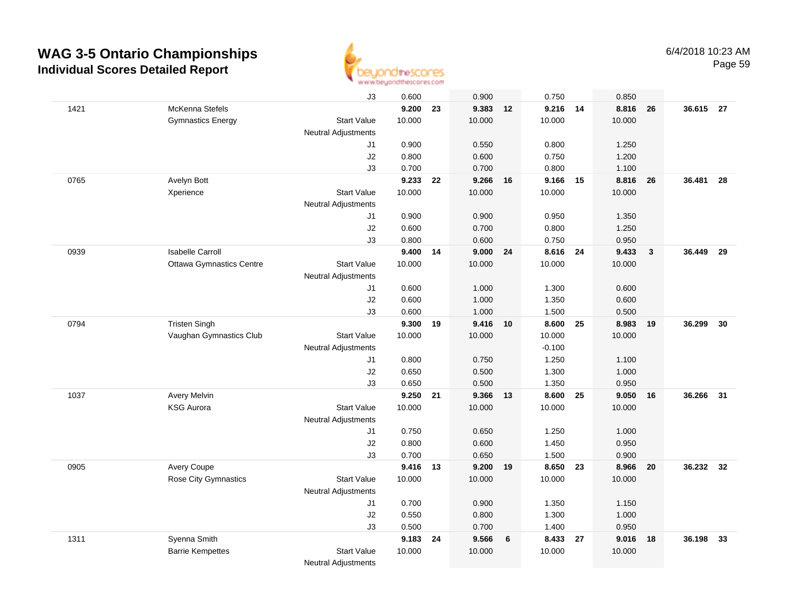

|      |                                 | J3                         | 0.600    |    | 0.900    |    | 0.750    |    | 0.850  |                         |           |      |
|------|---------------------------------|----------------------------|----------|----|----------|----|----------|----|--------|-------------------------|-----------|------|
| 1421 | McKenna Stefels                 |                            | 9.200    | 23 | 9.383    | 12 | 9.216 14 |    | 8.816  | 26                      | 36.615 27 |      |
|      | <b>Gymnastics Energy</b>        | <b>Start Value</b>         | 10.000   |    | 10.000   |    | 10.000   |    | 10.000 |                         |           |      |
|      |                                 | <b>Neutral Adjustments</b> |          |    |          |    |          |    |        |                         |           |      |
|      |                                 | J1                         | 0.900    |    | 0.550    |    | 0.800    |    | 1.250  |                         |           |      |
|      |                                 | J2                         | 0.800    |    | 0.600    |    | 0.750    |    | 1.200  |                         |           |      |
|      |                                 | J3                         | 0.700    |    | 0.700    |    | 0.800    |    | 1.100  |                         |           |      |
| 0765 | Avelyn Bott                     |                            | 9.233    | 22 | 9.266    | 16 | 9.166    | 15 | 8.816  | 26                      | 36.481    | 28   |
|      | Xperience                       | <b>Start Value</b>         | 10.000   |    | 10.000   |    | 10.000   |    | 10.000 |                         |           |      |
|      |                                 | <b>Neutral Adjustments</b> |          |    |          |    |          |    |        |                         |           |      |
|      |                                 | J1                         | 0.900    |    | 0.900    |    | 0.950    |    | 1.350  |                         |           |      |
|      |                                 | J2                         | 0.600    |    | 0.700    |    | 0.800    |    | 1.250  |                         |           |      |
|      |                                 | J3                         | 0.800    |    | 0.600    |    | 0.750    |    | 0.950  |                         |           |      |
| 0939 | <b>Isabelle Carroll</b>         |                            | 9.400    | 14 | 9.000    | 24 | 8.616 24 |    | 9.433  | $\overline{\mathbf{3}}$ | 36.449    | - 29 |
|      | <b>Ottawa Gymnastics Centre</b> | <b>Start Value</b>         | 10.000   |    | 10.000   |    | 10.000   |    | 10.000 |                         |           |      |
|      |                                 | <b>Neutral Adjustments</b> |          |    |          |    |          |    |        |                         |           |      |
|      |                                 | J1                         | 0.600    |    | 1.000    |    | 1.300    |    | 0.600  |                         |           |      |
|      |                                 | J2                         | 0.600    |    | 1.000    |    | 1.350    |    | 0.600  |                         |           |      |
|      |                                 | J3                         | 0.600    |    | 1.000    |    | 1.500    |    | 0.500  |                         |           |      |
| 0794 | <b>Tristen Singh</b>            |                            | 9.300    | 19 | 9.416 10 |    | 8.600 25 |    | 8.983  | 19                      | 36.299    | 30   |
|      | Vaughan Gymnastics Club         | <b>Start Value</b>         | 10.000   |    | 10.000   |    | 10.000   |    | 10.000 |                         |           |      |
|      |                                 | <b>Neutral Adjustments</b> |          |    |          |    | $-0.100$ |    |        |                         |           |      |
|      |                                 | J1                         | 0.800    |    | 0.750    |    | 1.250    |    | 1.100  |                         |           |      |
|      |                                 | J2                         | 0.650    |    | 0.500    |    | 1.300    |    | 1.000  |                         |           |      |
|      |                                 | JЗ                         | 0.650    |    | 0.500    |    | 1.350    |    | 0.950  |                         |           |      |
| 1037 | Avery Melvin                    |                            | 9.250    | 21 | 9.366    | 13 | 8.600    | 25 | 9.050  | 16                      | 36.266    | 31   |
|      | <b>KSG Aurora</b>               | <b>Start Value</b>         | 10.000   |    | 10.000   |    | 10.000   |    | 10.000 |                         |           |      |
|      |                                 | Neutral Adjustments        |          |    |          |    |          |    |        |                         |           |      |
|      |                                 | J1                         | 0.750    |    | 0.650    |    | 1.250    |    | 1.000  |                         |           |      |
|      |                                 | J2                         | 0.800    |    | 0.600    |    | 1.450    |    | 0.950  |                         |           |      |
|      |                                 | JЗ                         | 0.700    |    | 0.650    |    | 1.500    |    | 0.900  |                         |           |      |
| 0905 | Avery Coupe                     |                            | 9.416 13 |    | 9.200 19 |    | 8.650 23 |    | 8.966  | 20                      | 36.232 32 |      |
|      | <b>Rose City Gymnastics</b>     | <b>Start Value</b>         | 10.000   |    | 10.000   |    | 10.000   |    | 10.000 |                         |           |      |
|      |                                 | Neutral Adjustments        |          |    |          |    |          |    |        |                         |           |      |
|      |                                 | J1                         | 0.700    |    | 0.900    |    | 1.350    |    | 1.150  |                         |           |      |
|      |                                 | J2                         | 0.550    |    | 0.800    |    | 1.300    |    | 1.000  |                         |           |      |
|      |                                 | JЗ                         | 0.500    |    | 0.700    |    | 1.400    |    | 0.950  |                         |           |      |
| 1311 | Syenna Smith                    |                            | 9.183    | 24 | 9.566    | 6  | 8.433    | 27 | 9.016  | -18                     | 36.198    | 33   |
|      | <b>Barrie Kempettes</b>         | <b>Start Value</b>         | 10.000   |    | 10.000   |    | 10.000   |    | 10.000 |                         |           |      |
|      |                                 | <b>Neutral Adjustments</b> |          |    |          |    |          |    |        |                         |           |      |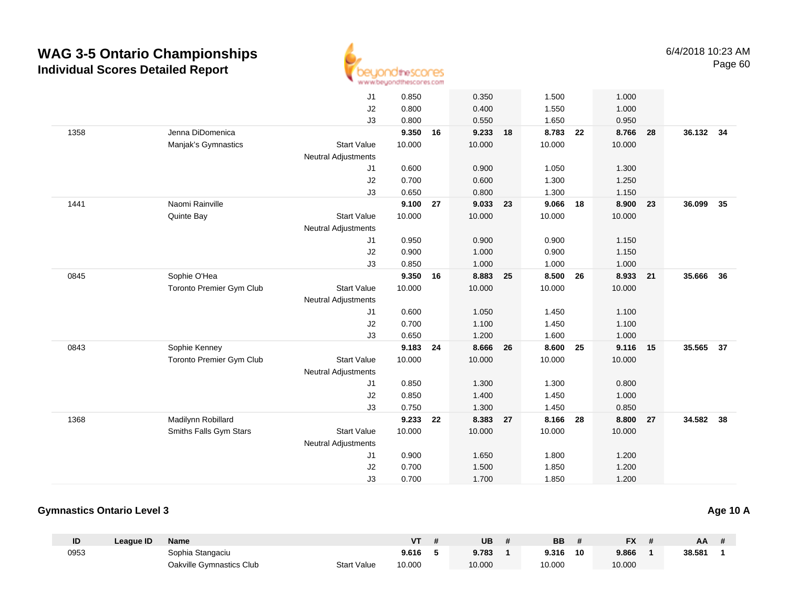

|      |                          | J <sub>1</sub>             | 0.850  |    | 0.350  |    | 1.500    |    | 1.000    |    |           |    |
|------|--------------------------|----------------------------|--------|----|--------|----|----------|----|----------|----|-----------|----|
|      |                          | J2                         | 0.800  |    | 0.400  |    | 1.550    |    | 1.000    |    |           |    |
|      |                          | J3                         | 0.800  |    | 0.550  |    | 1.650    |    | 0.950    |    |           |    |
| 1358 | Jenna DiDomenica         |                            | 9.350  | 16 | 9.233  | 18 | 8.783    | 22 | 8.766    | 28 | 36.132 34 |    |
|      | Manjak's Gymnastics      | <b>Start Value</b>         | 10.000 |    | 10.000 |    | 10.000   |    | 10.000   |    |           |    |
|      |                          | <b>Neutral Adjustments</b> |        |    |        |    |          |    |          |    |           |    |
|      |                          | J1                         | 0.600  |    | 0.900  |    | 1.050    |    | 1.300    |    |           |    |
|      |                          | J2                         | 0.700  |    | 0.600  |    | 1.300    |    | 1.250    |    |           |    |
|      |                          | J3                         | 0.650  |    | 0.800  |    | 1.300    |    | 1.150    |    |           |    |
| 1441 | Naomi Rainville          |                            | 9.100  | 27 | 9.033  | 23 | 9.066    | 18 | 8.900    | 23 | 36.099    | 35 |
|      | Quinte Bay               | <b>Start Value</b>         | 10.000 |    | 10.000 |    | 10.000   |    | 10.000   |    |           |    |
|      |                          | <b>Neutral Adjustments</b> |        |    |        |    |          |    |          |    |           |    |
|      |                          | J1                         | 0.950  |    | 0.900  |    | 0.900    |    | 1.150    |    |           |    |
|      |                          | J2                         | 0.900  |    | 1.000  |    | 0.900    |    | 1.150    |    |           |    |
|      |                          | J3                         | 0.850  |    | 1.000  |    | 1.000    |    | 1.000    |    |           |    |
| 0845 | Sophie O'Hea             |                            | 9.350  | 16 | 8.883  | 25 | 8.500    | 26 | 8.933 21 |    | 35.666    | 36 |
|      | Toronto Premier Gym Club | <b>Start Value</b>         | 10.000 |    | 10.000 |    | 10.000   |    | 10.000   |    |           |    |
|      |                          | <b>Neutral Adjustments</b> |        |    |        |    |          |    |          |    |           |    |
|      |                          | J <sub>1</sub>             | 0.600  |    | 1.050  |    | 1.450    |    | 1.100    |    |           |    |
|      |                          | J <sub>2</sub>             | 0.700  |    | 1.100  |    | 1.450    |    | 1.100    |    |           |    |
|      |                          | J3                         | 0.650  |    | 1.200  |    | 1.600    |    | 1.000    |    |           |    |
| 0843 | Sophie Kenney            |                            | 9.183  | 24 | 8.666  | 26 | 8.600 25 |    | 9.116 15 |    | 35.565    | 37 |
|      | Toronto Premier Gym Club | <b>Start Value</b>         | 10.000 |    | 10.000 |    | 10.000   |    | 10.000   |    |           |    |
|      |                          | <b>Neutral Adjustments</b> |        |    |        |    |          |    |          |    |           |    |
|      |                          | J1                         | 0.850  |    | 1.300  |    | 1.300    |    | 0.800    |    |           |    |
|      |                          | J2                         | 0.850  |    | 1.400  |    | 1.450    |    | 1.000    |    |           |    |
|      |                          | J3                         | 0.750  |    | 1.300  |    | 1.450    |    | 0.850    |    |           |    |
| 1368 | Madilynn Robillard       |                            | 9.233  | 22 | 8.383  | 27 | 8.166    | 28 | 8.800    | 27 | 34.582    | 38 |
|      | Smiths Falls Gym Stars   | <b>Start Value</b>         | 10.000 |    | 10.000 |    | 10.000   |    | 10.000   |    |           |    |
|      |                          | <b>Neutral Adjustments</b> |        |    |        |    |          |    |          |    |           |    |
|      |                          | J <sub>1</sub>             | 0.900  |    | 1.650  |    | 1.800    |    | 1.200    |    |           |    |
|      |                          | J2                         | 0.700  |    | 1.500  |    | 1.850    |    | 1.200    |    |           |    |
|      |                          | J3                         | 0.700  |    | 1.700  |    | 1.850    |    | 1.200    |    |           |    |
|      |                          |                            |        |    |        |    |          |    |          |    |           |    |

#### **Gymnastics Ontario Level 3**

| ID   | League ID | <b>Name</b>              |                    | ۷T     | UB     | BB     |    | <b>FX</b> | AA     |  |
|------|-----------|--------------------------|--------------------|--------|--------|--------|----|-----------|--------|--|
| 0953 |           | Sophia Stangaciu         |                    | 9.616  | 9.783  | 9.316  | 10 | 9.866     | 38.581 |  |
|      |           | Oakville Gymnastics Club | <b>Start Value</b> | 10.000 | 10.000 | 10.000 |    | 10.000    |        |  |

**Age 10 A**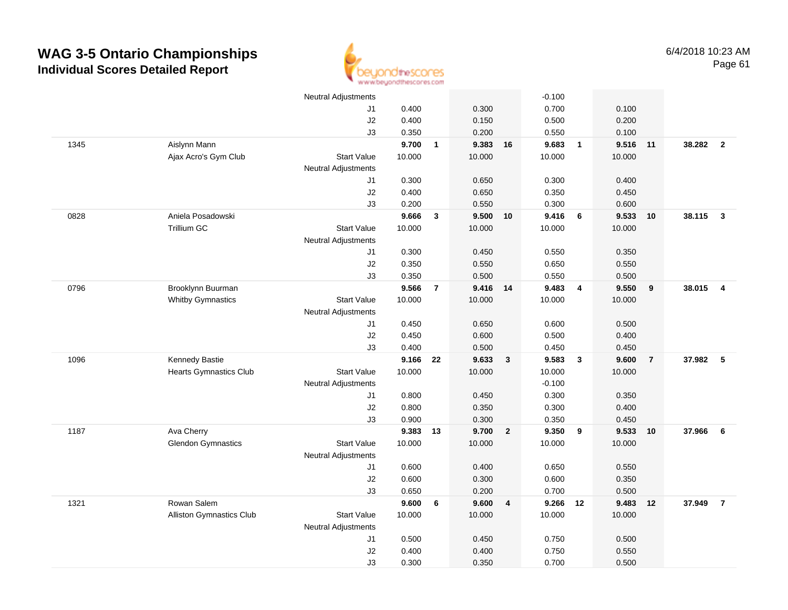

|      |                                 | <b>Neutral Adjustments</b> |          |                |          |                         | $-0.100$ |                         |        |                |          |                         |
|------|---------------------------------|----------------------------|----------|----------------|----------|-------------------------|----------|-------------------------|--------|----------------|----------|-------------------------|
|      |                                 | J1                         | 0.400    |                | 0.300    |                         | 0.700    |                         | 0.100  |                |          |                         |
|      |                                 | J2                         | 0.400    |                | 0.150    |                         | 0.500    |                         | 0.200  |                |          |                         |
|      |                                 | J3                         | 0.350    |                | 0.200    |                         | 0.550    |                         | 0.100  |                |          |                         |
| 1345 | Aislynn Mann                    |                            | 9.700    | $\mathbf{1}$   | 9.383    | 16                      | 9.683    | $\overline{\mathbf{1}}$ | 9.516  | 11             | 38.282 2 |                         |
|      | Ajax Acro's Gym Club            | <b>Start Value</b>         | 10.000   |                | 10.000   |                         | 10.000   |                         | 10.000 |                |          |                         |
|      |                                 | <b>Neutral Adjustments</b> |          |                |          |                         |          |                         |        |                |          |                         |
|      |                                 | J1                         | 0.300    |                | 0.650    |                         | 0.300    |                         | 0.400  |                |          |                         |
|      |                                 | J2                         | 0.400    |                | 0.650    |                         | 0.350    |                         | 0.450  |                |          |                         |
|      |                                 | J3                         | 0.200    |                | 0.550    |                         | 0.300    |                         | 0.600  |                |          |                         |
| 0828 | Aniela Posadowski               |                            | 9.666    | $\mathbf{3}$   | 9.500 10 |                         | 9.416    | $6\overline{6}$         | 9.533  | 10             | 38.115   | $\overline{\mathbf{3}}$ |
|      | Trillium GC                     | <b>Start Value</b>         | 10.000   |                | 10.000   |                         | 10.000   |                         | 10.000 |                |          |                         |
|      |                                 | <b>Neutral Adjustments</b> |          |                |          |                         |          |                         |        |                |          |                         |
|      |                                 | J1                         | 0.300    |                | 0.450    |                         | 0.550    |                         | 0.350  |                |          |                         |
|      |                                 | J2                         | 0.350    |                | 0.550    |                         | 0.650    |                         | 0.550  |                |          |                         |
|      |                                 | J3                         | 0.350    |                | 0.500    |                         | 0.550    |                         | 0.500  |                |          |                         |
| 0796 | Brooklynn Buurman               |                            | 9.566    | $\overline{7}$ | 9.416 14 |                         | 9.483    | $\overline{\mathbf{4}}$ | 9.550  | 9              | 38.015   | $\overline{4}$          |
|      | <b>Whitby Gymnastics</b>        | <b>Start Value</b>         | 10.000   |                | 10.000   |                         | 10.000   |                         | 10.000 |                |          |                         |
|      |                                 | <b>Neutral Adjustments</b> |          |                |          |                         |          |                         |        |                |          |                         |
|      |                                 | J1                         | 0.450    |                | 0.650    |                         | 0.600    |                         | 0.500  |                |          |                         |
|      |                                 | J2                         | 0.450    |                | 0.600    |                         | 0.500    |                         | 0.400  |                |          |                         |
|      |                                 | J3                         | 0.400    |                | 0.500    |                         | 0.450    |                         | 0.450  |                |          |                         |
| 1096 | Kennedy Bastie                  |                            | 9.166    | 22             | 9.633    | $\mathbf{3}$            | 9.583    | $\overline{\mathbf{3}}$ | 9.600  | $\overline{7}$ | 37.982   | 5                       |
|      | <b>Hearts Gymnastics Club</b>   | <b>Start Value</b>         | 10.000   |                | 10.000   |                         | 10.000   |                         | 10.000 |                |          |                         |
|      |                                 | <b>Neutral Adjustments</b> |          |                |          |                         | $-0.100$ |                         |        |                |          |                         |
|      |                                 | J1                         | 0.800    |                | 0.450    |                         | 0.300    |                         | 0.350  |                |          |                         |
|      |                                 | J2                         | 0.800    |                | 0.350    |                         | 0.300    |                         | 0.400  |                |          |                         |
|      |                                 | J3                         | 0.900    |                | 0.300    |                         | 0.350    |                         | 0.450  |                |          |                         |
| 1187 | Ava Cherry                      |                            | 9.383 13 |                | 9.700    | $\overline{\mathbf{2}}$ | 9.350 9  |                         | 9.533  | 10             | 37.966   | 6                       |
|      | <b>Glendon Gymnastics</b>       | <b>Start Value</b>         | 10.000   |                | 10.000   |                         | 10.000   |                         | 10.000 |                |          |                         |
|      |                                 | <b>Neutral Adjustments</b> |          |                |          |                         |          |                         |        |                |          |                         |
|      |                                 | J1                         | 0.600    |                | 0.400    |                         | 0.650    |                         | 0.550  |                |          |                         |
|      |                                 | J2                         | 0.600    |                | 0.300    |                         | 0.600    |                         | 0.350  |                |          |                         |
|      |                                 | J3                         | 0.650    |                | 0.200    |                         | 0.700    |                         | 0.500  |                |          |                         |
| 1321 | Rowan Salem                     |                            | 9.600    | 6              | 9.600    | $\overline{\mathbf{4}}$ | 9.266 12 |                         | 9.483  | 12             | 37.949   | $\overline{7}$          |
|      | <b>Alliston Gymnastics Club</b> | <b>Start Value</b>         | 10.000   |                | 10.000   |                         | 10.000   |                         | 10.000 |                |          |                         |
|      |                                 | <b>Neutral Adjustments</b> |          |                |          |                         |          |                         |        |                |          |                         |
|      |                                 | J1                         | 0.500    |                | 0.450    |                         | 0.750    |                         | 0.500  |                |          |                         |
|      |                                 | J2                         | 0.400    |                | 0.400    |                         | 0.750    |                         | 0.550  |                |          |                         |
|      |                                 | J3                         | 0.300    |                | 0.350    |                         | 0.700    |                         | 0.500  |                |          |                         |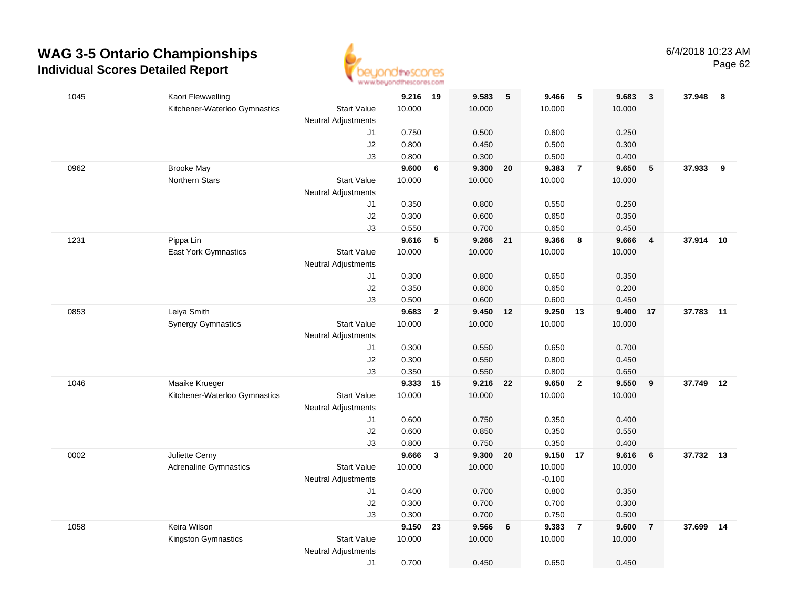

| 1045 | Kaori Flewwelling             |                            | 9.216 19       |                | 9.583          | $5\phantom{.0}$ | 9.466          | $-5$           | 9.683          | $\mathbf{3}$   | 37.948    | 8  |
|------|-------------------------------|----------------------------|----------------|----------------|----------------|-----------------|----------------|----------------|----------------|----------------|-----------|----|
|      | Kitchener-Waterloo Gymnastics | <b>Start Value</b>         | 10.000         |                | 10.000         |                 | 10.000         |                | 10.000         |                |           |    |
|      |                               | <b>Neutral Adjustments</b> |                |                |                |                 |                |                |                |                |           |    |
|      |                               | J1                         | 0.750          |                | 0.500          |                 | 0.600          |                | 0.250          |                |           |    |
|      |                               | J2                         | 0.800          |                | 0.450          |                 | 0.500          |                | 0.300          |                |           |    |
|      |                               | J3                         | 0.800          |                | 0.300          |                 | 0.500          |                | 0.400          |                |           |    |
| 0962 | <b>Brooke May</b>             |                            | 9.600          | 6              | 9.300          | 20              | 9.383          | $\overline{7}$ | 9.650          | $\sqrt{5}$     | 37.933    | 9  |
|      | <b>Northern Stars</b>         | <b>Start Value</b>         | 10.000         |                | 10.000         |                 | 10.000         |                | 10.000         |                |           |    |
|      |                               | <b>Neutral Adjustments</b> |                |                |                |                 |                |                |                |                |           |    |
|      |                               | J1                         | 0.350          |                | 0.800          |                 | 0.550          |                | 0.250          |                |           |    |
|      |                               | J2                         | 0.300          |                | 0.600          |                 | 0.650          |                | 0.350          |                |           |    |
|      |                               | J3                         | 0.550          |                | 0.700          |                 | 0.650          |                | 0.450          |                |           |    |
| 1231 | Pippa Lin                     |                            | 9.616          | 5              | 9.266          | 21              | 9.366          | 8              | 9.666          | $\overline{4}$ | 37.914    | 10 |
|      | East York Gymnastics          | <b>Start Value</b>         | 10.000         |                | 10.000         |                 | 10.000         |                | 10.000         |                |           |    |
|      |                               | <b>Neutral Adjustments</b> |                |                |                |                 |                |                |                |                |           |    |
|      |                               | J1                         | 0.300          |                | 0.800          |                 | 0.650          |                | 0.350          |                |           |    |
|      |                               | J2                         | 0.350          |                | 0.800          |                 | 0.650          |                | 0.200          |                |           |    |
|      |                               | J3                         | 0.500          |                | 0.600          |                 | 0.600          |                | 0.450          |                |           |    |
| 0853 | Leiya Smith                   |                            | 9.683          | $\overline{2}$ | 9.450 12       |                 | 9.250 13       |                | 9.400          | 17             | 37.783 11 |    |
|      | <b>Synergy Gymnastics</b>     | <b>Start Value</b>         | 10.000         |                | 10.000         |                 | 10.000         |                | 10.000         |                |           |    |
|      |                               | <b>Neutral Adjustments</b> |                |                |                |                 |                |                |                |                |           |    |
|      |                               | J1                         | 0.300          |                | 0.550          |                 | 0.650          |                | 0.700          |                |           |    |
|      |                               | J2                         | 0.300          |                | 0.550          |                 | 0.800          |                | 0.450          |                |           |    |
|      |                               | J3                         | 0.350          |                | 0.550          |                 | 0.800          |                | 0.650          |                |           |    |
| 1046 | Maaike Krueger                |                            | 9.333          | 15             | 9.216          | 22              | 9.650          | $\overline{2}$ | 9.550          | 9              | 37.749    | 12 |
|      | Kitchener-Waterloo Gymnastics | Start Value                | 10.000         |                | 10.000         |                 | 10.000         |                | 10.000         |                |           |    |
|      |                               | <b>Neutral Adjustments</b> |                |                |                |                 |                |                |                |                |           |    |
|      |                               | J1                         | 0.600<br>0.600 |                | 0.750          |                 | 0.350          |                | 0.400          |                |           |    |
|      |                               | J2<br>J3                   | 0.800          |                | 0.850<br>0.750 |                 | 0.350<br>0.350 |                | 0.550<br>0.400 |                |           |    |
| 0002 | Juliette Cerny                |                            | 9.666          | $\mathbf{3}$   | 9.300          | 20              | 9.150 17       |                | 9.616          | 6              | 37.732 13 |    |
|      | <b>Adrenaline Gymnastics</b>  | <b>Start Value</b>         | 10.000         |                | 10.000         |                 | 10.000         |                | 10.000         |                |           |    |
|      |                               | <b>Neutral Adjustments</b> |                |                |                |                 | $-0.100$       |                |                |                |           |    |
|      |                               | J1                         | 0.400          |                | 0.700          |                 | 0.800          |                | 0.350          |                |           |    |
|      |                               | J2                         | 0.300          |                | 0.700          |                 | 0.700          |                | 0.300          |                |           |    |
|      |                               | J3                         | 0.300          |                | 0.700          |                 | 0.750          |                | 0.500          |                |           |    |
| 1058 | Keira Wilson                  |                            | 9.150          | 23             | 9.566          | 6               | 9.383          | $\overline{7}$ | 9.600          | $\overline{7}$ | 37.699    | 14 |
|      | Kingston Gymnastics           | <b>Start Value</b>         | 10.000         |                | 10.000         |                 | 10.000         |                | 10.000         |                |           |    |
|      |                               | <b>Neutral Adjustments</b> |                |                |                |                 |                |                |                |                |           |    |
|      |                               | J1                         | 0.700          |                | 0.450          |                 | 0.650          |                | 0.450          |                |           |    |
|      |                               |                            |                |                |                |                 |                |                |                |                |           |    |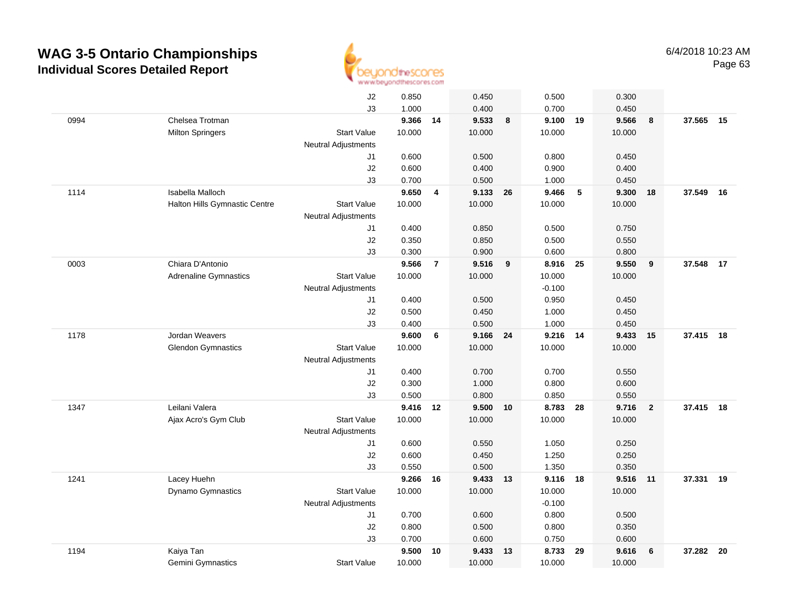

|      |                               | J2                         | 0.850    |                | 0.450    |    | 0.500    |    | 0.300  |                |           |      |
|------|-------------------------------|----------------------------|----------|----------------|----------|----|----------|----|--------|----------------|-----------|------|
|      |                               | J3                         | 1.000    |                | 0.400    |    | 0.700    |    | 0.450  |                |           |      |
| 0994 | Chelsea Trotman               |                            | 9.366 14 |                | 9.533    | 8  | 9.100    | 19 | 9.566  | 8              | 37.565 15 |      |
|      | <b>Milton Springers</b>       | <b>Start Value</b>         | 10.000   |                | 10.000   |    | 10.000   |    | 10.000 |                |           |      |
|      |                               | <b>Neutral Adjustments</b> |          |                |          |    |          |    |        |                |           |      |
|      |                               | J1                         | 0.600    |                | 0.500    |    | 0.800    |    | 0.450  |                |           |      |
|      |                               | J2                         | 0.600    |                | 0.400    |    | 0.900    |    | 0.400  |                |           |      |
|      |                               | J3                         | 0.700    |                | 0.500    |    | 1.000    |    | 0.450  |                |           |      |
| 1114 | Isabella Malloch              |                            | 9.650    | 4              | 9.133    | 26 | 9.466    | 5  | 9.300  | 18             | 37.549    | 16   |
|      | Halton Hills Gymnastic Centre | <b>Start Value</b>         | 10.000   |                | 10.000   |    | 10.000   |    | 10.000 |                |           |      |
|      |                               | <b>Neutral Adjustments</b> |          |                |          |    |          |    |        |                |           |      |
|      |                               | J1                         | 0.400    |                | 0.850    |    | 0.500    |    | 0.750  |                |           |      |
|      |                               | J2                         | 0.350    |                | 0.850    |    | 0.500    |    | 0.550  |                |           |      |
|      |                               | J3                         | 0.300    |                | 0.900    |    | 0.600    |    | 0.800  |                |           |      |
| 0003 | Chiara D'Antonio              |                            | 9.566    | $\overline{7}$ | 9.516    | 9  | 8.916 25 |    | 9.550  | 9              | 37.548 17 |      |
|      | <b>Adrenaline Gymnastics</b>  | <b>Start Value</b>         | 10.000   |                | 10.000   |    | 10.000   |    | 10.000 |                |           |      |
|      |                               | <b>Neutral Adjustments</b> |          |                |          |    | $-0.100$ |    |        |                |           |      |
|      |                               | J1                         | 0.400    |                | 0.500    |    | 0.950    |    | 0.450  |                |           |      |
|      |                               | J2                         | 0.500    |                | 0.450    |    | 1.000    |    | 0.450  |                |           |      |
|      |                               | J3                         | 0.400    |                | 0.500    |    | 1.000    |    | 0.450  |                |           |      |
| 1178 | Jordan Weavers                |                            | 9.600    | 6              | 9.166    | 24 | 9.216 14 |    | 9.433  | 15             | 37.415    | 18   |
|      | <b>Glendon Gymnastics</b>     | <b>Start Value</b>         | 10.000   |                | 10.000   |    | 10.000   |    | 10.000 |                |           |      |
|      |                               | <b>Neutral Adjustments</b> |          |                |          |    |          |    |        |                |           |      |
|      |                               | J1                         | 0.400    |                | 0.700    |    | 0.700    |    | 0.550  |                |           |      |
|      |                               | J2                         | 0.300    |                | 1.000    |    | 0.800    |    | 0.600  |                |           |      |
|      |                               | J3                         | 0.500    |                | 0.800    |    | 0.850    |    | 0.550  |                |           |      |
| 1347 | Leilani Valera                |                            | 9.416    | 12             | 9.500    | 10 | 8.783    | 28 | 9.716  | $\overline{2}$ | 37.415 18 |      |
|      | Ajax Acro's Gym Club          | <b>Start Value</b>         | 10.000   |                | 10.000   |    | 10.000   |    | 10.000 |                |           |      |
|      |                               | Neutral Adjustments        |          |                |          |    |          |    |        |                |           |      |
|      |                               | J1                         | 0.600    |                | 0.550    |    | 1.050    |    | 0.250  |                |           |      |
|      |                               | J2                         | 0.600    |                | 0.450    |    | 1.250    |    | 0.250  |                |           |      |
|      |                               | J3                         | 0.550    |                | 0.500    |    | 1.350    |    | 0.350  |                |           |      |
| 1241 | Lacey Huehn                   |                            | 9.266    | 16             | 9.433 13 |    | 9.116 18 |    | 9.516  | $-11$          | 37.331 19 |      |
|      | Dynamo Gymnastics             | <b>Start Value</b>         | 10.000   |                | 10.000   |    | 10.000   |    | 10.000 |                |           |      |
|      |                               | <b>Neutral Adjustments</b> |          |                |          |    | $-0.100$ |    |        |                |           |      |
|      |                               | J1                         | 0.700    |                | 0.600    |    | 0.800    |    | 0.500  |                |           |      |
|      |                               | J2                         | 0.800    |                | 0.500    |    | 0.800    |    | 0.350  |                |           |      |
|      |                               | J3                         | 0.700    |                | 0.600    |    | 0.750    |    | 0.600  |                |           |      |
| 1194 | Kaiya Tan                     |                            | 9.500    | 10             | 9.433    | 13 | 8.733    | 29 | 9.616  | 6              | 37.282    | - 20 |
|      | <b>Gemini Gymnastics</b>      | <b>Start Value</b>         | 10.000   |                | 10.000   |    | 10.000   |    | 10.000 |                |           |      |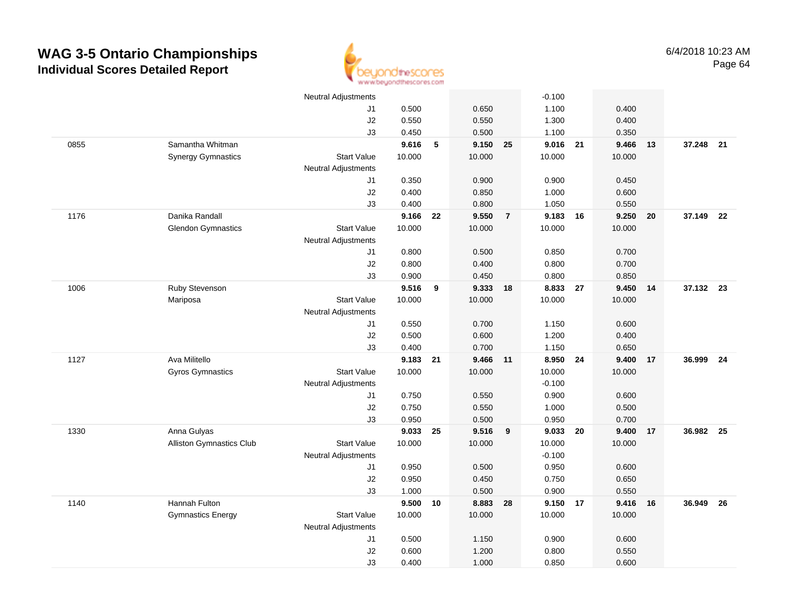

|      |                                 | <b>Neutral Adjustments</b> |        |    |           |                | $-0.100$ |    |        |     |           |      |
|------|---------------------------------|----------------------------|--------|----|-----------|----------------|----------|----|--------|-----|-----------|------|
|      |                                 | J1                         | 0.500  |    | 0.650     |                | 1.100    |    | 0.400  |     |           |      |
|      |                                 | J2                         | 0.550  |    | 0.550     |                | 1.300    |    | 0.400  |     |           |      |
|      |                                 | J3                         | 0.450  |    | 0.500     |                | 1.100    |    | 0.350  |     |           |      |
| 0855 | Samantha Whitman                |                            | 9.616  | 5  | 9.150     | 25             | 9.016    | 21 | 9.466  | 13  | 37.248    | 21   |
|      | <b>Synergy Gymnastics</b>       | <b>Start Value</b>         | 10.000 |    | 10.000    |                | 10.000   |    | 10.000 |     |           |      |
|      |                                 | <b>Neutral Adjustments</b> |        |    |           |                |          |    |        |     |           |      |
|      |                                 | J1                         | 0.350  |    | 0.900     |                | 0.900    |    | 0.450  |     |           |      |
|      |                                 | J2                         | 0.400  |    | 0.850     |                | 1.000    |    | 0.600  |     |           |      |
|      |                                 | J3                         | 0.400  |    | 0.800     |                | 1.050    |    | 0.550  |     |           |      |
| 1176 | Danika Randall                  |                            | 9.166  | 22 | 9.550     | $\overline{7}$ | 9.183 16 |    | 9.250  | 20  | 37.149 22 |      |
|      | <b>Glendon Gymnastics</b>       | <b>Start Value</b>         | 10.000 |    | 10.000    |                | 10.000   |    | 10.000 |     |           |      |
|      |                                 | Neutral Adjustments        |        |    |           |                |          |    |        |     |           |      |
|      |                                 | J1                         | 0.800  |    | 0.500     |                | 0.850    |    | 0.700  |     |           |      |
|      |                                 | $\sf J2$                   | 0.800  |    | 0.400     |                | 0.800    |    | 0.700  |     |           |      |
|      |                                 | J3                         | 0.900  |    | 0.450     |                | 0.800    |    | 0.850  |     |           |      |
| 1006 | Ruby Stevenson                  |                            | 9.516  | 9  | 9.333 18  |                | 8.833    | 27 | 9.450  | -14 | 37.132 23 |      |
|      | Mariposa                        | <b>Start Value</b>         | 10.000 |    | 10.000    |                | 10.000   |    | 10.000 |     |           |      |
|      |                                 | <b>Neutral Adjustments</b> |        |    |           |                |          |    |        |     |           |      |
|      |                                 | J1                         | 0.550  |    | 0.700     |                | 1.150    |    | 0.600  |     |           |      |
|      |                                 | J2                         | 0.500  |    | 0.600     |                | 1.200    |    | 0.400  |     |           |      |
|      |                                 | J3                         | 0.400  |    | 0.700     |                | 1.150    |    | 0.650  |     |           |      |
| 1127 | Ava Militello                   |                            | 9.183  | 21 | 9.466     | 11             | 8.950    | 24 | 9.400  | 17  | 36.999    | - 24 |
|      | <b>Gyros Gymnastics</b>         | <b>Start Value</b>         | 10.000 |    | 10.000    |                | 10.000   |    | 10.000 |     |           |      |
|      |                                 | <b>Neutral Adjustments</b> |        |    |           |                | $-0.100$ |    |        |     |           |      |
|      |                                 | J1                         | 0.750  |    | 0.550     |                | 0.900    |    | 0.600  |     |           |      |
|      |                                 | J2                         | 0.750  |    | 0.550     |                | 1.000    |    | 0.500  |     |           |      |
|      |                                 | J3                         | 0.950  |    | 0.500     |                | 0.950    |    | 0.700  |     |           |      |
| 1330 | Anna Gulyas                     |                            | 9.033  | 25 | $9.516$ 9 |                | 9.033 20 |    | 9.400  | 17  | 36.982    | - 25 |
|      | <b>Alliston Gymnastics Club</b> | <b>Start Value</b>         | 10.000 |    | 10.000    |                | 10.000   |    | 10.000 |     |           |      |
|      |                                 | <b>Neutral Adjustments</b> |        |    |           |                | $-0.100$ |    |        |     |           |      |
|      |                                 | J1                         | 0.950  |    | 0.500     |                | 0.950    |    | 0.600  |     |           |      |
|      |                                 | J2                         | 0.950  |    | 0.450     |                | 0.750    |    | 0.650  |     |           |      |
|      |                                 | J3                         | 1.000  |    | 0.500     |                | 0.900    |    | 0.550  |     |           |      |
| 1140 | Hannah Fulton                   |                            | 9.500  | 10 | 8.883     | 28             | 9.150 17 |    | 9.416  | 16  | 36.949    | 26   |
|      | <b>Gymnastics Energy</b>        | <b>Start Value</b>         | 10.000 |    | 10.000    |                | 10.000   |    | 10.000 |     |           |      |
|      |                                 | <b>Neutral Adjustments</b> |        |    |           |                |          |    |        |     |           |      |
|      |                                 | J1                         | 0.500  |    | 1.150     |                | 0.900    |    | 0.600  |     |           |      |
|      |                                 | $\sf J2$                   | 0.600  |    | 1.200     |                | 0.800    |    | 0.550  |     |           |      |
|      |                                 | J3                         | 0.400  |    | 1.000     |                | 0.850    |    | 0.600  |     |           |      |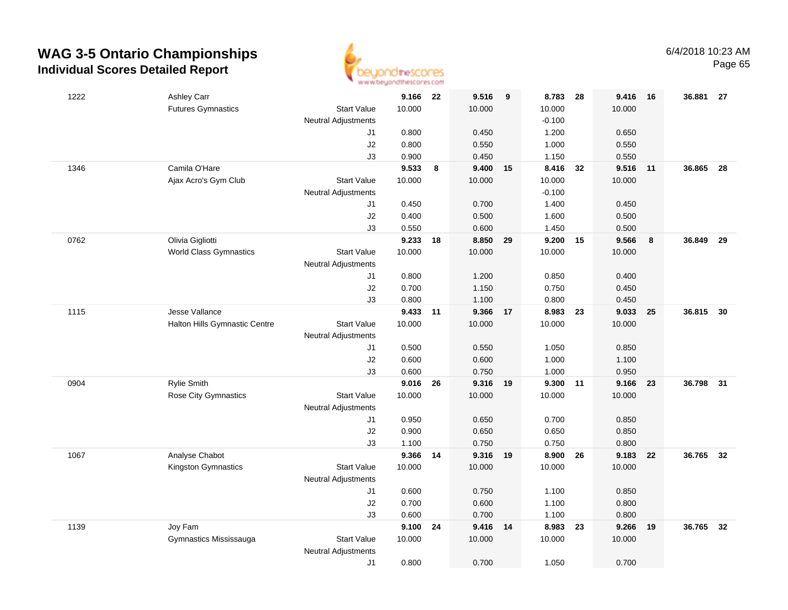

| 1222 | Ashley Carr                                               | 9.166           | - 22 | 9.516           | $_{9}$ | 8.783           | 28 | 9.416           | 16 | 36.881 27 |    |
|------|-----------------------------------------------------------|-----------------|------|-----------------|--------|-----------------|----|-----------------|----|-----------|----|
|      | <b>Futures Gymnastics</b><br><b>Start Value</b>           | 10.000          |      | 10.000          |        | 10.000          |    | 10.000          |    |           |    |
|      | <b>Neutral Adjustments</b>                                |                 |      |                 |        | $-0.100$        |    |                 |    |           |    |
|      | J1                                                        | 0.800           |      | 0.450           |        | 1.200           |    | 0.650           |    |           |    |
|      | $\sf J2$                                                  | 0.800           |      | 0.550           |        | 1.000           |    | 0.550           |    |           |    |
|      | J3                                                        | 0.900           |      | 0.450           |        | 1.150           |    | 0.550           |    |           |    |
| 1346 | Camila O'Hare                                             | 9.533           | 8    | 9.400           | 15     | 8.416           | 32 | 9.516           | 11 | 36.865    | 28 |
|      | Ajax Acro's Gym Club<br><b>Start Value</b>                | 10.000          |      | 10.000          |        | 10.000          |    | 10.000          |    |           |    |
|      | <b>Neutral Adjustments</b>                                |                 |      |                 |        | $-0.100$        |    |                 |    |           |    |
|      | J1                                                        | 0.450           |      | 0.700           |        | 1.400           |    | 0.450           |    |           |    |
|      | $\sf J2$                                                  | 0.400           |      | 0.500           |        | 1.600           |    | 0.500           |    |           |    |
|      | J3                                                        | 0.550           |      | 0.600           |        | 1.450           |    | 0.500           |    |           |    |
| 0762 | Olivia Gigliotti                                          | 9.233           | 18   | 8.850           | 29     | 9.200           | 15 | 9.566           | 8  | 36.849    | 29 |
|      | <b>World Class Gymnastics</b><br><b>Start Value</b>       | 10.000          |      | 10.000          |        | 10.000          |    | 10.000          |    |           |    |
|      | <b>Neutral Adjustments</b>                                |                 |      |                 |        |                 |    |                 |    |           |    |
|      | J1                                                        | 0.800           |      | 1.200           |        | 0.850           |    | 0.400           |    |           |    |
|      | $\sf J2$                                                  | 0.700           |      | 1.150           |        | 0.750           |    | 0.450           |    |           |    |
|      | J3                                                        | 0.800           |      | 1.100           |        | 0.800           |    | 0.450           |    |           |    |
| 1115 | Jesse Vallance                                            | 9.433 11        |      | 9.366           | 17     | 8.983           | 23 | 9.033           | 25 | 36.815    | 30 |
|      | Halton Hills Gymnastic Centre<br><b>Start Value</b>       | 10.000          |      | 10.000          |        | 10.000          |    | 10.000          |    |           |    |
|      | <b>Neutral Adjustments</b>                                |                 |      |                 |        |                 |    |                 |    |           |    |
|      | J1                                                        | 0.500           |      | 0.550           |        | 1.050           |    | 0.850           |    |           |    |
|      | $\sf J2$                                                  | 0.600           |      | 0.600           |        | 1.000           |    | 1.100           |    |           |    |
|      | J3                                                        | 0.600           |      | 0.750           |        | 1.000           |    | 0.950           |    |           |    |
| 0904 | Rylie Smith<br>Rose City Gymnastics<br><b>Start Value</b> | 9.016<br>10.000 | 26   | 9.316<br>10.000 | 19     | 9.300<br>10.000 | 11 | 9.166<br>10.000 | 23 | 36.798    | 31 |
|      |                                                           |                 |      |                 |        |                 |    |                 |    |           |    |
|      | <b>Neutral Adjustments</b><br>J1                          | 0.950           |      | 0.650           |        | 0.700           |    | 0.850           |    |           |    |
|      | J2                                                        | 0.900           |      | 0.650           |        | 0.650           |    | 0.850           |    |           |    |
|      | J3                                                        | 1.100           |      | 0.750           |        | 0.750           |    | 0.800           |    |           |    |
| 1067 | Analyse Chabot                                            | 9.366 14        |      | 9.316 19        |        | 8.900           | 26 | 9.183           | 22 | 36.765 32 |    |
|      | Kingston Gymnastics<br><b>Start Value</b>                 | 10.000          |      | 10.000          |        | 10.000          |    | 10.000          |    |           |    |
|      | <b>Neutral Adjustments</b>                                |                 |      |                 |        |                 |    |                 |    |           |    |
|      | J1                                                        | 0.600           |      | 0.750           |        | 1.100           |    | 0.850           |    |           |    |
|      | J2                                                        | 0.700           |      | 0.600           |        | 1.100           |    | 0.800           |    |           |    |
|      | J3                                                        | 0.600           |      | 0.700           |        | 1.100           |    | 0.800           |    |           |    |
| 1139 | Joy Fam                                                   | 9.100           | 24   | 9.416           | 14     | 8.983           | 23 | 9.266           | 19 | 36.765    | 32 |
|      | Gymnastics Mississauga<br><b>Start Value</b>              | 10.000          |      | 10.000          |        | 10.000          |    | 10.000          |    |           |    |
|      | <b>Neutral Adjustments</b>                                |                 |      |                 |        |                 |    |                 |    |           |    |
|      | J1                                                        | 0.800           |      | 0.700           |        | 1.050           |    | 0.700           |    |           |    |
|      |                                                           |                 |      |                 |        |                 |    |                 |    |           |    |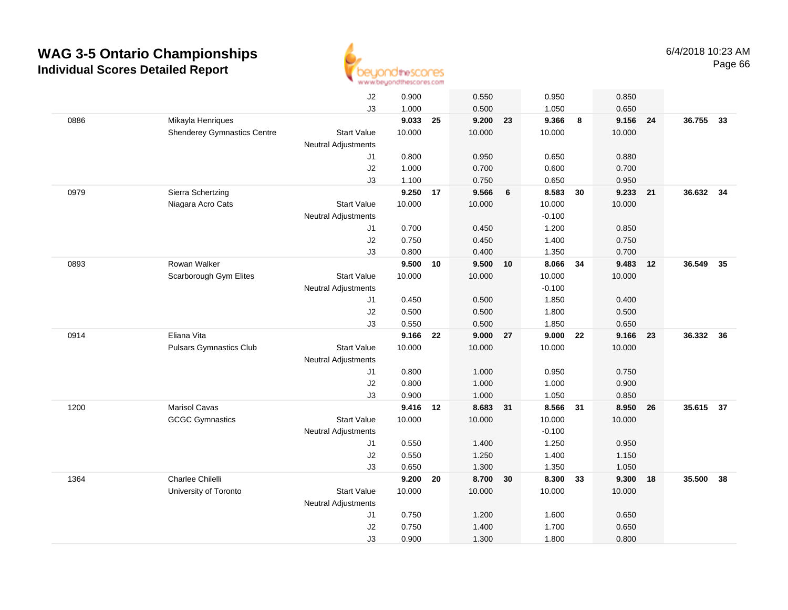

|      |                                    | J2                         | 0.900  |    | 0.550  |    | 0.950    |    | 0.850          |    |           |    |
|------|------------------------------------|----------------------------|--------|----|--------|----|----------|----|----------------|----|-----------|----|
|      |                                    | J3                         | 1.000  |    | 0.500  |    | 1.050    |    | 0.650          |    |           |    |
| 0886 | Mikayla Henriques                  |                            | 9.033  | 25 | 9.200  | 23 | 9.366    | 8  | 9.156 24       |    | 36.755    | 33 |
|      | <b>Shenderey Gymnastics Centre</b> | <b>Start Value</b>         | 10.000 |    | 10.000 |    | 10.000   |    | 10.000         |    |           |    |
|      |                                    | <b>Neutral Adjustments</b> |        |    |        |    |          |    |                |    |           |    |
|      |                                    | J1                         | 0.800  |    | 0.950  |    | 0.650    |    | 0.880          |    |           |    |
|      |                                    | J2                         | 1.000  |    | 0.700  |    | 0.600    |    | 0.700          |    |           |    |
|      |                                    | J3                         | 1.100  |    | 0.750  |    | 0.650    |    | 0.950          |    |           |    |
| 0979 | Sierra Schertzing                  |                            | 9.250  | 17 | 9.566  | 6  | 8.583    | 30 | 9.233          | 21 | 36.632 34 |    |
|      | Niagara Acro Cats                  | <b>Start Value</b>         | 10.000 |    | 10.000 |    | 10.000   |    | 10.000         |    |           |    |
|      |                                    | <b>Neutral Adjustments</b> |        |    |        |    | $-0.100$ |    |                |    |           |    |
|      |                                    | J1                         | 0.700  |    | 0.450  |    | 1.200    |    | 0.850          |    |           |    |
|      |                                    | J2                         | 0.750  |    | 0.450  |    | 1.400    |    | 0.750          |    |           |    |
|      |                                    | J3                         | 0.800  |    | 0.400  |    | 1.350    |    | 0.700          |    |           |    |
| 0893 | Rowan Walker                       |                            | 9.500  | 10 | 9.500  | 10 | 8.066    | 34 | 9.483          | 12 | 36.549    | 35 |
|      | Scarborough Gym Elites             | <b>Start Value</b>         | 10.000 |    | 10.000 |    | 10.000   |    | 10.000         |    |           |    |
|      |                                    | <b>Neutral Adjustments</b> |        |    |        |    | $-0.100$ |    |                |    |           |    |
|      |                                    | J1                         | 0.450  |    | 0.500  |    | 1.850    |    | 0.400          |    |           |    |
|      |                                    | J2                         | 0.500  |    | 0.500  |    | 1.800    |    | 0.500          |    |           |    |
|      |                                    | J3                         | 0.550  |    | 0.500  |    | 1.850    |    | 0.650          |    |           |    |
| 0914 | Eliana Vita                        |                            | 9.166  | 22 | 9.000  | 27 | 9.000    | 22 | 9.166          | 23 | 36.332 36 |    |
|      | <b>Pulsars Gymnastics Club</b>     | <b>Start Value</b>         | 10.000 |    | 10.000 |    | 10.000   |    | 10.000         |    |           |    |
|      |                                    | <b>Neutral Adjustments</b> |        |    |        |    |          |    |                |    |           |    |
|      |                                    | J1                         | 0.800  |    | 1.000  |    | 0.950    |    | 0.750          |    |           |    |
|      |                                    | J2                         | 0.800  |    | 1.000  |    | 1.000    |    | 0.900          |    |           |    |
|      |                                    | J3                         | 0.900  |    | 1.000  |    | 1.050    |    | 0.850          |    |           |    |
| 1200 | Marisol Cavas                      |                            | 9.416  | 12 | 8.683  | 31 | 8.566    | 31 | 8.950          | 26 | 35.615 37 |    |
|      | <b>GCGC Gymnastics</b>             | <b>Start Value</b>         | 10.000 |    | 10.000 |    | 10.000   |    | 10.000         |    |           |    |
|      |                                    | <b>Neutral Adjustments</b> |        |    |        |    | $-0.100$ |    |                |    |           |    |
|      |                                    | J1                         | 0.550  |    | 1.400  |    | 1.250    |    | 0.950          |    |           |    |
|      |                                    | J2                         | 0.550  |    | 1.250  |    | 1.400    |    | 1.150          |    |           |    |
|      | Charlee Chilelli                   | J3                         | 0.650  |    | 1.300  |    | 1.350    |    | 1.050          |    |           |    |
| 1364 |                                    |                            | 9.200  | 20 | 8.700  | 30 | 8.300    | 33 | 9.300          | 18 | 35.500    | 38 |
|      | University of Toronto              | <b>Start Value</b>         | 10.000 |    | 10.000 |    | 10.000   |    | 10.000         |    |           |    |
|      |                                    | <b>Neutral Adjustments</b> | 0.750  |    | 1.200  |    | 1.600    |    | 0.650          |    |           |    |
|      |                                    | J1                         | 0.750  |    | 1.400  |    | 1.700    |    |                |    |           |    |
|      |                                    | J2<br>J3                   | 0.900  |    | 1.300  |    | 1.800    |    | 0.650<br>0.800 |    |           |    |
|      |                                    |                            |        |    |        |    |          |    |                |    |           |    |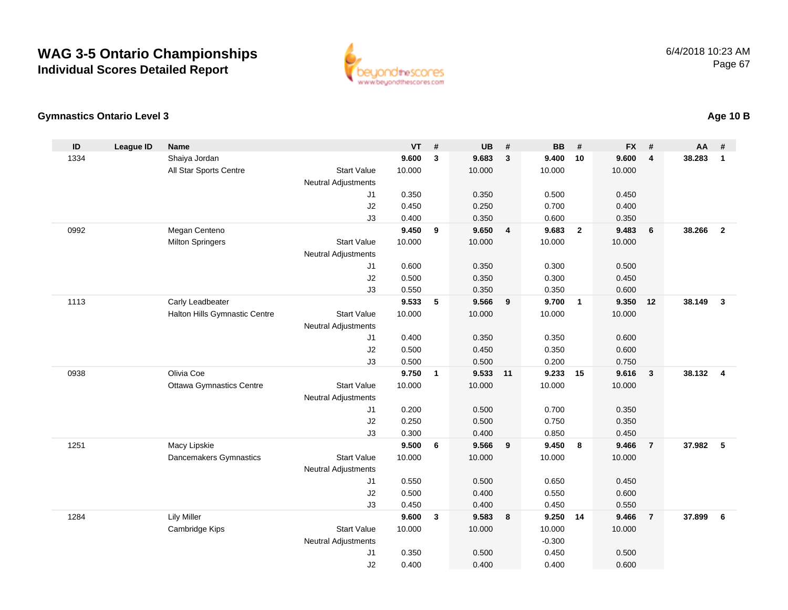

#### **Gymnastics Ontario Level 3**

| ID   | <b>League ID</b> | <b>Name</b>                     |                            | <b>VT</b>      | #            | <b>UB</b>      | #                       | <b>BB</b>      | #              | <b>FX</b>      | #              | <b>AA</b> | #              |
|------|------------------|---------------------------------|----------------------------|----------------|--------------|----------------|-------------------------|----------------|----------------|----------------|----------------|-----------|----------------|
| 1334 |                  | Shaiya Jordan                   |                            | 9.600          | 3            | 9.683          | $\mathbf{3}$            | 9.400          | 10             | 9.600          | 4              | 38.283    | $\mathbf{1}$   |
|      |                  | All Star Sports Centre          | <b>Start Value</b>         | 10.000         |              | 10.000         |                         | 10.000         |                | 10.000         |                |           |                |
|      |                  |                                 | <b>Neutral Adjustments</b> |                |              |                |                         |                |                |                |                |           |                |
|      |                  |                                 | J1                         | 0.350          |              | 0.350          |                         | 0.500          |                | 0.450          |                |           |                |
|      |                  |                                 | J2                         | 0.450          |              | 0.250          |                         | 0.700          |                | 0.400          |                |           |                |
|      |                  |                                 | J3                         | 0.400          |              | 0.350          |                         | 0.600          |                | 0.350          |                |           |                |
| 0992 |                  | Megan Centeno                   |                            | 9.450          | 9            | 9.650          | $\overline{\mathbf{4}}$ | 9.683          | $\overline{2}$ | 9.483          | 6              | 38.266    | $\overline{2}$ |
|      |                  | <b>Milton Springers</b>         | <b>Start Value</b>         | 10.000         |              | 10.000         |                         | 10.000         |                | 10.000         |                |           |                |
|      |                  |                                 | <b>Neutral Adjustments</b> |                |              |                |                         |                |                |                |                |           |                |
|      |                  |                                 | J1                         | 0.600          |              | 0.350          |                         | 0.300          |                | 0.500          |                |           |                |
|      |                  |                                 | J2                         | 0.500          |              | 0.350          |                         | 0.300          |                | 0.450          |                |           |                |
|      |                  |                                 | J3                         | 0.550          |              | 0.350          |                         | 0.350          |                | 0.600          |                |           |                |
| 1113 |                  | Carly Leadbeater                |                            | 9.533          | 5            | 9.566          | 9                       | 9.700          | $\overline{1}$ | 9.350          | 12             | 38.149    | $\mathbf{3}$   |
|      |                  | Halton Hills Gymnastic Centre   | <b>Start Value</b>         | 10.000         |              | 10.000         |                         | 10.000         |                | 10.000         |                |           |                |
|      |                  |                                 | <b>Neutral Adjustments</b> |                |              |                |                         |                |                |                |                |           |                |
|      |                  |                                 | J1                         | 0.400          |              | 0.350          |                         | 0.350          |                | 0.600          |                |           |                |
|      |                  |                                 | J2                         | 0.500          |              | 0.450          |                         | 0.350          |                | 0.600          |                |           |                |
| 0938 |                  | Olivia Coe                      | J3                         | 0.500<br>9.750 | $\mathbf{1}$ | 0.500<br>9.533 | 11                      | 0.200<br>9.233 | 15             | 0.750<br>9.616 | $\mathbf{3}$   | 38.132    | $\overline{4}$ |
|      |                  | <b>Ottawa Gymnastics Centre</b> | <b>Start Value</b>         | 10.000         |              | 10.000         |                         | 10.000         |                | 10.000         |                |           |                |
|      |                  |                                 | <b>Neutral Adjustments</b> |                |              |                |                         |                |                |                |                |           |                |
|      |                  |                                 | J1                         | 0.200          |              | 0.500          |                         | 0.700          |                | 0.350          |                |           |                |
|      |                  |                                 | J2                         | 0.250          |              | 0.500          |                         | 0.750          |                | 0.350          |                |           |                |
|      |                  |                                 | J3                         | 0.300          |              | 0.400          |                         | 0.850          |                | 0.450          |                |           |                |
| 1251 |                  | Macy Lipskie                    |                            | 9.500          | 6            | 9.566          | 9                       | 9.450          | 8              | 9.466          | $\overline{7}$ | 37.982    | 5              |
|      |                  | Dancemakers Gymnastics          | <b>Start Value</b>         | 10.000         |              | 10.000         |                         | 10.000         |                | 10.000         |                |           |                |
|      |                  |                                 | <b>Neutral Adjustments</b> |                |              |                |                         |                |                |                |                |           |                |
|      |                  |                                 | J1                         | 0.550          |              | 0.500          |                         | 0.650          |                | 0.450          |                |           |                |
|      |                  |                                 | J2                         | 0.500          |              | 0.400          |                         | 0.550          |                | 0.600          |                |           |                |
|      |                  |                                 | J3                         | 0.450          |              | 0.400          |                         | 0.450          |                | 0.550          |                |           |                |
| 1284 |                  | <b>Lily Miller</b>              |                            | 9.600          | $\mathbf{3}$ | 9.583          | $\bf{8}$                | 9.250          | 14             | 9.466          | $\overline{7}$ | 37.899    | 6              |
|      |                  | Cambridge Kips                  | <b>Start Value</b>         | 10.000         |              | 10.000         |                         | 10.000         |                | 10.000         |                |           |                |
|      |                  |                                 | Neutral Adjustments        |                |              |                |                         | $-0.300$       |                |                |                |           |                |
|      |                  |                                 | J1                         | 0.350          |              | 0.500          |                         | 0.450          |                | 0.500          |                |           |                |
|      |                  |                                 | J2                         | 0.400          |              | 0.400          |                         | 0.400          |                | 0.600          |                |           |                |

#### **Age 10 B**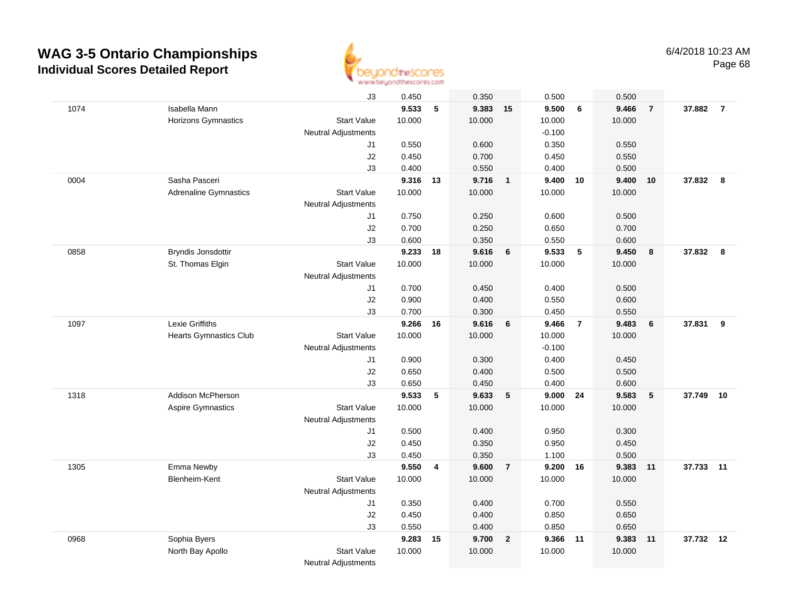

|      |                               | J3                         | 0.450  |    | 0.350    |                         | 0.500    |                | 0.500  |                 |           |                |
|------|-------------------------------|----------------------------|--------|----|----------|-------------------------|----------|----------------|--------|-----------------|-----------|----------------|
| 1074 | Isabella Mann                 |                            | 9.533  | 5  | 9.383 15 |                         | 9.500    | 6              | 9.466  | $\overline{7}$  | 37.882    | $\overline{7}$ |
|      | Horizons Gymnastics           | <b>Start Value</b>         | 10.000 |    | 10.000   |                         | 10.000   |                | 10.000 |                 |           |                |
|      |                               | <b>Neutral Adjustments</b> |        |    |          |                         | $-0.100$ |                |        |                 |           |                |
|      |                               | J1                         | 0.550  |    | 0.600    |                         | 0.350    |                | 0.550  |                 |           |                |
|      |                               | J2                         | 0.450  |    | 0.700    |                         | 0.450    |                | 0.550  |                 |           |                |
|      |                               | J3                         | 0.400  |    | 0.550    |                         | 0.400    |                | 0.500  |                 |           |                |
| 0004 | Sasha Pasceri                 |                            | 9.316  | 13 | 9.716    | $\overline{\mathbf{1}}$ | 9.400    | 10             | 9.400  | 10              | 37.832    | 8              |
|      | <b>Adrenaline Gymnastics</b>  | <b>Start Value</b>         | 10.000 |    | 10.000   |                         | 10.000   |                | 10.000 |                 |           |                |
|      |                               | <b>Neutral Adjustments</b> |        |    |          |                         |          |                |        |                 |           |                |
|      |                               | J1                         | 0.750  |    | 0.250    |                         | 0.600    |                | 0.500  |                 |           |                |
|      |                               | J2                         | 0.700  |    | 0.250    |                         | 0.650    |                | 0.700  |                 |           |                |
|      |                               | J3                         | 0.600  |    | 0.350    |                         | 0.550    |                | 0.600  |                 |           |                |
| 0858 | Bryndis Jonsdottir            |                            | 9.233  | 18 | 9.616    | 6                       | 9.533    | $\sqrt{5}$     | 9.450  | 8               | 37.832    | 8              |
|      | St. Thomas Elgin              | <b>Start Value</b>         | 10.000 |    | 10.000   |                         | 10.000   |                | 10.000 |                 |           |                |
|      |                               | <b>Neutral Adjustments</b> |        |    |          |                         |          |                |        |                 |           |                |
|      |                               | J1                         | 0.700  |    | 0.450    |                         | 0.400    |                | 0.500  |                 |           |                |
|      |                               | J2                         | 0.900  |    | 0.400    |                         | 0.550    |                | 0.600  |                 |           |                |
|      |                               | J3                         | 0.700  |    | 0.300    |                         | 0.450    |                | 0.550  |                 |           |                |
| 1097 | Lexie Griffiths               |                            | 9.266  | 16 | 9.616    | $6\phantom{1}6$         | 9.466    | $\overline{7}$ | 9.483  | $6\phantom{1}6$ | 37.831    | 9              |
|      | <b>Hearts Gymnastics Club</b> | <b>Start Value</b>         | 10.000 |    | 10.000   |                         | 10.000   |                | 10.000 |                 |           |                |
|      |                               | <b>Neutral Adjustments</b> |        |    |          |                         | $-0.100$ |                |        |                 |           |                |
|      |                               | J1                         | 0.900  |    | 0.300    |                         | 0.400    |                | 0.450  |                 |           |                |
|      |                               | J2                         | 0.650  |    | 0.400    |                         | 0.500    |                | 0.500  |                 |           |                |
|      |                               | J3                         | 0.650  |    | 0.450    |                         | 0.400    |                | 0.600  |                 |           |                |
| 1318 | Addison McPherson             |                            | 9.533  | 5  | 9.633    | $5\phantom{.0}$         | 9.000    | 24             | 9.583  | 5               | 37.749    | 10             |
|      | <b>Aspire Gymnastics</b>      | <b>Start Value</b>         | 10.000 |    | 10.000   |                         | 10.000   |                | 10.000 |                 |           |                |
|      |                               | <b>Neutral Adjustments</b> |        |    |          |                         |          |                |        |                 |           |                |
|      |                               | J1                         | 0.500  |    | 0.400    |                         | 0.950    |                | 0.300  |                 |           |                |
|      |                               | J2                         | 0.450  |    | 0.350    |                         | 0.950    |                | 0.450  |                 |           |                |
|      |                               | J3                         | 0.450  |    | 0.350    |                         | 1.100    |                | 0.500  |                 |           |                |
| 1305 | Emma Newby                    |                            | 9.550  | 4  | 9.600    | $\overline{7}$          | 9.200 16 |                | 9.383  | 11              | 37.733 11 |                |
|      | Blenheim-Kent                 | <b>Start Value</b>         | 10.000 |    | 10.000   |                         | 10.000   |                | 10.000 |                 |           |                |
|      |                               | <b>Neutral Adjustments</b> |        |    |          |                         |          |                |        |                 |           |                |
|      |                               | J1                         | 0.350  |    | 0.400    |                         | 0.700    |                | 0.550  |                 |           |                |
|      |                               | J2                         | 0.450  |    | 0.400    |                         | 0.850    |                | 0.650  |                 |           |                |
|      |                               | J3                         | 0.550  |    | 0.400    |                         | 0.850    |                | 0.650  |                 |           |                |
| 0968 | Sophia Byers                  |                            | 9.283  | 15 | 9.700    | $\overline{2}$          | 9.366    | $-11$          | 9.383  | 11              | 37.732    | 12             |
|      | North Bay Apollo              | <b>Start Value</b>         | 10.000 |    | 10.000   |                         | 10.000   |                | 10.000 |                 |           |                |
|      |                               | <b>Neutral Adjustments</b> |        |    |          |                         |          |                |        |                 |           |                |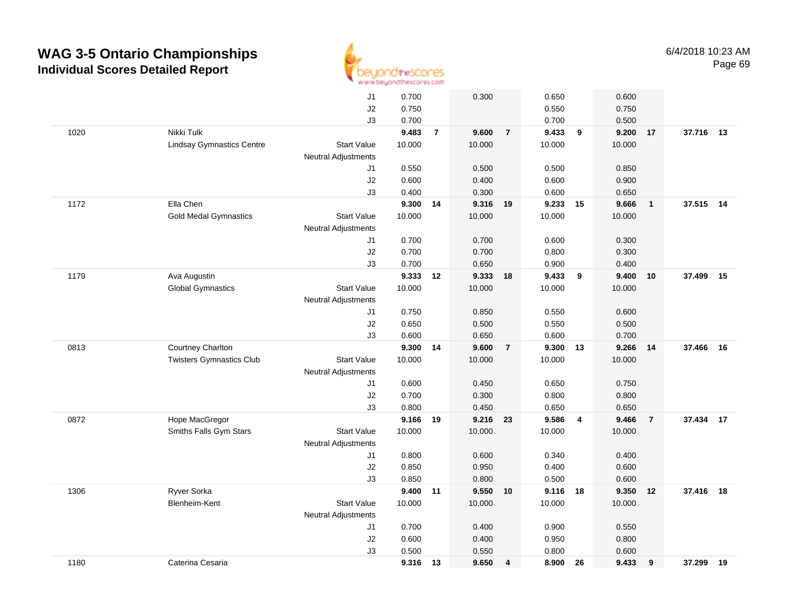

|      |                                  | J1                         | 0.700  |                | 0.300    | 0.650                   |                | 0.600  |                |           |    |
|------|----------------------------------|----------------------------|--------|----------------|----------|-------------------------|----------------|--------|----------------|-----------|----|
|      |                                  | J2                         | 0.750  |                |          | 0.550                   |                | 0.750  |                |           |    |
|      |                                  | J3                         | 0.700  |                |          | 0.700                   |                | 0.500  |                |           |    |
| 1020 | Nikki Tulk                       |                            | 9.483  | $\overline{7}$ | 9.600    | 9.433<br>$\overline{7}$ | 9              | 9.200  | 17             | 37.716 13 |    |
|      | <b>Lindsay Gymnastics Centre</b> | <b>Start Value</b>         | 10.000 |                | 10.000   | 10.000                  |                | 10.000 |                |           |    |
|      |                                  | <b>Neutral Adjustments</b> |        |                |          |                         |                |        |                |           |    |
|      |                                  | J1                         | 0.550  |                | 0.500    | 0.500                   |                | 0.850  |                |           |    |
|      |                                  | J2                         | 0.600  |                | 0.400    | 0.600                   |                | 0.900  |                |           |    |
|      |                                  | J3                         | 0.400  |                | 0.300    | 0.600                   |                | 0.650  |                |           |    |
| 1172 | Ella Chen                        |                            | 9.300  | 14             | 9.316 19 | 9.233                   | 15             | 9.666  | $\overline{1}$ | 37.515 14 |    |
|      | <b>Gold Medal Gymnastics</b>     | <b>Start Value</b>         | 10.000 |                | 10.000   | 10.000                  |                | 10.000 |                |           |    |
|      |                                  | Neutral Adjustments        |        |                |          |                         |                |        |                |           |    |
|      |                                  | J1                         | 0.700  |                | 0.700    | 0.600                   |                | 0.300  |                |           |    |
|      |                                  | J2                         | 0.700  |                | 0.700    | 0.800                   |                | 0.300  |                |           |    |
|      |                                  | J3                         | 0.700  |                | 0.650    | 0.900                   |                | 0.400  |                |           |    |
| 1179 | Ava Augustin                     |                            | 9.333  | 12             | 9.333 18 | 9.433                   | $_{9}$         | 9.400  | 10             | 37.499    | 15 |
|      | <b>Global Gymnastics</b>         | <b>Start Value</b>         | 10.000 |                | 10.000   | 10.000                  |                | 10.000 |                |           |    |
|      |                                  | Neutral Adjustments        |        |                |          |                         |                |        |                |           |    |
|      |                                  | J1                         | 0.750  |                | 0.850    | 0.550                   |                | 0.600  |                |           |    |
|      |                                  | J2                         | 0.650  |                | 0.500    | 0.550                   |                | 0.500  |                |           |    |
|      |                                  | J3                         | 0.600  |                | 0.650    | 0.600                   |                | 0.700  |                |           |    |
| 0813 | Courtney Charlton                |                            | 9.300  | 14             | 9.600    | $\overline{7}$<br>9.300 | 13             | 9.266  | -14            | 37,466    | 16 |
|      | <b>Twisters Gymnastics Club</b>  | <b>Start Value</b>         | 10.000 |                | 10.000   | 10.000                  |                | 10.000 |                |           |    |
|      |                                  | <b>Neutral Adjustments</b> |        |                |          |                         |                |        |                |           |    |
|      |                                  | J1                         | 0.600  |                | 0.450    | 0.650                   |                | 0.750  |                |           |    |
|      |                                  | J2                         | 0.700  |                | 0.300    | 0.800                   |                | 0.800  |                |           |    |
|      |                                  | J3                         | 0.800  |                | 0.450    | 0.650                   |                | 0.650  |                |           |    |
| 0872 | Hope MacGregor                   |                            | 9.166  | 19             | 9.216 23 | 9.586                   | $\overline{4}$ | 9.466  | $\overline{7}$ | 37.434    | 17 |
|      | Smiths Falls Gym Stars           | <b>Start Value</b>         | 10.000 |                | 10.000   | 10.000                  |                | 10.000 |                |           |    |
|      |                                  | Neutral Adjustments        |        |                |          |                         |                |        |                |           |    |
|      |                                  | J1                         | 0.800  |                | 0.600    | 0.340                   |                | 0.400  |                |           |    |
|      |                                  | J2                         | 0.850  |                | 0.950    | 0.400                   |                | 0.600  |                |           |    |
|      |                                  | J3                         | 0.850  |                | 0.800    | 0.500                   |                | 0.600  |                |           |    |
| 1306 | Ryver Sorka                      |                            | 9.400  | 11             | 9.550    | 10                      | 9.116 18       | 9.350  | 12             | 37.416    | 18 |
|      | Blenheim-Kent                    | <b>Start Value</b>         | 10.000 |                | 10.000   | 10.000                  |                | 10.000 |                |           |    |
|      |                                  | Neutral Adjustments        |        |                |          |                         |                |        |                |           |    |
|      |                                  | J1                         | 0.700  |                | 0.400    | 0.900                   |                | 0.550  |                |           |    |
|      |                                  | J2                         | 0.600  |                | 0.400    | 0.950                   |                | 0.800  |                |           |    |
|      |                                  | J3                         | 0.500  |                | 0.550    | 0.800                   |                | 0.600  |                |           |    |
| 1180 | Caterina Cesaria                 |                            | 9.316  | - 13           | 9.650    | 8.900<br>4              | 26             | 9.433  | 9              | 37.299    | 19 |
|      |                                  |                            |        |                |          |                         |                |        |                |           |    |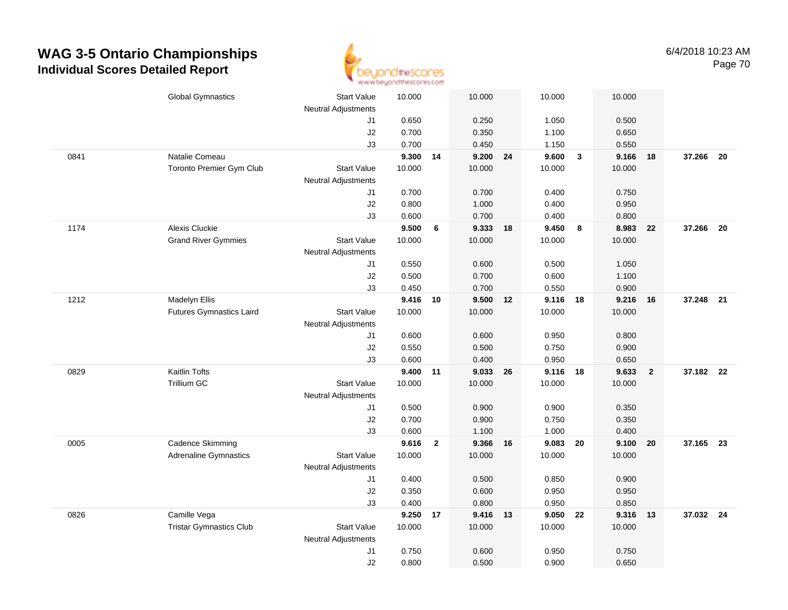

|      | <b>Global Gymnastics</b>        | <b>Start Value</b>               | 10.000         |                | 10.000            |    | 10.000         |                         | 10.000         |                |           |  |
|------|---------------------------------|----------------------------------|----------------|----------------|-------------------|----|----------------|-------------------------|----------------|----------------|-----------|--|
|      |                                 | <b>Neutral Adjustments</b><br>J1 | 0.650          |                | 0.250             |    | 1.050          |                         | 0.500          |                |           |  |
|      |                                 | J2                               | 0.700          |                | 0.350             |    | 1.100          |                         | 0.650          |                |           |  |
|      |                                 | J3                               | 0.700          |                | 0.450             |    | 1.150          |                         | 0.550          |                |           |  |
| 0841 | Natalie Comeau                  |                                  | 9.300 14       |                | 9.200 24          |    | 9.600          | $\overline{\mathbf{3}}$ | 9.166          | 18             | 37.266 20 |  |
|      | Toronto Premier Gym Club        | <b>Start Value</b>               | 10.000         |                | 10.000            |    | 10.000         |                         | 10.000         |                |           |  |
|      |                                 | <b>Neutral Adjustments</b>       |                |                |                   |    |                |                         |                |                |           |  |
|      |                                 | J1                               | 0.700          |                | 0.700             |    | 0.400          |                         | 0.750          |                |           |  |
|      |                                 | J2                               | 0.800          |                | 1.000             |    | 0.400          |                         | 0.950          |                |           |  |
|      |                                 | J3                               | 0.600          |                | 0.700             |    | 0.400          |                         | 0.800          |                |           |  |
| 1174 | <b>Alexis Cluckie</b>           |                                  | 9.500          | 6              | 9.333             | 18 | 9.450          | $\boldsymbol{8}$        | 8.983          | 22             | 37.266 20 |  |
|      | <b>Grand River Gymmies</b>      | <b>Start Value</b>               | 10.000         |                | 10.000            |    | 10.000         |                         | 10.000         |                |           |  |
|      |                                 | <b>Neutral Adjustments</b>       |                |                |                   |    |                |                         |                |                |           |  |
|      |                                 | J1                               | 0.550          |                | 0.600             |    | 0.500          |                         | 1.050          |                |           |  |
|      |                                 | J2                               | 0.500          |                | 0.700             |    | 0.600          |                         | 1.100          |                |           |  |
|      |                                 | J3                               | 0.450          |                | 0.700             |    | 0.550          |                         | 0.900          |                |           |  |
| 1212 | Madelyn Ellis                   |                                  | 9.416 10       |                | 9.500 12          |    | 9.116 18       |                         | 9.216          | 16             | 37.248 21 |  |
|      | <b>Futures Gymnastics Laird</b> | Start Value                      | 10.000         |                | 10.000            |    | 10.000         |                         | 10.000         |                |           |  |
|      |                                 | <b>Neutral Adjustments</b>       |                |                |                   |    |                |                         |                |                |           |  |
|      |                                 | J1                               | 0.600          |                | 0.600             |    | 0.950          |                         | 0.800          |                |           |  |
|      |                                 | J2                               | 0.550          |                | 0.500             |    | 0.750          |                         | 0.900          |                |           |  |
|      |                                 | J3                               | 0.600          |                | 0.400             |    | 0.950          |                         | 0.650          |                |           |  |
| 0829 | Kaitlin Tofts                   |                                  | 9.400 11       |                | 9.033             | 26 | 9.116          | 18                      | 9.633          | $\overline{2}$ | 37.182 22 |  |
|      | <b>Trillium GC</b>              | <b>Start Value</b>               | 10.000         |                | 10.000            |    | 10.000         |                         | 10.000         |                |           |  |
|      |                                 | <b>Neutral Adjustments</b>       |                |                |                   |    |                |                         |                |                |           |  |
|      |                                 | J1                               | 0.500          |                | 0.900             |    | 0.900          |                         | 0.350          |                |           |  |
|      |                                 | J2                               | 0.700          |                | 0.900             |    | 0.750          |                         | 0.350          |                |           |  |
|      |                                 | J3                               | 0.600          |                | 1.100             |    | 1.000          |                         | 0.400          |                |           |  |
| 0005 | Cadence Skimming                |                                  | 9.616          | $\overline{2}$ | 9.366 16          |    | 9.083 20       |                         | 9.100          | 20             | 37.165 23 |  |
|      | <b>Adrenaline Gymnastics</b>    | <b>Start Value</b>               | 10.000         |                | 10.000            |    | 10.000         |                         | 10.000         |                |           |  |
|      |                                 | Neutral Adjustments              |                |                |                   |    |                |                         |                |                |           |  |
|      |                                 | J1                               | 0.400          |                | 0.500             |    | 0.850          |                         | 0.900          |                |           |  |
|      |                                 | J2                               | 0.350          |                | 0.600             |    | 0.950          |                         | 0.950          |                |           |  |
| 0826 | Camille Vega                    | J3                               | 0.400<br>9.250 | 17             | 0.800<br>9.416 13 |    | 0.950<br>9.050 | 22                      | 0.850<br>9.316 | 13             | 37.032 24 |  |
|      | <b>Tristar Gymnastics Club</b>  | <b>Start Value</b>               | 10.000         |                | 10.000            |    | 10.000         |                         | 10.000         |                |           |  |
|      |                                 | <b>Neutral Adjustments</b>       |                |                |                   |    |                |                         |                |                |           |  |
|      |                                 | J1                               | 0.750          |                | 0.600             |    | 0.950          |                         | 0.750          |                |           |  |
|      |                                 | J2                               | 0.800          |                | 0.500             |    | 0.900          |                         | 0.650          |                |           |  |
|      |                                 |                                  |                |                |                   |    |                |                         |                |                |           |  |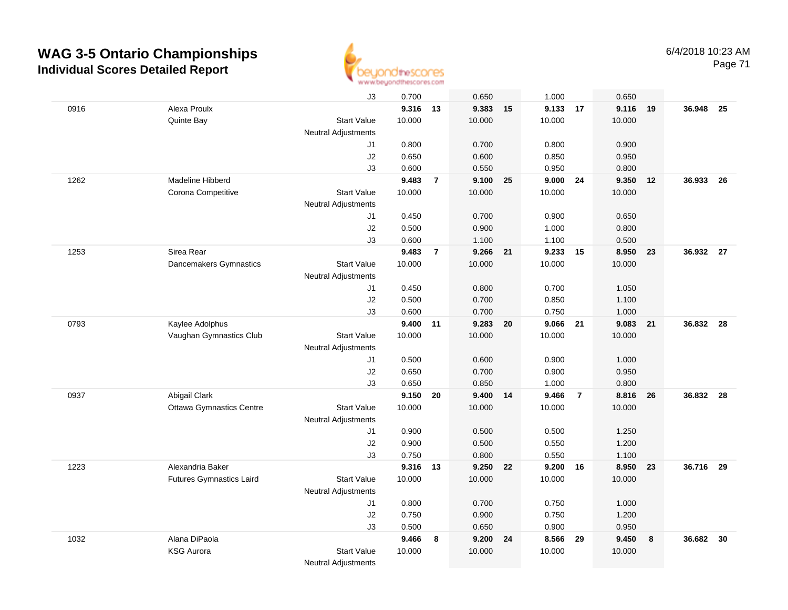

Page 71

|      |                                 | J3                         | 0.700  |                | 0.650    |    | 1.000          |                | 0.650          |      |           |      |
|------|---------------------------------|----------------------------|--------|----------------|----------|----|----------------|----------------|----------------|------|-----------|------|
| 0916 | Alexa Proulx                    |                            | 9.316  | 13             | 9.383    | 15 | 9.133          | 17             | 9.116          | 19   | 36.948    | 25   |
|      | Quinte Bay                      | <b>Start Value</b>         | 10.000 |                | 10.000   |    | 10.000         |                | 10.000         |      |           |      |
|      |                                 | <b>Neutral Adjustments</b> |        |                |          |    |                |                |                |      |           |      |
|      |                                 | J1                         | 0.800  |                | 0.700    |    | 0.800          |                | 0.900          |      |           |      |
|      |                                 | J2                         | 0.650  |                | 0.600    |    | 0.850          |                | 0.950          |      |           |      |
|      |                                 | J3                         | 0.600  |                | 0.550    |    | 0.950          |                | 0.800          |      |           |      |
| 1262 | Madeline Hibberd                |                            | 9.483  | $\overline{7}$ | 9.100    | 25 | 9.000          | 24             | 9.350          | 12   | 36.933    | - 26 |
|      | Corona Competitive              | <b>Start Value</b>         | 10.000 |                | 10.000   |    | 10.000         |                | 10.000         |      |           |      |
|      |                                 | <b>Neutral Adjustments</b> |        |                |          |    |                |                |                |      |           |      |
|      |                                 | J1                         | 0.450  |                | 0.700    |    | 0.900          |                | 0.650          |      |           |      |
|      |                                 | J2                         | 0.500  |                | 0.900    |    | 1.000          |                | 0.800          |      |           |      |
|      |                                 | J3                         | 0.600  |                | 1.100    |    | 1.100          |                | 0.500          |      |           |      |
| 1253 | Sirea Rear                      |                            | 9.483  | $\overline{7}$ | 9.266 21 |    | 9.233 15       |                | 8.950 23       |      | 36.932 27 |      |
|      | Dancemakers Gymnastics          | <b>Start Value</b>         | 10.000 |                | 10.000   |    | 10.000         |                | 10.000         |      |           |      |
|      |                                 | Neutral Adjustments        |        |                |          |    |                |                |                |      |           |      |
|      |                                 | J1                         | 0.450  |                | 0.800    |    | 0.700          |                | 1.050          |      |           |      |
|      |                                 | J2                         | 0.500  |                | 0.700    |    | 0.850          |                | 1.100          |      |           |      |
|      |                                 | J3                         | 0.600  |                | 0.700    |    | 0.750          |                | 1.000          |      |           |      |
| 0793 | Kaylee Adolphus                 |                            | 9.400  | 11             | 9.283    | 20 | 9.066          | - 21           | 9.083 21       |      | 36.832 28 |      |
|      | Vaughan Gymnastics Club         | <b>Start Value</b>         | 10.000 |                | 10.000   |    | 10.000         |                | 10.000         |      |           |      |
|      |                                 | <b>Neutral Adjustments</b> | 0.500  |                | 0.600    |    |                |                |                |      |           |      |
|      |                                 | J1<br>J2                   | 0.650  |                | 0.700    |    | 0.900<br>0.900 |                | 1.000<br>0.950 |      |           |      |
|      |                                 | J3                         | 0.650  |                | 0.850    |    | 1.000          |                | 0.800          |      |           |      |
| 0937 | Abigail Clark                   |                            | 9.150  | 20             | 9.400    | 14 | 9.466          | $\overline{7}$ | 8.816          | - 26 | 36.832 28 |      |
|      | <b>Ottawa Gymnastics Centre</b> | <b>Start Value</b>         | 10.000 |                | 10.000   |    | 10.000         |                | 10.000         |      |           |      |
|      |                                 | Neutral Adjustments        |        |                |          |    |                |                |                |      |           |      |
|      |                                 | J1                         | 0.900  |                | 0.500    |    | 0.500          |                | 1.250          |      |           |      |
|      |                                 | J2                         | 0.900  |                | 0.500    |    | 0.550          |                | 1.200          |      |           |      |
|      |                                 | J3                         | 0.750  |                | 0.800    |    | 0.550          |                | 1.100          |      |           |      |
| 1223 | Alexandria Baker                |                            | 9.316  | 13             | 9.250    | 22 | 9.200 16       |                | 8.950 23       |      | 36.716    | 29   |
|      | <b>Futures Gymnastics Laird</b> | <b>Start Value</b>         | 10.000 |                | 10.000   |    | 10.000         |                | 10.000         |      |           |      |
|      |                                 | Neutral Adjustments        |        |                |          |    |                |                |                |      |           |      |
|      |                                 | J1                         | 0.800  |                | 0.700    |    | 0.750          |                | 1.000          |      |           |      |
|      |                                 | J2                         | 0.750  |                | 0.900    |    | 0.750          |                | 1.200          |      |           |      |
|      |                                 | J3                         | 0.500  |                | 0.650    |    | 0.900          |                | 0.950          |      |           |      |
| 1032 | Alana DiPaola                   |                            | 9.466  | 8              | 9.200    | 24 | 8.566          | 29             | 9.450          | 8    | 36.682    | 30   |
|      | <b>KSG Aurora</b>               | <b>Start Value</b>         | 10.000 |                | 10.000   |    | 10.000         |                | 10.000         |      |           |      |
|      |                                 | <b>Neutral Adjustments</b> |        |                |          |    |                |                |                |      |           |      |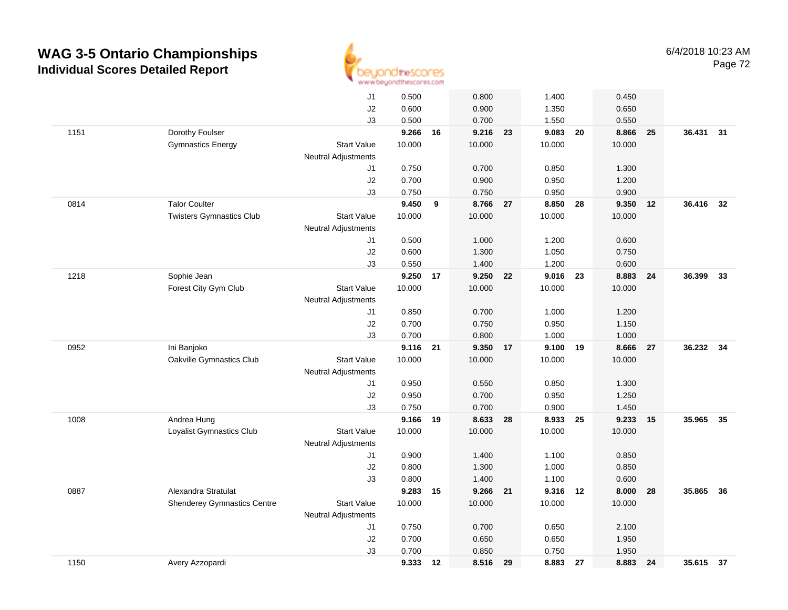

|      |                                    |                            | to as an executive security service was even a |    |          |    |          |    |        |    |           |      |
|------|------------------------------------|----------------------------|------------------------------------------------|----|----------|----|----------|----|--------|----|-----------|------|
|      |                                    | J1                         | 0.500                                          |    | 0.800    |    | 1.400    |    | 0.450  |    |           |      |
|      |                                    | J2                         | 0.600                                          |    | 0.900    |    | 1.350    |    | 0.650  |    |           |      |
|      |                                    | J3                         | 0.500                                          |    | 0.700    |    | 1.550    |    | 0.550  |    |           |      |
| 1151 | Dorothy Foulser                    |                            | 9.266                                          | 16 | 9.216 23 |    | 9.083 20 |    | 8.866  | 25 | 36.431 31 |      |
|      | <b>Gymnastics Energy</b>           | <b>Start Value</b>         | 10.000                                         |    | 10.000   |    | 10.000   |    | 10.000 |    |           |      |
|      |                                    | <b>Neutral Adjustments</b> |                                                |    |          |    |          |    |        |    |           |      |
|      |                                    | J1                         | 0.750                                          |    | 0.700    |    | 0.850    |    | 1.300  |    |           |      |
|      |                                    | J2                         | 0.700                                          |    | 0.900    |    | 0.950    |    | 1.200  |    |           |      |
|      |                                    | J3                         | 0.750                                          |    | 0.750    |    | 0.950    |    | 0.900  |    |           |      |
| 0814 | <b>Talor Coulter</b>               |                            | 9.450                                          | 9  | 8.766 27 |    | 8.850    | 28 | 9.350  | 12 | 36.416    | 32   |
|      | <b>Twisters Gymnastics Club</b>    | <b>Start Value</b>         | 10.000                                         |    | 10.000   |    | 10.000   |    | 10.000 |    |           |      |
|      |                                    | Neutral Adjustments        |                                                |    |          |    |          |    |        |    |           |      |
|      |                                    | J1                         | 0.500                                          |    | 1.000    |    | 1.200    |    | 0.600  |    |           |      |
|      |                                    | J2                         | 0.600                                          |    | 1.300    |    | 1.050    |    | 0.750  |    |           |      |
|      |                                    | J3                         | 0.550                                          |    | 1.400    |    | 1.200    |    | 0.600  |    |           |      |
| 1218 | Sophie Jean                        |                            | 9.250                                          | 17 | 9.250    | 22 | 9.016 23 |    | 8.883  | 24 | 36.399    | 33   |
|      | Forest City Gym Club               | <b>Start Value</b>         | 10.000                                         |    | 10.000   |    | 10.000   |    | 10.000 |    |           |      |
|      |                                    | <b>Neutral Adjustments</b> |                                                |    |          |    |          |    |        |    |           |      |
|      |                                    | J1                         | 0.850                                          |    | 0.700    |    | 1.000    |    | 1.200  |    |           |      |
|      |                                    | J2                         | 0.700                                          |    | 0.750    |    | 0.950    |    | 1.150  |    |           |      |
|      |                                    | J3                         | 0.700                                          |    | 0.800    |    | 1.000    |    | 1.000  |    |           |      |
| 0952 | Ini Banjoko                        |                            | 9.116                                          | 21 | 9.350    | 17 | 9.100    | 19 | 8.666  | 27 | 36.232    | 34   |
|      | Oakville Gymnastics Club           | <b>Start Value</b>         | 10.000                                         |    | 10.000   |    | 10.000   |    | 10.000 |    |           |      |
|      |                                    | Neutral Adjustments        |                                                |    |          |    |          |    |        |    |           |      |
|      |                                    | J1                         | 0.950                                          |    | 0.550    |    | 0.850    |    | 1.300  |    |           |      |
|      |                                    | J2                         | 0.950                                          |    | 0.700    |    | 0.950    |    | 1.250  |    |           |      |
|      |                                    | J3                         | 0.750                                          |    | 0.700    |    | 0.900    |    | 1.450  |    |           |      |
| 1008 | Andrea Hung                        |                            | 9.166                                          | 19 | 8.633    | 28 | 8.933    | 25 | 9.233  | 15 | 35.965    | - 35 |
|      | Loyalist Gymnastics Club           | <b>Start Value</b>         | 10.000                                         |    | 10.000   |    | 10.000   |    | 10.000 |    |           |      |
|      |                                    | <b>Neutral Adjustments</b> |                                                |    |          |    |          |    |        |    |           |      |
|      |                                    | J1                         | 0.900                                          |    | 1.400    |    | 1.100    |    | 0.850  |    |           |      |
|      |                                    | J2                         | 0.800                                          |    | 1.300    |    | 1.000    |    | 0.850  |    |           |      |
|      |                                    | J3                         | 0.800                                          |    | 1.400    |    | 1.100    |    | 0.600  |    |           |      |
| 0887 | Alexandra Stratulat                |                            | 9.283                                          | 15 | 9.266 21 |    | 9.316 12 |    | 8.000  | 28 | 35.865 36 |      |
|      | <b>Shenderey Gymnastics Centre</b> | <b>Start Value</b>         | 10.000                                         |    | 10.000   |    | 10.000   |    | 10.000 |    |           |      |
|      |                                    | <b>Neutral Adjustments</b> |                                                |    |          |    |          |    |        |    |           |      |
|      |                                    | J1                         | 0.750                                          |    | 0.700    |    | 0.650    |    | 2.100  |    |           |      |
|      |                                    | J2                         | 0.700                                          |    | 0.650    |    | 0.650    |    | 1.950  |    |           |      |
|      |                                    | J3                         | 0.700                                          |    | 0.850    |    | 0.750    |    | 1.950  |    |           |      |
| 1150 | Avery Azzopardi                    |                            | 9.333 12                                       |    | 8.516    | 29 | 8.883    | 27 | 8.883  | 24 | 35.615 37 |      |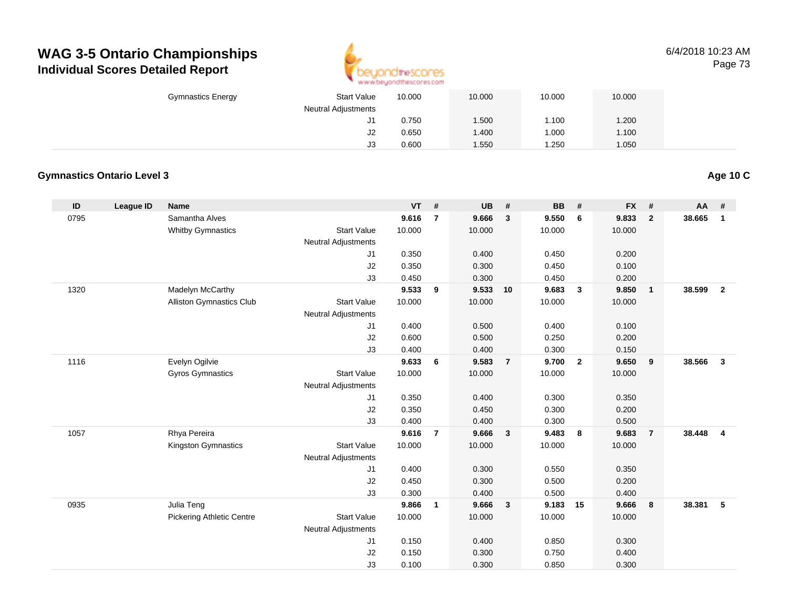

#### 6/4/2018 10:23 AMPage 73

| <b>Gymnastics Energy</b> | <b>Start Value</b><br><b>Neutral Adjustments</b> | 10.000         | 10.000       | 10.000         | 10.000         |  |
|--------------------------|--------------------------------------------------|----------------|--------------|----------------|----------------|--|
|                          | ا ل                                              | 0.750          | .500         | 1.100          | 1.200          |  |
|                          | J2<br>J3                                         | 0.650<br>0.600 | .400<br>.550 | 1.000<br>1.250 | 1.100<br>1.050 |  |

#### **Gymnastics Ontario Level 3**

**ID League ID Name VT # UB # BB # FX # AA #** 0795 Samantha Alves **9.616 <sup>7</sup> 9.666 <sup>3</sup> 9.550 <sup>6</sup> 9.833 <sup>2</sup> 38.665 <sup>1</sup>** Whitby Gymnastics Start Valuee 10.000 10.000 10.000 10.000 Neutral Adjustments J1 0.350 0.400 0.450 0.200 J2 0.350 0.300 0.450 0.100 J3 0.450 0.300 0.450 0.200 1320 Madelyn McCarthy **9.533 <sup>9</sup> 9.533 <sup>10</sup> 9.683 <sup>3</sup> 9.850 <sup>1</sup> 38.599 <sup>2</sup>** Alliston Gymnastics Clubb 3tart Value 10.000 10.000 10.000 10.000 10.000 Neutral Adjustments J1 0.400 0.500 0.400 0.100 J2 0.600 0.500 0.250 0.200 J3 0.400 0.400 0.300 0.150 1116 Evelyn Ogilvie **9.633 <sup>6</sup> 9.583 <sup>7</sup> 9.700 <sup>2</sup> 9.650 <sup>9</sup> 38.566 <sup>3</sup>** Gyros Gymnastics Start Valuee 10.000 10.000 10.000 10.000 Neutral Adjustments J1 0.350 0.400 0.300 0.350 J2 0.350 0.450 0.300 0.200 J3 0.400 0.400 0.300 0.500 1057 Rhya Pereira **9.616 <sup>7</sup> 9.666 <sup>3</sup> 9.483 <sup>8</sup> 9.683 <sup>7</sup> 38.448 <sup>4</sup>** Kingston Gymnastics Start Valuee 10.000 10.000 10.000 10.000 Neutral Adjustments J1 0.400 0.300 0.550 0.350 J2 0.450 0.300 0.500 0.200 J3 0.300 0.400 0.500 0.400 0935 Julia Teng **9.866 <sup>1</sup> 9.666 <sup>3</sup> 9.183 <sup>15</sup> 9.666 <sup>8</sup> 38.381 <sup>5</sup>** Pickering Athletic Centre Start Value 10.000 10.000 10.000 10.000 Neutral Adjustments J1 0.150 0.400 0.850 0.300 J2 0.150 0.300 0.750 0.400 J30.100 0.300 0.850 0.300

**Age 10 C**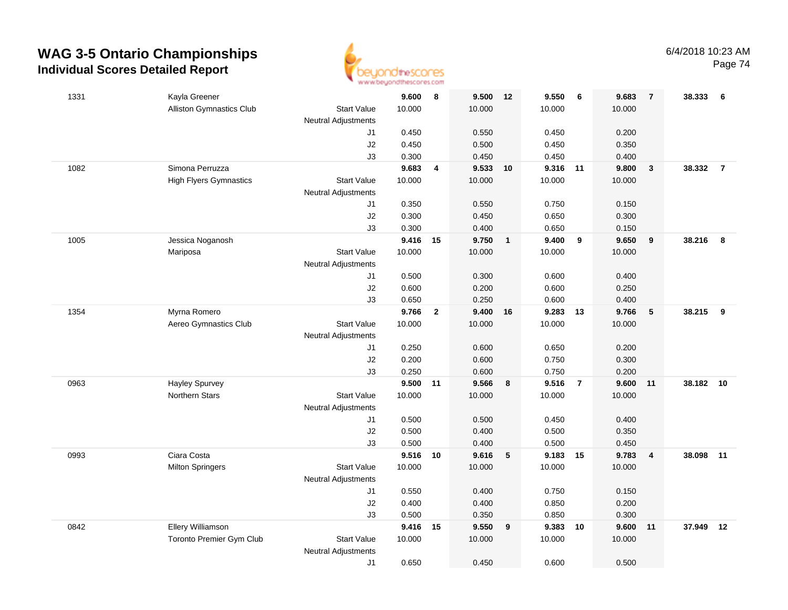

| 1331 | Kayla Greener                   |                            | 9.600          | 8                       | 9.500          | 12             | 9.550          | - 6            | 9.683          | $\overline{7}$          | 38.333 | - 6            |
|------|---------------------------------|----------------------------|----------------|-------------------------|----------------|----------------|----------------|----------------|----------------|-------------------------|--------|----------------|
|      | Alliston Gymnastics Club        | <b>Start Value</b>         | 10.000         |                         | 10.000         |                | 10.000         |                | 10.000         |                         |        |                |
|      |                                 | <b>Neutral Adjustments</b> |                |                         |                |                |                |                |                |                         |        |                |
|      |                                 | J1                         | 0.450          |                         | 0.550          |                | 0.450          |                | 0.200          |                         |        |                |
|      |                                 | J2                         | 0.450          |                         | 0.500          |                | 0.450          |                | 0.350          |                         |        |                |
|      |                                 | J3                         | 0.300          |                         | 0.450          |                | 0.450          |                | 0.400          |                         |        |                |
| 1082 | Simona Perruzza                 |                            | 9.683          | $\overline{\mathbf{4}}$ | 9.533          | 10             | 9.316          | $-11$          | 9.800          | $\mathbf{3}$            | 38.332 | $\overline{7}$ |
|      | <b>High Flyers Gymnastics</b>   | <b>Start Value</b>         | 10.000         |                         | 10.000         |                | 10.000         |                | 10.000         |                         |        |                |
|      |                                 | <b>Neutral Adjustments</b> |                |                         |                |                |                |                |                |                         |        |                |
|      |                                 | J1                         | 0.350          |                         | 0.550          |                | 0.750          |                | 0.150          |                         |        |                |
|      |                                 | J2                         | 0.300          |                         | 0.450          |                | 0.650          |                | 0.300          |                         |        |                |
|      |                                 | J3                         | 0.300          |                         | 0.400          |                | 0.650          |                | 0.150          |                         |        |                |
| 1005 | Jessica Noganosh                |                            | 9.416          | $-15$                   | 9.750          | $\overline{1}$ | 9.400          | 9              | 9.650          | 9                       | 38.216 | 8              |
|      | Mariposa                        | <b>Start Value</b>         | 10.000         |                         | 10.000         |                | 10.000         |                | 10.000         |                         |        |                |
|      |                                 | <b>Neutral Adjustments</b> |                |                         |                |                |                |                |                |                         |        |                |
|      |                                 | J1                         | 0.500          |                         | 0.300          |                | 0.600          |                | 0.400          |                         |        |                |
|      |                                 | J2                         | 0.600          |                         | 0.200          |                | 0.600          |                | 0.250          |                         |        |                |
|      |                                 | J3                         | 0.650          |                         | 0.250          |                | 0.600          |                | 0.400          |                         |        |                |
| 1354 | Myrna Romero                    |                            | 9.766          | $\overline{2}$          | 9.400          | 16             | 9.283          | 13             | 9.766          | 5                       | 38.215 | 9              |
|      | Aereo Gymnastics Club           | <b>Start Value</b>         | 10.000         |                         | 10.000         |                | 10.000         |                | 10.000         |                         |        |                |
|      |                                 | <b>Neutral Adjustments</b> |                |                         |                |                |                |                |                |                         |        |                |
|      |                                 | J1                         | 0.250          |                         | 0.600          |                | 0.650          |                | 0.200          |                         |        |                |
|      |                                 | J2                         | 0.200          |                         | 0.600          |                | 0.750          |                | 0.300          |                         |        |                |
|      | <b>Hayley Spurvey</b>           | J3                         | 0.250<br>9.500 |                         | 0.600<br>9.566 |                | 0.750<br>9.516 | $\overline{7}$ | 0.200<br>9.600 |                         | 38.182 | 10             |
| 0963 | Northern Stars                  | <b>Start Value</b>         | 10.000         | 11                      | 10.000         | 8              | 10.000         |                | 10.000         | 11                      |        |                |
|      |                                 | <b>Neutral Adjustments</b> |                |                         |                |                |                |                |                |                         |        |                |
|      |                                 | J1                         | 0.500          |                         | 0.500          |                | 0.450          |                | 0.400          |                         |        |                |
|      |                                 | J2                         | 0.500          |                         | 0.400          |                | 0.500          |                | 0.350          |                         |        |                |
|      |                                 | J3                         | 0.500          |                         | 0.400          |                | 0.500          |                | 0.450          |                         |        |                |
| 0993 | Ciara Costa                     |                            | 9.516 10       |                         | 9.616          | 5              | 9.183          | 15             | 9.783          | $\overline{\mathbf{4}}$ | 38.098 | 11             |
|      | <b>Milton Springers</b>         | <b>Start Value</b>         | 10.000         |                         | 10.000         |                | 10.000         |                | 10.000         |                         |        |                |
|      |                                 | <b>Neutral Adjustments</b> |                |                         |                |                |                |                |                |                         |        |                |
|      |                                 | J1                         | 0.550          |                         | 0.400          |                | 0.750          |                | 0.150          |                         |        |                |
|      |                                 | J2                         | 0.400          |                         | 0.400          |                | 0.850          |                | 0.200          |                         |        |                |
|      |                                 | J3                         | 0.500          |                         | 0.350          |                | 0.850          |                | 0.300          |                         |        |                |
| 0842 | Ellery Williamson               |                            | 9.416          | 15                      | 9.550          | 9              | 9.383          | 10             | 9.600          | 11                      | 37.949 | 12             |
|      | <b>Toronto Premier Gym Club</b> | <b>Start Value</b>         | 10.000         |                         | 10.000         |                | 10.000         |                | 10.000         |                         |        |                |
|      |                                 | <b>Neutral Adjustments</b> |                |                         |                |                |                |                |                |                         |        |                |
|      |                                 | J1                         | 0.650          |                         | 0.450          |                | 0.600          |                | 0.500          |                         |        |                |
|      |                                 |                            |                |                         |                |                |                |                |                |                         |        |                |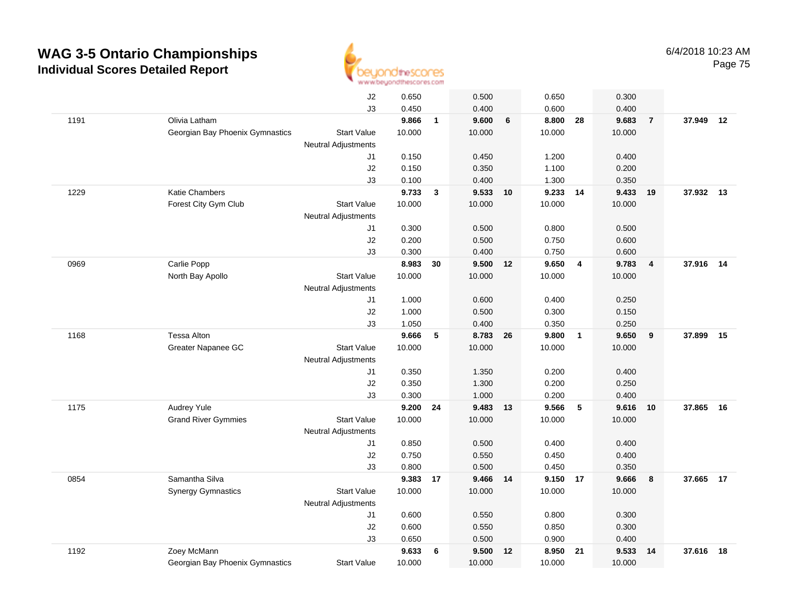

|      |                                 | J2                         | 0.650  |              | 0.500    |                | 0.650    |                | 0.300  |                |           |    |
|------|---------------------------------|----------------------------|--------|--------------|----------|----------------|----------|----------------|--------|----------------|-----------|----|
|      |                                 | J3                         | 0.450  |              | 0.400    |                | 0.600    |                | 0.400  |                |           |    |
| 1191 | Olivia Latham                   |                            | 9.866  | $\mathbf{1}$ | 9.600    | $6\phantom{1}$ | 8.800    | 28             | 9.683  | $\overline{7}$ | 37.949 12 |    |
|      | Georgian Bay Phoenix Gymnastics | <b>Start Value</b>         | 10.000 |              | 10.000   |                | 10.000   |                | 10.000 |                |           |    |
|      |                                 | <b>Neutral Adjustments</b> |        |              |          |                |          |                |        |                |           |    |
|      |                                 | J1                         | 0.150  |              | 0.450    |                | 1.200    |                | 0.400  |                |           |    |
|      |                                 | J2                         | 0.150  |              | 0.350    |                | 1.100    |                | 0.200  |                |           |    |
|      |                                 | J3                         | 0.100  |              | 0.400    |                | 1.300    |                | 0.350  |                |           |    |
| 1229 | Katie Chambers                  |                            | 9.733  | $\mathbf{3}$ | 9.533    | 10             | 9.233    | 14             | 9.433  | 19             | 37.932 13 |    |
|      | Forest City Gym Club            | <b>Start Value</b>         | 10.000 |              | 10.000   |                | 10.000   |                | 10.000 |                |           |    |
|      |                                 | <b>Neutral Adjustments</b> |        |              |          |                |          |                |        |                |           |    |
|      |                                 | J1                         | 0.300  |              | 0.500    |                | 0.800    |                | 0.500  |                |           |    |
|      |                                 | J2                         | 0.200  |              | 0.500    |                | 0.750    |                | 0.600  |                |           |    |
|      |                                 | J3                         | 0.300  |              | 0.400    |                | 0.750    |                | 0.600  |                |           |    |
| 0969 | Carlie Popp                     |                            | 8.983  | 30           | 9.500 12 |                | 9.650    | $\overline{4}$ | 9.783  | $\overline{4}$ | 37.916 14 |    |
|      | North Bay Apollo                | <b>Start Value</b>         | 10.000 |              | 10.000   |                | 10.000   |                | 10.000 |                |           |    |
|      |                                 | <b>Neutral Adjustments</b> |        |              |          |                |          |                |        |                |           |    |
|      |                                 | J1                         | 1.000  |              | 0.600    |                | 0.400    |                | 0.250  |                |           |    |
|      |                                 | J2                         | 1.000  |              | 0.500    |                | 0.300    |                | 0.150  |                |           |    |
|      |                                 | J3                         | 1.050  |              | 0.400    |                | 0.350    |                | 0.250  |                |           |    |
| 1168 | Tessa Alton                     |                            | 9.666  | 5            | 8.783    | 26             | 9.800    | $\overline{1}$ | 9.650  | 9              | 37.899    | 15 |
|      | Greater Napanee GC              | <b>Start Value</b>         | 10.000 |              | 10.000   |                | 10.000   |                | 10.000 |                |           |    |
|      |                                 | <b>Neutral Adjustments</b> |        |              |          |                |          |                |        |                |           |    |
|      |                                 | J1                         | 0.350  |              | 1.350    |                | 0.200    |                | 0.400  |                |           |    |
|      |                                 | J2                         | 0.350  |              | 1.300    |                | 0.200    |                | 0.250  |                |           |    |
|      |                                 | J3                         | 0.300  |              | 1.000    |                | 0.200    |                | 0.400  |                |           |    |
| 1175 | Audrey Yule                     |                            | 9.200  | 24           | 9.483    | 13             | 9.566    | 5              | 9.616  | 10             | 37,865    | 16 |
|      | <b>Grand River Gymmies</b>      | <b>Start Value</b>         | 10.000 |              | 10.000   |                | 10.000   |                | 10.000 |                |           |    |
|      |                                 | <b>Neutral Adjustments</b> |        |              |          |                |          |                |        |                |           |    |
|      |                                 | J1                         | 0.850  |              | 0.500    |                | 0.400    |                | 0.400  |                |           |    |
|      |                                 | J2                         | 0.750  |              | 0.550    |                | 0.450    |                | 0.400  |                |           |    |
|      |                                 | J3                         | 0.800  |              | 0.500    |                | 0.450    |                | 0.350  |                |           |    |
| 0854 | Samantha Silva                  |                            | 9.383  | 17           | 9.466 14 |                | 9.150 17 |                | 9.666  | 8              | 37.665 17 |    |
|      | <b>Synergy Gymnastics</b>       | <b>Start Value</b>         | 10.000 |              | 10.000   |                | 10.000   |                | 10.000 |                |           |    |
|      |                                 | <b>Neutral Adjustments</b> |        |              |          |                |          |                |        |                |           |    |
|      |                                 | J1                         | 0.600  |              | 0.550    |                | 0.800    |                | 0.300  |                |           |    |
|      |                                 | J2                         | 0.600  |              | 0.550    |                | 0.850    |                | 0.300  |                |           |    |
|      |                                 | J3                         | 0.650  |              | 0.500    |                | 0.900    |                | 0.400  |                |           |    |
| 1192 | Zoey McMann                     |                            | 9.633  | 6            | 9.500    | 12             | 8.950    | 21             | 9.533  | 14             | 37.616    | 18 |
|      | Georgian Bay Phoenix Gymnastics | <b>Start Value</b>         | 10.000 |              | 10.000   |                | 10.000   |                | 10.000 |                |           |    |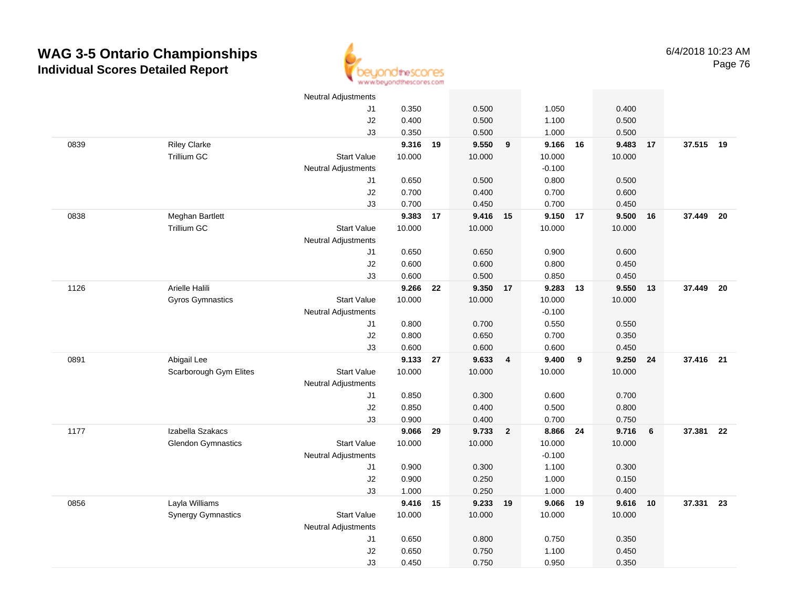

|      |                           | <b>Neutral Adjustments</b> |                   |    |                   |                         |                |    |                |    |           |      |
|------|---------------------------|----------------------------|-------------------|----|-------------------|-------------------------|----------------|----|----------------|----|-----------|------|
|      |                           | J <sub>1</sub>             | 0.350             |    | 0.500             |                         | 1.050          |    | 0.400          |    |           |      |
|      |                           | J2                         | 0.400             |    | 0.500             |                         | 1.100          |    | 0.500          |    |           |      |
|      |                           | J3                         | 0.350             |    | 0.500             |                         | 1.000          |    | 0.500          |    |           |      |
| 0839 | <b>Riley Clarke</b>       |                            | 9.316 19          |    | 9.550             | 9                       | 9.166 16       |    | 9.483          | 17 | 37.515 19 |      |
|      | <b>Trillium GC</b>        | <b>Start Value</b>         | 10.000            |    | 10.000            |                         | 10.000         |    | 10.000         |    |           |      |
|      |                           | <b>Neutral Adjustments</b> |                   |    |                   |                         | $-0.100$       |    |                |    |           |      |
|      |                           | J1                         | 0.650             |    | 0.500             |                         | 0.800          |    | 0.500          |    |           |      |
|      |                           | J2                         | 0.700             |    | 0.400             |                         | 0.700          |    | 0.600          |    |           |      |
|      |                           | J3                         | 0.700             |    | 0.450             |                         | 0.700          |    | 0.450          |    |           |      |
| 0838 | Meghan Bartlett           |                            | 9.383             | 17 | 9.416 15          |                         | 9.150 17       |    | 9.500          | 16 | 37.449    | - 20 |
|      | Trillium GC               | <b>Start Value</b>         | 10.000            |    | 10.000            |                         | 10.000         |    | 10.000         |    |           |      |
|      |                           | <b>Neutral Adjustments</b> |                   |    |                   |                         |                |    |                |    |           |      |
|      |                           | J1                         | 0.650             |    | 0.650             |                         | 0.900          |    | 0.600          |    |           |      |
|      |                           | J2                         | 0.600             |    | 0.600             |                         | 0.800          |    | 0.450          |    |           |      |
|      |                           | J3                         | 0.600             |    | 0.500             |                         | 0.850          |    | 0.450          |    |           |      |
| 1126 | Arielle Halili            |                            | 9.266             | 22 | 9.350 17          |                         | 9.283          | 13 | 9.550          | 13 | 37.449    | - 20 |
|      | Gyros Gymnastics          | <b>Start Value</b>         | 10.000            |    | 10.000            |                         | 10.000         |    | 10.000         |    |           |      |
|      |                           | <b>Neutral Adjustments</b> |                   |    |                   |                         | $-0.100$       |    |                |    |           |      |
|      |                           | J1                         | 0.800             |    | 0.700             |                         | 0.550          |    | 0.550          |    |           |      |
|      |                           | $\sf J2$                   | 0.800             |    | 0.650             |                         | 0.700          |    | 0.350          |    |           |      |
|      |                           | J3                         | 0.600             |    | 0.600             |                         | 0.600          |    | 0.450          |    |           |      |
| 0891 | Abigail Lee               |                            | 9.133             | 27 | 9.633             | $\overline{4}$          | 9.400          | 9  | 9.250          | 24 | 37.416 21 |      |
|      | Scarborough Gym Elites    | <b>Start Value</b>         | 10.000            |    | 10.000            |                         | 10.000         |    | 10.000         |    |           |      |
|      |                           | <b>Neutral Adjustments</b> |                   |    |                   |                         |                |    |                |    |           |      |
|      |                           | J1                         | 0.850             |    | 0.300             |                         | 0.600          |    | 0.700          |    |           |      |
|      |                           | J2                         | 0.850             |    | 0.400             |                         | 0.500          |    | 0.800          |    |           |      |
|      |                           | J3                         | 0.900             |    | 0.400             |                         | 0.700          |    | 0.750          |    |           |      |
| 1177 | Izabella Szakacs          |                            | 9.066             | 29 | 9.733             | $\overline{\mathbf{2}}$ | 8.866 24       |    | 9.716          | 6  | 37.381    | 22   |
|      | <b>Glendon Gymnastics</b> | <b>Start Value</b>         | 10.000            |    | 10.000            |                         | 10.000         |    | 10.000         |    |           |      |
|      |                           | <b>Neutral Adjustments</b> |                   |    |                   |                         | $-0.100$       |    |                |    |           |      |
|      |                           | J1                         | 0.900             |    | 0.300             |                         | 1.100          |    | 0.300          |    |           |      |
|      |                           | J2                         | 0.900             |    | 0.250             |                         | 1.000          |    | 0.150          |    |           |      |
| 0856 | Layla Williams            | J3                         | 1.000<br>9.416 15 |    | 0.250<br>9.233 19 |                         | 1.000<br>9.066 | 19 | 0.400<br>9.616 | 10 | 37.331 23 |      |
|      | <b>Synergy Gymnastics</b> | <b>Start Value</b>         | 10.000            |    | 10.000            |                         | 10.000         |    | 10.000         |    |           |      |
|      |                           | <b>Neutral Adjustments</b> |                   |    |                   |                         |                |    |                |    |           |      |
|      |                           | $\sf J1$                   | 0.650             |    | 0.800             |                         | 0.750          |    | 0.350          |    |           |      |
|      |                           | J2                         | 0.650             |    | 0.750             |                         | 1.100          |    | 0.450          |    |           |      |
|      |                           | J3                         | 0.450             |    | 0.750             |                         | 0.950          |    | 0.350          |    |           |      |
|      |                           |                            |                   |    |                   |                         |                |    |                |    |           |      |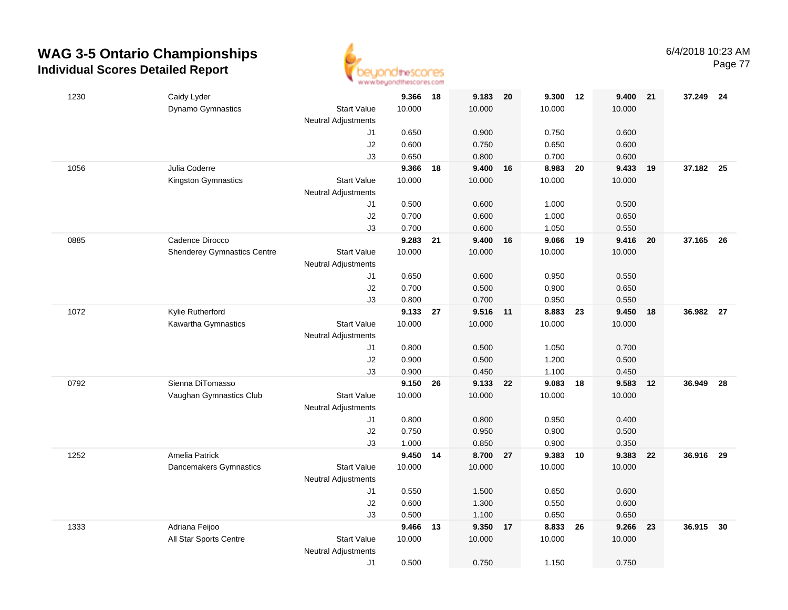

Page 77

| 1230 | Caidy Lyder                                           |                                                  | 9.366           | 18 | 9.183           | 20   | 9.300           | 12 | 9.400           | 21 | 37.249 24 |      |
|------|-------------------------------------------------------|--------------------------------------------------|-----------------|----|-----------------|------|-----------------|----|-----------------|----|-----------|------|
|      | Dynamo Gymnastics                                     | <b>Start Value</b><br><b>Neutral Adjustments</b> | 10.000          |    | 10.000          |      | 10.000          |    | 10.000          |    |           |      |
|      |                                                       | J1                                               | 0.650           |    | 0.900           |      | 0.750           |    | 0.600           |    |           |      |
|      |                                                       | J2                                               | 0.600           |    | 0.750           |      | 0.650           |    | 0.600           |    |           |      |
|      |                                                       | J3                                               | 0.650           |    | 0.800           |      | 0.700           |    | 0.600           |    |           |      |
| 1056 | Julia Coderre                                         |                                                  | 9.366           | 18 | 9.400           | 16   | 8.983           | 20 | 9.433           | 19 | 37.182 25 |      |
|      | Kingston Gymnastics                                   | <b>Start Value</b>                               | 10.000          |    | 10.000          |      | 10.000          |    | 10.000          |    |           |      |
|      |                                                       | <b>Neutral Adjustments</b>                       |                 |    |                 |      |                 |    |                 |    |           |      |
|      |                                                       | J1                                               | 0.500           |    | 0.600           |      | 1.000           |    | 0.500           |    |           |      |
|      |                                                       | J2                                               | 0.700           |    | 0.600           |      | 1.000           |    | 0.650           |    |           |      |
|      |                                                       | J3                                               | 0.700           |    | 0.600           |      | 1.050           |    | 0.550           |    |           |      |
| 0885 | Cadence Dirocco<br><b>Shenderey Gymnastics Centre</b> | <b>Start Value</b>                               | 9.283<br>10.000 | 21 | 9.400<br>10.000 | 16   | 9.066<br>10.000 | 19 | 9.416<br>10.000 | 20 | 37.165    | - 26 |
|      |                                                       | <b>Neutral Adjustments</b>                       |                 |    |                 |      |                 |    |                 |    |           |      |
|      |                                                       | J1                                               | 0.650           |    | 0.600           |      | 0.950           |    | 0.550           |    |           |      |
|      |                                                       | J2                                               | 0.700           |    | 0.500           |      | 0.900           |    | 0.650           |    |           |      |
|      |                                                       | J3                                               | 0.800           |    | 0.700           |      | 0.950           |    | 0.550           |    |           |      |
| 1072 | Kylie Rutherford                                      |                                                  | 9.133           | 27 | 9.516 11        |      | 8.883 23        |    | 9.450           | 18 | 36.982 27 |      |
|      | Kawartha Gymnastics                                   | <b>Start Value</b>                               | 10.000          |    | 10.000          |      | 10.000          |    | 10.000          |    |           |      |
|      |                                                       | <b>Neutral Adjustments</b>                       |                 |    |                 |      |                 |    |                 |    |           |      |
|      |                                                       | J1                                               | 0.800           |    | 0.500           |      | 1.050           |    | 0.700           |    |           |      |
|      |                                                       | $\sf J2$                                         | 0.900           |    | 0.500           |      | 1.200           |    | 0.500           |    |           |      |
|      |                                                       | J3                                               | 0.900           |    | 0.450           |      | 1.100           |    | 0.450           |    |           |      |
| 0792 | Sienna DiTomasso                                      |                                                  | 9.150           | 26 | 9.133           | - 22 | 9.083           | 18 | 9.583           | 12 | 36.949    | 28   |
|      | Vaughan Gymnastics Club                               | <b>Start Value</b>                               | 10.000          |    | 10.000          |      | 10.000          |    | 10.000          |    |           |      |
|      |                                                       | <b>Neutral Adjustments</b>                       |                 |    |                 |      |                 |    |                 |    |           |      |
|      |                                                       | J1                                               | 0.800           |    | 0.800           |      | 0.950           |    | 0.400           |    |           |      |
|      |                                                       | J2<br>J3                                         | 0.750<br>1.000  |    | 0.950<br>0.850  |      | 0.900<br>0.900  |    | 0.500<br>0.350  |    |           |      |
| 1252 | <b>Amelia Patrick</b>                                 |                                                  | 9.450 14        |    | 8.700 27        |      | 9.383           | 10 | 9.383           | 22 | 36.916 29 |      |
|      | Dancemakers Gymnastics                                | <b>Start Value</b>                               | 10.000          |    | 10.000          |      | 10.000          |    | 10.000          |    |           |      |
|      |                                                       | <b>Neutral Adjustments</b>                       |                 |    |                 |      |                 |    |                 |    |           |      |
|      |                                                       | J1                                               | 0.550           |    | 1.500           |      | 0.650           |    | 0.600           |    |           |      |
|      |                                                       | J2                                               | 0.600           |    | 1.300           |      | 0.550           |    | 0.600           |    |           |      |
|      |                                                       | J3                                               | 0.500           |    | 1.100           |      | 0.650           |    | 0.650           |    |           |      |
| 1333 | Adriana Feijoo                                        |                                                  | 9.466           | 13 | 9.350           | 17   | 8.833           | 26 | 9.266           | 23 | 36.915    | 30   |
|      | All Star Sports Centre                                | <b>Start Value</b>                               | 10.000          |    | 10.000          |      | 10.000          |    | 10.000          |    |           |      |
|      |                                                       | <b>Neutral Adjustments</b>                       |                 |    |                 |      |                 |    |                 |    |           |      |
|      |                                                       | J1                                               | 0.500           |    | 0.750           |      | 1.150           |    | 0.750           |    |           |      |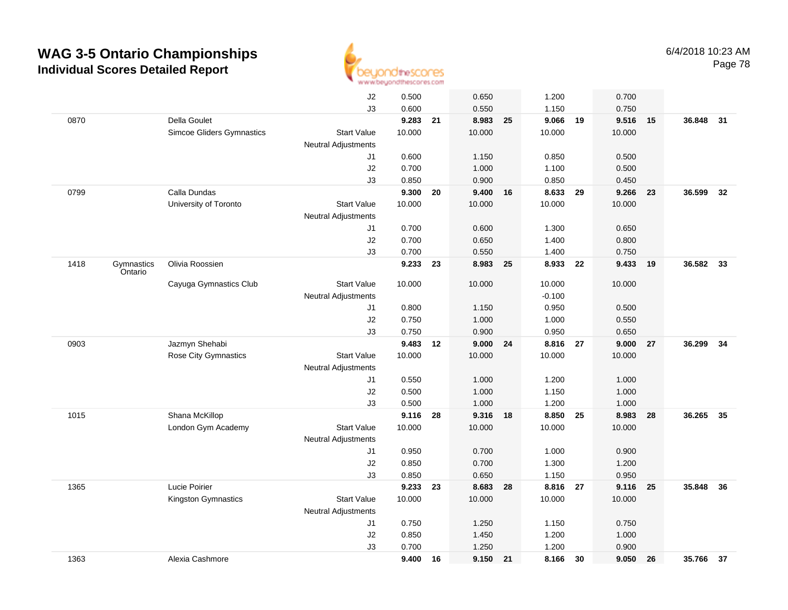

|      |                       |                           | $\sf J2$                   | 0.500  |    | 0.650    |    | 1.200    |    | 0.700  |    |           |    |
|------|-----------------------|---------------------------|----------------------------|--------|----|----------|----|----------|----|--------|----|-----------|----|
|      |                       |                           | J3                         | 0.600  |    | 0.550    |    | 1.150    |    | 0.750  |    |           |    |
| 0870 |                       | Della Goulet              |                            | 9.283  | 21 | 8.983    | 25 | 9.066    | 19 | 9.516  | 15 | 36.848    | 31 |
|      |                       | Simcoe Gliders Gymnastics | <b>Start Value</b>         | 10.000 |    | 10.000   |    | 10.000   |    | 10.000 |    |           |    |
|      |                       |                           | <b>Neutral Adjustments</b> |        |    |          |    |          |    |        |    |           |    |
|      |                       |                           | J1                         | 0.600  |    | 1.150    |    | 0.850    |    | 0.500  |    |           |    |
|      |                       |                           | J2                         | 0.700  |    | 1.000    |    | 1.100    |    | 0.500  |    |           |    |
|      |                       |                           | J3                         | 0.850  |    | 0.900    |    | 0.850    |    | 0.450  |    |           |    |
| 0799 |                       | Calla Dundas              |                            | 9.300  | 20 | 9.400    | 16 | 8.633    | 29 | 9.266  | 23 | 36.599    | 32 |
|      |                       | University of Toronto     | <b>Start Value</b>         | 10.000 |    | 10.000   |    | 10.000   |    | 10.000 |    |           |    |
|      |                       |                           | <b>Neutral Adjustments</b> |        |    |          |    |          |    |        |    |           |    |
|      |                       |                           | J1                         | 0.700  |    | 0.600    |    | 1.300    |    | 0.650  |    |           |    |
|      |                       |                           | J2                         | 0.700  |    | 0.650    |    | 1.400    |    | 0.800  |    |           |    |
|      |                       |                           | J3                         | 0.700  |    | 0.550    |    | 1.400    |    | 0.750  |    |           |    |
| 1418 | Gymnastics<br>Ontario | Olivia Roossien           |                            | 9.233  | 23 | 8.983    | 25 | 8.933    | 22 | 9.433  | 19 | 36.582    | 33 |
|      |                       | Cayuga Gymnastics Club    | <b>Start Value</b>         | 10.000 |    | 10.000   |    | 10.000   |    | 10.000 |    |           |    |
|      |                       |                           | <b>Neutral Adjustments</b> |        |    |          |    | $-0.100$ |    |        |    |           |    |
|      |                       |                           | J1                         | 0.800  |    | 1.150    |    | 0.950    |    | 0.500  |    |           |    |
|      |                       |                           | J2                         | 0.750  |    | 1.000    |    | 1.000    |    | 0.550  |    |           |    |
|      |                       |                           | J3                         | 0.750  |    | 0.900    |    | 0.950    |    | 0.650  |    |           |    |
| 0903 |                       | Jazmyn Shehabi            |                            | 9.483  | 12 | 9.000    | 24 | 8.816    | 27 | 9.000  | 27 | 36.299    | 34 |
|      |                       | Rose City Gymnastics      | <b>Start Value</b>         | 10.000 |    | 10.000   |    | 10.000   |    | 10.000 |    |           |    |
|      |                       |                           | <b>Neutral Adjustments</b> |        |    |          |    |          |    |        |    |           |    |
|      |                       |                           | J1                         | 0.550  |    | 1.000    |    | 1.200    |    | 1.000  |    |           |    |
|      |                       |                           | J2                         | 0.500  |    | 1.000    |    | 1.150    |    | 1.000  |    |           |    |
|      |                       |                           | J3                         | 0.500  |    | 1.000    |    | 1.200    |    | 1.000  |    |           |    |
| 1015 |                       | Shana McKillop            |                            | 9.116  | 28 | 9.316 18 |    | 8.850    | 25 | 8.983  | 28 | 36.265    | 35 |
|      |                       | London Gym Academy        | <b>Start Value</b>         | 10.000 |    | 10.000   |    | 10.000   |    | 10.000 |    |           |    |
|      |                       |                           | <b>Neutral Adjustments</b> |        |    |          |    |          |    |        |    |           |    |
|      |                       |                           | J1                         | 0.950  |    | 0.700    |    | 1.000    |    | 0.900  |    |           |    |
|      |                       |                           | J2                         | 0.850  |    | 0.700    |    | 1.300    |    | 1.200  |    |           |    |
|      |                       |                           | J3                         | 0.850  |    | 0.650    |    | 1.150    |    | 0.950  |    |           |    |
| 1365 |                       | Lucie Poirier             |                            | 9.233  | 23 | 8.683    | 28 | 8.816    | 27 | 9.116  | 25 | 35.848    | 36 |
|      |                       | Kingston Gymnastics       | <b>Start Value</b>         | 10.000 |    | 10.000   |    | 10.000   |    | 10.000 |    |           |    |
|      |                       |                           | Neutral Adjustments        |        |    |          |    |          |    |        |    |           |    |
|      |                       |                           | J1                         | 0.750  |    | 1.250    |    | 1.150    |    | 0.750  |    |           |    |
|      |                       |                           | J2                         | 0.850  |    | 1.450    |    | 1.200    |    | 1.000  |    |           |    |
|      |                       |                           | J3                         | 0.700  |    | 1.250    |    | 1.200    |    | 0.900  |    |           |    |
| 1363 |                       | Alexia Cashmore           |                            | 9.400  | 16 | 9.150    | 21 | 8.166    | 30 | 9.050  | 26 | 35.766 37 |    |
|      |                       |                           |                            |        |    |          |    |          |    |        |    |           |    |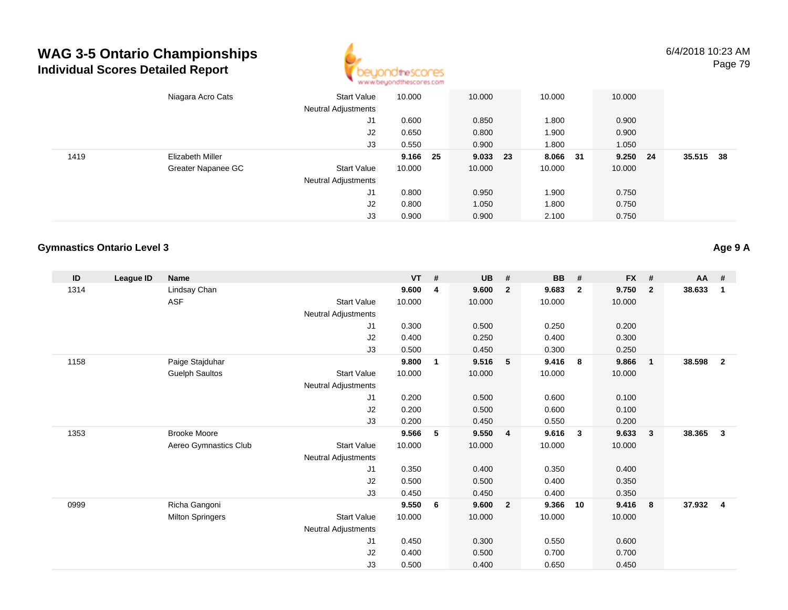

|      | Niagara Acro Cats  | <b>Start Value</b>         | 10.000   | 10.000   | 10.000 | 10.000        |      |        |      |
|------|--------------------|----------------------------|----------|----------|--------|---------------|------|--------|------|
|      |                    | Neutral Adjustments        |          |          |        |               |      |        |      |
|      |                    | J1                         | 0.600    | 0.850    | 1.800  | 0.900         |      |        |      |
|      |                    | J2                         | 0.650    | 0.800    | 1.900  | 0.900         |      |        |      |
|      |                    | J3                         | 0.550    | 0.900    | 1.800  | 1.050         |      |        |      |
| 1419 | Elizabeth Miller   |                            | 9.166 25 | 9.033 23 | 8.066  | 9.250<br>- 31 | - 24 | 35.515 | - 38 |
|      | Greater Napanee GC | <b>Start Value</b>         | 10.000   | 10.000   | 10.000 | 10.000        |      |        |      |
|      |                    | <b>Neutral Adjustments</b> |          |          |        |               |      |        |      |
|      |                    | J1                         | 0.800    | 0.950    | 1.900  | 0.750         |      |        |      |
|      |                    | J2                         | 0.800    | 1.050    | 1.800  | 0.750         |      |        |      |
|      |                    | J3                         | 0.900    | 0.900    | 2.100  | 0.750         |      |        |      |

#### **Gymnastics Ontario Level 3**

**ID League ID Name VT # UB # BB # FX # AA #** 1314 Lindsay Chan **9.600 <sup>4</sup> 9.600 <sup>2</sup> 9.683 <sup>2</sup> 9.750 <sup>2</sup> 38.633 <sup>1</sup>** ASF**F** 10.000 10.000 10.000 10.000 10.000 10.000 Neutral Adjustments J1 0.300 0.500 0.250 0.200 J2 0.400 0.250 0.400 0.300 J3 0.500 0.450 0.300 0.250 1158 Paige Stajduhar **9.800 <sup>1</sup> 9.516 <sup>5</sup> 9.416 <sup>8</sup> 9.866 <sup>1</sup> 38.598 <sup>2</sup>** Guelph Saultos Start Valuee 10.000 10.000 10.000 10.000 Neutral Adjustments J1 0.200 0.500 0.600 0.100 J2 0.200 0.500 0.600 0.100 J3 0.200 0.450 0.550 0.200 1353 Brooke Moore **9.566 <sup>5</sup> 9.550 <sup>4</sup> 9.616 <sup>3</sup> 9.633 <sup>3</sup> 38.365 <sup>3</sup>** Aereo Gymnastics Clubb 3tart Value 10.000 10.000 10.000 10.000 10.000 Neutral Adjustments J1 0.350 0.400 0.350 0.400 J2 0.500 0.500 0.400 0.350 J3 0.450 0.450 0.400 0.350 0999 Richa Gangoni **9.550 <sup>6</sup> 9.600 <sup>2</sup> 9.366 <sup>10</sup> 9.416 <sup>8</sup> 37.932 <sup>4</sup>** Milton Springers Start Valuee 10.000 10.000 10.000 10.000 Neutral Adjustments J1 0.450 0.300 0.550 0.600 J2 0.400 0.500 0.700 0.700 J30.500 0.400 0.650 0.450

**Age 9 A**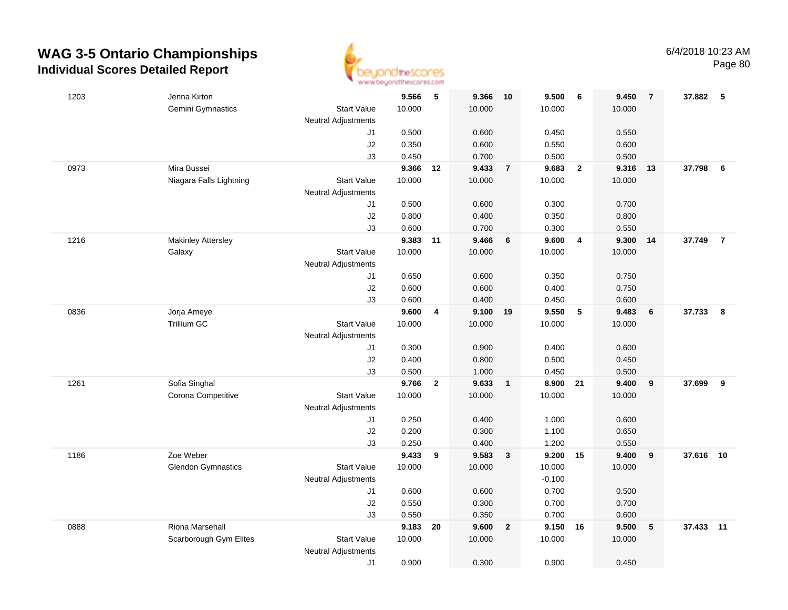

|      |                           | . <i>. .</i>               |                |              |                |                |                |                         |                |                |           |                |
|------|---------------------------|----------------------------|----------------|--------------|----------------|----------------|----------------|-------------------------|----------------|----------------|-----------|----------------|
| 1203 | Jenna Kirton              |                            | 9.566          | - 5          | 9.366          | 10             | 9.500          | - 6                     | 9.450          | $\overline{7}$ | 37.882 5  |                |
|      | <b>Gemini Gymnastics</b>  | <b>Start Value</b>         | 10.000         |              | 10.000         |                | 10.000         |                         | 10.000         |                |           |                |
|      |                           | <b>Neutral Adjustments</b> |                |              |                |                |                |                         |                |                |           |                |
|      |                           | J1                         | 0.500          |              | 0.600          |                | 0.450          |                         | 0.550          |                |           |                |
|      |                           | J2                         | 0.350          |              | 0.600          |                | 0.550          |                         | 0.600          |                |           |                |
|      |                           | J3                         | 0.450          |              | 0.700          |                | 0.500          |                         | 0.500          |                |           |                |
| 0973 | Mira Bussei               |                            | 9.366          | 12           | 9.433          | $\overline{7}$ | 9.683          | $\overline{\mathbf{2}}$ | 9.316          | 13             | 37.798    | 6              |
|      | Niagara Falls Lightning   | <b>Start Value</b>         | 10.000         |              | 10.000         |                | 10.000         |                         | 10.000         |                |           |                |
|      |                           | <b>Neutral Adjustments</b> |                |              |                |                |                |                         |                |                |           |                |
|      |                           | J1                         | 0.500          |              | 0.600          |                | 0.300          |                         | 0.700          |                |           |                |
|      |                           | J2                         | 0.800          |              | 0.400          |                | 0.350          |                         | 0.800          |                |           |                |
|      |                           | J3                         | 0.600          |              | 0.700          |                | 0.300          |                         | 0.550          |                |           |                |
| 1216 | <b>Makinley Attersley</b> |                            | 9.383          | 11           | 9.466          | 6              | 9.600          | $\overline{4}$          | 9.300          | 14             | 37.749    | $\overline{7}$ |
|      | Galaxy                    | <b>Start Value</b>         | 10.000         |              | 10.000         |                | 10.000         |                         | 10.000         |                |           |                |
|      |                           | <b>Neutral Adjustments</b> |                |              |                |                |                |                         |                |                |           |                |
|      |                           | J1                         | 0.650          |              | 0.600          |                | 0.350          |                         | 0.750          |                |           |                |
|      |                           | J2                         | 0.600          |              | 0.600          |                | 0.400          |                         | 0.750          |                |           |                |
|      |                           | J3                         | 0.600          |              | 0.400          |                | 0.450          |                         | 0.600          |                |           |                |
| 0836 | Jorja Ameye               |                            | 9.600          | 4            | 9.100 19       |                | 9.550          | 5                       | 9.483          | 6              | 37.733    | 8              |
|      | Trillium GC               | <b>Start Value</b>         | 10.000         |              | 10.000         |                | 10.000         |                         | 10.000         |                |           |                |
|      |                           | <b>Neutral Adjustments</b> |                |              |                |                |                |                         |                |                |           |                |
|      |                           | J1<br>J2                   | 0.300<br>0.400 |              | 0.900<br>0.800 |                | 0.400<br>0.500 |                         | 0.600          |                |           |                |
|      |                           | J3                         | 0.500          |              | 1.000          |                | 0.450          |                         | 0.450<br>0.500 |                |           |                |
| 1261 | Sofia Singhal             |                            | 9.766          | $\mathbf{2}$ | 9.633          | $\overline{1}$ | 8.900          | 21                      | 9.400          | 9              | 37.699    | 9              |
|      | Corona Competitive        | <b>Start Value</b>         | 10.000         |              | 10.000         |                | 10.000         |                         | 10.000         |                |           |                |
|      |                           | <b>Neutral Adjustments</b> |                |              |                |                |                |                         |                |                |           |                |
|      |                           | J1                         | 0.250          |              | 0.400          |                | 1.000          |                         | 0.600          |                |           |                |
|      |                           | J2                         | 0.200          |              | 0.300          |                | 1.100          |                         | 0.650          |                |           |                |
|      |                           | J3                         | 0.250          |              | 0.400          |                | 1.200          |                         | 0.550          |                |           |                |
| 1186 | Zoe Weber                 |                            | 9.433          | 9            | 9.583          | $\mathbf{3}$   | 9.200 15       |                         | 9.400          | 9              | 37.616 10 |                |
|      | <b>Glendon Gymnastics</b> | <b>Start Value</b>         | 10.000         |              | 10.000         |                | 10.000         |                         | 10.000         |                |           |                |
|      |                           | <b>Neutral Adjustments</b> |                |              |                |                | $-0.100$       |                         |                |                |           |                |
|      |                           | J1                         | 0.600          |              | 0.600          |                | 0.700          |                         | 0.500          |                |           |                |
|      |                           | J2                         | 0.550          |              | 0.300          |                | 0.700          |                         | 0.700          |                |           |                |
|      |                           | J3                         | 0.550          |              | 0.350          |                | 0.700          |                         | 0.600          |                |           |                |
| 0888 | Riona Marsehall           |                            | 9.183          | 20           | 9.600          | $\overline{2}$ | 9.150 16       |                         | 9.500          | 5              | 37.433    | 11             |
|      | Scarborough Gym Elites    | <b>Start Value</b>         | 10.000         |              | 10.000         |                | 10.000         |                         | 10.000         |                |           |                |
|      |                           | <b>Neutral Adjustments</b> |                |              |                |                |                |                         |                |                |           |                |
|      |                           | J1                         | 0.900          |              | 0.300          |                | 0.900          |                         | 0.450          |                |           |                |
|      |                           |                            |                |              |                |                |                |                         |                |                |           |                |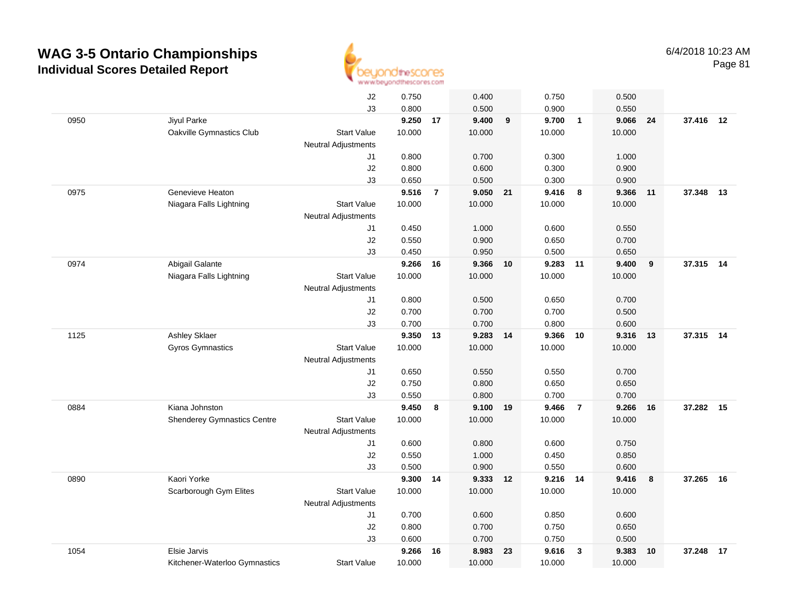

|      |                                    | J2                         | 0.750  |                | 0.400    |    | 0.750    |                         | 0.500  |    |           |    |
|------|------------------------------------|----------------------------|--------|----------------|----------|----|----------|-------------------------|--------|----|-----------|----|
|      |                                    | JЗ                         | 0.800  |                | 0.500    |    | 0.900    |                         | 0.550  |    |           |    |
| 0950 | Jiyul Parke                        |                            | 9.250  | 17             | 9.400    | 9  | 9.700    | $\overline{1}$          | 9.066  | 24 | 37.416 12 |    |
|      | Oakville Gymnastics Club           | <b>Start Value</b>         | 10.000 |                | 10.000   |    | 10.000   |                         | 10.000 |    |           |    |
|      |                                    | <b>Neutral Adjustments</b> |        |                |          |    |          |                         |        |    |           |    |
|      |                                    | J1                         | 0.800  |                | 0.700    |    | 0.300    |                         | 1.000  |    |           |    |
|      |                                    | J2                         | 0.800  |                | 0.600    |    | 0.300    |                         | 0.900  |    |           |    |
|      |                                    | JЗ                         | 0.650  |                | 0.500    |    | 0.300    |                         | 0.900  |    |           |    |
| 0975 | Genevieve Heaton                   |                            | 9.516  | $\overline{7}$ | 9.050    | 21 | 9.416    | 8                       | 9.366  | 11 | 37.348    | 13 |
|      | Niagara Falls Lightning            | <b>Start Value</b>         | 10.000 |                | 10.000   |    | 10.000   |                         | 10.000 |    |           |    |
|      |                                    | <b>Neutral Adjustments</b> |        |                |          |    |          |                         |        |    |           |    |
|      |                                    | J1                         | 0.450  |                | 1.000    |    | 0.600    |                         | 0.550  |    |           |    |
|      |                                    | J2                         | 0.550  |                | 0.900    |    | 0.650    |                         | 0.700  |    |           |    |
|      |                                    | JЗ                         | 0.450  |                | 0.950    |    | 0.500    |                         | 0.650  |    |           |    |
| 0974 | Abigail Galante                    |                            | 9.266  | 16             | 9.366 10 |    | 9.283 11 |                         | 9.400  | 9  | 37.315 14 |    |
|      | Niagara Falls Lightning            | <b>Start Value</b>         | 10.000 |                | 10.000   |    | 10.000   |                         | 10.000 |    |           |    |
|      |                                    | <b>Neutral Adjustments</b> |        |                |          |    |          |                         |        |    |           |    |
|      |                                    | J1                         | 0.800  |                | 0.500    |    | 0.650    |                         | 0.700  |    |           |    |
|      |                                    | J2                         | 0.700  |                | 0.700    |    | 0.700    |                         | 0.500  |    |           |    |
|      |                                    | J3                         | 0.700  |                | 0.700    |    | 0.800    |                         | 0.600  |    |           |    |
| 1125 | <b>Ashley Sklaer</b>               |                            | 9.350  | 13             | 9.283 14 |    | 9.366    | 10                      | 9.316  | 13 | 37.315 14 |    |
|      | <b>Gyros Gymnastics</b>            | <b>Start Value</b>         | 10.000 |                | 10.000   |    | 10.000   |                         | 10.000 |    |           |    |
|      |                                    | <b>Neutral Adjustments</b> |        |                |          |    |          |                         |        |    |           |    |
|      |                                    | J1                         | 0.650  |                | 0.550    |    | 0.550    |                         | 0.700  |    |           |    |
|      |                                    | J2                         | 0.750  |                | 0.800    |    | 0.650    |                         | 0.650  |    |           |    |
|      |                                    | J3                         | 0.550  |                | 0.800    |    | 0.700    |                         | 0.700  |    |           |    |
| 0884 | Kiana Johnston                     |                            | 9.450  | 8              | 9.100    | 19 | 9.466    | $\overline{7}$          | 9.266  | 16 | 37.282 15 |    |
|      | <b>Shenderey Gymnastics Centre</b> | <b>Start Value</b>         | 10.000 |                | 10.000   |    | 10.000   |                         | 10.000 |    |           |    |
|      |                                    | <b>Neutral Adjustments</b> |        |                |          |    |          |                         |        |    |           |    |
|      |                                    | J1                         | 0.600  |                | 0.800    |    | 0.600    |                         | 0.750  |    |           |    |
|      |                                    | J2                         | 0.550  |                | 1.000    |    | 0.450    |                         | 0.850  |    |           |    |
|      |                                    | J3                         | 0.500  |                | 0.900    |    | 0.550    |                         | 0.600  |    |           |    |
| 0890 | Kaori Yorke                        |                            | 9.300  | 14             | 9.333 12 |    | 9.216 14 |                         | 9.416  | 8  | 37.265    | 16 |
|      | Scarborough Gym Elites             | <b>Start Value</b>         | 10.000 |                | 10.000   |    | 10.000   |                         | 10.000 |    |           |    |
|      |                                    | <b>Neutral Adjustments</b> |        |                |          |    |          |                         |        |    |           |    |
|      |                                    | J1                         | 0.700  |                | 0.600    |    | 0.850    |                         | 0.600  |    |           |    |
|      |                                    | J2                         | 0.800  |                | 0.700    |    | 0.750    |                         | 0.650  |    |           |    |
|      |                                    | J3                         | 0.600  |                | 0.700    |    | 0.750    |                         | 0.500  |    |           |    |
| 1054 | Elsie Jarvis                       |                            | 9.266  | 16             | 8.983    | 23 | 9.616    | $\overline{\mathbf{3}}$ | 9.383  | 10 | 37.248    | 17 |
|      | Kitchener-Waterloo Gymnastics      | <b>Start Value</b>         | 10.000 |                | 10.000   |    | 10.000   |                         | 10.000 |    |           |    |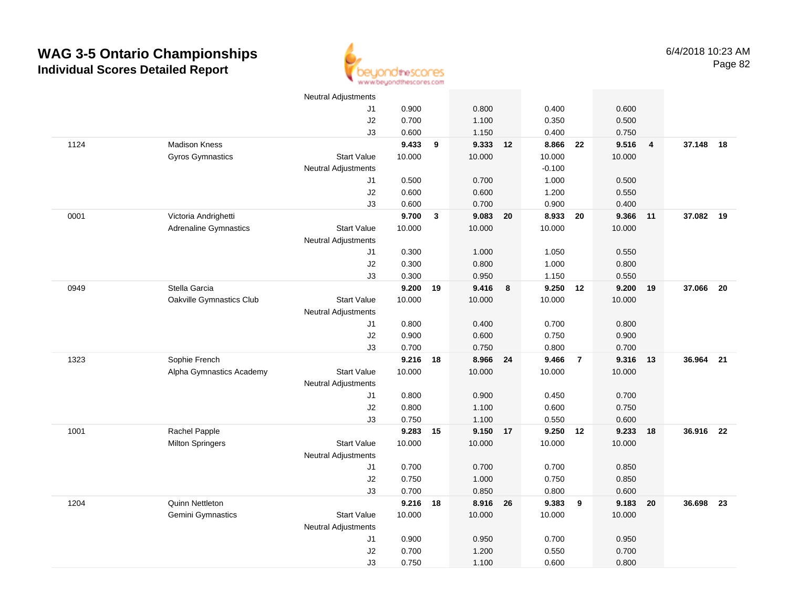

|      |                              | Neutral Adjustments        |          |              |          |    |          |                |        |                |           |      |
|------|------------------------------|----------------------------|----------|--------------|----------|----|----------|----------------|--------|----------------|-----------|------|
|      |                              | J1                         | 0.900    |              | 0.800    |    | 0.400    |                | 0.600  |                |           |      |
|      |                              | J2                         | 0.700    |              | 1.100    |    | 0.350    |                | 0.500  |                |           |      |
|      |                              | J3                         | 0.600    |              | 1.150    |    | 0.400    |                | 0.750  |                |           |      |
| 1124 | <b>Madison Kness</b>         |                            | 9.433    | 9            | 9.333 12 |    | 8.866    | 22             | 9.516  | $\overline{4}$ | 37.148 18 |      |
|      | Gyros Gymnastics             | <b>Start Value</b>         | 10.000   |              | 10.000   |    | 10.000   |                | 10.000 |                |           |      |
|      |                              | <b>Neutral Adjustments</b> |          |              |          |    | $-0.100$ |                |        |                |           |      |
|      |                              | J1                         | 0.500    |              | 0.700    |    | 1.000    |                | 0.500  |                |           |      |
|      |                              | J2                         | 0.600    |              | 0.600    |    | 1.200    |                | 0.550  |                |           |      |
|      |                              | J3                         | 0.600    |              | 0.700    |    | 0.900    |                | 0.400  |                |           |      |
| 0001 | Victoria Andrighetti         |                            | 9.700    | $\mathbf{3}$ | 9.083 20 |    | 8.933    | 20             | 9.366  | 11             | 37.082 19 |      |
|      | <b>Adrenaline Gymnastics</b> | <b>Start Value</b>         | 10.000   |              | 10.000   |    | 10.000   |                | 10.000 |                |           |      |
|      |                              | <b>Neutral Adjustments</b> |          |              |          |    |          |                |        |                |           |      |
|      |                              | J1                         | 0.300    |              | 1.000    |    | 1.050    |                | 0.550  |                |           |      |
|      |                              | J2                         | 0.300    |              | 0.800    |    | 1.000    |                | 0.800  |                |           |      |
|      |                              | J3                         | 0.300    |              | 0.950    |    | 1.150    |                | 0.550  |                |           |      |
| 0949 | Stella Garcia                |                            | 9.200    | 19           | 9.416    | 8  | 9.250 12 |                | 9.200  | 19             | 37.066    | - 20 |
|      | Oakville Gymnastics Club     | <b>Start Value</b>         | 10.000   |              | 10.000   |    | 10.000   |                | 10.000 |                |           |      |
|      |                              | <b>Neutral Adjustments</b> |          |              |          |    |          |                |        |                |           |      |
|      |                              | J1                         | 0.800    |              | 0.400    |    | 0.700    |                | 0.800  |                |           |      |
|      |                              | J2                         | 0.900    |              | 0.600    |    | 0.750    |                | 0.900  |                |           |      |
|      |                              | J3                         | 0.700    |              | 0.750    |    | 0.800    |                | 0.700  |                |           |      |
| 1323 | Sophie French                |                            | 9.216    | 18           | 8.966    | 24 | 9.466    | $\overline{7}$ | 9.316  | 13             | 36.964    | 21   |
|      | Alpha Gymnastics Academy     | <b>Start Value</b>         | 10.000   |              | 10.000   |    | 10.000   |                | 10.000 |                |           |      |
|      |                              | Neutral Adjustments        |          |              |          |    |          |                |        |                |           |      |
|      |                              | J1                         | 0.800    |              | 0.900    |    | 0.450    |                | 0.700  |                |           |      |
|      |                              | J2                         | 0.800    |              | 1.100    |    | 0.600    |                | 0.750  |                |           |      |
|      |                              | J3                         | 0.750    |              | 1.100    |    | 0.550    |                | 0.600  |                |           |      |
| 1001 | Rachel Papple                |                            | 9.283 15 |              | 9.150 17 |    | 9.250 12 |                | 9.233  | 18             | 36.916 22 |      |
|      | <b>Milton Springers</b>      | <b>Start Value</b>         | 10.000   |              | 10.000   |    | 10.000   |                | 10.000 |                |           |      |
|      |                              | <b>Neutral Adjustments</b> |          |              |          |    |          |                |        |                |           |      |
|      |                              | J1                         | 0.700    |              | 0.700    |    | 0.700    |                | 0.850  |                |           |      |
|      |                              | J2                         | 0.750    |              | 1.000    |    | 0.750    |                | 0.850  |                |           |      |
|      |                              | J3                         | 0.700    |              | 0.850    |    | 0.800    |                | 0.600  |                |           |      |
| 1204 | Quinn Nettleton              |                            | 9.216 18 |              | 8.916 26 |    | 9.383    | 9              | 9.183  | 20             | 36.698    | 23   |
|      | Gemini Gymnastics            | <b>Start Value</b>         | 10.000   |              | 10.000   |    | 10.000   |                | 10.000 |                |           |      |
|      |                              | Neutral Adjustments        |          |              |          |    |          |                |        |                |           |      |
|      |                              | J1                         | 0.900    |              | 0.950    |    | 0.700    |                | 0.950  |                |           |      |
|      |                              | J2                         | 0.700    |              | 1.200    |    | 0.550    |                | 0.700  |                |           |      |
|      |                              | J3                         | 0.750    |              | 1.100    |    | 0.600    |                | 0.800  |                |           |      |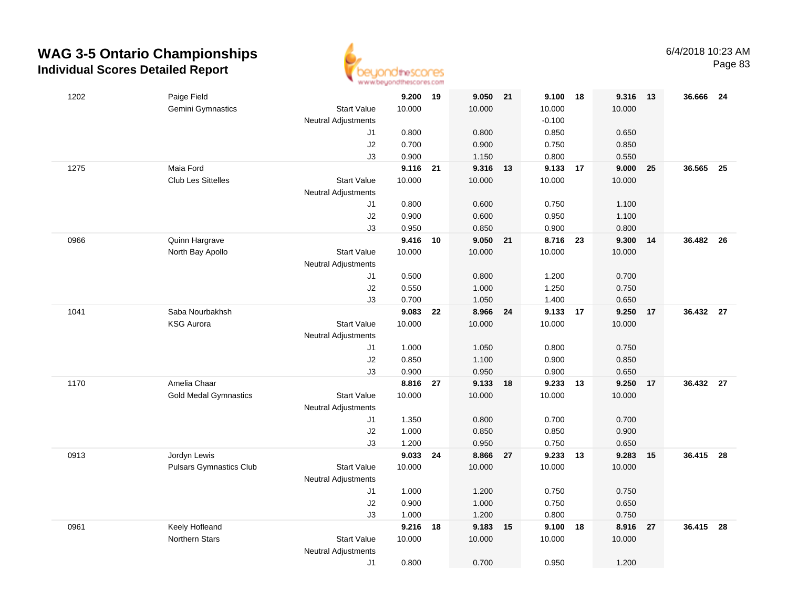

| 1202 | Paige Field                    |                            | 9.200 19       |    | 9.050 21       |       | 9.100          | 18   | 9.316          | $-13$ | 36.666    | - 24 |
|------|--------------------------------|----------------------------|----------------|----|----------------|-------|----------------|------|----------------|-------|-----------|------|
|      | Gemini Gymnastics              | <b>Start Value</b>         | 10.000         |    | 10.000         |       | 10.000         |      | 10.000         |       |           |      |
|      |                                | Neutral Adjustments        |                |    |                |       | $-0.100$       |      |                |       |           |      |
|      |                                | J1                         | 0.800          |    | 0.800          |       | 0.850          |      | 0.650          |       |           |      |
|      |                                | J2                         | 0.700          |    | 0.900          |       | 0.750          |      | 0.850          |       |           |      |
|      |                                | J3                         | 0.900          |    | 1.150          |       | 0.800          |      | 0.550          |       |           |      |
| 1275 | Maia Ford                      |                            | 9.116 21       |    | 9.316          | 13    | 9.133          | 17   | 9.000          | 25    | 36.565    | - 25 |
|      | <b>Club Les Sittelles</b>      | <b>Start Value</b>         | 10.000         |    | 10.000         |       | 10.000         |      | 10.000         |       |           |      |
|      |                                | <b>Neutral Adjustments</b> |                |    |                |       |                |      |                |       |           |      |
|      |                                | J1                         | 0.800          |    | 0.600          |       | 0.750          |      | 1.100          |       |           |      |
|      |                                | J2                         | 0.900          |    | 0.600          |       | 0.950          |      | 1.100          |       |           |      |
|      |                                | J3                         | 0.950          |    | 0.850          |       | 0.900          |      | 0.800          |       |           |      |
| 0966 | Quinn Hargrave                 |                            | 9.416          | 10 | 9.050          | 21    | 8.716          | - 23 | 9.300          | 14    | 36.482 26 |      |
|      | North Bay Apollo               | <b>Start Value</b>         | 10.000         |    | 10.000         |       | 10.000         |      | 10.000         |       |           |      |
|      |                                | <b>Neutral Adjustments</b> |                |    |                |       |                |      |                |       |           |      |
|      |                                | J1                         | 0.500          |    | 0.800          |       | 1.200          |      | 0.700          |       |           |      |
|      |                                | J2                         | 0.550          |    | 1.000          |       | 1.250          |      | 0.750          |       |           |      |
|      |                                | J3                         | 0.700          |    | 1.050          |       | 1.400          |      | 0.650          |       |           |      |
| 1041 | Saba Nourbakhsh                |                            | 9.083          | 22 | 8.966 24       |       | 9.133          | 17   | 9.250          | 17    | 36.432 27 |      |
|      | <b>KSG Aurora</b>              | <b>Start Value</b>         | 10.000         |    | 10.000         |       | 10.000         |      | 10.000         |       |           |      |
|      |                                | <b>Neutral Adjustments</b> |                |    |                |       |                |      |                |       |           |      |
|      |                                | J1                         | 1.000          |    | 1.050          |       | 0.800          |      | 0.750          |       |           |      |
|      |                                | J2                         | 0.850          |    | 1.100          |       | 0.900          |      | 0.850          |       |           |      |
|      |                                | J3                         | 0.900          |    | 0.950          |       | 0.900          |      | 0.650          |       |           |      |
| 1170 | Amelia Chaar                   |                            | 8.816          | 27 | 9.133          | 18    | 9.233          | 13   | 9.250          | 17    | 36.432 27 |      |
|      | <b>Gold Medal Gymnastics</b>   | <b>Start Value</b>         | 10.000         |    | 10.000         |       | 10.000         |      | 10.000         |       |           |      |
|      |                                | <b>Neutral Adjustments</b> |                |    |                |       |                |      |                |       |           |      |
|      |                                | J1                         | 1.350          |    | 0.800          |       | 0.700          |      | 0.700          |       |           |      |
|      |                                | J2                         | 1.000          |    | 0.850          |       | 0.850          |      | 0.900          |       |           |      |
|      |                                | J3                         | 1.200          |    | 0.950          |       | 0.750          |      | 0.650          |       |           |      |
| 0913 | Jordyn Lewis                   |                            | 9.033          | 24 | 8.866 27       |       | 9.233 13       |      | 9.283          | 15    | 36.415 28 |      |
|      | <b>Pulsars Gymnastics Club</b> | <b>Start Value</b>         | 10.000         |    | 10.000         |       | 10.000         |      | 10.000         |       |           |      |
|      |                                | <b>Neutral Adjustments</b> | 1.000          |    |                |       |                |      | 0.750          |       |           |      |
|      |                                | J1<br>J2                   |                |    | 1.200          |       | 0.750          |      |                |       |           |      |
|      |                                |                            | 0.900<br>1.000 |    | 1.000<br>1.200 |       | 0.750<br>0.800 |      | 0.650<br>0.750 |       |           |      |
| 0961 | Keely Hofleand                 | J3                         | 9.216          | 18 | 9.183          | $-15$ | 9.100          | 18   | 8.916          | 27    | 36.415 28 |      |
|      | Northern Stars                 | <b>Start Value</b>         | 10.000         |    | 10.000         |       | 10.000         |      | 10.000         |       |           |      |
|      |                                | <b>Neutral Adjustments</b> |                |    |                |       |                |      |                |       |           |      |
|      |                                | J1                         | 0.800          |    | 0.700          |       | 0.950          |      | 1.200          |       |           |      |
|      |                                |                            |                |    |                |       |                |      |                |       |           |      |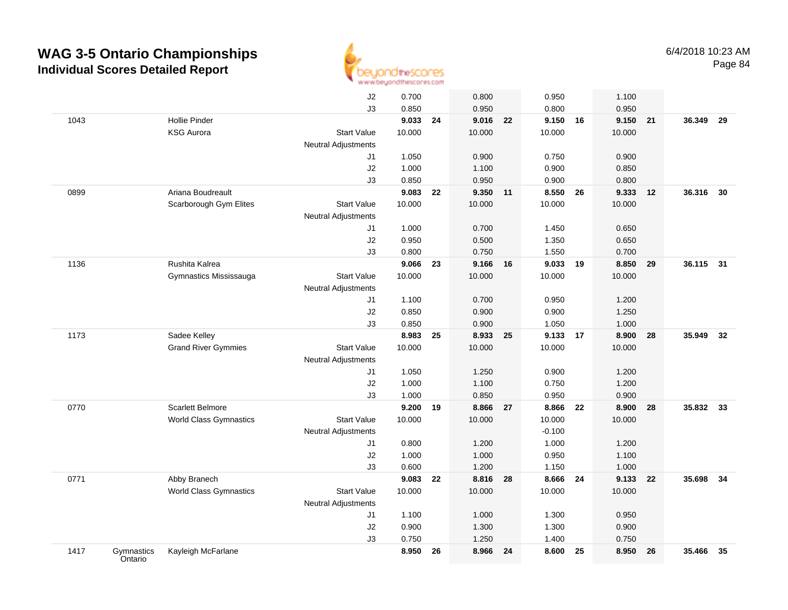

|      |                       |                               | J2                         | 0.700  |    | 0.800    |    | 0.950    |    | 1.100    |      |        |    |
|------|-----------------------|-------------------------------|----------------------------|--------|----|----------|----|----------|----|----------|------|--------|----|
|      |                       |                               | J3                         | 0.850  |    | 0.950    |    | 0.800    |    | 0.950    |      |        |    |
| 1043 |                       | <b>Hollie Pinder</b>          |                            | 9.033  | 24 | 9.016    | 22 | 9.150 16 |    | 9.150 21 |      | 36.349 | 29 |
|      |                       | <b>KSG Aurora</b>             | <b>Start Value</b>         | 10.000 |    | 10.000   |    | 10.000   |    | 10.000   |      |        |    |
|      |                       |                               | <b>Neutral Adjustments</b> |        |    |          |    |          |    |          |      |        |    |
|      |                       |                               | J1                         | 1.050  |    | 0.900    |    | 0.750    |    | 0.900    |      |        |    |
|      |                       |                               | J2                         | 1.000  |    | 1.100    |    | 0.900    |    | 0.850    |      |        |    |
|      |                       |                               | J3                         | 0.850  |    | 0.950    |    | 0.900    |    | 0.800    |      |        |    |
| 0899 |                       | Ariana Boudreault             |                            | 9.083  | 22 | 9.350    | 11 | 8.550    | 26 | 9.333    | 12   | 36.316 | 30 |
|      |                       | Scarborough Gym Elites        | <b>Start Value</b>         | 10.000 |    | 10.000   |    | 10.000   |    | 10.000   |      |        |    |
|      |                       |                               | <b>Neutral Adjustments</b> |        |    |          |    |          |    |          |      |        |    |
|      |                       |                               | J1                         | 1.000  |    | 0.700    |    | 1.450    |    | 0.650    |      |        |    |
|      |                       |                               | J2                         | 0.950  |    | 0.500    |    | 1.350    |    | 0.650    |      |        |    |
|      |                       |                               | J3                         | 0.800  |    | 0.750    |    | 1.550    |    | 0.700    |      |        |    |
| 1136 |                       | Rushita Kalrea                |                            | 9.066  | 23 | 9.166    | 16 | 9.033 19 |    | 8.850 29 |      | 36.115 | 31 |
|      |                       | Gymnastics Mississauga        | <b>Start Value</b>         | 10.000 |    | 10.000   |    | 10.000   |    | 10.000   |      |        |    |
|      |                       |                               | <b>Neutral Adjustments</b> |        |    |          |    |          |    |          |      |        |    |
|      |                       |                               | J1                         | 1.100  |    | 0.700    |    | 0.950    |    | 1.200    |      |        |    |
|      |                       |                               | J2                         | 0.850  |    | 0.900    |    | 0.900    |    | 1.250    |      |        |    |
|      |                       |                               | J3                         | 0.850  |    | 0.900    |    | 1.050    |    | 1.000    |      |        |    |
| 1173 |                       | Sadee Kelley                  |                            | 8.983  | 25 | 8.933    | 25 | 9.133 17 |    | 8.900    | 28   | 35.949 | 32 |
|      |                       | <b>Grand River Gymmies</b>    | <b>Start Value</b>         | 10.000 |    | 10.000   |    | 10.000   |    | 10.000   |      |        |    |
|      |                       |                               | <b>Neutral Adjustments</b> |        |    |          |    |          |    |          |      |        |    |
|      |                       |                               | J1                         | 1.050  |    | 1.250    |    | 0.900    |    | 1.200    |      |        |    |
|      |                       |                               | J2                         | 1.000  |    | 1.100    |    | 0.750    |    | 1.200    |      |        |    |
|      |                       |                               | J3                         | 1.000  |    | 0.850    |    | 0.950    |    | 0.900    |      |        |    |
| 0770 |                       | <b>Scarlett Belmore</b>       |                            | 9.200  | 19 | 8.866    | 27 | 8.866    | 22 | 8.900    | 28   | 35.832 | 33 |
|      |                       | <b>World Class Gymnastics</b> | <b>Start Value</b>         | 10.000 |    | 10.000   |    | 10.000   |    | 10.000   |      |        |    |
|      |                       |                               | <b>Neutral Adjustments</b> |        |    |          |    | $-0.100$ |    |          |      |        |    |
|      |                       |                               | J1                         | 0.800  |    | 1.200    |    | 1.000    |    | 1.200    |      |        |    |
|      |                       |                               | J2                         | 1.000  |    | 1.000    |    | 0.950    |    | 1.100    |      |        |    |
|      |                       |                               | J3                         | 0.600  |    | 1.200    |    | 1.150    |    | 1.000    |      |        |    |
| 0771 |                       | Abby Branech                  |                            | 9.083  | 22 | 8.816    | 28 | 8.666    | 24 | 9.133 22 |      | 35.698 | 34 |
|      |                       | World Class Gymnastics        | <b>Start Value</b>         | 10.000 |    | 10.000   |    | 10.000   |    | 10.000   |      |        |    |
|      |                       |                               | Neutral Adjustments        |        |    |          |    |          |    |          |      |        |    |
|      |                       |                               | J1                         | 1.100  |    | 1.000    |    | 1.300    |    | 0.950    |      |        |    |
|      |                       |                               | J2                         | 0.900  |    | 1.300    |    | 1.300    |    | 0.900    |      |        |    |
|      |                       |                               | J3                         | 0.750  |    | 1.250    |    | 1.400    |    | 0.750    |      |        |    |
| 1417 | Gymnastics<br>Ontario | Kayleigh McFarlane            |                            | 8.950  | 26 | 8.966 24 |    | 8.600    | 25 | 8.950    | - 26 | 35.466 | 35 |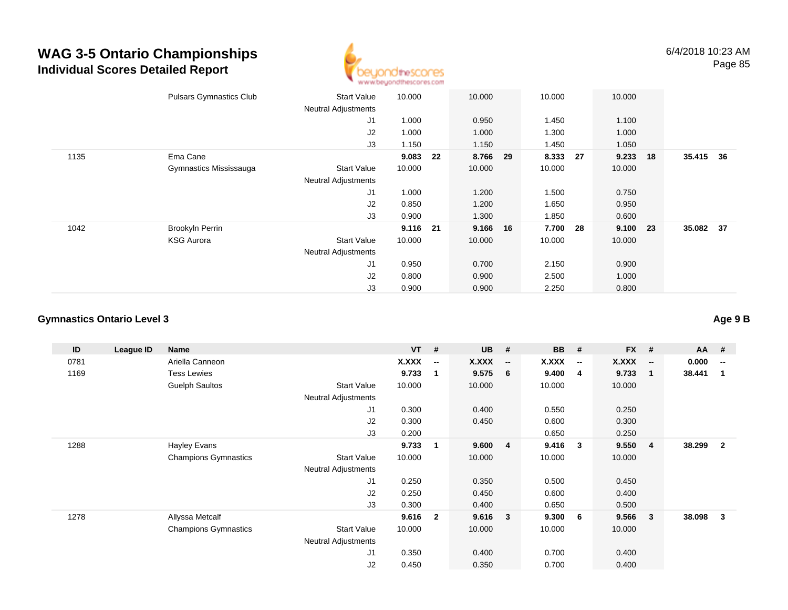

|      | <b>Pulsars Gymnastics Club</b> | Start Value                | 10.000 |    | 10.000 |    | 10.000 |     | 10.000 |    |           |  |
|------|--------------------------------|----------------------------|--------|----|--------|----|--------|-----|--------|----|-----------|--|
|      |                                | <b>Neutral Adjustments</b> |        |    |        |    |        |     |        |    |           |  |
|      |                                | J1                         | 1.000  |    | 0.950  |    | 1.450  |     | 1.100  |    |           |  |
|      |                                | J2                         | 1.000  |    | 1.000  |    | 1.300  |     | 1.000  |    |           |  |
|      |                                | J3                         | 1.150  |    | 1.150  |    | 1.450  |     | 1.050  |    |           |  |
| 1135 | Ema Cane                       |                            | 9.083  | 22 | 8.766  | 29 | 8.333  | -27 | 9.233  | 18 | 35.415 36 |  |
|      | Gymnastics Mississauga         | <b>Start Value</b>         | 10.000 |    | 10.000 |    | 10.000 |     | 10.000 |    |           |  |
|      |                                | <b>Neutral Adjustments</b> |        |    |        |    |        |     |        |    |           |  |
|      |                                | J1                         | 1.000  |    | 1.200  |    | 1.500  |     | 0.750  |    |           |  |
|      |                                | J2                         | 0.850  |    | 1.200  |    | 1.650  |     | 0.950  |    |           |  |
|      |                                | J3                         | 0.900  |    | 1.300  |    | 1.850  |     | 0.600  |    |           |  |
| 1042 | <b>Brookyln Perrin</b>         |                            | 9.116  | 21 | 9.166  | 16 | 7.700  | 28  | 9.100  | 23 | 35.082 37 |  |
|      | <b>KSG Aurora</b>              | <b>Start Value</b>         | 10.000 |    | 10.000 |    | 10.000 |     | 10.000 |    |           |  |
|      |                                | <b>Neutral Adjustments</b> |        |    |        |    |        |     |        |    |           |  |
|      |                                | J <sub>1</sub>             | 0.950  |    | 0.700  |    | 2.150  |     | 0.900  |    |           |  |
|      |                                | J2                         | 0.800  |    | 0.900  |    | 2.500  |     | 1.000  |    |           |  |
|      |                                | J3                         | 0.900  |    | 0.900  |    | 2.250  |     | 0.800  |    |           |  |
|      |                                |                            |        |    |        |    |        |     |        |    |           |  |

### **Gymnastics Ontario Level 3**

| ID   | League ID | <b>Name</b>                 |                            | <b>VT</b> | #                        | <b>UB</b> | #                        | <b>BB</b> | #                        | <b>FX</b>    | #                        | AA #   |                          |
|------|-----------|-----------------------------|----------------------------|-----------|--------------------------|-----------|--------------------------|-----------|--------------------------|--------------|--------------------------|--------|--------------------------|
| 0781 |           | Ariella Canneon             |                            | X.XXX     | $\overline{\phantom{a}}$ | X.XXX     | $\overline{\phantom{a}}$ | X.XXX     | $\overline{\phantom{a}}$ | <b>X.XXX</b> | $\overline{\phantom{a}}$ | 0.000  | $\overline{\phantom{a}}$ |
| 1169 |           | <b>Tess Lewies</b>          |                            | 9.733     | $\mathbf 1$              | 9.575     | 6                        | 9.400     | $\overline{4}$           | 9.733        | 1                        | 38.441 |                          |
|      |           | <b>Guelph Saultos</b>       | <b>Start Value</b>         | 10.000    |                          | 10.000    |                          | 10.000    |                          | 10.000       |                          |        |                          |
|      |           |                             | <b>Neutral Adjustments</b> |           |                          |           |                          |           |                          |              |                          |        |                          |
|      |           |                             | J <sub>1</sub>             | 0.300     |                          | 0.400     |                          | 0.550     |                          | 0.250        |                          |        |                          |
|      |           |                             | J2                         | 0.300     |                          | 0.450     |                          | 0.600     |                          | 0.300        |                          |        |                          |
|      |           |                             | J3                         | 0.200     |                          |           |                          | 0.650     |                          | 0.250        |                          |        |                          |
| 1288 |           | Hayley Evans                |                            | 9.733     | $\overline{\mathbf{1}}$  | 9.600     | $\overline{4}$           | 9.416     | $\mathbf{3}$             | 9.550        | 4                        | 38.299 | $\overline{2}$           |
|      |           | <b>Champions Gymnastics</b> | <b>Start Value</b>         | 10.000    |                          | 10.000    |                          | 10.000    |                          | 10.000       |                          |        |                          |
|      |           |                             | <b>Neutral Adjustments</b> |           |                          |           |                          |           |                          |              |                          |        |                          |
|      |           |                             | J1                         | 0.250     |                          | 0.350     |                          | 0.500     |                          | 0.450        |                          |        |                          |
|      |           |                             | J2                         | 0.250     |                          | 0.450     |                          | 0.600     |                          | 0.400        |                          |        |                          |
|      |           |                             | J3                         | 0.300     |                          | 0.400     |                          | 0.650     |                          | 0.500        |                          |        |                          |
| 1278 |           | Allyssa Metcalf             |                            | 9.616     | $\overline{2}$           | 9.616     | $\overline{\mathbf{3}}$  | 9.300     | 6                        | 9.566        | 3                        | 38.098 | 3                        |
|      |           | <b>Champions Gymnastics</b> | <b>Start Value</b>         | 10.000    |                          | 10.000    |                          | 10.000    |                          | 10.000       |                          |        |                          |
|      |           |                             | <b>Neutral Adjustments</b> |           |                          |           |                          |           |                          |              |                          |        |                          |
|      |           |                             | J <sub>1</sub>             | 0.350     |                          | 0.400     |                          | 0.700     |                          | 0.400        |                          |        |                          |
|      |           |                             | J <sub>2</sub>             | 0.450     |                          | 0.350     |                          | 0.700     |                          | 0.400        |                          |        |                          |

**Age 9 B**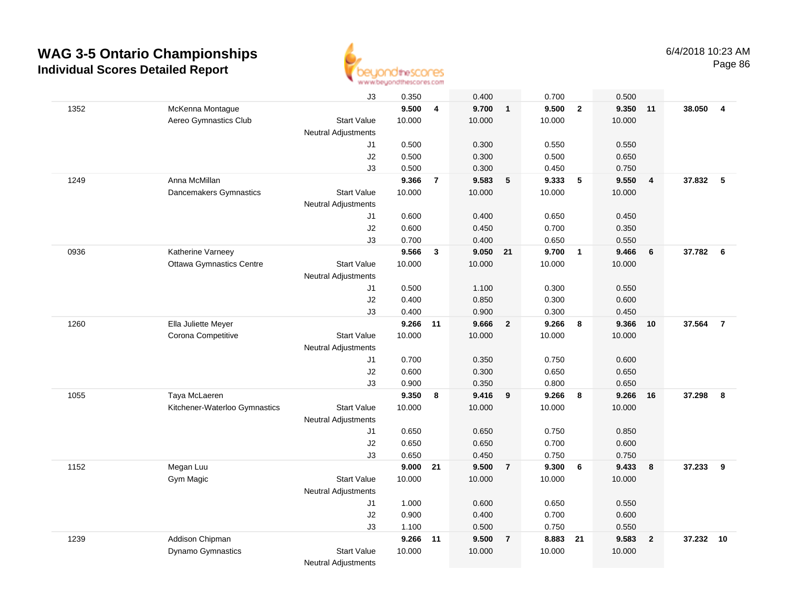

|      |                                 | J3                         | 0.350  |                | 0.400    |                         | 0.700  |                         | 0.500  |                         |        |                         |
|------|---------------------------------|----------------------------|--------|----------------|----------|-------------------------|--------|-------------------------|--------|-------------------------|--------|-------------------------|
| 1352 | McKenna Montague                |                            | 9.500  | 4              | 9.700    | $\overline{1}$          | 9.500  | $\overline{2}$          | 9.350  | 11                      | 38.050 | $\overline{\mathbf{4}}$ |
|      | Aereo Gymnastics Club           | <b>Start Value</b>         | 10.000 |                | 10.000   |                         | 10.000 |                         | 10.000 |                         |        |                         |
|      |                                 | <b>Neutral Adjustments</b> |        |                |          |                         |        |                         |        |                         |        |                         |
|      |                                 | J1                         | 0.500  |                | 0.300    |                         | 0.550  |                         | 0.550  |                         |        |                         |
|      |                                 | J2                         | 0.500  |                | 0.300    |                         | 0.500  |                         | 0.650  |                         |        |                         |
|      |                                 | J3                         | 0.500  |                | 0.300    |                         | 0.450  |                         | 0.750  |                         |        |                         |
| 1249 | Anna McMillan                   |                            | 9.366  | $\overline{7}$ | 9.583    | 5                       | 9.333  | 5                       | 9.550  | $\overline{4}$          | 37.832 | 5                       |
|      | Dancemakers Gymnastics          | <b>Start Value</b>         | 10.000 |                | 10.000   |                         | 10.000 |                         | 10.000 |                         |        |                         |
|      |                                 | <b>Neutral Adjustments</b> |        |                |          |                         |        |                         |        |                         |        |                         |
|      |                                 | J1                         | 0.600  |                | 0.400    |                         | 0.650  |                         | 0.450  |                         |        |                         |
|      |                                 | J2                         | 0.600  |                | 0.450    |                         | 0.700  |                         | 0.350  |                         |        |                         |
|      |                                 | J3                         | 0.700  |                | 0.400    |                         | 0.650  |                         | 0.550  |                         |        |                         |
| 0936 | Katherine Varneey               |                            | 9.566  | $\mathbf{3}$   | 9.050 21 |                         | 9.700  | $\overline{1}$          | 9.466  | 6                       | 37.782 | $6\overline{6}$         |
|      | <b>Ottawa Gymnastics Centre</b> | <b>Start Value</b>         | 10.000 |                | 10.000   |                         | 10.000 |                         | 10.000 |                         |        |                         |
|      |                                 | <b>Neutral Adjustments</b> |        |                |          |                         |        |                         |        |                         |        |                         |
|      |                                 | J1                         | 0.500  |                | 1.100    |                         | 0.300  |                         | 0.550  |                         |        |                         |
|      |                                 | J2                         | 0.400  |                | 0.850    |                         | 0.300  |                         | 0.600  |                         |        |                         |
|      |                                 | J3                         | 0.400  |                | 0.900    |                         | 0.300  |                         | 0.450  |                         |        |                         |
| 1260 | Ella Juliette Meyer             |                            | 9.266  | 11             | 9.666    | $\overline{\mathbf{2}}$ | 9.266  | $\overline{\mathbf{8}}$ | 9.366  | 10                      | 37.564 | $\overline{7}$          |
|      | Corona Competitive              | <b>Start Value</b>         | 10.000 |                | 10.000   |                         | 10.000 |                         | 10.000 |                         |        |                         |
|      |                                 | <b>Neutral Adjustments</b> |        |                |          |                         |        |                         |        |                         |        |                         |
|      |                                 | J1                         | 0.700  |                | 0.350    |                         | 0.750  |                         | 0.600  |                         |        |                         |
|      |                                 | J2                         | 0.600  |                | 0.300    |                         | 0.650  |                         | 0.650  |                         |        |                         |
|      |                                 | J3                         | 0.900  |                | 0.350    |                         | 0.800  |                         | 0.650  |                         |        |                         |
| 1055 | Taya McLaeren                   |                            | 9.350  | 8              | 9.416    | 9                       | 9.266  | 8                       | 9.266  | 16                      | 37.298 | 8                       |
|      | Kitchener-Waterloo Gymnastics   | <b>Start Value</b>         | 10.000 |                | 10.000   |                         | 10.000 |                         | 10.000 |                         |        |                         |
|      |                                 | <b>Neutral Adjustments</b> |        |                |          |                         |        |                         |        |                         |        |                         |
|      |                                 | J1                         | 0.650  |                | 0.650    |                         | 0.750  |                         | 0.850  |                         |        |                         |
|      |                                 | J2                         | 0.650  |                | 0.650    |                         | 0.700  |                         | 0.600  |                         |        |                         |
|      |                                 | J3                         | 0.650  |                | 0.450    |                         | 0.750  |                         | 0.750  |                         |        |                         |
| 1152 | Megan Luu                       |                            | 9.000  | 21             | 9.500    | $\overline{7}$          | 9.300  | 6                       | 9.433  | 8                       | 37.233 | 9                       |
|      | Gym Magic                       | <b>Start Value</b>         | 10.000 |                | 10.000   |                         | 10.000 |                         | 10.000 |                         |        |                         |
|      |                                 | Neutral Adjustments        |        |                |          |                         |        |                         |        |                         |        |                         |
|      |                                 | J1                         | 1.000  |                | 0.600    |                         | 0.650  |                         | 0.550  |                         |        |                         |
|      |                                 | J2                         | 0.900  |                | 0.400    |                         | 0.700  |                         | 0.600  |                         |        |                         |
|      |                                 | J3                         | 1.100  |                | 0.500    |                         | 0.750  |                         | 0.550  |                         |        |                         |
| 1239 | Addison Chipman                 |                            | 9.266  | 11             | 9.500    | $\overline{7}$          | 8.883  | 21                      | 9.583  | $\overline{\mathbf{2}}$ | 37.232 | 10                      |
|      | Dynamo Gymnastics               | <b>Start Value</b>         | 10.000 |                | 10.000   |                         | 10.000 |                         | 10.000 |                         |        |                         |
|      |                                 | <b>Neutral Adjustments</b> |        |                |          |                         |        |                         |        |                         |        |                         |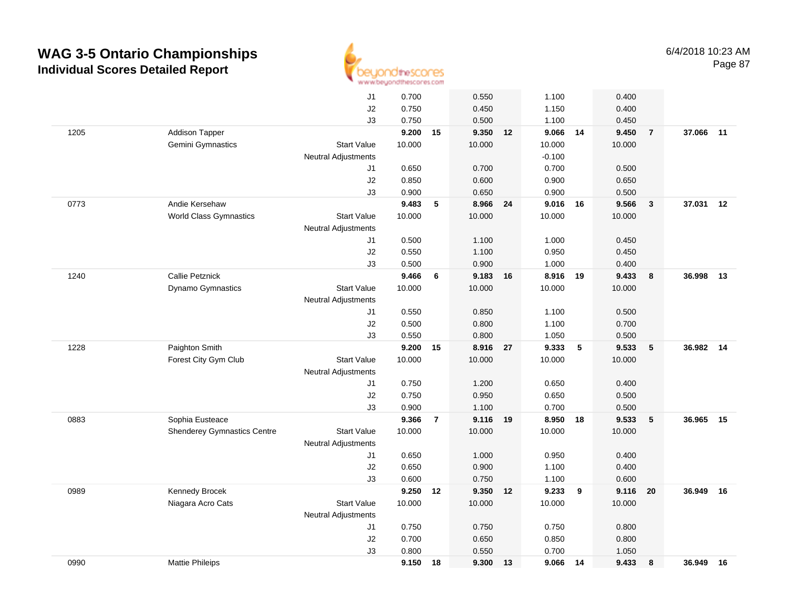

|      |                                    | J1                         | 0.700  |                | 0.550    |    | 1.100    |    | 0.400  |                |        |    |
|------|------------------------------------|----------------------------|--------|----------------|----------|----|----------|----|--------|----------------|--------|----|
|      |                                    | J2                         | 0.750  |                | 0.450    |    | 1.150    |    | 0.400  |                |        |    |
|      |                                    | J3                         | 0.750  |                | 0.500    |    | 1.100    |    | 0.450  |                |        |    |
| 1205 | <b>Addison Tapper</b>              |                            | 9.200  | 15             | 9.350 12 |    | 9.066 14 |    | 9.450  | $\overline{7}$ | 37.066 | 11 |
|      | Gemini Gymnastics                  | <b>Start Value</b>         | 10.000 |                | 10.000   |    | 10.000   |    | 10.000 |                |        |    |
|      |                                    | <b>Neutral Adjustments</b> |        |                |          |    | $-0.100$ |    |        |                |        |    |
|      |                                    | J1                         | 0.650  |                | 0.700    |    | 0.700    |    | 0.500  |                |        |    |
|      |                                    | J2                         | 0.850  |                | 0.600    |    | 0.900    |    | 0.650  |                |        |    |
|      |                                    | J3                         | 0.900  |                | 0.650    |    | 0.900    |    | 0.500  |                |        |    |
| 0773 | Andie Kersehaw                     |                            | 9.483  | 5              | 8.966 24 |    | 9.016 16 |    | 9.566  | $\mathbf{3}$   | 37.031 | 12 |
|      | <b>World Class Gymnastics</b>      | <b>Start Value</b>         | 10.000 |                | 10.000   |    | 10.000   |    | 10.000 |                |        |    |
|      |                                    | <b>Neutral Adjustments</b> |        |                |          |    |          |    |        |                |        |    |
|      |                                    | J1                         | 0.500  |                | 1.100    |    | 1.000    |    | 0.450  |                |        |    |
|      |                                    | J2                         | 0.550  |                | 1.100    |    | 0.950    |    | 0.450  |                |        |    |
|      |                                    | J3                         | 0.500  |                | 0.900    |    | 1.000    |    | 0.400  |                |        |    |
| 1240 | <b>Callie Petznick</b>             |                            | 9.466  | 6              | 9.183 16 |    | 8.916 19 |    | 9.433  | 8              | 36.998 | 13 |
|      | Dynamo Gymnastics                  | <b>Start Value</b>         | 10.000 |                | 10.000   |    | 10.000   |    | 10.000 |                |        |    |
|      |                                    | <b>Neutral Adjustments</b> |        |                |          |    |          |    |        |                |        |    |
|      |                                    | J1                         | 0.550  |                | 0.850    |    | 1.100    |    | 0.500  |                |        |    |
|      |                                    | J2                         | 0.500  |                | 0.800    |    | 1.100    |    | 0.700  |                |        |    |
|      |                                    | J3                         | 0.550  |                | 0.800    |    | 1.050    |    | 0.500  |                |        |    |
| 1228 | Paighton Smith                     |                            | 9.200  | 15             | 8.916    | 27 | 9.333    | 5  | 9.533  | 5              | 36.982 | 14 |
|      | Forest City Gym Club               | <b>Start Value</b>         | 10.000 |                | 10.000   |    | 10.000   |    | 10.000 |                |        |    |
|      |                                    | Neutral Adjustments        |        |                |          |    |          |    |        |                |        |    |
|      |                                    | J1                         | 0.750  |                | 1.200    |    | 0.650    |    | 0.400  |                |        |    |
|      |                                    | J2                         | 0.750  |                | 0.950    |    | 0.650    |    | 0.500  |                |        |    |
|      |                                    | J3                         | 0.900  |                | 1.100    |    | 0.700    |    | 0.500  |                |        |    |
| 0883 | Sophia Eusteace                    |                            | 9.366  | $\overline{7}$ | 9.116 19 |    | 8.950    | 18 | 9.533  | 5              | 36.965 | 15 |
|      | <b>Shenderey Gymnastics Centre</b> | <b>Start Value</b>         | 10.000 |                | 10.000   |    | 10.000   |    | 10.000 |                |        |    |
|      |                                    | <b>Neutral Adjustments</b> |        |                |          |    |          |    |        |                |        |    |
|      |                                    | J1                         | 0.650  |                | 1.000    |    | 0.950    |    | 0.400  |                |        |    |
|      |                                    | J2                         | 0.650  |                | 0.900    |    | 1.100    |    | 0.400  |                |        |    |
|      |                                    | J3                         | 0.600  |                | 0.750    |    | 1.100    |    | 0.600  |                |        |    |
| 0989 | Kennedy Brocek                     |                            | 9.250  | 12             | 9.350    | 12 | 9.233    | 9  | 9.116  | 20             | 36.949 | 16 |
|      | Niagara Acro Cats                  | <b>Start Value</b>         | 10.000 |                | 10.000   |    | 10.000   |    | 10.000 |                |        |    |
|      |                                    | <b>Neutral Adjustments</b> |        |                |          |    |          |    |        |                |        |    |
|      |                                    | J1                         | 0.750  |                | 0.750    |    | 0.750    |    | 0.800  |                |        |    |
|      |                                    | J2                         | 0.700  |                | 0.650    |    | 0.850    |    | 0.800  |                |        |    |
|      |                                    | J3                         | 0.800  |                | 0.550    |    | 0.700    |    | 1.050  |                |        |    |
| 0990 | <b>Mattie Phileips</b>             |                            | 9.150  | 18             | 9.300    | 13 | 9.066    | 14 | 9.433  | 8              | 36.949 | 16 |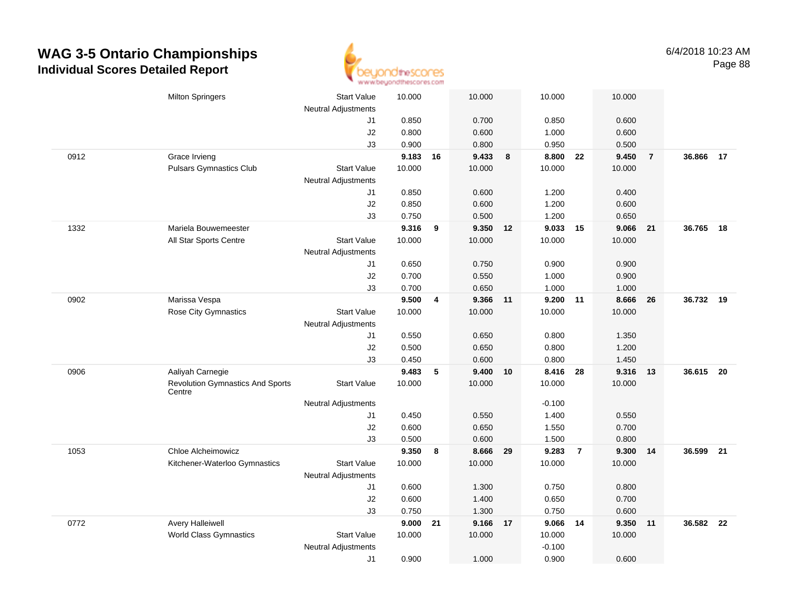

|      | <b>Milton Springers</b>                           | <b>Start Value</b><br><b>Neutral Adjustments</b> | 10.000 |    | 10.000   |    | 10.000   |                | 10.000   |                |           |    |
|------|---------------------------------------------------|--------------------------------------------------|--------|----|----------|----|----------|----------------|----------|----------------|-----------|----|
|      |                                                   | J1                                               | 0.850  |    | 0.700    |    | 0.850    |                | 0.600    |                |           |    |
|      |                                                   | J2                                               | 0.800  |    | 0.600    |    | 1.000    |                | 0.600    |                |           |    |
|      |                                                   | J3                                               | 0.900  |    | 0.800    |    | 0.950    |                | 0.500    |                |           |    |
| 0912 | Grace Irvieng                                     |                                                  | 9.183  | 16 | 9.433    | 8  | 8.800    | 22             | 9.450    | $\overline{7}$ | 36.866 17 |    |
|      | <b>Pulsars Gymnastics Club</b>                    | <b>Start Value</b>                               | 10.000 |    | 10.000   |    | 10.000   |                | 10.000   |                |           |    |
|      |                                                   | <b>Neutral Adjustments</b>                       |        |    |          |    |          |                |          |                |           |    |
|      |                                                   | J1                                               | 0.850  |    | 0.600    |    | 1.200    |                | 0.400    |                |           |    |
|      |                                                   | J2                                               | 0.850  |    | 0.600    |    | 1.200    |                | 0.600    |                |           |    |
|      |                                                   | J3                                               | 0.750  |    | 0.500    |    | 1.200    |                | 0.650    |                |           |    |
| 1332 | Mariela Bouwemeester                              |                                                  | 9.316  | 9  | 9.350    | 12 | 9.033 15 |                | 9.066    | 21             | 36.765    | 18 |
|      | All Star Sports Centre                            | <b>Start Value</b>                               | 10.000 |    | 10.000   |    | 10.000   |                | 10.000   |                |           |    |
|      |                                                   | <b>Neutral Adjustments</b>                       |        |    |          |    |          |                |          |                |           |    |
|      |                                                   | J1                                               | 0.650  |    | 0.750    |    | 0.900    |                | 0.900    |                |           |    |
|      |                                                   | J2                                               | 0.700  |    | 0.550    |    | 1.000    |                | 0.900    |                |           |    |
|      |                                                   | J3                                               | 0.700  |    | 0.650    |    | 1.000    |                | 1.000    |                |           |    |
| 0902 | Marissa Vespa                                     |                                                  | 9.500  | 4  | 9.366 11 |    | 9.200 11 |                | 8.666    | 26             | 36.732 19 |    |
|      | Rose City Gymnastics                              | <b>Start Value</b>                               | 10.000 |    | 10.000   |    | 10.000   |                | 10.000   |                |           |    |
|      |                                                   | <b>Neutral Adjustments</b>                       |        |    |          |    |          |                |          |                |           |    |
|      |                                                   | J1                                               | 0.550  |    | 0.650    |    | 0.800    |                | 1.350    |                |           |    |
|      |                                                   | J2                                               | 0.500  |    | 0.650    |    | 0.800    |                | 1.200    |                |           |    |
|      |                                                   | J3                                               | 0.450  |    | 0.600    |    | 0.800    |                | 1.450    |                |           |    |
| 0906 | Aaliyah Carnegie                                  |                                                  | 9.483  | 5  | 9.400    | 10 | 8.416    | 28             | 9.316 13 |                | 36.615 20 |    |
|      | <b>Revolution Gymnastics And Sports</b><br>Centre | <b>Start Value</b>                               | 10.000 |    | 10.000   |    | 10.000   |                | 10.000   |                |           |    |
|      |                                                   | <b>Neutral Adjustments</b>                       |        |    |          |    | $-0.100$ |                |          |                |           |    |
|      |                                                   | J1                                               | 0.450  |    | 0.550    |    | 1.400    |                | 0.550    |                |           |    |
|      |                                                   | $\sf J2$                                         | 0.600  |    | 0.650    |    | 1.550    |                | 0.700    |                |           |    |
|      |                                                   | J3                                               | 0.500  |    | 0.600    |    | 1.500    |                | 0.800    |                |           |    |
| 1053 | Chloe Alcheimowicz                                |                                                  | 9.350  | 8  | 8.666    | 29 | 9.283    | $\overline{7}$ | 9.300 14 |                | 36.599 21 |    |
|      | Kitchener-Waterloo Gymnastics                     | <b>Start Value</b>                               | 10.000 |    | 10.000   |    | 10.000   |                | 10.000   |                |           |    |
|      |                                                   | <b>Neutral Adjustments</b>                       |        |    |          |    |          |                |          |                |           |    |
|      |                                                   | J1                                               | 0.600  |    | 1.300    |    | 0.750    |                | 0.800    |                |           |    |
|      |                                                   | J2                                               | 0.600  |    | 1.400    |    | 0.650    |                | 0.700    |                |           |    |
|      |                                                   | J3                                               | 0.750  |    | 1.300    |    | 0.750    |                | 0.600    |                |           |    |
| 0772 | <b>Avery Halleiwell</b>                           |                                                  | 9.000  | 21 | 9.166    | 17 | 9.066    | 14             | 9.350    | 11             | 36.582 22 |    |
|      | <b>World Class Gymnastics</b>                     | <b>Start Value</b>                               | 10.000 |    | 10.000   |    | 10.000   |                | 10.000   |                |           |    |
|      |                                                   | <b>Neutral Adjustments</b>                       |        |    |          |    | $-0.100$ |                |          |                |           |    |
|      |                                                   | J1                                               | 0.900  |    | 1.000    |    | 0.900    |                | 0.600    |                |           |    |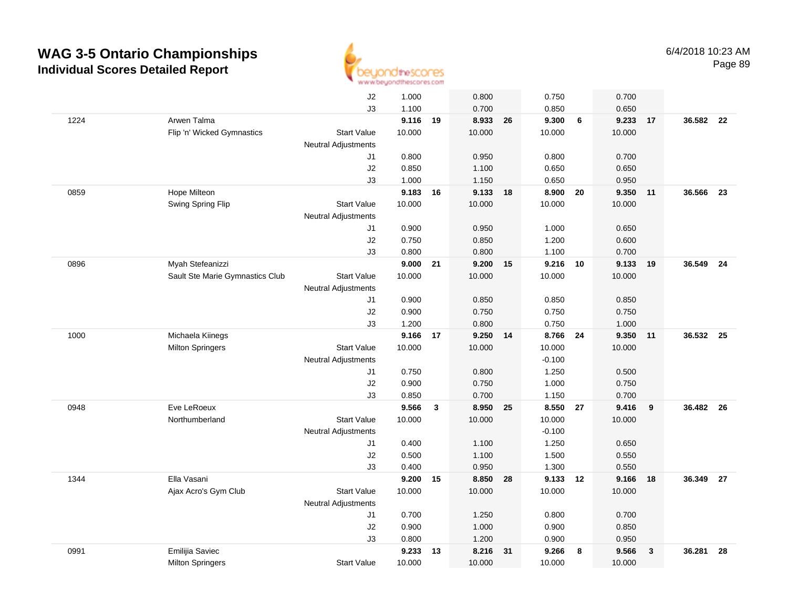

|      |                                 | J2                         | 1.000    |    | 0.800    |    | 0.750    |                 | 0.700  |              |           |    |
|------|---------------------------------|----------------------------|----------|----|----------|----|----------|-----------------|--------|--------------|-----------|----|
|      |                                 | J3                         | 1.100    |    | 0.700    |    | 0.850    |                 | 0.650  |              |           |    |
| 1224 | Arwen Talma                     |                            | 9.116 19 |    | 8.933    | 26 | 9.300    | $6\phantom{1}6$ | 9.233  | 17           | 36.582 22 |    |
|      | Flip 'n' Wicked Gymnastics      | <b>Start Value</b>         | 10.000   |    | 10.000   |    | 10.000   |                 | 10.000 |              |           |    |
|      |                                 | <b>Neutral Adjustments</b> |          |    |          |    |          |                 |        |              |           |    |
|      |                                 | J1                         | 0.800    |    | 0.950    |    | 0.800    |                 | 0.700  |              |           |    |
|      |                                 | J2                         | 0.850    |    | 1.100    |    | 0.650    |                 | 0.650  |              |           |    |
|      |                                 | J3                         | 1.000    |    | 1.150    |    | 0.650    |                 | 0.950  |              |           |    |
| 0859 | Hope Milteon                    |                            | 9.183 16 |    | 9.133    | 18 | 8.900    | 20              | 9.350  | 11           | 36.566    | 23 |
|      | Swing Spring Flip               | <b>Start Value</b>         | 10.000   |    | 10.000   |    | 10.000   |                 | 10.000 |              |           |    |
|      |                                 | <b>Neutral Adjustments</b> |          |    |          |    |          |                 |        |              |           |    |
|      |                                 | J1                         | 0.900    |    | 0.950    |    | 1.000    |                 | 0.650  |              |           |    |
|      |                                 | J2                         | 0.750    |    | 0.850    |    | 1.200    |                 | 0.600  |              |           |    |
|      |                                 | J3                         | 0.800    |    | 0.800    |    | 1.100    |                 | 0.700  |              |           |    |
| 0896 | Myah Stefeanizzi                |                            | 9.000    | 21 | 9.200 15 |    | 9.216 10 |                 | 9.133  | 19           | 36.549    | 24 |
|      | Sault Ste Marie Gymnastics Club | <b>Start Value</b>         | 10.000   |    | 10.000   |    | 10.000   |                 | 10.000 |              |           |    |
|      |                                 | <b>Neutral Adjustments</b> |          |    |          |    |          |                 |        |              |           |    |
|      |                                 | J1                         | 0.900    |    | 0.850    |    | 0.850    |                 | 0.850  |              |           |    |
|      |                                 | J2                         | 0.900    |    | 0.750    |    | 0.750    |                 | 0.750  |              |           |    |
|      |                                 | J3                         | 1.200    |    | 0.800    |    | 0.750    |                 | 1.000  |              |           |    |
| 1000 | Michaela Kiinegs                |                            | 9.166    | 17 | 9.250 14 |    | 8.766    | 24              | 9.350  | 11           | 36.532 25 |    |
|      | <b>Milton Springers</b>         | <b>Start Value</b>         | 10.000   |    | 10.000   |    | 10.000   |                 | 10.000 |              |           |    |
|      |                                 | <b>Neutral Adjustments</b> |          |    |          |    | $-0.100$ |                 |        |              |           |    |
|      |                                 | J1                         | 0.750    |    | 0.800    |    | 1.250    |                 | 0.500  |              |           |    |
|      |                                 | J2                         | 0.900    |    | 0.750    |    | 1.000    |                 | 0.750  |              |           |    |
|      |                                 | J3                         | 0.850    |    | 0.700    |    | 1.150    |                 | 0.700  |              |           |    |
| 0948 | Eve LeRoeux                     |                            | 9.566    | 3  | 8.950    | 25 | 8.550 27 |                 | 9.416  | 9            | 36.482 26 |    |
|      | Northumberland                  | <b>Start Value</b>         | 10.000   |    | 10.000   |    | 10.000   |                 | 10.000 |              |           |    |
|      |                                 | <b>Neutral Adjustments</b> |          |    |          |    | $-0.100$ |                 |        |              |           |    |
|      |                                 | J1                         | 0.400    |    | 1.100    |    | 1.250    |                 | 0.650  |              |           |    |
|      |                                 | J2                         | 0.500    |    | 1.100    |    | 1.500    |                 | 0.550  |              |           |    |
|      |                                 | J3                         | 0.400    |    | 0.950    |    | 1.300    |                 | 0.550  |              |           |    |
| 1344 | Ella Vasani                     |                            | 9.200    | 15 | 8.850    | 28 | 9.133 12 |                 | 9.166  | 18           | 36.349    | 27 |
|      | Ajax Acro's Gym Club            | <b>Start Value</b>         | 10.000   |    | 10.000   |    | 10.000   |                 | 10.000 |              |           |    |
|      |                                 | <b>Neutral Adjustments</b> |          |    |          |    |          |                 |        |              |           |    |
|      |                                 | J1                         | 0.700    |    | 1.250    |    | 0.800    |                 | 0.700  |              |           |    |
|      |                                 | J2                         | 0.900    |    | 1.000    |    | 0.900    |                 | 0.850  |              |           |    |
|      |                                 | J3                         | 0.800    |    | 1.200    |    | 0.900    |                 | 0.950  |              |           |    |
| 0991 | Emilijia Saviec                 |                            | 9.233    | 13 | 8.216    | 31 | 9.266    | 8               | 9.566  | $\mathbf{3}$ | 36.281    | 28 |
|      | <b>Milton Springers</b>         | <b>Start Value</b>         | 10.000   |    | 10.000   |    | 10.000   |                 | 10.000 |              |           |    |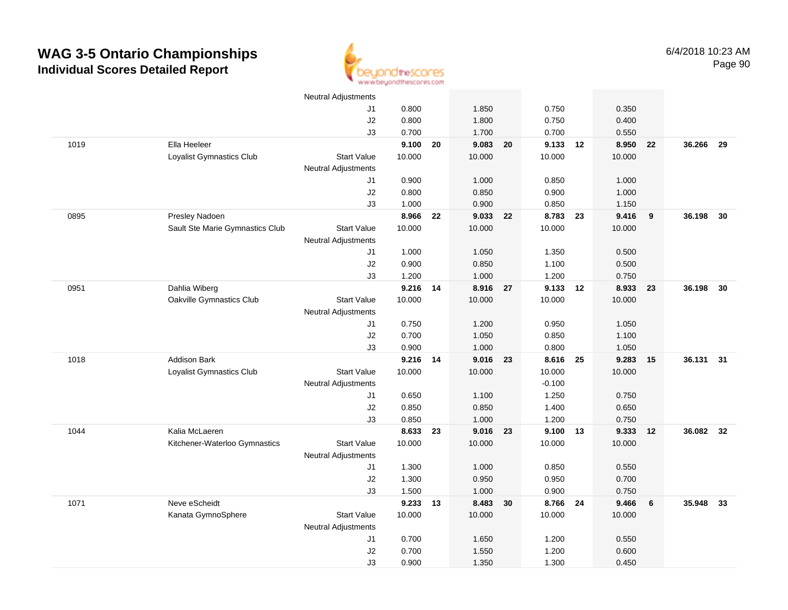

|      |                                 | <b>Neutral Adjustments</b> |          |    |          |    |            |        |    |           |      |
|------|---------------------------------|----------------------------|----------|----|----------|----|------------|--------|----|-----------|------|
|      |                                 | J1                         | 0.800    |    | 1.850    |    | 0.750      | 0.350  |    |           |      |
|      |                                 | J2                         | 0.800    |    | 1.800    |    | 0.750      | 0.400  |    |           |      |
|      |                                 | J3                         | 0.700    |    | 1.700    |    | 0.700      | 0.550  |    |           |      |
| 1019 | Ella Heeleer                    |                            | 9.100    | 20 | 9.083    | 20 | 9.133 12   | 8.950  | 22 | 36.266 29 |      |
|      | Loyalist Gymnastics Club        | <b>Start Value</b>         | 10.000   |    | 10.000   |    | 10.000     | 10.000 |    |           |      |
|      |                                 | <b>Neutral Adjustments</b> |          |    |          |    |            |        |    |           |      |
|      |                                 | J1                         | 0.900    |    | 1.000    |    | 0.850      | 1.000  |    |           |      |
|      |                                 | J2                         | 0.800    |    | 0.850    |    | 0.900      | 1.000  |    |           |      |
|      |                                 | J3                         | 1.000    |    | 0.900    |    | 0.850      | 1.150  |    |           |      |
| 0895 | Presley Nadoen                  |                            | 8.966    | 22 | 9.033 22 |    | 8.783 23   | 9.416  | 9  | 36.198    | - 30 |
|      | Sault Ste Marie Gymnastics Club | <b>Start Value</b>         | 10.000   |    | 10.000   |    | 10.000     | 10.000 |    |           |      |
|      |                                 | <b>Neutral Adjustments</b> |          |    |          |    |            |        |    |           |      |
|      |                                 | J1                         | 1.000    |    | 1.050    |    | 1.350      | 0.500  |    |           |      |
|      |                                 | $\sf J2$                   | 0.900    |    | 0.850    |    | 1.100      | 0.500  |    |           |      |
|      |                                 | J3                         | 1.200    |    | 1.000    |    | 1.200      | 0.750  |    |           |      |
| 0951 | Dahlia Wiberg                   |                            | 9.216 14 |    | 8.916 27 |    | 9.133 12   | 8.933  | 23 | 36.198    | 30   |
|      | Oakville Gymnastics Club        | <b>Start Value</b>         | 10.000   |    | 10.000   |    | 10.000     | 10.000 |    |           |      |
|      |                                 | <b>Neutral Adjustments</b> |          |    |          |    |            |        |    |           |      |
|      |                                 | J1                         | 0.750    |    | 1.200    |    | 0.950      | 1.050  |    |           |      |
|      |                                 | J2                         | 0.700    |    | 1.050    |    | 0.850      | 1.100  |    |           |      |
|      |                                 | J3                         | 0.900    |    | 1.000    |    | 0.800      | 1.050  |    |           |      |
| 1018 | <b>Addison Bark</b>             |                            | 9.216 14 |    | 9.016    | 23 | 8.616 25   | 9.283  | 15 | 36.131 31 |      |
|      | Loyalist Gymnastics Club        | <b>Start Value</b>         | 10.000   |    | 10.000   |    | 10.000     | 10.000 |    |           |      |
|      |                                 | <b>Neutral Adjustments</b> |          |    |          |    | $-0.100$   |        |    |           |      |
|      |                                 | J1                         | 0.650    |    | 1.100    |    | 1.250      | 0.750  |    |           |      |
|      |                                 | J2                         | 0.850    |    | 0.850    |    | 1.400      | 0.650  |    |           |      |
|      |                                 | J3                         | 0.850    |    | 1.000    |    | 1.200      | 0.750  |    |           |      |
| 1044 | Kalia McLaeren                  |                            | 8.633 23 |    | 9.016 23 |    | $9.100$ 13 | 9.333  | 12 | 36.082 32 |      |
|      | Kitchener-Waterloo Gymnastics   | <b>Start Value</b>         | 10.000   |    | 10.000   |    | 10.000     | 10.000 |    |           |      |
|      |                                 | <b>Neutral Adjustments</b> |          |    |          |    |            |        |    |           |      |
|      |                                 | J1                         | 1.300    |    | 1.000    |    | 0.850      | 0.550  |    |           |      |
|      |                                 | J2                         | 1.300    |    | 0.950    |    | 0.950      | 0.700  |    |           |      |
|      |                                 | J3                         | 1.500    |    | 1.000    |    | 0.900      | 0.750  |    |           |      |
| 1071 | Neve eScheidt                   |                            | 9.233 13 |    | 8.483    | 30 | 8.766 24   | 9.466  | 6  | 35.948    | 33   |
|      | Kanata GymnoSphere              | <b>Start Value</b>         | 10.000   |    | 10.000   |    | 10.000     | 10.000 |    |           |      |
|      |                                 | <b>Neutral Adjustments</b> |          |    |          |    |            |        |    |           |      |
|      |                                 | J1                         | 0.700    |    | 1.650    |    | 1.200      | 0.550  |    |           |      |
|      |                                 | J2                         | 0.700    |    | 1.550    |    | 1.200      | 0.600  |    |           |      |
|      |                                 | J3                         | 0.900    |    | 1.350    |    | 1.300      | 0.450  |    |           |      |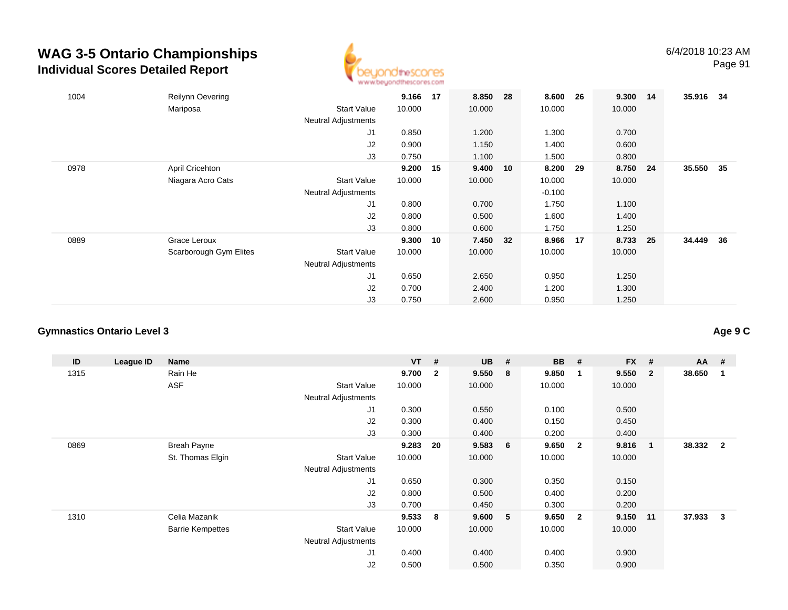

| 1004 | Reilynn Oevering       |                            | 9.166  | 17 | 8.850    | -28 | 8.600    | 26 | 9.300 14 |    | 35.916 34 |      |
|------|------------------------|----------------------------|--------|----|----------|-----|----------|----|----------|----|-----------|------|
|      | Mariposa               | <b>Start Value</b>         | 10.000 |    | 10.000   |     | 10.000   |    | 10.000   |    |           |      |
|      |                        | <b>Neutral Adjustments</b> |        |    |          |     |          |    |          |    |           |      |
|      |                        | J1                         | 0.850  |    | 1.200    |     | 1.300    |    | 0.700    |    |           |      |
|      |                        | J2                         | 0.900  |    | 1.150    |     | 1.400    |    | 0.600    |    |           |      |
|      |                        | J3                         | 0.750  |    | 1.100    |     | 1.500    |    | 0.800    |    |           |      |
| 0978 | April Cricehton        |                            | 9.200  | 15 | 9.400 10 |     | 8.200    | 29 | 8.750 24 |    | 35.550 35 |      |
|      | Niagara Acro Cats      | <b>Start Value</b>         | 10.000 |    | 10.000   |     | 10.000   |    | 10.000   |    |           |      |
|      |                        | <b>Neutral Adjustments</b> |        |    |          |     | $-0.100$ |    |          |    |           |      |
|      |                        | J1                         | 0.800  |    | 0.700    |     | 1.750    |    | 1.100    |    |           |      |
|      |                        | J2                         | 0.800  |    | 0.500    |     | 1.600    |    | 1.400    |    |           |      |
|      |                        | J3                         | 0.800  |    | 0.600    |     | 1.750    |    | 1.250    |    |           |      |
| 0889 | Grace Leroux           |                            | 9.300  | 10 | 7.450 32 |     | 8.966    | 17 | 8.733    | 25 | 34.449    | - 36 |
|      | Scarborough Gym Elites | <b>Start Value</b>         | 10.000 |    | 10.000   |     | 10.000   |    | 10.000   |    |           |      |
|      |                        | <b>Neutral Adjustments</b> |        |    |          |     |          |    |          |    |           |      |
|      |                        | J <sub>1</sub>             | 0.650  |    | 2.650    |     | 0.950    |    | 1.250    |    |           |      |
|      |                        | J2                         | 0.700  |    | 2.400    |     | 1.200    |    | 1.300    |    |           |      |
|      |                        | J3                         | 0.750  |    | 2.600    |     | 0.950    |    | 1.250    |    |           |      |

### **Gymnastics Ontario Level 3**

| ID   | League ID | Name                    |                            | <b>VT</b> | #              | <b>UB</b> | -#              | <b>BB</b> | #                       | <b>FX</b> | #              | $AA$ # |                |
|------|-----------|-------------------------|----------------------------|-----------|----------------|-----------|-----------------|-----------|-------------------------|-----------|----------------|--------|----------------|
| 1315 |           | Rain He                 |                            | 9.700     | $\overline{2}$ | 9.550     | - 8             | 9.850     | $\overline{\mathbf{1}}$ | 9.550     | $\overline{2}$ | 38.650 |                |
|      |           | <b>ASF</b>              | <b>Start Value</b>         | 10.000    |                | 10.000    |                 | 10.000    |                         | 10.000    |                |        |                |
|      |           |                         | Neutral Adjustments        |           |                |           |                 |           |                         |           |                |        |                |
|      |           |                         | J <sub>1</sub>             | 0.300     |                | 0.550     |                 | 0.100     |                         | 0.500     |                |        |                |
|      |           |                         | J <sub>2</sub>             | 0.300     |                | 0.400     |                 | 0.150     |                         | 0.450     |                |        |                |
|      |           |                         | J3                         | 0.300     |                | 0.400     |                 | 0.200     |                         | 0.400     |                |        |                |
| 0869 |           | <b>Breah Payne</b>      |                            | 9.283     | 20             | 9.583     | $6\overline{6}$ | 9.650     | $\overline{\mathbf{2}}$ | 9.816     | $\mathbf{1}$   | 38.332 | $\overline{2}$ |
|      |           | St. Thomas Elgin        | <b>Start Value</b>         | 10.000    |                | 10.000    |                 | 10.000    |                         | 10.000    |                |        |                |
|      |           |                         | <b>Neutral Adjustments</b> |           |                |           |                 |           |                         |           |                |        |                |
|      |           |                         | J <sub>1</sub>             | 0.650     |                | 0.300     |                 | 0.350     |                         | 0.150     |                |        |                |
|      |           |                         | J2                         | 0.800     |                | 0.500     |                 | 0.400     |                         | 0.200     |                |        |                |
|      |           |                         | J3                         | 0.700     |                | 0.450     |                 | 0.300     |                         | 0.200     |                |        |                |
| 1310 |           | Celia Mazanik           |                            | 9.533     | 8              | 9.600 5   |                 | 9.650     | $\overline{\mathbf{2}}$ | 9.150     | 11             | 37.933 | 3              |
|      |           | <b>Barrie Kempettes</b> | <b>Start Value</b>         | 10.000    |                | 10.000    |                 | 10.000    |                         | 10.000    |                |        |                |
|      |           |                         | <b>Neutral Adjustments</b> |           |                |           |                 |           |                         |           |                |        |                |
|      |           |                         | J <sub>1</sub>             | 0.400     |                | 0.400     |                 | 0.400     |                         | 0.900     |                |        |                |
|      |           |                         | J <sub>2</sub>             | 0.500     |                | 0.500     |                 | 0.350     |                         | 0.900     |                |        |                |

**Age 9 C**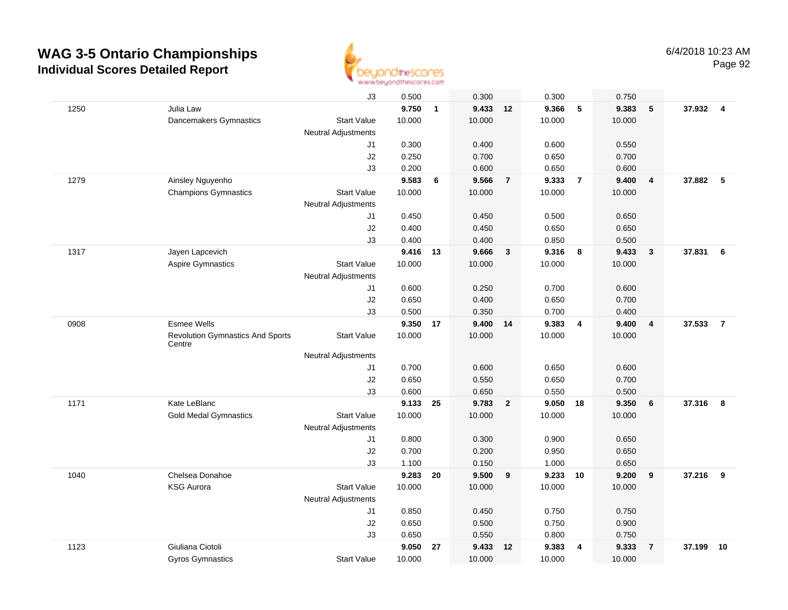

|      |                                                   | J3                         | 0.500  |              | 0.300    |                | 0.300      |                         | 0.750  |                         |          |                         |
|------|---------------------------------------------------|----------------------------|--------|--------------|----------|----------------|------------|-------------------------|--------|-------------------------|----------|-------------------------|
| 1250 | Julia Law                                         |                            | 9.750  | $\mathbf{1}$ | 9.433 12 |                | 9.366      | 5                       | 9.383  | 5                       | 37.932 4 |                         |
|      | Dancemakers Gymnastics                            | <b>Start Value</b>         | 10.000 |              | 10.000   |                | 10.000     |                         | 10.000 |                         |          |                         |
|      |                                                   | <b>Neutral Adjustments</b> |        |              |          |                |            |                         |        |                         |          |                         |
|      |                                                   | J1                         | 0.300  |              | 0.400    |                | 0.600      |                         | 0.550  |                         |          |                         |
|      |                                                   | J2                         | 0.250  |              | 0.700    |                | 0.650      |                         | 0.700  |                         |          |                         |
|      |                                                   | J3                         | 0.200  |              | 0.600    |                | 0.650      |                         | 0.600  |                         |          |                         |
| 1279 | Ainsley Nguyenho                                  |                            | 9.583  | 6            | 9.566    | $\overline{7}$ | 9.333      | $\overline{7}$          | 9.400  | $\overline{\mathbf{4}}$ | 37.882   | -5                      |
|      | <b>Champions Gymnastics</b>                       | <b>Start Value</b>         | 10.000 |              | 10.000   |                | 10.000     |                         | 10.000 |                         |          |                         |
|      |                                                   | <b>Neutral Adjustments</b> |        |              |          |                |            |                         |        |                         |          |                         |
|      |                                                   | J1                         | 0.450  |              | 0.450    |                | 0.500      |                         | 0.650  |                         |          |                         |
|      |                                                   | J2                         | 0.400  |              | 0.450    |                | 0.650      |                         | 0.650  |                         |          |                         |
|      |                                                   | J3                         | 0.400  |              | 0.400    |                | 0.850      |                         | 0.500  |                         |          |                         |
| 1317 | Jayen Lapcevich                                   |                            | 9.416  | 13           | 9.666    | $\mathbf{3}$   | 9.316      | $\overline{\mathbf{8}}$ | 9.433  | $\mathbf{3}$            | 37.831   | 6                       |
|      | <b>Aspire Gymnastics</b>                          | <b>Start Value</b>         | 10.000 |              | 10.000   |                | 10.000     |                         | 10.000 |                         |          |                         |
|      |                                                   | <b>Neutral Adjustments</b> |        |              |          |                |            |                         |        |                         |          |                         |
|      |                                                   | J1                         | 0.600  |              | 0.250    |                | 0.700      |                         | 0.600  |                         |          |                         |
|      |                                                   | J2                         | 0.650  |              | 0.400    |                | 0.650      |                         | 0.700  |                         |          |                         |
|      |                                                   | J3                         | 0.500  |              | 0.350    |                | 0.700      |                         | 0.400  |                         |          |                         |
| 0908 | <b>Esmee Wells</b>                                |                            | 9.350  | 17           | 9.400 14 |                | 9.383      | $\overline{4}$          | 9.400  | 4                       | 37.533   | $\overline{7}$          |
|      | <b>Revolution Gymnastics And Sports</b><br>Centre | <b>Start Value</b>         | 10.000 |              | 10.000   |                | 10.000     |                         | 10.000 |                         |          |                         |
|      |                                                   | <b>Neutral Adjustments</b> |        |              |          |                |            |                         |        |                         |          |                         |
|      |                                                   | J1                         | 0.700  |              | 0.600    |                | 0.650      |                         | 0.600  |                         |          |                         |
|      |                                                   | J2                         | 0.650  |              | 0.550    |                | 0.650      |                         | 0.700  |                         |          |                         |
|      |                                                   | J3                         | 0.600  |              | 0.650    |                | 0.550      |                         | 0.500  |                         |          |                         |
| 1171 | Kate LeBlanc                                      |                            | 9.133  | 25           | 9.783    | $\overline{2}$ | $9.050$ 18 |                         | 9.350  | 6                       | 37.316   | $\overline{\mathbf{8}}$ |
|      | <b>Gold Medal Gymnastics</b>                      | <b>Start Value</b>         | 10.000 |              | 10.000   |                | 10.000     |                         | 10.000 |                         |          |                         |
|      |                                                   | <b>Neutral Adjustments</b> |        |              |          |                |            |                         |        |                         |          |                         |
|      |                                                   | J1                         | 0.800  |              | 0.300    |                | 0.900      |                         | 0.650  |                         |          |                         |
|      |                                                   | J2                         | 0.700  |              | 0.200    |                | 0.950      |                         | 0.650  |                         |          |                         |
|      |                                                   | J3                         | 1.100  |              | 0.150    |                | 1.000      |                         | 0.650  |                         |          |                         |
| 1040 | Chelsea Donahoe                                   |                            | 9.283  | 20           | 9.500    | 9              | 9.233      | 10                      | 9.200  | 9                       | 37.216   | 9                       |
|      | <b>KSG Aurora</b>                                 | <b>Start Value</b>         | 10.000 |              | 10.000   |                | 10.000     |                         | 10.000 |                         |          |                         |
|      |                                                   | <b>Neutral Adjustments</b> |        |              |          |                |            |                         |        |                         |          |                         |
|      |                                                   | J1                         | 0.850  |              | 0.450    |                | 0.750      |                         | 0.750  |                         |          |                         |
|      |                                                   | $\sf J2$                   | 0.650  |              | 0.500    |                | 0.750      |                         | 0.900  |                         |          |                         |
|      |                                                   | J3                         | 0.650  |              | 0.550    |                | 0.800      |                         | 0.750  |                         |          |                         |
| 1123 | Giuliana Ciotoli                                  |                            | 9.050  | 27           | 9.433    | 12             | 9.383      | 4                       | 9.333  | $\overline{7}$          | 37.199   | 10                      |
|      | Gyros Gymnastics                                  | <b>Start Value</b>         | 10.000 |              | 10.000   |                | 10.000     |                         | 10.000 |                         |          |                         |
|      |                                                   |                            |        |              |          |                |            |                         |        |                         |          |                         |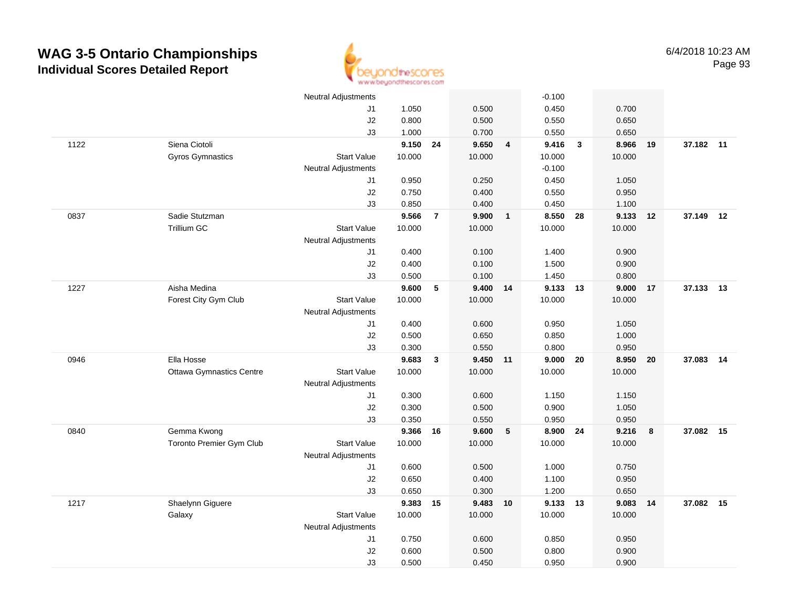

|      |                                 | <b>Neutral Adjustments</b> |          |                |          |                         | $-0.100$ |                         |        |    |           |    |
|------|---------------------------------|----------------------------|----------|----------------|----------|-------------------------|----------|-------------------------|--------|----|-----------|----|
|      |                                 | J1                         | 1.050    |                | 0.500    |                         | 0.450    |                         | 0.700  |    |           |    |
|      |                                 | J2                         | 0.800    |                | 0.500    |                         | 0.550    |                         | 0.650  |    |           |    |
|      |                                 | J3                         | 1.000    |                | 0.700    |                         | 0.550    |                         | 0.650  |    |           |    |
| 1122 | Siena Ciotoli                   |                            | 9.150    | 24             | 9.650    | $\overline{\mathbf{4}}$ | 9.416    | $\overline{\mathbf{3}}$ | 8.966  | 19 | 37.182 11 |    |
|      | Gyros Gymnastics                | <b>Start Value</b>         | 10.000   |                | 10.000   |                         | 10.000   |                         | 10.000 |    |           |    |
|      |                                 | <b>Neutral Adjustments</b> |          |                |          |                         | $-0.100$ |                         |        |    |           |    |
|      |                                 | J1                         | 0.950    |                | 0.250    |                         | 0.450    |                         | 1.050  |    |           |    |
|      |                                 | J2                         | 0.750    |                | 0.400    |                         | 0.550    |                         | 0.950  |    |           |    |
|      |                                 | J3                         | 0.850    |                | 0.400    |                         | 0.450    |                         | 1.100  |    |           |    |
| 0837 | Sadie Stutzman                  |                            | 9.566    | $\overline{7}$ | 9.900    | $\overline{\mathbf{1}}$ | 8.550 28 |                         | 9.133  | 12 | 37.149 12 |    |
|      | Trillium GC                     | <b>Start Value</b>         | 10.000   |                | 10.000   |                         | 10.000   |                         | 10.000 |    |           |    |
|      |                                 | <b>Neutral Adjustments</b> |          |                |          |                         |          |                         |        |    |           |    |
|      |                                 | J1                         | 0.400    |                | 0.100    |                         | 1.400    |                         | 0.900  |    |           |    |
|      |                                 | J2                         | 0.400    |                | 0.100    |                         | 1.500    |                         | 0.900  |    |           |    |
|      |                                 | J3                         | 0.500    |                | 0.100    |                         | 1.450    |                         | 0.800  |    |           |    |
| 1227 | Aisha Medina                    |                            | 9.600    | 5              | 9.400 14 |                         | 9.133 13 |                         | 9.000  | 17 | 37.133 13 |    |
|      | Forest City Gym Club            | <b>Start Value</b>         | 10.000   |                | 10.000   |                         | 10.000   |                         | 10.000 |    |           |    |
|      |                                 | <b>Neutral Adjustments</b> |          |                |          |                         |          |                         |        |    |           |    |
|      |                                 | J1                         | 0.400    |                | 0.600    |                         | 0.950    |                         | 1.050  |    |           |    |
|      |                                 | J2                         | 0.500    |                | 0.650    |                         | 0.850    |                         | 1.000  |    |           |    |
|      |                                 | J3                         | 0.300    |                | 0.550    |                         | 0.800    |                         | 0.950  |    |           |    |
| 0946 | Ella Hosse                      |                            | 9.683    | $\mathbf{3}$   | 9.450    | 11                      | 9.000    | 20                      | 8.950  | 20 | 37.083    | 14 |
|      | <b>Ottawa Gymnastics Centre</b> | <b>Start Value</b>         | 10.000   |                | 10.000   |                         | 10.000   |                         | 10.000 |    |           |    |
|      |                                 | Neutral Adjustments        |          |                |          |                         |          |                         |        |    |           |    |
|      |                                 | J1                         | 0.300    |                | 0.600    |                         | 1.150    |                         | 1.150  |    |           |    |
|      |                                 | J2                         | 0.300    |                | 0.500    |                         | 0.900    |                         | 1.050  |    |           |    |
|      |                                 | J3                         | 0.350    |                | 0.550    |                         | 0.950    |                         | 0.950  |    |           |    |
| 0840 | Gemma Kwong                     |                            | 9.366 16 |                | 9.600    | $5^{\circ}$             | 8.900 24 |                         | 9.216  | 8  | 37.082 15 |    |
|      | Toronto Premier Gym Club        | <b>Start Value</b>         | 10.000   |                | 10.000   |                         | 10.000   |                         | 10.000 |    |           |    |
|      |                                 | Neutral Adjustments        |          |                |          |                         |          |                         |        |    |           |    |
|      |                                 | J1                         | 0.600    |                | 0.500    |                         | 1.000    |                         | 0.750  |    |           |    |
|      |                                 | J2                         | 0.650    |                | 0.400    |                         | 1.100    |                         | 0.950  |    |           |    |
|      |                                 | J3                         | 0.650    |                | 0.300    |                         | 1.200    |                         | 0.650  |    |           |    |
| 1217 | Shaelynn Giguere                |                            | 9.383    | 15             | 9.483 10 |                         | 9.133 13 |                         | 9.083  | 14 | 37.082 15 |    |
|      | Galaxy                          | <b>Start Value</b>         | 10.000   |                | 10.000   |                         | 10.000   |                         | 10.000 |    |           |    |
|      |                                 | <b>Neutral Adjustments</b> |          |                |          |                         |          |                         |        |    |           |    |
|      |                                 | J1                         | 0.750    |                | 0.600    |                         | 0.850    |                         | 0.950  |    |           |    |
|      |                                 | $\sf J2$                   | 0.600    |                | 0.500    |                         | 0.800    |                         | 0.900  |    |           |    |
|      |                                 | J3                         | 0.500    |                | 0.450    |                         | 0.950    |                         | 0.900  |    |           |    |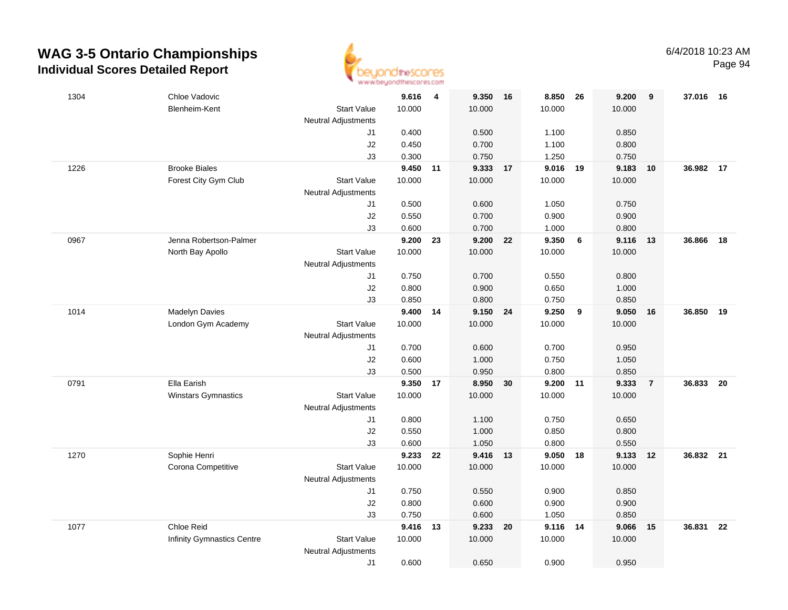

| 1304 | Chloe Vadovic              |                                  | 9.616           | $\overline{\mathbf{4}}$ | 9.350 16        |    | 8.850 26        |    | 9.200  | 9              | 37.016    | 16 |
|------|----------------------------|----------------------------------|-----------------|-------------------------|-----------------|----|-----------------|----|--------|----------------|-----------|----|
|      | Blenheim-Kent              | <b>Start Value</b>               | 10.000          |                         | 10.000          |    | 10.000          |    | 10.000 |                |           |    |
|      |                            | <b>Neutral Adjustments</b>       |                 |                         |                 |    |                 |    |        |                |           |    |
|      |                            | J1                               | 0.400           |                         | 0.500           |    | 1.100           |    | 0.850  |                |           |    |
|      |                            | J2                               | 0.450           |                         | 0.700           |    | 1.100           |    | 0.800  |                |           |    |
|      |                            | J3                               | 0.300           |                         | 0.750           |    | 1.250           |    | 0.750  |                |           |    |
| 1226 | <b>Brooke Biales</b>       |                                  | 9.450 11        |                         | 9.333 17        |    | 9.016           | 19 | 9.183  | 10             | 36.982    | 17 |
|      | Forest City Gym Club       | <b>Start Value</b>               | 10.000          |                         | 10.000          |    | 10.000          |    | 10.000 |                |           |    |
|      |                            | <b>Neutral Adjustments</b>       |                 |                         |                 |    |                 |    |        |                |           |    |
|      |                            | J1                               | 0.500           |                         | 0.600           |    | 1.050           |    | 0.750  |                |           |    |
|      |                            | $\sf J2$                         | 0.550           |                         | 0.700           |    | 0.900           |    | 0.900  |                |           |    |
|      |                            | J3                               | 0.600           |                         | 0.700           |    | 1.000           |    | 0.800  |                |           |    |
| 0967 | Jenna Robertson-Palmer     |                                  | 9.200           | 23                      | 9.200           | 22 | 9.350           | 6  | 9.116  | 13             | 36.866    | 18 |
|      | North Bay Apollo           | <b>Start Value</b>               | 10.000          |                         | 10.000          |    | 10.000          |    | 10.000 |                |           |    |
|      |                            | <b>Neutral Adjustments</b>       |                 |                         |                 |    |                 |    |        |                |           |    |
|      |                            | J1                               | 0.750           |                         | 0.700           |    | 0.550           |    | 0.800  |                |           |    |
|      |                            | J2                               | 0.800           |                         | 0.900           |    | 0.650           |    | 1.000  |                |           |    |
|      |                            | J3                               | 0.850           |                         | 0.800           |    | 0.750           |    | 0.850  |                |           |    |
| 1014 | Madelyn Davies             |                                  | 9.400           | 14                      | 9.150 24        |    | 9.250           | 9  | 9.050  | 16             | 36.850    | 19 |
|      | London Gym Academy         | <b>Start Value</b>               | 10.000          |                         | 10.000          |    | 10.000          |    | 10.000 |                |           |    |
|      |                            | <b>Neutral Adjustments</b>       |                 |                         |                 |    |                 |    |        |                |           |    |
|      |                            | J1                               | 0.700           |                         | 0.600           |    | 0.700           |    | 0.950  |                |           |    |
|      |                            | J2                               | 0.600           |                         | 1.000           |    | 0.750           |    | 1.050  |                |           |    |
|      |                            | J3                               | 0.500           |                         | 0.950           |    | 0.800           |    | 0.850  |                |           |    |
| 0791 | Ella Earish                | <b>Start Value</b>               | 9.350<br>10.000 | 17                      | 8.950<br>10.000 | 30 | 9.200<br>10.000 | 11 | 9.333  | $\overline{7}$ | 36.833    | 20 |
|      | <b>Winstars Gymnastics</b> |                                  |                 |                         |                 |    |                 |    | 10.000 |                |           |    |
|      |                            | <b>Neutral Adjustments</b><br>J1 | 0.800           |                         | 1.100           |    | 0.750           |    | 0.650  |                |           |    |
|      |                            | J2                               | 0.550           |                         | 1.000           |    | 0.850           |    | 0.800  |                |           |    |
|      |                            | J3                               | 0.600           |                         | 1.050           |    | 0.800           |    | 0.550  |                |           |    |
| 1270 | Sophie Henri               |                                  | 9.233           | 22                      | 9.416 13        |    | 9.050           | 18 | 9.133  | 12             | 36.832 21 |    |
|      | Corona Competitive         | <b>Start Value</b>               | 10.000          |                         | 10.000          |    | 10.000          |    | 10.000 |                |           |    |
|      |                            | <b>Neutral Adjustments</b>       |                 |                         |                 |    |                 |    |        |                |           |    |
|      |                            | J1                               | 0.750           |                         | 0.550           |    | 0.900           |    | 0.850  |                |           |    |
|      |                            | J2                               | 0.800           |                         | 0.600           |    | 0.900           |    | 0.900  |                |           |    |
|      |                            | J3                               | 0.750           |                         | 0.600           |    | 1.050           |    | 0.850  |                |           |    |
| 1077 | Chloe Reid                 |                                  | 9.416           | 13                      | 9.233 20        |    | 9.116           | 14 | 9.066  | 15             | 36.831    | 22 |
|      | Infinity Gymnastics Centre | <b>Start Value</b>               | 10.000          |                         | 10.000          |    | 10.000          |    | 10.000 |                |           |    |
|      |                            | <b>Neutral Adjustments</b>       |                 |                         |                 |    |                 |    |        |                |           |    |
|      |                            | J1                               | 0.600           |                         | 0.650           |    | 0.900           |    | 0.950  |                |           |    |
|      |                            |                                  |                 |                         |                 |    |                 |    |        |                |           |    |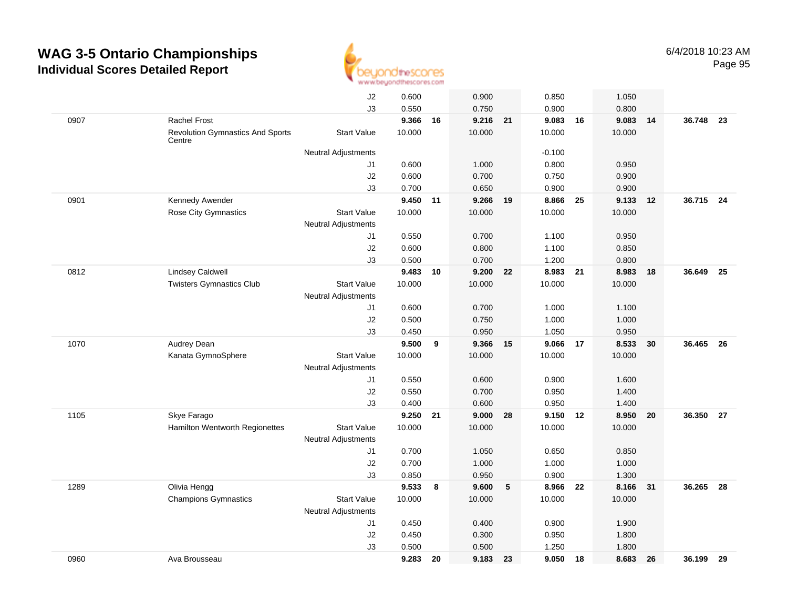

|      |                                                   | J2                         | 0.600          |    | 0.900          |    | 0.850           |      | 1.050          |    |           |      |
|------|---------------------------------------------------|----------------------------|----------------|----|----------------|----|-----------------|------|----------------|----|-----------|------|
|      |                                                   | J3                         | 0.550          |    | 0.750          |    | 0.900           |      | 0.800          |    |           |      |
| 0907 | <b>Rachel Frost</b>                               |                            | 9.366          | 16 | 9.216          | 21 | 9.083           | 16   | 9.083          | 14 | 36.748    | - 23 |
|      | <b>Revolution Gymnastics And Sports</b><br>Centre | <b>Start Value</b>         | 10.000         |    | 10.000         |    | 10.000          |      | 10.000         |    |           |      |
|      |                                                   | Neutral Adjustments        |                |    |                |    | $-0.100$        |      |                |    |           |      |
|      |                                                   | J1                         | 0.600          |    | 1.000          |    | 0.800           |      | 0.950          |    |           |      |
|      |                                                   | J2                         | 0.600          |    | 0.700          |    | 0.750           |      | 0.900          |    |           |      |
|      |                                                   | J3                         | 0.700          |    | 0.650          |    | 0.900           |      | 0.900          |    |           |      |
| 0901 | Kennedy Awender                                   |                            | 9.450          | 11 | 9.266 19       |    | 8.866 25        |      | 9.133          | 12 | 36.715 24 |      |
|      | <b>Rose City Gymnastics</b>                       | <b>Start Value</b>         | 10.000         |    | 10.000         |    | 10.000          |      | 10.000         |    |           |      |
|      |                                                   | <b>Neutral Adjustments</b> |                |    |                |    |                 |      |                |    |           |      |
|      |                                                   | J1                         | 0.550          |    | 0.700          |    | 1.100           |      | 0.950          |    |           |      |
|      |                                                   | J2                         | 0.600          |    | 0.800          |    | 1.100           |      | 0.850          |    |           |      |
|      |                                                   | J3                         | 0.500          |    | 0.700          |    | 1.200           |      | 0.800          |    |           |      |
| 0812 | <b>Lindsey Caldwell</b>                           |                            | 9.483          | 10 | 9.200          | 22 | 8.983           | - 21 | 8.983          | 18 | 36.649    | 25   |
|      | <b>Twisters Gymnastics Club</b>                   | <b>Start Value</b>         | 10.000         |    | 10.000         |    | 10.000          |      | 10.000         |    |           |      |
|      |                                                   | <b>Neutral Adjustments</b> |                |    |                |    |                 |      |                |    |           |      |
|      |                                                   | J1                         | 0.600          |    | 0.700          |    | 1.000           |      | 1.100          |    |           |      |
|      |                                                   | J2                         | 0.500          |    | 0.750          |    | 1.000           |      | 1.000          |    |           |      |
|      |                                                   | J3                         | 0.450          |    | 0.950          |    | 1.050           |      | 0.950          |    |           |      |
| 1070 | Audrey Dean                                       |                            | 9.500          | 9  | 9.366          | 15 | 9.066           | 17   | 8.533          | 30 | 36.465    | - 26 |
|      | Kanata GymnoSphere                                | <b>Start Value</b>         | 10.000         |    | 10.000         |    | 10.000          |      | 10.000         |    |           |      |
|      |                                                   | <b>Neutral Adjustments</b> |                |    |                |    |                 |      |                |    |           |      |
|      |                                                   | J1                         | 0.550          |    | 0.600          |    | 0.900           |      | 1.600          |    |           |      |
|      |                                                   | J2                         | 0.550          |    | 0.700          |    | 0.950           |      | 1.400          |    |           |      |
|      |                                                   | J3                         | 0.400          |    | 0.600          |    | 0.950           |      | 1.400          |    |           |      |
| 1105 | Skye Farago                                       |                            | 9.250          | 21 | 9.000          | 28 | 9.150 12        |      | 8.950          | 20 | 36.350    | - 27 |
|      | Hamilton Wentworth Regionettes                    | <b>Start Value</b>         | 10.000         |    | 10.000         |    | 10.000          |      | 10.000         |    |           |      |
|      |                                                   | <b>Neutral Adjustments</b> |                |    |                |    |                 |      |                |    |           |      |
|      |                                                   | J1                         | 0.700          |    | 1.050          |    | 0.650           |      | 0.850          |    |           |      |
|      |                                                   | J2                         | 0.700          |    | 1.000          |    | 1.000           |      | 1.000          |    |           |      |
|      |                                                   | J3                         | 0.850<br>9.533 |    | 0.950<br>9.600 |    | 0.900           |      | 1.300<br>8.166 |    | 36.265    |      |
| 1289 | Olivia Hengg<br><b>Champions Gymnastics</b>       | <b>Start Value</b>         | 10.000         | 8  | 10.000         | 5  | 8.966<br>10.000 | 22   | 10.000         | 31 |           | 28   |
|      |                                                   | <b>Neutral Adjustments</b> |                |    |                |    |                 |      |                |    |           |      |
|      |                                                   | J1                         | 0.450          |    | 0.400          |    | 0.900           |      | 1.900          |    |           |      |
|      |                                                   | J2                         | 0.450          |    | 0.300          |    | 0.950           |      | 1.800          |    |           |      |
|      |                                                   | J3                         | 0.500          |    | 0.500          |    | 1.250           |      | 1.800          |    |           |      |
| 0960 | Ava Brousseau                                     |                            | 9.283          | 20 | 9.183 23       |    | 9.050 18        |      | 8.683          | 26 | 36.199    | - 29 |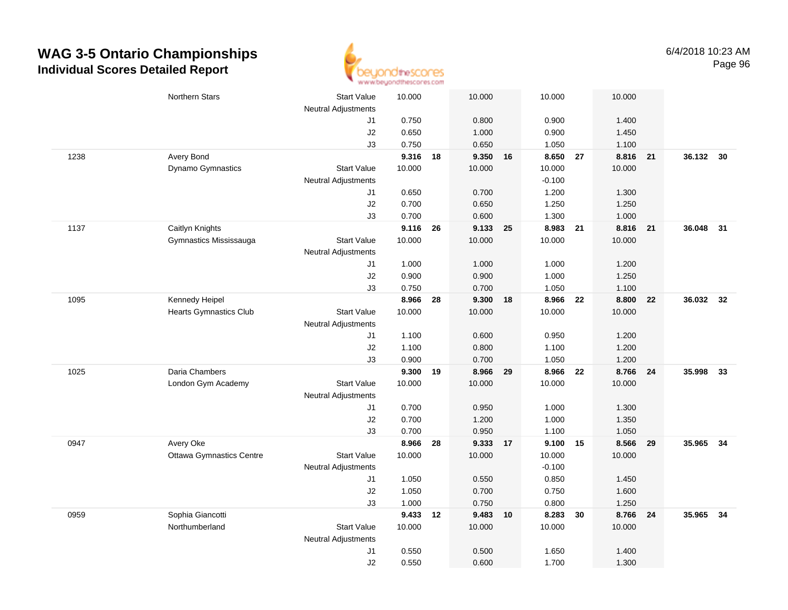

|      | Northern Stars                  | <b>Start Value</b>               | 10.000 | 10.000         | 10.000         |    | 10.000   |    |           |    |
|------|---------------------------------|----------------------------------|--------|----------------|----------------|----|----------|----|-----------|----|
|      |                                 | <b>Neutral Adjustments</b><br>J1 | 0.750  | 0.800          | 0.900          |    | 1.400    |    |           |    |
|      |                                 | J2                               | 0.650  | 1.000          | 0.900          |    | 1.450    |    |           |    |
|      |                                 | J3                               | 0.750  | 0.650          | 1.050          |    | 1.100    |    |           |    |
| 1238 | Avery Bond                      |                                  | 9.316  | 9.350<br>18    | 8.650 27<br>16 |    | 8.816 21 |    | 36.132 30 |    |
|      | Dynamo Gymnastics               | <b>Start Value</b>               | 10.000 | 10.000         | 10.000         |    | 10.000   |    |           |    |
|      |                                 | <b>Neutral Adjustments</b>       |        |                | $-0.100$       |    |          |    |           |    |
|      |                                 | J1                               | 0.650  | 0.700          | 1.200          |    | 1.300    |    |           |    |
|      |                                 | J2                               | 0.700  | 0.650          | 1.250          |    | 1.250    |    |           |    |
|      |                                 | J3                               | 0.700  | 0.600          | 1.300          |    | 1.000    |    |           |    |
| 1137 | Caitlyn Knights                 |                                  | 9.116  | 9.133<br>26    | 8.983<br>25    | 21 | 8.816    | 21 | 36.048 31 |    |
|      | Gymnastics Mississauga          | <b>Start Value</b>               | 10.000 | 10.000         | 10.000         |    | 10.000   |    |           |    |
|      |                                 | <b>Neutral Adjustments</b>       |        |                |                |    |          |    |           |    |
|      |                                 | J1                               | 1.000  | 1.000          | 1.000          |    | 1.200    |    |           |    |
|      |                                 | J2                               | 0.900  | 0.900          | 1.000          |    | 1.250    |    |           |    |
|      |                                 | J3                               | 0.750  | 0.700          | 1.050          |    | 1.100    |    |           |    |
| 1095 | Kennedy Heipel                  |                                  | 8.966  | 9.300<br>28    | 8.966 22<br>18 |    | 8.800    | 22 | 36.032 32 |    |
|      | <b>Hearts Gymnastics Club</b>   | <b>Start Value</b>               | 10.000 | 10.000         | 10.000         |    | 10.000   |    |           |    |
|      |                                 | Neutral Adjustments              |        |                |                |    |          |    |           |    |
|      |                                 | J1                               | 1.100  | 0.600          | 0.950          |    | 1.200    |    |           |    |
|      |                                 | J2                               | 1.100  | 0.800          | 1.100          |    | 1.200    |    |           |    |
|      |                                 | J3                               | 0.900  | 0.700          | 1.050          |    | 1.200    |    |           |    |
| 1025 | Daria Chambers                  |                                  | 9.300  | 8.966<br>19    | 8.966<br>29    | 22 | 8.766    | 24 | 35.998    | 33 |
|      | London Gym Academy              | <b>Start Value</b>               | 10.000 | 10.000         | 10.000         |    | 10.000   |    |           |    |
|      |                                 | <b>Neutral Adjustments</b>       |        |                |                |    |          |    |           |    |
|      |                                 | J1                               | 0.700  | 0.950          | 1.000          |    | 1.300    |    |           |    |
|      |                                 | J2                               | 0.700  | 1.200          | 1.000          |    | 1.350    |    |           |    |
|      |                                 | J3                               | 0.700  | 0.950          | 1.100          |    | 1.050    |    |           |    |
| 0947 | Avery Oke                       |                                  | 8.966  | 28<br>9.333 17 | 9.100 15       |    | 8.566 29 |    | 35.965    | 34 |
|      | <b>Ottawa Gymnastics Centre</b> | <b>Start Value</b>               | 10.000 | 10.000         | 10.000         |    | 10.000   |    |           |    |
|      |                                 | <b>Neutral Adjustments</b>       |        |                | $-0.100$       |    |          |    |           |    |
|      |                                 | J1                               | 1.050  | 0.550          | 0.850          |    | 1.450    |    |           |    |
|      |                                 | J2                               | 1.050  | 0.700          | 0.750          |    | 1.600    |    |           |    |
|      |                                 | J3                               | 1.000  | 0.750          | 0.800          |    | 1.250    |    |           |    |
| 0959 | Sophia Giancotti                |                                  | 9.433  | 9.483 10<br>12 | 8.283          | 30 | 8.766 24 |    | 35.965 34 |    |
|      | Northumberland                  | <b>Start Value</b>               | 10.000 | 10.000         | 10.000         |    | 10.000   |    |           |    |
|      |                                 | <b>Neutral Adjustments</b>       |        |                |                |    |          |    |           |    |
|      |                                 | J1                               | 0.550  | 0.500          | 1.650          |    | 1.400    |    |           |    |
|      |                                 | J2                               | 0.550  | 0.600          | 1.700          |    | 1.300    |    |           |    |